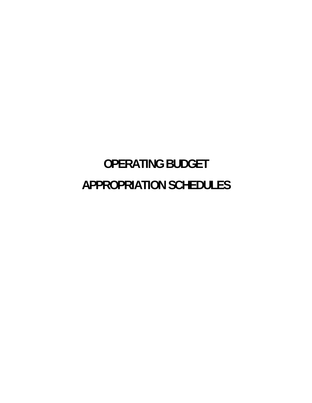# **OPERATING BUDGET APPROPRIATION SCHEDULES**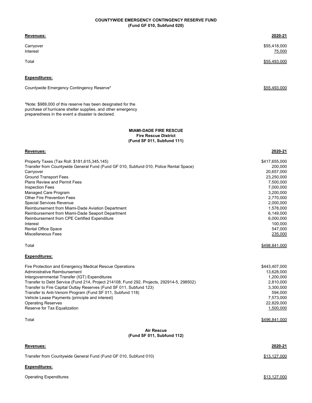### **COUNTYWIDE EMERGENCY CONTINGENCY RESERVE FUND (Fund GF 010, Subfund 020)**

| Revenues:                                 | 2020-21                |
|-------------------------------------------|------------------------|
| Carryover<br>Interest                     | \$55,418,000<br>75,000 |
| Total                                     | \$55,493,000           |
| <b>Expenditures:</b>                      |                        |
| Countywide Emergency Contingency Reserve* | \$55,493,000           |

\*Note: \$989,000 of this reserve has been designated for the purchase of hurricane shelter supplies, and other emergency preparedness in the event a disaster is declared.

#### **MIAMI-DADE FIRE RESCUE Fire Rescue District (Fund SF 011, Subfund 111)**

| Revenues:                                                                                 | 2020-21       |
|-------------------------------------------------------------------------------------------|---------------|
| Property Taxes (Tax Roll: \$181,615,345,145)                                              | \$417,655,000 |
| Transfer from Countywide General Fund (Fund GF 010, Subfund 010, Police Rental Space)     | 200,000       |
| Carryover                                                                                 | 20,657,000    |
| <b>Ground Transport Fees</b>                                                              | 23,250,000    |
| <b>Plans Review and Permit Fees</b>                                                       | 7,500,000     |
| <b>Inspection Fees</b>                                                                    | 7,000,000     |
| Managed Care Program                                                                      | 3,200,000     |
| Other Fire Prevention Fees                                                                | 2,770,000     |
| <b>Special Services Revenue</b>                                                           | 2,000,000     |
| Reimbursement from Miami-Dade Aviation Department                                         | 1,578,000     |
| Reimbursement from Miami-Dade Seaport Department                                          | 6,149,000     |
| Reimbursement from CPE Certified Expenditure                                              | 6,000,000     |
| Interest                                                                                  | 100,000       |
| <b>Rental Office Space</b>                                                                | 547,000       |
| <b>Miscellaneous Fees</b>                                                                 | 235,000       |
| Total                                                                                     | \$498,841,000 |
| <b>Expenditures:</b>                                                                      |               |
| Fire Protection and Emergency Medical Rescue Operations                                   | \$443,407,000 |
| Administrative Reimbursement                                                              | 13,628,000    |
| Intergovernmental Transfer (IGT) Expenditures                                             | 1,200,000     |
| Transfer to Debt Service (Fund 214, Project 214108; Fund 292, Projects, 292914-5, 298502) | 2,810,000     |
| Transfer to Fire Capital Outlay Reserves (Fund SF 011, Subfund 123)                       | 3,300,000     |
| Transfer to Anti-Venom Program (Fund SF 011, Subfund 118)                                 | 594,000       |
| Vehicle Lease Payments (principle and interest)                                           | 7,573,000     |
| <b>Operating Reserves</b>                                                                 | 22,829,000    |
| Reserve for Tax Equalization                                                              | 1,500,000     |
| Total                                                                                     | \$496,841,000 |
| <b>Air Rescue</b><br>(Fund SF 011, Subfund 112)                                           |               |
|                                                                                           |               |

| <b>Revenues:</b>                                                 | 2020-21      |
|------------------------------------------------------------------|--------------|
| Transfer from Countywide General Fund (Fund GF 010, Subfund 010) | \$13.127.000 |
| <b>Expenditures:</b>                                             |              |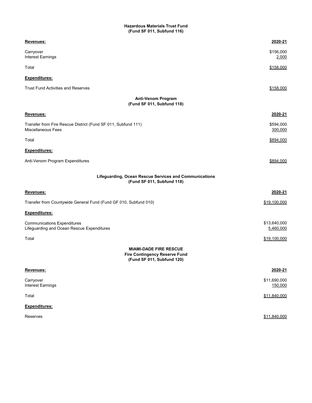# **Hazardous Materials Trust Fund (Fund SF 011, Subfund 116)**

| Revenues:                                                                                           | 2020-21                   |
|-----------------------------------------------------------------------------------------------------|---------------------------|
| Carryover<br>Interest Earnings                                                                      | \$156,000<br>2,000        |
| Total                                                                                               | \$158,000                 |
| <u>Expenditures:</u>                                                                                |                           |
| <b>Trust Fund Activities and Reserves</b>                                                           | \$158,000                 |
| <b>Anti-Venom Program</b><br>(Fund SF 011, Subfund 118)                                             |                           |
| Revenues:                                                                                           | 2020-21                   |
| Transfer from Fire Rescue District (Fund SF 011, Subfund 111)<br>Miscellaneous Fees                 | \$594,000<br>300,000      |
| Total                                                                                               | \$894,000                 |
| Expenditures:                                                                                       |                           |
| Anti-Venom Program Expenditures                                                                     | \$894.000                 |
| Lifeguarding, Ocean Rescue Services and Communications<br>(Fund SF 011, Subfund 118)                |                           |
| Revenues:                                                                                           | 2020-21                   |
| Transfer from Countywide General Fund (Fund GF 010, Subfund 010)                                    | \$19,100,000              |
| <u>Expenditures:</u>                                                                                |                           |
| Communications Expenditures<br>Lifeguarding and Ocean Rescue Expenditures                           | \$13,640,000<br>5,460,000 |
| Total                                                                                               | \$19,100,000              |
| <b>MIAMI-DADE FIRE RESCUE</b><br><b>Fire Contingency Reserve Fund</b><br>(Fund SF 011, Subfund 120) |                           |
| Revenues:                                                                                           | 2020-21                   |
| Carryover<br>Interest Earnings                                                                      | \$11,690,000<br>150,000   |
| Total                                                                                               | \$11,840,000              |
| Expenditures:                                                                                       |                           |
| Reserves                                                                                            | \$11,840,000              |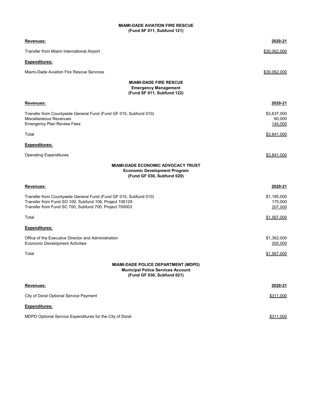# **(Fund SF 011, Subfund 121) MIAMI-DADE AVIATION FIRE RESCUE**

| Revenues:                                                                                                                                                                            | 2020-21                           |
|--------------------------------------------------------------------------------------------------------------------------------------------------------------------------------------|-----------------------------------|
| Transfer from Miami International Airport                                                                                                                                            | \$30,062,000                      |
| <u> Expenditures:</u>                                                                                                                                                                |                                   |
| Miami-Dade Aviation Fire Rescue Services                                                                                                                                             | \$30,062,000                      |
| <b>MIAMI-DADE FIRE RESCUE</b><br><b>Emergency Management</b><br>(Fund SF 011, Subfund 122)                                                                                           |                                   |
| <u>Revenues:</u>                                                                                                                                                                     | 2020-21                           |
| Transfer from Countywide General Fund (Fund GF 010, Subfund 010)<br>Miscellaneous Revenues<br>Emergency Plan Review Fees                                                             | \$3,637,000<br>60,000<br>144,000  |
| Total                                                                                                                                                                                | \$3,841,000                       |
| Expenditures:                                                                                                                                                                        |                                   |
| Operating Expenditures                                                                                                                                                               | \$3,841,000                       |
| <b>MIAMI-DADE ECONOMIC ADVOCACY TRUST</b><br><b>Economic Development Program</b><br>(Fund GF 030, Subfund 020)                                                                       |                                   |
| Revenues:                                                                                                                                                                            | 2020-21                           |
| Transfer from Countywide General Fund (Fund GF 010, Subfund 010)<br>Transfer from Fund SO 100, Subfund 106, Project 106129<br>Transfer from Fund SC 700, Subfund 700, Project 700003 | \$1,185,000<br>175,000<br>207,000 |
| Total                                                                                                                                                                                | \$1,567,000                       |
| <u>Expenditures:</u>                                                                                                                                                                 |                                   |
| Office of the Executive Director and Administration<br>Economic Development Activities                                                                                               | \$1,362,000<br>205,000            |
| Total                                                                                                                                                                                | \$1,567,000                       |
| <b>MIAMI-DADE POLICE DEPARTMENT (MDPD)</b><br><b>Municipal Police Services Account</b><br>(Fund GF 030, Subfund 021)                                                                 |                                   |
| Revenues:                                                                                                                                                                            | 2020-21                           |
| City of Doral Optional Service Payment                                                                                                                                               | \$311,000                         |
| Expenditures:                                                                                                                                                                        |                                   |
| MDPD Optional Service Expenditures for the City of Doral                                                                                                                             | \$311,000                         |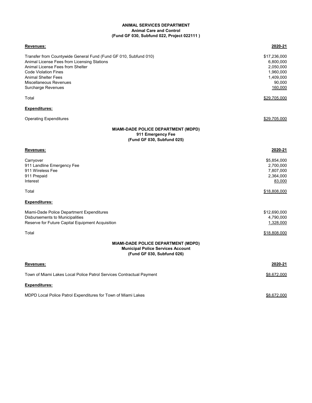# **ANIMAL SERVICES DEPARTMENT Animal Care and Control (Fund GF 030, Subfund 022, Project 022111 )**

| Revenues:                                                                                                                                                                                                                                                                               | 2020-21                                                                                               |
|-----------------------------------------------------------------------------------------------------------------------------------------------------------------------------------------------------------------------------------------------------------------------------------------|-------------------------------------------------------------------------------------------------------|
| Transfer from Countywide General Fund (Fund GF 010, Subfund 010)<br>Animal License Fees from Licensing Stations<br>Animal License Fees from Shelter<br><b>Code Violation Fines</b><br><b>Animal Shelter Fees</b><br><b>Miscellaneous Revenues</b><br><b>Surcharge Revenues</b><br>Total | \$17,236,000<br>6,800,000<br>2,050,000<br>1,960,000<br>1,409,000<br>90,000<br>160,000<br>\$29,705,000 |
| <b>Expenditures:</b>                                                                                                                                                                                                                                                                    |                                                                                                       |
| <b>Operating Expenditures</b>                                                                                                                                                                                                                                                           | \$29,705,000                                                                                          |
| <b>MIAMI-DADE POLICE DEPARTMENT (MDPD)</b><br>911 Emergency Fee<br>(Fund GF 030, Subfund 025)                                                                                                                                                                                           |                                                                                                       |
| Revenues:                                                                                                                                                                                                                                                                               | 2020-21                                                                                               |
| Carryover<br>911 Landline Emergency Fee<br>911 Wireless Fee<br>911 Prepaid<br>Interest                                                                                                                                                                                                  | \$5,854,000<br>2,700,000<br>7,807,000<br>2,364,000<br>83,000                                          |
| Total                                                                                                                                                                                                                                                                                   | \$18,808,000                                                                                          |
| <b>Expenditures:</b>                                                                                                                                                                                                                                                                    |                                                                                                       |
| Miami-Dade Police Department Expenditures<br>Disbursements to Municipalities<br>Reserve for Future Capital Equipment Acquisition                                                                                                                                                        | \$12,690,000<br>4,790,000<br>1,328,000                                                                |
| Total                                                                                                                                                                                                                                                                                   | \$18,808,000                                                                                          |
| <b>MIAMI-DADE POLICE DEPARTMENT (MDPD)</b><br><b>Municipal Police Services Account</b><br>(Fund GF 030, Subfund 026)                                                                                                                                                                    |                                                                                                       |
| Revenues:                                                                                                                                                                                                                                                                               | 2020-21                                                                                               |
| Town of Miami Lakes Local Police Patrol Services Contractual Payment                                                                                                                                                                                                                    | <u>\$8,672,000</u>                                                                                    |
| <b>Expenditures:</b>                                                                                                                                                                                                                                                                    |                                                                                                       |
| MDPD Local Police Patrol Expenditures for Town of Miami Lakes                                                                                                                                                                                                                           | \$8,672,000                                                                                           |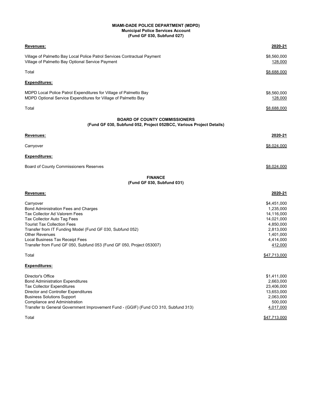#### **MIAMI-DADE POLICE DEPARTMENT (MDPD) Municipal Police Services Account (Fund GF 030, Subfund 027)**

| Revenues:                                                                                                                                                                                                                                                                                                                                         | 2020-21                                                                                                             |
|---------------------------------------------------------------------------------------------------------------------------------------------------------------------------------------------------------------------------------------------------------------------------------------------------------------------------------------------------|---------------------------------------------------------------------------------------------------------------------|
| Village of Palmetto Bay Local Police Patrol Services Contractual Payment<br>Village of Palmetto Bay Optional Service Payment                                                                                                                                                                                                                      | \$8,560,000<br>128,000                                                                                              |
| Total                                                                                                                                                                                                                                                                                                                                             | \$8,688,000                                                                                                         |
| <u>Expenditures:</u>                                                                                                                                                                                                                                                                                                                              |                                                                                                                     |
| MDPD Local Police Patrol Expenditures for Village of Palmetto Bay<br>MDPD Optional Service Expenditures for Village of Palmetto Bay                                                                                                                                                                                                               | \$8,560,000<br>128,000                                                                                              |
| Total                                                                                                                                                                                                                                                                                                                                             | \$8,688,000                                                                                                         |
| <b>BOARD OF COUNTY COMMISSIONERS</b><br>(Fund GF 030, Subfund 052, Project 052BCC, Various Project Details)                                                                                                                                                                                                                                       |                                                                                                                     |
| Revenues:                                                                                                                                                                                                                                                                                                                                         | 2020-21                                                                                                             |
| Carryover                                                                                                                                                                                                                                                                                                                                         | \$8,024,000                                                                                                         |
| <u>Expenditures:</u>                                                                                                                                                                                                                                                                                                                              |                                                                                                                     |
| Board of County Commissioners Reserves                                                                                                                                                                                                                                                                                                            | \$8,024,000                                                                                                         |
| <b>FINANCE</b><br>(Fund GF 030, Subfund 031)                                                                                                                                                                                                                                                                                                      |                                                                                                                     |
| Revenues:                                                                                                                                                                                                                                                                                                                                         | 2020-21                                                                                                             |
| Carryover<br>Bond Administration Fees and Charges<br>Tax Collector Ad Valorem Fees<br>Tax Collector Auto Tag Fees<br><b>Tourist Tax Collection Fees</b><br>Transfer from IT Funding Model (Fund GF 030, Subfund 052)<br>Other Revenues<br>Local Business Tax Receipt Fees<br>Transfer from Fund GF 050, Subfund 053 (Fund GF 050, Project 053007) | \$4,451,000<br>1,235,000<br>14,116,000<br>14,021,000<br>4,850,000<br>2,813,000<br>1,401,000<br>4,414,000<br>412,000 |
| Total                                                                                                                                                                                                                                                                                                                                             | \$47,713,000                                                                                                        |
| <b>Expenditures:</b>                                                                                                                                                                                                                                                                                                                              |                                                                                                                     |
| Director's Office<br><b>Bond Administration Expenditures</b><br><b>Tax Collector Expenditures</b><br>Director and Controller Expenditures<br><b>Business Solutions Support</b><br>Compliance and Administration<br>Transfer to General Government Improvement Fund - (GGIF) (Fund CO 310, Subfund 313)<br>Total                                   | \$1,411,000<br>2,663,000<br>23,406,000<br>13,653,000<br>2,063,000<br>500,000<br>4,017,000<br>\$47,713,000           |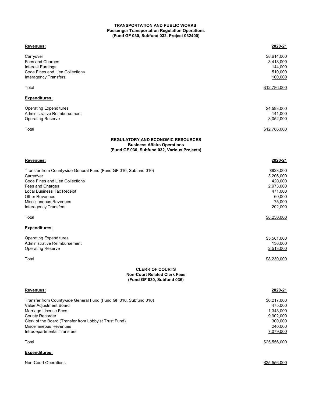# **Passenger Transportation Regulation Operations (Fund GF 030, Subfund 032, Project 032400) TRANSPORTATION AND PUBLIC WORKS**

| Revenues:                                                                          | 2020-21                |
|------------------------------------------------------------------------------------|------------------------|
| Carryover                                                                          | \$8,614,000            |
| Fees and Charges                                                                   | 3,418,000              |
| Interest Earnings                                                                  | 144,000                |
| Code Fines and Lien Collections                                                    | 510,000                |
| <b>Interagency Transfers</b>                                                       | 100,000                |
|                                                                                    |                        |
| Total                                                                              | \$12,786,000           |
| Expenditures:                                                                      |                        |
| <b>Operating Expenditures</b>                                                      | \$4,593,000            |
| Administrative Reimbursement                                                       | 141,000                |
| <b>Operating Reserve</b>                                                           | 8,052,000              |
| Total                                                                              | \$12,786,000           |
| <b>REGULATORY AND ECONOMIC RESOURCES</b>                                           |                        |
| <b>Business Affairs Operations</b><br>(Fund GF 030, Subfund 032, Various Projects) |                        |
| Revenues:                                                                          | 2020-21                |
| Transfer from Countywide General Fund (Fund GF 010, Subfund 010)                   | \$823,000              |
| Carryover                                                                          | 3,206,000              |
| Code Fines and Lien Collections                                                    | 420,000                |
| Fees and Charges                                                                   | 2,973,000              |
| Local Business Tax Receipt                                                         | 471,000                |
| <b>Other Revenues</b>                                                              | 60,000                 |
| Miscellaneous Revenues                                                             | 75,000                 |
| <b>Interagency Transfers</b>                                                       | 202,000                |
| Total                                                                              | \$8,230,000            |
| Expenditures:                                                                      |                        |
|                                                                                    |                        |
| <b>Operating Expenditures</b>                                                      | \$5,581,000            |
| Administrative Reimbursement                                                       | 136,000                |
| <b>Operating Reserve</b>                                                           | 2,513,000              |
| Total                                                                              | \$8,230,000            |
| <b>CLERK OF COURTS</b>                                                             |                        |
| <b>Non-Court Related Clerk Fees</b><br>(Fund GF 030, Subfund 036)                  |                        |
| Revenues:                                                                          | 2020-21                |
| Transfer from Countywide General Fund (Fund GF 010, Subfund 010)                   |                        |
| Value Adjustment Board                                                             | \$6,217,000<br>475,000 |
|                                                                                    |                        |
| Marriage License Fees                                                              | 1,343,000              |
| <b>County Recorder</b>                                                             | 9,902,000              |
| Clerk of the Board (Transfer from Lobbyist Trust Fund)                             | 300,000                |
| Miscellaneous Revenues                                                             | 240,000                |
| Intradepartmental Transfers                                                        | 7,079,000              |
| Total                                                                              | \$25,556,000           |
| Expenditures:                                                                      |                        |

Non-Court Operations \$25,556,000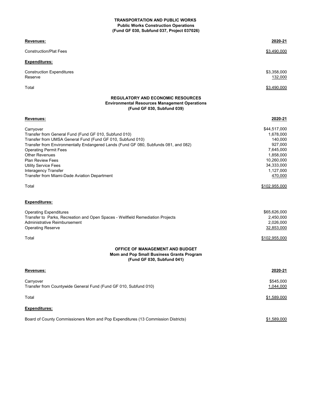#### **TRANSPORTATION AND PUBLIC WORKS (Fund GF 030, Subfund 037, Project 037026) Public Works Construction Operations**

| <u>Revenues:</u>                                                                                                                                                                                                                                                                                                                                                                                                            | 2020-21                                                                                                                                        |
|-----------------------------------------------------------------------------------------------------------------------------------------------------------------------------------------------------------------------------------------------------------------------------------------------------------------------------------------------------------------------------------------------------------------------------|------------------------------------------------------------------------------------------------------------------------------------------------|
| <b>Construction/Plat Fees</b>                                                                                                                                                                                                                                                                                                                                                                                               | \$3,490,000                                                                                                                                    |
| <b>Expenditures:</b>                                                                                                                                                                                                                                                                                                                                                                                                        |                                                                                                                                                |
| <b>Construction Expenditures</b><br>Reserve                                                                                                                                                                                                                                                                                                                                                                                 | \$3,358,000<br>132,000                                                                                                                         |
| Total                                                                                                                                                                                                                                                                                                                                                                                                                       | \$3,490,000                                                                                                                                    |
| <b>REGULATORY AND ECONOMIC RESOURCES</b><br><b>Environmental Resources Management Operations</b><br>(Fund GF 030, Subfund 039)                                                                                                                                                                                                                                                                                              |                                                                                                                                                |
| Revenues:                                                                                                                                                                                                                                                                                                                                                                                                                   | 2020-21                                                                                                                                        |
| Carryover<br>Transfer from General Fund (Fund GF 010, Subfund 010)<br>Transfer from UMSA General Fund (Fund GF 010, Subfund 010)<br>Transfer from Environmentally Endangered Lands (Fund GF 080, Subfunds 081, and 082)<br><b>Operating Permit Fees</b><br><b>Other Revenues</b><br><b>Plan Review Fees</b><br><b>Utility Service Fees</b><br>Interagency Transfer<br>Transfer from Miami-Dade Aviation Department<br>Total | \$44,517,000<br>1,678,000<br>140,000<br>927,000<br>7,645,000<br>1,858,000<br>10,260,000<br>34,333,000<br>1,127,000<br>470,000<br>\$102,955,000 |
| <b>Expenditures:</b>                                                                                                                                                                                                                                                                                                                                                                                                        |                                                                                                                                                |
| <b>Operating Expenditures</b><br>Transfer to Parks, Recreation and Open Spaces - Wellfield Remediation Projects<br>Administrative Reimbursement<br><b>Operating Reserve</b>                                                                                                                                                                                                                                                 | \$65,626,000<br>2,450,000<br>2,026,000<br>32,853,000                                                                                           |
| Total                                                                                                                                                                                                                                                                                                                                                                                                                       | \$102,955,000                                                                                                                                  |
| <b>OFFICE OF MANAGEMENT AND BUDGET</b><br>Mom and Pop Small Business Grants Program<br>(Fund GF 030, Subfund 041)                                                                                                                                                                                                                                                                                                           |                                                                                                                                                |
| Revenues:                                                                                                                                                                                                                                                                                                                                                                                                                   | 2020-21                                                                                                                                        |
| Carryover<br>Transfer from Countywide General Fund (Fund GF 010, Subfund 010)                                                                                                                                                                                                                                                                                                                                               | \$545,000<br>1,044,000                                                                                                                         |
| Total                                                                                                                                                                                                                                                                                                                                                                                                                       | \$1,589,000                                                                                                                                    |
| Expenditures:                                                                                                                                                                                                                                                                                                                                                                                                               |                                                                                                                                                |
| Board of County Commissioners Mom and Pop Expenditures (13 Commission Districts)                                                                                                                                                                                                                                                                                                                                            | \$1,589,000                                                                                                                                    |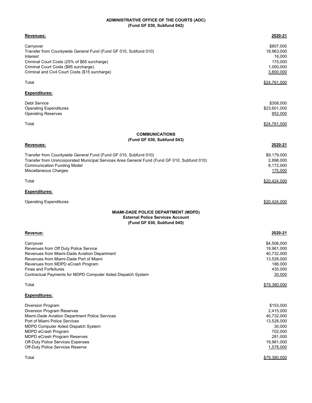#### **ADMINISTRATIVE OFFICE OF THE COURTS (AOC) (Fund GF 030, Subfund 042)**

| <u>Revenues:</u>                                                                                                                                                                                                                                                                                                   | 2020-21                                                                                                                       |
|--------------------------------------------------------------------------------------------------------------------------------------------------------------------------------------------------------------------------------------------------------------------------------------------------------------------|-------------------------------------------------------------------------------------------------------------------------------|
| Carryover<br>Transfer from Countywide General Fund (Fund GF 010, Subfund 010)<br>Interest<br>Criminal Court Costs (25% of \$65 surcharge)<br>Criminal Court Costs (\$85 surcharge)<br>Criminal and Civil Court Costs (\$15 surcharge)                                                                              | \$807,000<br>18,963,000<br>16,000<br>175,000<br>1,000,000<br>3,800,000                                                        |
| Total                                                                                                                                                                                                                                                                                                              | <u>\$24,761,000</u>                                                                                                           |
| <u>Expenditures:</u>                                                                                                                                                                                                                                                                                               |                                                                                                                               |
| Debt Service<br><b>Operating Expenditures</b><br>Operating Reserves                                                                                                                                                                                                                                                | \$308,000<br>\$23,601,000<br>852,000                                                                                          |
| Total                                                                                                                                                                                                                                                                                                              | \$24,761,000                                                                                                                  |
| <b>COMMUNICATIONS</b>                                                                                                                                                                                                                                                                                              |                                                                                                                               |
| (Fund GF 030, Subfund 043)<br>Revenues:                                                                                                                                                                                                                                                                            | 2020-21                                                                                                                       |
| Transfer from Countywide General Fund (Fund GF 010, Subfund 010)<br>Transfer from Unincorporated Municipal Services Area General Fund (Fund GF 010, Subfund 010)<br><b>Communication Funding Model</b><br>Miscellaneous Charges                                                                                    | \$9,179,000<br>2,898,000<br>8,172,000<br>175,000                                                                              |
| Total                                                                                                                                                                                                                                                                                                              | \$20,424,000                                                                                                                  |
| <u>Expenditures:</u>                                                                                                                                                                                                                                                                                               |                                                                                                                               |
| Operating Expenditures                                                                                                                                                                                                                                                                                             | \$20,424,000                                                                                                                  |
| <b>MIAMI-DADE POLICE DEPARTMENT (MDPD)</b><br><b>External Police Services Account</b><br>(Fund GF 030, Subfund 045)                                                                                                                                                                                                |                                                                                                                               |
| Revenue:                                                                                                                                                                                                                                                                                                           | 2020-21                                                                                                                       |
| Carryover<br>Revenues from Off Duty Police Service<br>Revenues from Miami-Dade Aviation Department<br>Revenues from Miami-Dade Port of Miami<br>Revenues from MDPD eCrash Program<br><b>Fines and Forfeitures</b><br>Contractual Payments for MDPD Computer Aided Dispatch System                                  | \$4,506,000<br>19,961,000<br>40,732,000<br>13,528,000<br>188,000<br>435,000<br>30,000                                         |
| Total                                                                                                                                                                                                                                                                                                              | \$79,380,000                                                                                                                  |
| Expenditures:                                                                                                                                                                                                                                                                                                      |                                                                                                                               |
| Diversion Program<br>Diversion Program Reserves<br>Miami-Dade Aviation Department Police Services<br>Port of Miami Police Services<br>MDPD Computer Aided Dispatch System<br>MDPD eCrash Program<br>MDPD eCrash Program Reserves<br>Off-Duty Police Services Expenses<br>Off-Duty Police Services Reserve<br>Total | \$153,000<br>2,415,000<br>40,732,000<br>13,528,000<br>30,000<br>702,000<br>281,000<br>19,961,000<br>1,578,000<br>\$79,380,000 |
|                                                                                                                                                                                                                                                                                                                    |                                                                                                                               |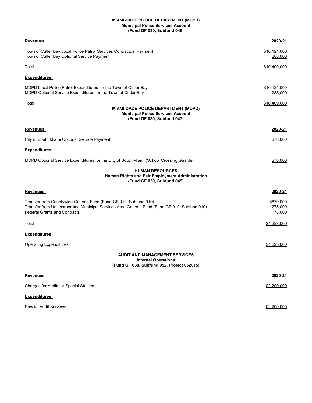#### **MIAMI-DADE POLICE DEPARTMENT (MDPD) Municipal Police Services Account (Fund GF 030, Subfund 046)**

| Revenues:                                                                                                                                                                                        | 2020-21                         |
|--------------------------------------------------------------------------------------------------------------------------------------------------------------------------------------------------|---------------------------------|
| Town of Cutler Bay Local Police Patrol Services Contractual Payment<br>Town of Cutler Bay Optional Service Payment                                                                               | \$10,121,000<br>288,000         |
| Total                                                                                                                                                                                            | \$10,409,000                    |
| <u>Expenditures:</u>                                                                                                                                                                             |                                 |
| MDPD Local Police Patrol Expenditures for the Town of Cutler Bay<br>MDPD Optional Service Expenditures for the Town of Cutler Bay                                                                | \$10,121,000<br><u> 288,000</u> |
| Total<br><b>MIAMI-DADE POLICE DEPARTMENT (MDPD)</b><br><b>Municipal Police Services Account</b><br>(Fund GF 030, Subfund 047)                                                                    | \$10,409,000                    |
| Revenues:                                                                                                                                                                                        | 2020-21                         |
| City of South Miami Optional Service Payment                                                                                                                                                     | \$78,000                        |
| Expenditures:                                                                                                                                                                                    |                                 |
| MDPD Optional Service Expenditures for the City of South Miami (School Crossing Guards)                                                                                                          | \$78,000                        |
| <b>HUMAN RESOURCES</b><br>Human Rights and Fair Employment Administration<br>(Fund GF 030, Subfund 049)                                                                                          |                                 |
| Revenues:                                                                                                                                                                                        | 2020-21                         |
| Transfer from Countywide General Fund (Fund GF 010, Subfund 010)<br>Transfer from Unincorporated Municipal Services Area General Fund (Fund GF 010, Subfund 010)<br>Federal Grants and Contracts | \$870,000<br>275,000<br>78,000  |
| Total                                                                                                                                                                                            | \$1,223,000                     |
| Expenditures:                                                                                                                                                                                    |                                 |
| <b>Operating Expenditures</b>                                                                                                                                                                    | \$1,223,000                     |
| <b>AUDIT AND MANAGEMENT SERVICES</b><br><b>Internal Operations</b><br>(Fund GF 030, Subfund 052, Project 052015)                                                                                 |                                 |
| <u>Revenues:</u>                                                                                                                                                                                 | 2020-21                         |
| Charges for Audits or Special Studies                                                                                                                                                            | \$2,200,000                     |
| <u>Expenditures:</u>                                                                                                                                                                             |                                 |
| <b>Special Audit Services</b>                                                                                                                                                                    | \$2,200,000                     |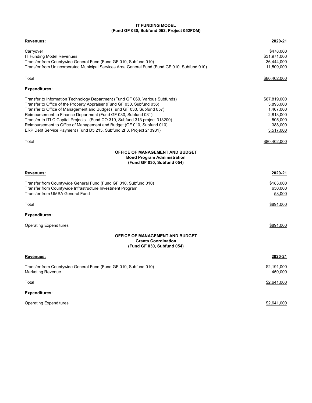#### **IT FUNDING MODEL (Fund GF 030, Subfund 052, Project 052FDM)**

| <u>Revenues:</u>                                                                             | 2020-21      |
|----------------------------------------------------------------------------------------------|--------------|
| Carryover                                                                                    | \$478,000    |
| IT Funding Model Revenues                                                                    | \$31,971,000 |
| Transfer from Countywide General Fund (Fund GF 010, Subfund 010)                             | 36,444,000   |
| Transfer from Unincorporated Municipal Services Area General Fund (Fund GF 010, Subfund 010) | 11,509,000   |
| Total                                                                                        | \$80,402,000 |
| Expenditures:                                                                                |              |
| Transfer to Information Technology Department (Fund GF 060, Various Subfunds)                | \$67,819,000 |
| Transfer to Office of the Property Appraiser (Fund GF 030, Subfund 056)                      | 3,893,000    |
| Transfer to Office of Management and Budget (Fund GF 030, Subfund 057)                       | 1,467,000    |
| Reimbursement to Finance Department (Fund GF 030, Subfund 031)                               | 2,813,000    |
| Transfer to ITLC Capital Projects - (Fund CO 310, Subfund 313 project 313200)                | 505,000      |
| Reimbursement to Office of Management and Budget (GF 010, Subfund 010)                       | 388,000      |
| ERP Debt Service Payment (Fund D5 213, Subfund 2F3, Project 213931)                          | 3,517,000    |
| Total                                                                                        | \$80,402,000 |
| <b>OFFICE OF MANAGEMENT AND BUDGET</b>                                                       |              |
| <b>Bond Program Administration</b><br>(Fund GF 030, Subfund 054)                             |              |
|                                                                                              |              |
| Revenues:                                                                                    | 2020-21      |
| Transfer from Countywide General Fund (Fund GF 010, Subfund 010)                             | \$183,000    |
| Transfer from Countywide Infrastructure Investment Program                                   | 650,000      |
| Transfer from UMSA General Fund                                                              | 58,000       |
|                                                                                              |              |
| Total                                                                                        | \$891,000    |
| <b>Expenditures:</b>                                                                         |              |
| Operating Expenditures                                                                       | \$891.000    |
| <b>OFFICE OF MANAGEMENT AND BUDGET</b>                                                       |              |
| <b>Grants Coordination</b><br>(Fund GF 030, Subfund 054)                                     |              |
| Revenues:                                                                                    | 2020-21      |
| Transfer from Countywide General Fund (Fund GF 010, Subfund 010)                             | \$2,191,000  |
| Marketing Revenue                                                                            | 450,000      |
| Total                                                                                        | \$2,641,000  |
| Expenditures:                                                                                |              |
| Operating Expenditures                                                                       | \$2,641,000  |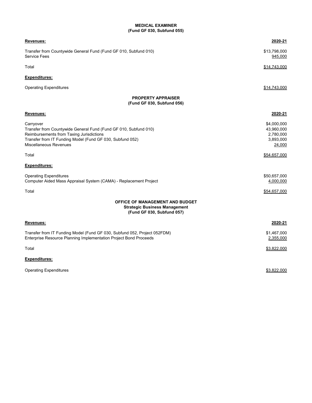### **MEDICAL EXAMINER (Fund GF 030, Subfund 055)**

| <b>Revenues:</b>                                                                                                                                                                                                        | 2020-21                                                       |
|-------------------------------------------------------------------------------------------------------------------------------------------------------------------------------------------------------------------------|---------------------------------------------------------------|
| Transfer from Countywide General Fund (Fund GF 010, Subfund 010)<br><b>Service Fees</b>                                                                                                                                 | \$13,798,000<br>945,000                                       |
| Total                                                                                                                                                                                                                   | <u>\$14,743,000</u>                                           |
| <b>Expenditures:</b>                                                                                                                                                                                                    |                                                               |
| <b>Operating Expenditures</b>                                                                                                                                                                                           | \$14,743,000                                                  |
| <b>PROPERTY APPRAISER</b><br>(Fund GF 030, Subfund 056)                                                                                                                                                                 |                                                               |
| Revenues:                                                                                                                                                                                                               | 2020-21                                                       |
| Carryover<br>Transfer from Countywide General Fund (Fund GF 010, Subfund 010)<br>Reimbursements from Taxing Jurisdictions<br>Transfer from IT Funding Model (Fund GF 030, Subfund 052)<br><b>Miscellaneous Revenues</b> | \$4,000,000<br>43,960,000<br>2,780,000<br>3,893,000<br>24,000 |
| Total                                                                                                                                                                                                                   | \$54,657,000                                                  |
| <b>Expenditures:</b>                                                                                                                                                                                                    |                                                               |
| <b>Operating Expenditures</b><br>Computer Aided Mass Appraisal System (CAMA) - Replacement Project                                                                                                                      | \$50,657,000<br>4,000,000                                     |
| Total                                                                                                                                                                                                                   | \$54,657,000                                                  |
| <b>OFFICE OF MANAGEMENT AND BUDGET</b><br><b>Strategic Business Management</b><br>(Fund GF 030, Subfund 057)                                                                                                            |                                                               |
| Revenues:                                                                                                                                                                                                               | 2020-21                                                       |
| Transfer from IT Funding Model (Fund GF 030, Subfund 052, Project 052FDM)<br>Enterprise Resource Planning Implementation Project Bond Proceeds                                                                          | \$1,467,000<br>2,355,000                                      |
| Total                                                                                                                                                                                                                   | \$3,822,000                                                   |
| <b>Expenditures:</b>                                                                                                                                                                                                    |                                                               |
| <b>Operating Expenditures</b>                                                                                                                                                                                           | \$3,822,000                                                   |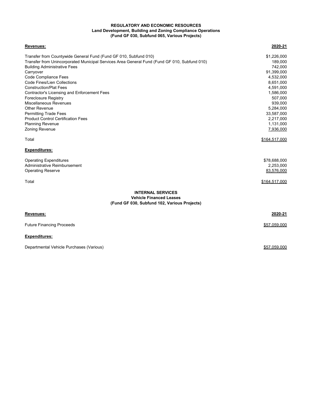# **REGULATORY AND ECONOMIC RESOURCES (Fund GF 030, Subfund 065, Various Projects) Land Development, Building and Zoning Compliance Operations**

| Revenues:                                                                                    | 2020-21       |
|----------------------------------------------------------------------------------------------|---------------|
| Transfer from Countywide General Fund (Fund GF 010, Subfund 010)                             | \$1,226,000   |
| Transfer from Unincorporated Municipal Services Area General Fund (Fund GF 010, Subfund 010) | 189,000       |
| <b>Building Administrative Fees</b>                                                          | 742,000       |
| Carryover                                                                                    | 91,399,000    |
| Code Compliance Fees                                                                         | 4,532,000     |
| Code Fines/Lien Collections                                                                  | 8,651,000     |
| <b>Construction/Plat Fees</b>                                                                | 4,591,000     |
| Contractor's Licensing and Enforcement Fees                                                  | 1,586,000     |
| <b>Foreclosure Registry</b>                                                                  | 507,000       |
| Miscellaneous Revenues                                                                       | 939,000       |
| Other Revenue                                                                                | 5,284,000     |
| <b>Permitting Trade Fees</b>                                                                 | 33,587,000    |
| <b>Product Control Certification Fees</b>                                                    | 2,217,000     |
| <b>Planning Revenue</b>                                                                      | 1,131,000     |
| Zoning Revenue                                                                               | 7,936,000     |
| Total                                                                                        | \$164,517,000 |
| <b>Expenditures:</b>                                                                         |               |
| <b>Operating Expenditures</b>                                                                | \$78,688,000  |
| Administrative Reimbursement                                                                 | 2,253,000     |
| <b>Operating Reserve</b>                                                                     | 83,576,000    |
| Total                                                                                        | \$164,517,000 |
| <b>INTERNAL SERVICES</b>                                                                     |               |
| <b>Vehicle Financed Leases</b><br>(Fund GF 030, Subfund 102, Various Projects)               |               |
| <b>Revenues:</b>                                                                             | 2020-21       |
| <b>Future Financing Proceeds</b>                                                             | \$57,059,000  |
|                                                                                              |               |

# **Expenditures:**

Departmental Vehicle Purchases (Various)  $$57,059,000$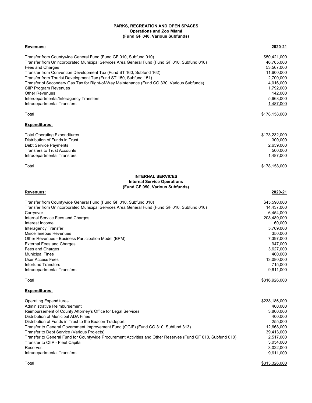### **Operations and Zoo Miami (Fund GF 040, Various Subfunds) PARKS, RECREATION AND OPEN SPACES**

| Revenues:                                                                                    | 2020-21       |
|----------------------------------------------------------------------------------------------|---------------|
| Transfer from Countywide General Fund (Fund GF 010, Subfund 010)                             | \$50.421.000  |
| Transfer from Unincorporated Municipal Services Area General Fund (Fund GF 010, Subfund 010) | 46.765.000    |
| Fees and Charges                                                                             | 53.567.000    |
| Transfer from Convention Development Tax (Fund ST 160, Subfund 162)                          | 11.600.000    |
| Transfer from Tourist Development Tax (Fund ST 150, Subfund 151)                             | 2,700,000     |
| Transfer of Secondary Gas Tax for Right-of-Way Maintenance (Fund CO 330, Various Subfunds)   | 4.016.000     |
| <b>CIIP Program Revenues</b>                                                                 | 1,792,000     |
| <b>Other Revenues</b>                                                                        | 142.000       |
| Interdepartmental/Interagency Transfers                                                      | 5.668.000     |
| Intradepartmental Transfers                                                                  | 1,487,000     |
| Total                                                                                        | \$178,158,000 |
| <b>Expenditures:</b>                                                                         |               |

| \$173.232.000 |
|---------------|
| 300.000       |
| 2,639,000     |
| 500.000       |
| 1,487,000     |
|               |

Total \$178,158,000 **\$178,158,000** 

# **Internal Service Operations (Fund GF 050, Various Subfunds) INTERNAL SERVICES**

#### **Revenues: 2020-21**

| Transfer from Countywide General Fund (Fund GF 010, Subfund 010)                             | \$45,590,000  |
|----------------------------------------------------------------------------------------------|---------------|
| Transfer from Unincorporated Municipal Services Area General Fund (Fund GF 010, Subfund 010) | 14,437,000    |
| Carryover                                                                                    | 6.454.000     |
| Internal Service Fees and Charges                                                            | 208,489,000   |
| Interest Income                                                                              | 60.000        |
| Interagency Transfer                                                                         | 5,769,000     |
| Miscellaneous Revenues                                                                       | 350.000       |
| Other Revenues - Business Participation Model (BPM)                                          | 7,397,000     |
| <b>External Fees and Charges</b>                                                             | 947.000       |
| Fees and Charges                                                                             | 3,627,000     |
| <b>Municipal Fines</b>                                                                       | 400.000       |
| User Access Fees                                                                             | 13,080,000    |
| Interfund Transfers                                                                          | 715.000       |
| Intradepartmental Transfers                                                                  | 9,611,000     |
| Total                                                                                        | \$316.926.000 |

# **Expenditures:**

| <b>Operating Expenditures</b>                                                                                | \$238,186,000 |
|--------------------------------------------------------------------------------------------------------------|---------------|
| Administrative Reimbursement                                                                                 | 400.000       |
| Reimbursement of County Attorney's Office for Legal Services                                                 | 3,800,000     |
| Distribution of Municipal ADA Fines                                                                          | 400.000       |
| Distribution of Funds in Trust to the Beacon Tradeport                                                       | 255,000       |
| Transfer to General Government Improvement Fund (GGIF) (Fund CO 310, Subfund 313)                            | 12,668,000    |
| Transfer to Debt Service (Various Projects)                                                                  | 39,413,000    |
| Transfer to General Fund for Countywide Procurement Activities and Other Reserves (Fund GF 010, Subfund 010) | 2,517,000     |
| Transfer to CIIP - Fleet Capital                                                                             | 3.054.000     |
| <b>Reserves</b>                                                                                              | 3,022,000     |
| Intradepartmental Transfers                                                                                  | 9,611,000     |

Total 3313,326,000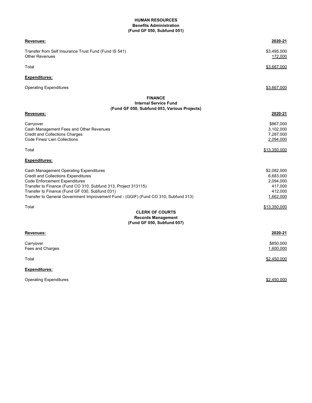### **HUMAN RESOURCES (Fund GF 050, Subfund 051) Benefits Administration**

| Revenues:                                                                                                                                                                                                                                                                                                                               | 2020-21                                                                  |
|-----------------------------------------------------------------------------------------------------------------------------------------------------------------------------------------------------------------------------------------------------------------------------------------------------------------------------------------|--------------------------------------------------------------------------|
| Transfer from Self Insurance Trust Fund (Fund IS 541)<br><b>Other Revenues</b>                                                                                                                                                                                                                                                          | \$3,495,000<br>172,000                                                   |
| Total                                                                                                                                                                                                                                                                                                                                   | <u>\$3,667,000</u>                                                       |
| <b>Expenditures:</b>                                                                                                                                                                                                                                                                                                                    |                                                                          |
| <b>Operating Expenditures</b>                                                                                                                                                                                                                                                                                                           | \$3,667,000                                                              |
| <b>FINANCE</b><br><b>Internal Service Fund</b><br>(Fund GF 050, Subfund 053, Various Projects)                                                                                                                                                                                                                                          | 2020-21                                                                  |
| Revenues:                                                                                                                                                                                                                                                                                                                               |                                                                          |
| Carryover<br>Cash Management Fees and Other Revenues<br><b>Credit and Collections Charges</b><br>Code Fines/ Lien Collections                                                                                                                                                                                                           | \$867,000<br>3,102,000<br>7,287,000<br>2,094,000                         |
| Total                                                                                                                                                                                                                                                                                                                                   | \$13,350,000                                                             |
| <b>Expenditures:</b>                                                                                                                                                                                                                                                                                                                    |                                                                          |
| Cash Management Operating Expenditures<br><b>Credit and Collections Expenditures</b><br><b>Code Enforcement Expenditures</b><br>Transfer to Finance (Fund CO 310, Subfund 313, Project 313115)<br>Transfer to Finance (Fund GF 030, Subfund 031)<br>Transfer to General Government Improvement Fund - (GGIF) (Fund CO 310, Subfund 313) | \$2,082,000<br>6,683,000<br>2,094,000<br>417,000<br>412,000<br>1,662,000 |
| Total<br><b>CLERK OF COURTS</b>                                                                                                                                                                                                                                                                                                         | \$13,350,000                                                             |
| <b>Records Management</b><br>(Fund GF 050, Subfund 057)                                                                                                                                                                                                                                                                                 |                                                                          |
| Revenues:                                                                                                                                                                                                                                                                                                                               | 2020-21                                                                  |
| Carryover<br>Fees and Charges                                                                                                                                                                                                                                                                                                           | \$850,000<br>1,600,000                                                   |
| Total                                                                                                                                                                                                                                                                                                                                   | \$2,450,000                                                              |
|                                                                                                                                                                                                                                                                                                                                         |                                                                          |

**Expenditures:**

Operating Expenditures **\$2,450,000** Security 1, 1999 Security 1, 1999 Security 1, 1999 Security 1, 1999 Security 1, 1999 Security 1, 1999 Security 1, 1999 Security 1, 1999 Security 1, 1999 Security 1, 1999 Security 1, 1999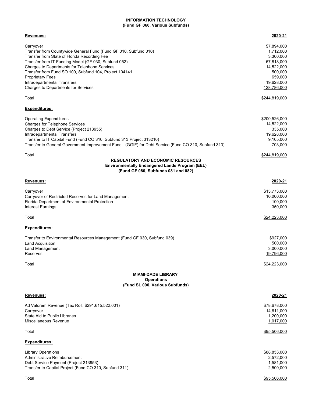### **(Fund GF 060, Various Subfunds) INFORMATION TECHNOLOGY**

| Revenues:                                                                                                                                                                                                                                                                                                                                                                                         | 2020-21                                                                                                              |
|---------------------------------------------------------------------------------------------------------------------------------------------------------------------------------------------------------------------------------------------------------------------------------------------------------------------------------------------------------------------------------------------------|----------------------------------------------------------------------------------------------------------------------|
| Carryover<br>Transfer from Countywide General Fund (Fund GF 010, Subfund 010)<br>Transfer from State of Florida Recording Fee<br>Transfer from IT Funding Model (GF 030, Subfund 052)<br>Charges to Departments for Telephone Services<br>Transfer from Fund SO 100, Subfund 104, Project 104141<br><b>Proprietary Fees</b><br>Intradepartmental Transfers<br>Charges to Departments for Services | \$7,894,000<br>1,712,000<br>3,300,000<br>67,818,000<br>14,522,000<br>500,000<br>659,000<br>19,628,000<br>128,786,000 |
| Total                                                                                                                                                                                                                                                                                                                                                                                             | \$244,819,000                                                                                                        |
| <b>Expenditures:</b>                                                                                                                                                                                                                                                                                                                                                                              |                                                                                                                      |
| <b>Operating Expenditures</b><br><b>Charges for Telephone Services</b><br>Charges to Debt Service (Project 213955)<br>Intradepartmental Transfers<br>Transfer to IT Capital Fund (Fund CO 310, Subfund 313 Project 313210)<br>Transfer to General Government Improvement Fund - (GGIF) for Debt Service (Fund CO 310, Subfund 313)                                                                | \$200,526,000<br>14,522,000<br>335,000<br>19,628,000<br>9,105,000<br>703,000                                         |
| Total<br><b>REGULATORY AND ECONOMIC RESOURCES</b><br><b>Environmentally Endangered Lands Program (EEL)</b><br>(Fund GF 080, Subfunds 081 and 082)                                                                                                                                                                                                                                                 | \$244,819,000                                                                                                        |
| Revenues:                                                                                                                                                                                                                                                                                                                                                                                         | 2020-21                                                                                                              |
| Carryover<br>Carryover of Restricted Reserves for Land Management<br>Florida Department of Environmental Protection<br><b>Interest Earnings</b>                                                                                                                                                                                                                                                   | \$13,773,000<br>10,000,000<br>100,000<br>350,000                                                                     |
| Total                                                                                                                                                                                                                                                                                                                                                                                             | <u>\$24,223,000</u>                                                                                                  |
| <b>Expenditures:</b>                                                                                                                                                                                                                                                                                                                                                                              |                                                                                                                      |
| Transfer to Environmental Resources Management (Fund GF 030, Subfund 039)<br>Land Acquisition<br>Land Management<br>Reserves                                                                                                                                                                                                                                                                      | \$927,000<br>500,000<br>3,000,000<br>19,796,000                                                                      |
| Total                                                                                                                                                                                                                                                                                                                                                                                             | \$24,223,000                                                                                                         |
| <b>MIAMI-DADE LIBRARY</b><br><b>Operations</b><br>(Fund SL 090, Various Subfunds)                                                                                                                                                                                                                                                                                                                 |                                                                                                                      |
| Revenues:                                                                                                                                                                                                                                                                                                                                                                                         | 2020-21                                                                                                              |
| Ad Valorem Revenue (Tax Roll: \$291,615,522,001)<br>Carryover<br>State Aid to Public Libraries<br>Miscellaneous Revenue                                                                                                                                                                                                                                                                           | \$78,678,000<br>14,611,000<br>1,200,000<br>1,017,000                                                                 |
| Total                                                                                                                                                                                                                                                                                                                                                                                             | \$95,506,000                                                                                                         |
| <b>Expenditures:</b>                                                                                                                                                                                                                                                                                                                                                                              |                                                                                                                      |
| <b>Library Operations</b><br>Administrative Reimbursement<br>Debt Service Payment (Project 213953)<br>Transfer to Capital Project (Fund CO 310, Subfund 311)                                                                                                                                                                                                                                      | \$88,853,000<br>2,572,000<br>1,581,000<br>2,500,000                                                                  |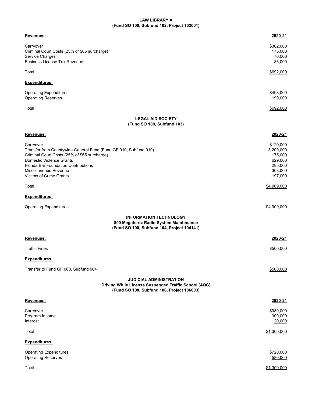# **LAW LIBRARY A (Fund SO 100, Subfund 102, Project 102001)**

| Revenues:                                                                                                                                                                                                                                             | 2020-21                                                                       |
|-------------------------------------------------------------------------------------------------------------------------------------------------------------------------------------------------------------------------------------------------------|-------------------------------------------------------------------------------|
| Carryover<br>Criminal Court Costs (25% of \$65 surcharge)                                                                                                                                                                                             | \$362,000<br>175,000                                                          |
| Service Charges<br><b>Business License Tax Revenue</b>                                                                                                                                                                                                | 70,000<br>85,000                                                              |
| Total                                                                                                                                                                                                                                                 | \$692,000                                                                     |
| <u>Expenditures:</u>                                                                                                                                                                                                                                  |                                                                               |
| <b>Operating Expenditures</b><br>Operating Reserves                                                                                                                                                                                                   | \$493,000<br>199,000                                                          |
| Total                                                                                                                                                                                                                                                 | \$692,000                                                                     |
| <b>LEGAL AID SOCIETY</b><br>(Fund SO 100, Subfund 103)                                                                                                                                                                                                |                                                                               |
| Revenues:                                                                                                                                                                                                                                             | 2020-21                                                                       |
| Carryover<br>Transfer from Countywide General Fund (Fund GF 010, Subfund 010)<br>Criminal Court Costs (25% of \$65 surcharge)<br>Domestic Violence Grants<br>Florida Bar Foundation Contributions<br>Miscellaneous Revenue<br>Victims of Crime Grants | \$120,000<br>3,200,000<br>175,000<br>629,000<br>285,000<br>303,000<br>197,000 |
| Total                                                                                                                                                                                                                                                 | \$4,909,000                                                                   |
| Expenditures:                                                                                                                                                                                                                                         |                                                                               |
| <b>Operating Expenditures</b>                                                                                                                                                                                                                         | \$4,909,000                                                                   |
| <b>INFORMATION TECHNOLOGY</b><br>800 Megahertz Radio System Maintenance<br>(Fund SO 100, Subfund 104, Project 104141)                                                                                                                                 |                                                                               |
| Revenues:                                                                                                                                                                                                                                             | 2020-21                                                                       |
| <b>Traffic Fines</b>                                                                                                                                                                                                                                  | \$500,000                                                                     |
| Expenditures:                                                                                                                                                                                                                                         |                                                                               |
| Transfer to Fund GF 060, Subfund 004                                                                                                                                                                                                                  | \$500,000                                                                     |
| <b>JUDICIAL ADMINISTRATION</b><br>Driving While License Suspended Traffic School (AOC)<br>(Fund SO 100, Subfund 106, Project 106003)                                                                                                                  |                                                                               |
| Revenues:                                                                                                                                                                                                                                             | 2020-21                                                                       |
| Carryover<br>Program Income<br>Interest                                                                                                                                                                                                               | \$980,000<br>300,000<br>20,000                                                |
| Total                                                                                                                                                                                                                                                 | \$1,300,000                                                                   |
| <u>Expenditures:</u>                                                                                                                                                                                                                                  |                                                                               |
| <b>Operating Expenditures</b><br>Operating Reserves                                                                                                                                                                                                   | \$720,000<br>580,000                                                          |
| Total                                                                                                                                                                                                                                                 | \$1,300,000                                                                   |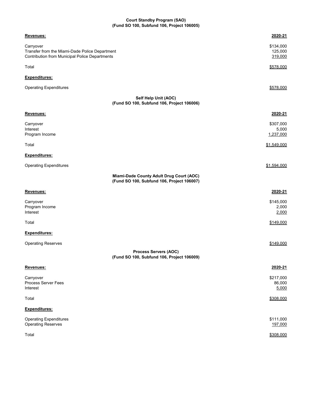#### **Court Standby Program (SAO) (Fund SO 100, Subfund 106, Project 106005)**

| Revenues:                                                                                                     | 2020-21                         |
|---------------------------------------------------------------------------------------------------------------|---------------------------------|
| Carryover<br>Transfer from the Miami-Dade Police Department<br>Contribution from Municipal Police Departments | \$134,000<br>125,000<br>319,000 |
| Total                                                                                                         | \$578,000                       |
| Expenditures:                                                                                                 |                                 |
| <b>Operating Expenditures</b>                                                                                 | \$578,000                       |
| Self Help Unit (AOC)<br>(Fund SO 100, Subfund 106, Project 106006)                                            |                                 |
| Revenues:                                                                                                     | 2020-21                         |
| Carryover<br>Interest<br>Program Income                                                                       | \$307,000<br>5,000<br>1,237,000 |
| Total                                                                                                         | \$1,549,000                     |
| Expenditures:                                                                                                 |                                 |
| <b>Operating Expenditures</b>                                                                                 | \$1,594,000                     |
| Miami-Dade County Adult Drug Court (AOC)<br>(Fund SO 100, Subfund 106, Project 106007)                        |                                 |
| Revenues:                                                                                                     | 2020-21                         |
| Carryover<br>Program Income<br>Interest                                                                       | \$145,000<br>2,000<br>2,000     |
| Total                                                                                                         | \$149,000                       |
| Expenditures:                                                                                                 |                                 |
| <b>Operating Reserves</b>                                                                                     | \$149,000                       |
| <b>Process Servers (AOC)</b><br>(Fund SO 100, Subfund 106, Project 106009)                                    |                                 |
| Revenues:                                                                                                     | 2020-21                         |
| Carryover<br>Process Server Fees<br>Interest                                                                  | \$217,000<br>86,000<br>5,000    |
| Total                                                                                                         | \$308,000                       |
| Expenditures:                                                                                                 |                                 |
| <b>Operating Expenditures</b><br><b>Operating Reserves</b>                                                    | \$111,000<br>197,000            |
| Total                                                                                                         | \$308,000                       |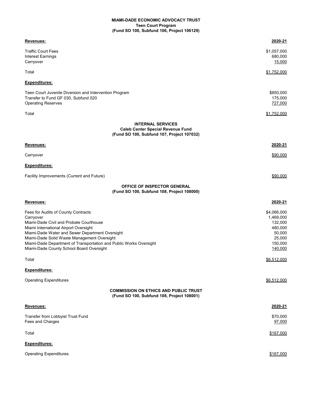# **MIAMI-DADE ECONOMIC ADVOCACY TRUST Teen Court Program (Fund SO 100, Subfund 106, Project 106129)**

| Revenues:                                                                                                                                                                                                                                                                                                                                                | 2020-21                                                                                  |
|----------------------------------------------------------------------------------------------------------------------------------------------------------------------------------------------------------------------------------------------------------------------------------------------------------------------------------------------------------|------------------------------------------------------------------------------------------|
| <b>Traffic Court Fees</b><br>Interest Earnings<br>Carryover                                                                                                                                                                                                                                                                                              | \$1,057,000<br>680,000<br>15,000                                                         |
| Total                                                                                                                                                                                                                                                                                                                                                    | \$1,752,000                                                                              |
| <u>Expenditures:</u>                                                                                                                                                                                                                                                                                                                                     |                                                                                          |
| Teen Court Juvenile Diversion and Intervention Program<br>Transfer to Fund GF 030, Subfund 020<br><b>Operating Reserves</b>                                                                                                                                                                                                                              | \$850,000<br>175,000<br>727,000                                                          |
| Total                                                                                                                                                                                                                                                                                                                                                    | \$1,752,000                                                                              |
| <b>INTERNAL SERVICES</b><br><b>Caleb Center Special Revenue Fund</b><br>(Fund SO 100, Subfund 107, Project 107032)                                                                                                                                                                                                                                       |                                                                                          |
| <u>Revenues:</u>                                                                                                                                                                                                                                                                                                                                         | 2020-21                                                                                  |
| Carryover                                                                                                                                                                                                                                                                                                                                                | \$90,000                                                                                 |
| <u>Expenditures:</u>                                                                                                                                                                                                                                                                                                                                     |                                                                                          |
| Facility Improvements (Current and Future)                                                                                                                                                                                                                                                                                                               | \$90,000                                                                                 |
| OFFICE OF INSPECTOR GENERAL<br>(Fund SO 100, Subfund 108, Project 108000)                                                                                                                                                                                                                                                                                |                                                                                          |
| Revenues:                                                                                                                                                                                                                                                                                                                                                | 2020-21                                                                                  |
| Fees for Audits of County Contracts<br>Carryover<br>Miami-Dade Civil and Probate Courthouse<br>Miami International Airport Oversight<br>Miami-Dade Water and Sewer Department Oversight<br>Miami-Dade Solid Waste Management Oversight<br>Miami-Dade Department of Transportation and Public Works Oversight<br>Miami-Dade County School Board Oversight | \$4,066,000<br>1,469,000<br>132,000<br>480,000<br>50,000<br>25,000<br>150,000<br>140,000 |
| Total                                                                                                                                                                                                                                                                                                                                                    | \$6,512,000                                                                              |
| Expenditures:                                                                                                                                                                                                                                                                                                                                            |                                                                                          |
| <b>Operating Expenditures</b>                                                                                                                                                                                                                                                                                                                            | \$6,512,000                                                                              |
| <b>COMMISSION ON ETHICS AND PUBLIC TRUST</b><br>(Fund SO 100, Subfund 108, Project 108001)                                                                                                                                                                                                                                                               |                                                                                          |
| Revenues:                                                                                                                                                                                                                                                                                                                                                | 2020-21                                                                                  |
| Transfer from Lobbyist Trust Fund<br>Fees and Charges                                                                                                                                                                                                                                                                                                    | \$70,000<br>97,000                                                                       |
| Total                                                                                                                                                                                                                                                                                                                                                    | \$167,000                                                                                |
| <u>Expenditures:</u>                                                                                                                                                                                                                                                                                                                                     |                                                                                          |
| <b>Operating Expenditures</b>                                                                                                                                                                                                                                                                                                                            | \$167,000                                                                                |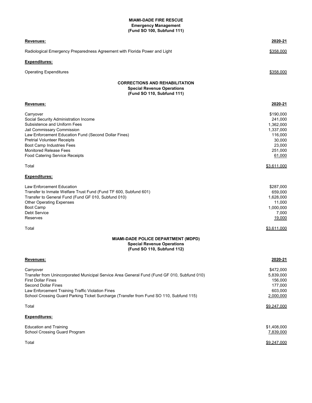#### **MIAMI-DADE FIRE RESCUE (Fund SO 100, Subfund 111) Emergency Management**

| Revenues:                                                                                                                                                                                                                                                                                                                                                                                                                                                                                                                                                                                                | 2020-21                                                                                                                                                                                          |
|----------------------------------------------------------------------------------------------------------------------------------------------------------------------------------------------------------------------------------------------------------------------------------------------------------------------------------------------------------------------------------------------------------------------------------------------------------------------------------------------------------------------------------------------------------------------------------------------------------|--------------------------------------------------------------------------------------------------------------------------------------------------------------------------------------------------|
| Radiological Emergency Preparedness Agreement with Florida Power and Light                                                                                                                                                                                                                                                                                                                                                                                                                                                                                                                               | \$358,000                                                                                                                                                                                        |
| <b>Expenditures:</b>                                                                                                                                                                                                                                                                                                                                                                                                                                                                                                                                                                                     |                                                                                                                                                                                                  |
| <b>Operating Expenditures</b>                                                                                                                                                                                                                                                                                                                                                                                                                                                                                                                                                                            | \$358,000                                                                                                                                                                                        |
| <b>CORRECTIONS AND REHABILITATION</b><br><b>Special Revenue Operations</b><br>(Fund SO 110, Subfund 111)                                                                                                                                                                                                                                                                                                                                                                                                                                                                                                 |                                                                                                                                                                                                  |
| Revenues:                                                                                                                                                                                                                                                                                                                                                                                                                                                                                                                                                                                                | 2020-21                                                                                                                                                                                          |
| Carryover<br>Social Security Administration Income<br>Subsistence and Uniform Fees<br>Jail Commissary Commission<br>Law Enforcement Education Fund (Second Dollar Fines)<br><b>Pretrial Volunteer Receipts</b><br>Boot Camp Industries Fees<br><b>Monitored Release Fees</b><br><b>Food Catering Service Receipts</b><br>Total<br><b>Expenditures:</b><br>Law Enforcement Education<br>Transfer to Inmate Welfare Trust Fund (Fund TF 600, Subfund 601)<br>Transfer to General Fund (Fund GF 010, Subfund 010)<br><b>Other Operating Expenses</b><br><b>Boot Camp</b><br>Debt Service<br><b>Reserves</b> | \$190,000<br>241,000<br>1,362,000<br>1,337,000<br>116,000<br>30,000<br>23,000<br>251,000<br>61,000<br>\$3,611,000<br>\$287,000<br>659,000<br>1,628,000<br>11,000<br>1,000,000<br>7,000<br>19,000 |
| Total                                                                                                                                                                                                                                                                                                                                                                                                                                                                                                                                                                                                    | \$3,611,000                                                                                                                                                                                      |
| MIAMI-DADE POLICE DEPARTMENT (MDPD)<br><b>Special Revenue Operations</b><br>(Fund SO 110, Subfund 112)                                                                                                                                                                                                                                                                                                                                                                                                                                                                                                   |                                                                                                                                                                                                  |
| Revenues:                                                                                                                                                                                                                                                                                                                                                                                                                                                                                                                                                                                                | 2020-21                                                                                                                                                                                          |
| Carryover<br>Transfer from Unincorporated Municipal Service Area General Fund (Fund GF 010, Subfund 010)<br><b>First Dollar Fines</b><br><b>Second Dollar Fines</b><br>Law Enforcement Training Traffic Violation Fines<br>School Crossing Guard Parking Ticket Surcharge (Transfer from Fund SO 110, Subfund 115)                                                                                                                                                                                                                                                                                       | \$472,000<br>5,839,000<br>156,000<br>177,000<br>603,000<br>2,000,000                                                                                                                             |
| Total                                                                                                                                                                                                                                                                                                                                                                                                                                                                                                                                                                                                    | \$9,247,000                                                                                                                                                                                      |
| <b>Expenditures:</b>                                                                                                                                                                                                                                                                                                                                                                                                                                                                                                                                                                                     |                                                                                                                                                                                                  |
| <b>Education and Training</b><br>School Crossing Guard Program                                                                                                                                                                                                                                                                                                                                                                                                                                                                                                                                           | \$1,408,000<br>7,839,000                                                                                                                                                                         |
| Total                                                                                                                                                                                                                                                                                                                                                                                                                                                                                                                                                                                                    | \$9,247,000                                                                                                                                                                                      |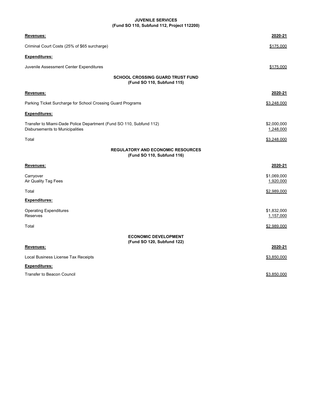# **JUVENILE SERVICES (Fund SO 110, Subfund 112, Project 112200)**

| Revenues:                                                                                              | 2020-21                  |
|--------------------------------------------------------------------------------------------------------|--------------------------|
| Criminal Court Costs (25% of \$65 surcharge)                                                           | \$175,000                |
| Expenditures:                                                                                          |                          |
| Juvenile Assessment Center Expenditures                                                                | \$175,000                |
| <b>SCHOOL CROSSING GUARD TRUST FUND</b><br>(Fund SO 110, Subfund 115)                                  |                          |
| Revenues:                                                                                              | 2020-21                  |
| Parking Ticket Surcharge for School Crossing Guard Programs                                            | \$3,248,000              |
| Expenditures:                                                                                          |                          |
| Transfer to Miami-Dade Police Department (Fund SO 110, Subfund 112)<br>Disbursements to Municipalities | \$2,000,000<br>1,248,000 |
| Total                                                                                                  | \$3,248,000              |
| <b>REGULATORY AND ECONOMIC RESOURCES</b><br>(Fund SO 110, Subfund 116)                                 |                          |
| <u>Revenues:</u>                                                                                       | 2020-21                  |
| Carryover<br>Air Quality Tag Fees                                                                      | \$1,069,000<br>1,920,000 |
| Total                                                                                                  | \$2,989,000              |
| <b>Expenditures:</b>                                                                                   |                          |
| <b>Operating Expenditures</b><br>Reserves                                                              | \$1,832,000<br>1,157,000 |
| Total                                                                                                  | \$2,989,000              |
| <b>ECONOMIC DEVELOPMENT</b><br>(Fund SO 120, Subfund 122)                                              |                          |
| Revenues:                                                                                              | 2020-21                  |
| Local Business License Tax Receipts                                                                    | \$3,850,000              |
| <b>Expenditures:</b>                                                                                   |                          |
| Transfer to Beacon Council                                                                             | \$3,850,000              |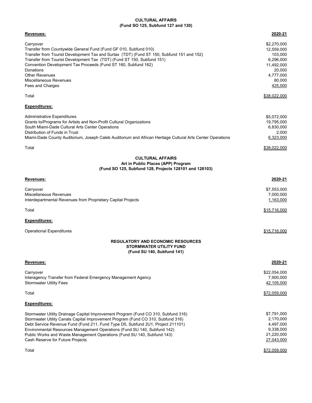#### **CULTURAL AFFAIRS (Fund SO 125, Subfund 127 and 130)**

| Revenues:                                                                                                                                                                                                                                                                                                                                                                                                                                            | 2020-21                                                                                                     |
|------------------------------------------------------------------------------------------------------------------------------------------------------------------------------------------------------------------------------------------------------------------------------------------------------------------------------------------------------------------------------------------------------------------------------------------------------|-------------------------------------------------------------------------------------------------------------|
| Carryover<br>Transfer from Countywide General Fund (Fund GF 010, Subfund 010)<br>Transfer from Tourist Development Tax and Surtax  (TDT) (Fund ST 150, Subfund 151 and 152)<br>Transfer from Tourist Development Tax (TDT) (Fund ST 150, Subfund 151)<br>Convention Development Tax Proceeds (Fund ST 160, Subfund 162)<br>Donations<br>Other Revenues<br>Miscellaneous Revenues<br>Fees and Charges                                                 | \$2,270,000<br>12,559,000<br>103,000<br>6,296,000<br>11,492,000<br>20,000<br>4,777,000<br>80,000<br>425,000 |
| Total                                                                                                                                                                                                                                                                                                                                                                                                                                                | \$38,022,000                                                                                                |
| Expenditures:                                                                                                                                                                                                                                                                                                                                                                                                                                        |                                                                                                             |
| Administrative Expenditures<br>Grants to/Programs for Artists and Non-Profit Cultural Organizations<br>South Miami-Dade Cultural Arts Center Operations<br>Distribution of Funds in Trust<br>Miami-Dade County Auditorium, Joseph Caleb Auditorium and African Heritage Cultural Arts Center Operations<br>Total                                                                                                                                     | \$5,072,000<br>19,795,000<br>6,830,000<br>2,000<br>6,323,000<br>\$38,022,000                                |
| <b>CULTURAL AFFAIRS</b><br>Art in Public Places (APP) Program<br>(Fund SO 125, Subfund 128, Projects 128101 and 128103)                                                                                                                                                                                                                                                                                                                              |                                                                                                             |
| Revenues:                                                                                                                                                                                                                                                                                                                                                                                                                                            | <u>2020-21</u>                                                                                              |
| Carryover<br>Miscellaneous Revenues<br>Interdepartmental Revenues from Proprietary Capital Projects                                                                                                                                                                                                                                                                                                                                                  | \$7,553,000<br>7,000,000<br>1,163,000                                                                       |
| Total                                                                                                                                                                                                                                                                                                                                                                                                                                                | <u>\$15,716,000</u>                                                                                         |
| Expenditures:                                                                                                                                                                                                                                                                                                                                                                                                                                        |                                                                                                             |
| <b>Operational Expenditures</b>                                                                                                                                                                                                                                                                                                                                                                                                                      | \$15,716,000                                                                                                |
| <b>REGULATORY AND ECONOMIC RESOURCES</b><br><b>STORMWATER UTILITY FUND</b><br>(Fund SU 140, Subfund 141)                                                                                                                                                                                                                                                                                                                                             |                                                                                                             |
| Revenues:                                                                                                                                                                                                                                                                                                                                                                                                                                            | 2020-21                                                                                                     |
| Carryover<br>Interagency Transfer from Federal Emergency Management Agency<br><b>Stormwater Utility Fees</b>                                                                                                                                                                                                                                                                                                                                         | \$22,054,000<br>7,900,000<br>42,105,000                                                                     |
| Total                                                                                                                                                                                                                                                                                                                                                                                                                                                | \$72,059,000                                                                                                |
| <u>Expenditures:</u>                                                                                                                                                                                                                                                                                                                                                                                                                                 |                                                                                                             |
| Stormwater Utility Drainage Capital Improvement Program (Fund CO 310, Subfund 316)<br>Stormwater Utility Canals Capital Improvement Program (Fund CO 310, Subfund 316)<br>Debt Service Revenue Fund (Fund 211, Fund Type D5, Subfund 2U1, Project 211101)<br>Environmental Resources Management Operations (Fund SU 140, Subfund 142)<br>Public Works and Waste Management Operations (Fund SU 140, Subfund 143)<br>Cash Reserve for Future Projects | \$7,791,000<br>2,170,000<br>4,497,000<br>9,338,000<br>21,220,000<br>27,043,000                              |
| Total                                                                                                                                                                                                                                                                                                                                                                                                                                                | \$72,059,000                                                                                                |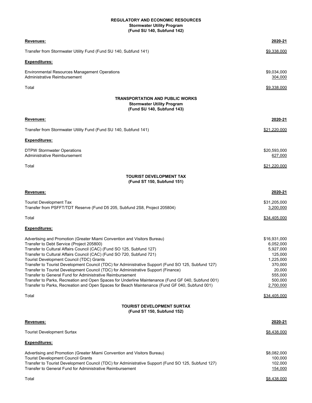#### **Stormwater Utility Program (Fund SU 140, Subfund 142) REGULATORY AND ECONOMIC RESOURCES**

| Revenues:                                                                                                                                                                                                                                                                                                                                                                                                                                                                                                                                                                                                                                                                                                                                                                             | 2020-21                                                                                                                |
|---------------------------------------------------------------------------------------------------------------------------------------------------------------------------------------------------------------------------------------------------------------------------------------------------------------------------------------------------------------------------------------------------------------------------------------------------------------------------------------------------------------------------------------------------------------------------------------------------------------------------------------------------------------------------------------------------------------------------------------------------------------------------------------|------------------------------------------------------------------------------------------------------------------------|
|                                                                                                                                                                                                                                                                                                                                                                                                                                                                                                                                                                                                                                                                                                                                                                                       |                                                                                                                        |
| Transfer from Stormwater Utility Fund (Fund SU 140, Subfund 141)                                                                                                                                                                                                                                                                                                                                                                                                                                                                                                                                                                                                                                                                                                                      | \$9,338,000                                                                                                            |
| Expenditures:                                                                                                                                                                                                                                                                                                                                                                                                                                                                                                                                                                                                                                                                                                                                                                         |                                                                                                                        |
| Environmental Resources Management Operations<br>Administrative Reimbursement                                                                                                                                                                                                                                                                                                                                                                                                                                                                                                                                                                                                                                                                                                         | \$9,034,000<br>304,000                                                                                                 |
| Total                                                                                                                                                                                                                                                                                                                                                                                                                                                                                                                                                                                                                                                                                                                                                                                 | \$9,338,000                                                                                                            |
| <b>TRANSPORTATION AND PUBLIC WORKS</b><br><b>Stormwater Utility Program</b><br>(Fund SU 140, Subfund 143)                                                                                                                                                                                                                                                                                                                                                                                                                                                                                                                                                                                                                                                                             |                                                                                                                        |
| <u>Revenues:</u>                                                                                                                                                                                                                                                                                                                                                                                                                                                                                                                                                                                                                                                                                                                                                                      | 2020-21                                                                                                                |
| Transfer from Stormwater Utility Fund (Fund SU 140, Subfund 141)                                                                                                                                                                                                                                                                                                                                                                                                                                                                                                                                                                                                                                                                                                                      | \$21,220,000                                                                                                           |
| <b>Expenditures:</b>                                                                                                                                                                                                                                                                                                                                                                                                                                                                                                                                                                                                                                                                                                                                                                  |                                                                                                                        |
| <b>DTPW Stormwater Operations</b><br>Administrative Reimbursement                                                                                                                                                                                                                                                                                                                                                                                                                                                                                                                                                                                                                                                                                                                     | \$20,593,000<br>627,000                                                                                                |
| Total                                                                                                                                                                                                                                                                                                                                                                                                                                                                                                                                                                                                                                                                                                                                                                                 | \$21,220,000                                                                                                           |
| <b>TOURIST DEVELOPMENT TAX</b>                                                                                                                                                                                                                                                                                                                                                                                                                                                                                                                                                                                                                                                                                                                                                        |                                                                                                                        |
| (Fund ST 150, Subfund 151)                                                                                                                                                                                                                                                                                                                                                                                                                                                                                                                                                                                                                                                                                                                                                            |                                                                                                                        |
| Revenues:                                                                                                                                                                                                                                                                                                                                                                                                                                                                                                                                                                                                                                                                                                                                                                             | 2020-21                                                                                                                |
| <b>Tourist Development Tax</b><br>Transfer from PSFFT/TDT Reserve (Fund D5 205, Subfund 2S8, Project 205804)                                                                                                                                                                                                                                                                                                                                                                                                                                                                                                                                                                                                                                                                          | \$31,205,000<br>3,200,000                                                                                              |
| Total                                                                                                                                                                                                                                                                                                                                                                                                                                                                                                                                                                                                                                                                                                                                                                                 | \$34,405,000                                                                                                           |
| <u>Expenditures:</u>                                                                                                                                                                                                                                                                                                                                                                                                                                                                                                                                                                                                                                                                                                                                                                  |                                                                                                                        |
| Advertising and Promotion (Greater Miami Convention and Visitors Bureau)<br>Transfer to Debt Service (Project 205800)<br>Transfer to Cultural Affairs Council (CAC) (Fund SO 125, Subfund 127)<br>Transfer to Cultural Affairs Council (CAC) (Fund SO 720, Subfund 721)<br>Tourist Development Council (TDC) Grants<br>Transfer to Tourist Development Council (TDC) for Administrative Support (Fund SO 125, Subfund 127)<br>Transfer to Tourist Development Council (TDC) for Administrative Support (Finance)<br>Transfer to General Fund for Administrative Reimbursement<br>Transfer to Parks, Recreation and Open Spaces for Underline Maintenance (Fund GF 040, Subfund 001)<br>Transfer to Parks, Recreation and Open Spaces for Beach Maintenance (Fund GF 040, Subfund 001) | \$16,931,000<br>6,052,000<br>5,927,000<br>125,000<br>1,225,000<br>370,000<br>20,000<br>555.000<br>500,000<br>2,700,000 |
| Total                                                                                                                                                                                                                                                                                                                                                                                                                                                                                                                                                                                                                                                                                                                                                                                 | \$34,405,000                                                                                                           |
| <b>TOURIST DEVELOPMENT SURTAX</b><br>(Fund ST 150, Subfund 152)                                                                                                                                                                                                                                                                                                                                                                                                                                                                                                                                                                                                                                                                                                                       |                                                                                                                        |
| Revenues:                                                                                                                                                                                                                                                                                                                                                                                                                                                                                                                                                                                                                                                                                                                                                                             | 2020-21                                                                                                                |
| Tourist Development Surtax                                                                                                                                                                                                                                                                                                                                                                                                                                                                                                                                                                                                                                                                                                                                                            | \$8,438,000                                                                                                            |
| <u>Expenditures:</u>                                                                                                                                                                                                                                                                                                                                                                                                                                                                                                                                                                                                                                                                                                                                                                  |                                                                                                                        |
| Advertising and Promotion (Greater Miami Convention and Visitors Bureau)<br><b>Tourist Development Council Grants</b><br>Transfer to Tourist Development Council (TDC) for Administrative Support (Fund SO 125, Subfund 127)<br>Transfer to General Fund for Administrative Reimbursement                                                                                                                                                                                                                                                                                                                                                                                                                                                                                             | \$8,082,000<br>100,000<br>102,000<br>154,000                                                                           |
| Total                                                                                                                                                                                                                                                                                                                                                                                                                                                                                                                                                                                                                                                                                                                                                                                 | \$8,438,000                                                                                                            |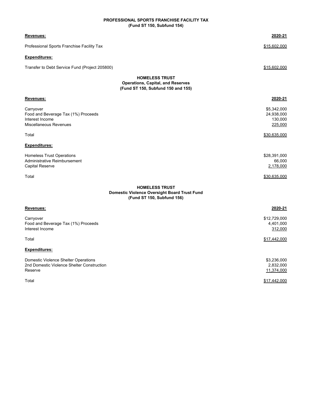# **PROFESSIONAL SPORTS FRANCHISE FACILITY TAX (Fund ST 150, Subfund 154)**

| Revenues:                                                                                                  | 2020-21                                         |
|------------------------------------------------------------------------------------------------------------|-------------------------------------------------|
| Professional Sports Franchise Facility Tax                                                                 | \$15,602,000                                    |
| <b>Expenditures:</b>                                                                                       |                                                 |
| Transfer to Debt Service Fund (Project 205800)                                                             | \$15,602,000                                    |
| <b>HOMELESS TRUST</b><br><b>Operations, Capital, and Reserves</b><br>(Fund ST 150, Subfund 150 and 155)    |                                                 |
| Revenues:                                                                                                  | 2020-21                                         |
| Carryover<br>Food and Beverage Tax (1%) Proceeds<br>Interest Income<br>Miscellaneous Revenues              | \$5,342,000<br>24,938,000<br>130,000<br>225,000 |
| Total                                                                                                      | \$30,635,000                                    |
| <b>Expenditures:</b>                                                                                       |                                                 |
| <b>Homeless Trust Operations</b><br>Administrative Reimbursement<br>Capital Reserve                        | \$28,391,000<br>66,000<br>2,178,000             |
| Total                                                                                                      | \$30,635,000                                    |
| <b>HOMELESS TRUST</b><br><b>Domestic Violence Oversight Board Trust Fund</b><br>(Fund ST 150, Subfund 156) |                                                 |
| <u>Revenues:</u>                                                                                           | 2020-21                                         |
| Carryover<br>Food and Beverage Tax (1%) Proceeds<br>Interest Income                                        | \$12,729,000<br>4,401,000<br>312,000            |
| Total                                                                                                      | \$17,442,000                                    |
| Expenditures:                                                                                              |                                                 |
| Domestic Violence Shelter Operations<br>2nd Domestic Violence Shelter Construction<br>Reserve              | \$3,236,000<br>2,832,000<br>11,374,000          |
| Total                                                                                                      | \$17,442,000                                    |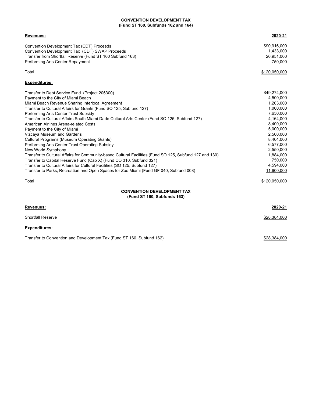### **CONVENTION DEVELOPMENT TAX (Fund ST 160, Subfunds 162 and 164)**

| <b>Revenues:</b>                                          | 2020-21       |
|-----------------------------------------------------------|---------------|
| Convention Development Tax (CDT) Proceeds                 | \$90.916.000  |
| Convention Development Tax (CDT) SWAP Proceeds            | 1.433.000     |
| Transfer from Shortfall Reserve (Fund ST 160 Subfund 163) | 26,951,000    |
| Performing Arts Center Repayment                          | 750,000       |
| Total                                                     | \$120,050,000 |

# **Expenditures:**

| Transfer to Debt Service Fund (Project 206300)                                                          | \$49,274,000 |
|---------------------------------------------------------------------------------------------------------|--------------|
| Payment to the City of Miami Beach                                                                      | 4,500,000    |
| Miami Beach Revenue Sharing Interlocal Agreement                                                        | 1,203,000    |
| Transfer to Cultural Affairs for Grants (Fund SO 125, Subfund 127)                                      | 1,000,000    |
| Performing Arts Center Trust Subsidy                                                                    | 7,650,000    |
| Transfer to Cultural Affairs South Miami-Dade Cultural Arts Center (Fund SO 125, Subfund 127)           | 4,164,000    |
| American Airlines Arena-related Costs                                                                   | 8,400,000    |
| Payment to the City of Miami                                                                            | 5,000,000    |
| Vizcaya Museum and Gardens                                                                              | 2,500,000    |
| <b>Cultural Programs (Museum Operating Grants)</b>                                                      | 8,404,000    |
| Performing Arts Center Trust Operating Subsidy                                                          | 6,577,000    |
| New World Symphony                                                                                      | 2.550.000    |
| Transfer to Cultural Affairs for Community-based Cultural Facilities (Fund SO 125, Subfund 127 and 130) | 1,884,000    |
| Transfer to Capital Reserve Fund (Cap X) (Fund CO 310, Subfund 321)                                     | 750,000      |
| Transfer to Cultural Affairs for Cultural Facilities (SO 125, Subfund 127)                              | 4,594,000    |
| Transfer to Parks, Recreation and Open Spaces for Zoo Miami (Fund GF 040, Subfund 008)                  | 11,600,000   |

Total \$120,050,000

#### **CONVENTION DEVELOPMENT TAX (Fund ST 160, Subfunds 163)**

| Revenues:                |  | 2020-21      |
|--------------------------|--|--------------|
| <b>Shortfall Reserve</b> |  | \$28,384,000 |
| <b>Expenditures:</b>     |  |              |

Transfer to Convention and Development Tax (Fund ST 160, Subfund 162)  $$28,384,000$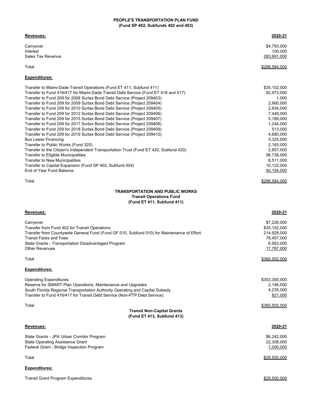### **PEOPLE'S TRANSPORTATION PLAN FUND (Fund SP 402, Subfunds 402 and 403)**

#### **Revenues: 2020-21**

Carryover \$4,793,000 Interest 100,000 Sales Tax Revenue 283,691,000

# Total \$288,584,000

# **Expenditures:**

| Transfer to Miami-Dade Transit Operations (Fund ET 411, Subfund 411)                  | \$35,152,000 |
|---------------------------------------------------------------------------------------|--------------|
| Transfer to Fund 416/417 for Miami-Dade Transit Debt Service (Fund ET 416 and 417)    | 92,973,000   |
| Transfer to Fund 209 for 2008 Surtax Bond Debt Service (Project 209403)               | 1,000        |
| Transfer to Fund 209 for 2009 Surtax Bond Debt Service (Project 209404)               | 2,660,000    |
| Transfer to Fund 209 for 2010 Surtax Bond Debt Service (Project 209405)               | 2.834.000    |
| Transfer to Fund 209 for 2012 Surtax Bond Debt Service (Project 209406)               | 7,449,000    |
| Transfer to Fund 209 for 2015 Surtax Bond Debt Service (Project 209407)               | 5,188,000    |
| Transfer to Fund 209 for 2017 Surtax Bond Debt Service (Project 209408)               | 1,244,000    |
| Transfer to Fund 209 for 2018 Surtax Bond Debt Service (Project 209409)               | 513,000      |
| Transfer to Fund 209 for 2019 Surtax Bond Debt Service (Project 209410)               | 4.680.000    |
| <b>Bus Lease Financing</b>                                                            | 5.325.000    |
| Transfer to Public Works (Fund 325)                                                   | 2,183,000    |
| Transfer to the Citizen's Independent Transportation Trust (Fund ET 420, Subfund 420) | 2,857,000    |
| Transfer to Eligible Municipalities                                                   | 56,738,000   |
| <b>Transfer to New Municipalities</b>                                                 | 8.511.000    |
| Transfer to Capital Expansion (Fund SP 402, Subfund 404)                              | 10,122,000   |
| End of Year Fund Balance                                                              | 50,154,000   |
|                                                                                       |              |

 $\frac{\$288,584,000}{}$ 

# **TRANSPORTATION AND PUBLIC WORKS Transit Operations Fund (Fund ET 411, Subfund 411)**

| Revenues:                                                                                                                                                                                                                                                                 | 2020-21                                                                             |  |  |
|---------------------------------------------------------------------------------------------------------------------------------------------------------------------------------------------------------------------------------------------------------------------------|-------------------------------------------------------------------------------------|--|--|
| Carryover<br>Transfer from Fund 402 for Transit Operations<br>Transfer from Countywide General Fund (Fund GF 010, Subfund 010) for Maintenance of Effort<br><b>Transit Fares and Fees</b><br>State Grants - Transportation Disadvantaged Program<br><b>Other Revenues</b> | \$7,226,000<br>\$35,152,000<br>214,928,000<br>78,457,000<br>6,952,000<br>17,787,000 |  |  |
| Total                                                                                                                                                                                                                                                                     | \$360,502,000                                                                       |  |  |
| <b>Expenditures:</b>                                                                                                                                                                                                                                                      |                                                                                     |  |  |
| <b>Operating Expenditures</b><br>Reserve for SMART Plan Operations, Maintenance and Upgrades<br>South Florida Regional Transportation Authority Operating and Capital Subsidy<br>Transfer to Fund 416/417 for Transit Debt Service (Non-PTP Debt Service)                 | \$353,300,000<br>2,146,000<br>4,235,000<br>821,000                                  |  |  |
| Total                                                                                                                                                                                                                                                                     | \$360,502,000                                                                       |  |  |
| <b>Transit Non-Capital Grants</b><br>(Fund ET 413, Subfund 413)                                                                                                                                                                                                           |                                                                                     |  |  |
| Revenues:                                                                                                                                                                                                                                                                 | 2020-21                                                                             |  |  |
| State Grants - JPA Urban Corridor Program<br><b>State Operating Assistance Grant</b><br>Federal Grant - Bridge Inspection Program                                                                                                                                         | \$6,242,000<br>22,308,000<br>1,000,000                                              |  |  |
| Total                                                                                                                                                                                                                                                                     | \$29,550,000                                                                        |  |  |
| <b>Expenditures:</b>                                                                                                                                                                                                                                                      |                                                                                     |  |  |

Transit Grant Program Expenditures **\$29,550,000** and the state of the state of the state of the state of the state of the state of the state of the state of the state of the state of the state of the state of the state of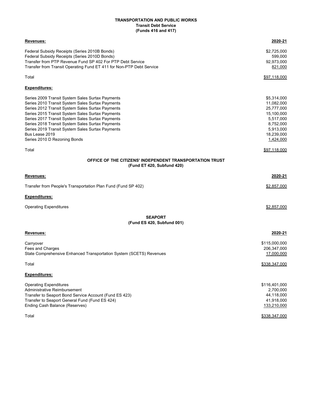### **Transit Debt Service TRANSPORTATION AND PUBLIC WORKS (Funds 416 and 417)**

| Revenues:                                                                              | 2020-21              |
|----------------------------------------------------------------------------------------|----------------------|
| Federal Subsidy Receipts (Series 2010B Bonds)                                          | \$2,725,000          |
| Federal Subsidy Receipts (Series 2010D Bonds)                                          | 599,000              |
| Transfer from PTP Revenue Fund SP 402 For PTP Debt Service                             | 92,973,000           |
| Transfer from Transit Operating Fund ET 411 for Non-PTP Debt Service                   | 821,000              |
| Total                                                                                  | \$97,118,000         |
| <u>Expenditures:</u>                                                                   |                      |
| Series 2009 Transit System Sales Surtax Payments                                       | \$5,314,000          |
| Series 2010 Transit System Sales Surtax Payments                                       | 11,082,000           |
| Series 2012 Transit System Sales Surtax Payments                                       | 25,777,000           |
| Series 2015 Transit System Sales Surtax Payments                                       | 15,100,000           |
| Series 2017 Transit System Sales Surtax Payments                                       | 5,517,000            |
| Series 2018 Transit System Sales Surtax Payments                                       | 8,752,000            |
| Series 2019 Transit System Sales Surtax Payments                                       | 5,913,000            |
| Bus Lease 2019                                                                         | 18,239,000           |
| Series 2010 D Rezoning Bonds                                                           | 1,424,000            |
| Total                                                                                  | \$97,118,000         |
| OFFICE OF THE CITIZENS' INDEPENDENT TRANSPORTATION TRUST<br>(Fund ET 420, Subfund 420) |                      |
| <b>Revenues:</b>                                                                       | 2020-21              |
| Transfer from People's Transportation Plan Fund (Fund SP 402)                          | \$2,857,000          |
| <u>Expenditures:</u>                                                                   |                      |
| Operating Expenditures                                                                 | \$2,857,000          |
| <b>SEAPORT</b><br>(Fund ES 420, Subfund 001)                                           |                      |
| Revenues:                                                                              | 2020-21              |
|                                                                                        | \$115,000,000        |
| Carryover<br><b>Fees and Charges</b>                                                   | 206,347,000          |
| State Comprehensive Enhanced Transportation System (SCETS) Revenues                    | 17,000,000           |
|                                                                                        |                      |
| Total                                                                                  | <u>\$338,347,000</u> |
| <b>Expenditures:</b>                                                                   |                      |
| <b>Operating Expenditures</b>                                                          | \$116,401,000        |
| Administrative Reimbursement                                                           | 2,700,000            |
| Transfer to Seaport Bond Service Account (Fund ES 423)                                 | 44,118,000           |
| Transfer to Seaport General Fund (Fund ES 424)                                         | 41,918,000           |
| Ending Cash Balance (Reserves)                                                         | 133,210,000          |
| Total                                                                                  | \$338,347,000        |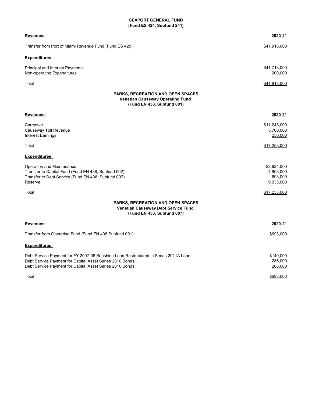# **SEAPORT GENERAL FUND (Fund ES 424, Subfund 241)**

| Revenues:                                                                                                                                          |                                                                                                               | 2020-21                                          |
|----------------------------------------------------------------------------------------------------------------------------------------------------|---------------------------------------------------------------------------------------------------------------|--------------------------------------------------|
| Transfer from Port of Miami Revenue Fund (Fund ES 420)                                                                                             |                                                                                                               | \$41,918,000                                     |
| <b>Expenditures:</b>                                                                                                                               |                                                                                                               |                                                  |
| Principal and Interest Payments<br>Non-operating Expenditures                                                                                      |                                                                                                               | \$41,718,000<br>200,000                          |
| Total                                                                                                                                              |                                                                                                               | \$41,918,000                                     |
|                                                                                                                                                    | <b>PARKS, RECREATION AND OPEN SPACES</b><br>Venetian Causeway Operating Fund<br>(Fund EN 438, Subfund 001)    |                                                  |
| Revenues:                                                                                                                                          |                                                                                                               | 2020-21                                          |
| Carryover<br>Causeway Toll Revenue<br><b>Interest Earnings</b>                                                                                     |                                                                                                               | \$11,243,000<br>5,760,000<br>250,000             |
| Total                                                                                                                                              |                                                                                                               | \$17,253,000                                     |
| <b>Expenditures:</b>                                                                                                                               |                                                                                                               |                                                  |
| Operation and Maintenance<br>Transfer to Capital Fund (Fund EN 438, Subfund 002)<br>Transfer to Debt Service (Fund EN 438, Subfund 007)<br>Reserve |                                                                                                               | \$2,624,000<br>4,903,000<br>693,000<br>9,033,000 |
| Total                                                                                                                                              |                                                                                                               | \$17,253,000                                     |
|                                                                                                                                                    | <b>PARKS, RECREATION AND OPEN SPACES</b><br>Venetian Causeway Debt Service Fund<br>(Fund EN 438, Subfund 007) |                                                  |
| <b>Revenues:</b>                                                                                                                                   |                                                                                                               | 2020-21                                          |
| Transfer from Operating Fund (Fund EN 438 Subfund 001)                                                                                             |                                                                                                               | \$693,000                                        |
| <b>Expenditures:</b>                                                                                                                               |                                                                                                               |                                                  |
| Debt Service Payment for Capital Asset Series 2010 Bonds<br>Debt Service Payment for Capital Asset Series 2016 Bonds                               | Debt Service Payment for FY 2007-08 Sunshine Loan Restructured in Series 2011A Loan                           | \$140,000<br>285,000<br>268,000                  |
| Total                                                                                                                                              |                                                                                                               | \$693,000                                        |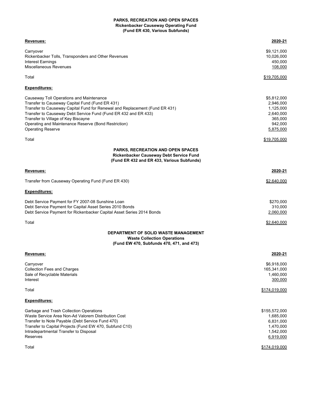#### **PARKS, RECREATION AND OPEN SPACES Rickenbacker Causeway Operating Fund (Fund ER 430, Various Subfunds)**

| Revenues:                                                                                                                                                                                                                                                                                                                                                         | 2020-21                                                                               |
|-------------------------------------------------------------------------------------------------------------------------------------------------------------------------------------------------------------------------------------------------------------------------------------------------------------------------------------------------------------------|---------------------------------------------------------------------------------------|
| Carryover<br>Rickenbacker Tolls, Transponders and Other Revenues<br>Interest Earnings<br>Miscellaneous Revenues                                                                                                                                                                                                                                                   | \$9,121,000<br>10,026,000<br>450,000<br>108,000                                       |
| Total                                                                                                                                                                                                                                                                                                                                                             | <u>\$19,705,000</u>                                                                   |
| <u>Expenditures:</u>                                                                                                                                                                                                                                                                                                                                              |                                                                                       |
| Causeway Toll Operations and Maintenance<br>Transfer to Causeway Capital Fund (Fund ER 431)<br>Transfer to Causeway Capital Fund for Renewal and Replacement (Fund ER 431)<br>Transfer to Causeway Debt Service Fund (Fund ER 432 and ER 433)<br>Transfer to Village of Key Biscayne<br>Operating and Maintenance Reserve (Bond Restriction)<br>Operating Reserve | \$5,812,000<br>2,946,000<br>1,125,000<br>2,640,000<br>365,000<br>942,000<br>5,875,000 |
| Total                                                                                                                                                                                                                                                                                                                                                             | <u>\$19,705,000</u>                                                                   |
| <b>PARKS, RECREATION AND OPEN SPACES</b><br>Rickenbacker Causeway Debt Service Fund<br>(Fund ER 432 and ER 433, Various Subfunds)                                                                                                                                                                                                                                 |                                                                                       |
| Revenues:                                                                                                                                                                                                                                                                                                                                                         | 2020-21                                                                               |
| Transfer from Causeway Operating Fund (Fund ER 430)                                                                                                                                                                                                                                                                                                               | \$2.640.000                                                                           |
| <u>Expenditures:</u>                                                                                                                                                                                                                                                                                                                                              |                                                                                       |
| Debt Service Payment for FY 2007-08 Sunshine Loan<br>Debt Service Payment for Capital Asset Series 2010 Bonds<br>Debt Service Payment for Rickenbacker Capital Asset Series 2014 Bonds                                                                                                                                                                            | \$270,000<br>310,000<br>2,060,000                                                     |
| Total                                                                                                                                                                                                                                                                                                                                                             | \$2,640,000                                                                           |
| DEPARTMENT OF SOLID WASTE MANAGEMENT<br><b>Waste Collection Operations</b><br>(Fund EW 470, Subfunds 470, 471, and 473)                                                                                                                                                                                                                                           |                                                                                       |
| Revenues:                                                                                                                                                                                                                                                                                                                                                         | 2020-21                                                                               |
| Carryover<br><b>Collection Fees and Charges</b><br>Sale of Recyclable Materials<br>Interest                                                                                                                                                                                                                                                                       | \$6,918,000<br>165,341,000<br>1,460,000<br>300,000                                    |
| Total                                                                                                                                                                                                                                                                                                                                                             | \$174,019,000                                                                         |
| <u>Expenditures:</u>                                                                                                                                                                                                                                                                                                                                              |                                                                                       |
| Garbage and Trash Collection Operations<br>Waste Service Area Non-Ad Valorem Distribution Cost<br>Transfer to Note Payable (Debt Service Fund 470)<br>Transfer to Capital Projects (Fund EW 470, Subfund C10)<br>Intradepartmental Transfer to Disposal<br>Reserves                                                                                               | \$155,572,000<br>1,685,000<br>6,831,000<br>1,470,000<br>1,542,000<br>6,919,000        |
| Total                                                                                                                                                                                                                                                                                                                                                             | \$174,019,000                                                                         |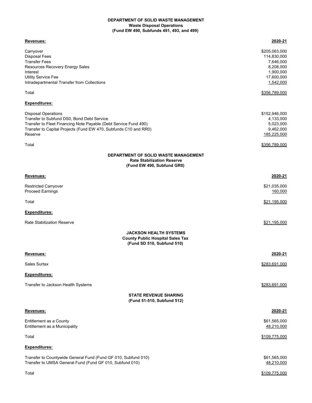#### **DEPARTMENT OF SOLID WASTE MANAGEMENT Waste Disposal Operations (Fund EW 490, Subfunds 491, 493, and 499)**

| <u>Revenues:</u>                                                                                                                                                                                                            | 2020-21                                                                                                         |
|-----------------------------------------------------------------------------------------------------------------------------------------------------------------------------------------------------------------------------|-----------------------------------------------------------------------------------------------------------------|
| Carryover<br><b>Disposal Fees</b><br><b>Transfer Fees</b><br>Resources Recovery Energy Sales<br>Interest<br><b>Utility Service Fee</b><br>Intradepartmental Transfer from Collections<br>Total                              | \$205,063,000<br>114,830,000<br>7,646,000<br>8,208,000<br>1,900,000<br>17,600,000<br>1,542,000<br>\$356,789,000 |
| <b>Expenditures:</b>                                                                                                                                                                                                        |                                                                                                                 |
| <b>Disposal Operations</b><br>Transfer to Subfund DS0, Bond Debt Service<br>Transfer to Fleet Financing Note Payable (Debt Service Fund 490)<br>Transfer to Capital Projects (Fund EW 470, Subfunds C10 and RR0)<br>Reserve | \$152,946,000<br>4,133,000<br>5,023,000<br>9,462,000<br>185,225,000                                             |
| Total                                                                                                                                                                                                                       | \$356,789,000                                                                                                   |
| DEPARTMENT OF SOLID WASTE MANAGEMENT<br><b>Rate Stabilization Reserve</b><br>(Fund EW 490, Subfund GR0)                                                                                                                     |                                                                                                                 |
| Revenues:                                                                                                                                                                                                                   | 2020-21                                                                                                         |
| <b>Restricted Carryover</b><br><b>Proceed Earnings</b>                                                                                                                                                                      | \$21,035,000<br>160,000                                                                                         |
| Total                                                                                                                                                                                                                       | \$21,195,000                                                                                                    |
| <b>Expenditures:</b>                                                                                                                                                                                                        |                                                                                                                 |
| <b>Rate Stabilization Reserve</b>                                                                                                                                                                                           | \$21,195,000                                                                                                    |
| <b>JACKSON HEALTH SYSTEMS</b><br><b>County Public Hospital Sales Tax</b><br>(Fund SD 510, Subfund 510)                                                                                                                      |                                                                                                                 |
| Revenues:                                                                                                                                                                                                                   | 2020-21                                                                                                         |
| Sales Surtax                                                                                                                                                                                                                | \$283,691,000                                                                                                   |
| <b>Expenditures:</b>                                                                                                                                                                                                        |                                                                                                                 |
| Transfer to Jackson Health Systems                                                                                                                                                                                          | \$283,691,000                                                                                                   |
| <b>STATE REVENUE SHARING</b><br>(Fund 51-510, Subfund 512)                                                                                                                                                                  |                                                                                                                 |
| <b>Revenues:</b>                                                                                                                                                                                                            | 2020-21                                                                                                         |
| Entitlement as a County<br>Entitlement as a Municipality                                                                                                                                                                    | \$61,565,000<br>48,210,000                                                                                      |
| Total                                                                                                                                                                                                                       | \$109,775,000                                                                                                   |
| Expenditures:                                                                                                                                                                                                               |                                                                                                                 |
| Transfer to Countywide General Fund (Fund GF 010, Subfund 010)<br>Transfer to UMSA General Fund (Fund GF 010, Subfund 010)                                                                                                  | \$61,565,000<br>48,210,000                                                                                      |
| Total                                                                                                                                                                                                                       | \$109,775,000                                                                                                   |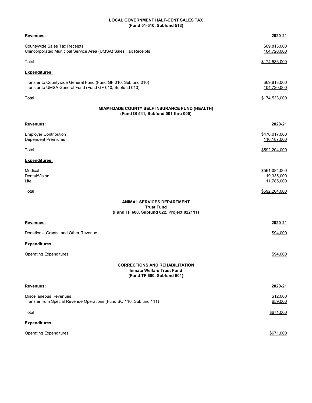# **LOCAL GOVERNMENT HALF-CENT SALES TAX (Fund 51-510, Subfund 513)**

| Revenues:                                                                                                                  | 2020-21                                   |
|----------------------------------------------------------------------------------------------------------------------------|-------------------------------------------|
| Countywide Sales Tax Receipts<br>Unincorporated Municipal Service Area (UMSA) Sales Tax Receipts                           | \$69,813,000<br>104,720,000               |
| Total                                                                                                                      | \$174,533,000                             |
| <b>Expenditures:</b>                                                                                                       |                                           |
| Transfer to Countywide General Fund (Fund GF 010, Subfund 010)<br>Transfer to UMSA General Fund (Fund GF 010, Subfund 010) | \$69,813,000<br>104,720,000               |
| Total                                                                                                                      | \$174,533,000                             |
| MIAMI-DADE COUNTY SELF INSURANCE FUND (HEALTH)<br>(Fund IS 541, Subfund 001 thru 005)                                      |                                           |
| Revenues:                                                                                                                  | 2020-21                                   |
| <b>Employer Contribution</b><br>Dependent Premiums                                                                         | \$476,017,000<br>116,187,000              |
| Total                                                                                                                      | \$592,204,000                             |
| <b>Expenditures:</b>                                                                                                       |                                           |
| Medical<br>Dental/Vision<br>Life                                                                                           | \$561,084,000<br>19,335,000<br>11,785,000 |
| Total                                                                                                                      | \$592,204,000                             |
| <b>ANIMAL SERVICES DEPARTMENT</b><br><b>Trust Fund</b><br>(Fund TF 600, Subfund 022, Project 022111)                       |                                           |
| Revenues:                                                                                                                  | 2020-21                                   |
| Donations, Grants, and Other Revenue                                                                                       | \$94,000                                  |
| Expenditures:                                                                                                              |                                           |
| <b>Operating Expenditures</b>                                                                                              | \$94,000                                  |
| <b>CORRECTIONS AND REHABILITATION</b><br><b>Inmate Welfare Trust Fund</b><br>(Fund TF 600, Subfund 601)                    |                                           |
| Revenues:                                                                                                                  | 2020-21                                   |
| Miscellaneous Revenues<br>Transfer from Special Revenue Operations (Fund SO 110, Subfund 111)                              | \$12,000<br>659,000                       |
| Total                                                                                                                      | \$671,000                                 |
| Expenditures:                                                                                                              |                                           |
| <b>Operating Expenditures</b>                                                                                              | \$671,000                                 |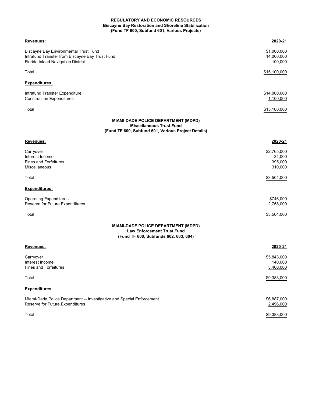### **REGULATORY AND ECONOMIC RESOURCES (Fund TF 600, Subfund 601, Various Projects) Biscayne Bay Restoration and Shoreline Stabilization**

| Revenues:                                                                                                                      | 2020-21                                     |
|--------------------------------------------------------------------------------------------------------------------------------|---------------------------------------------|
| Biscayne Bay Environmental Trust Fund<br>Intrafund Transfer from Biscayne Bay Trust Fund<br>Florida Inland Navigation District | \$1,000,000<br>14,000,000<br>100,000        |
| Total                                                                                                                          | \$15,100,000                                |
| <u>Expenditures:</u>                                                                                                           |                                             |
| Intrafund Transfer Expenditure<br><b>Construction Expenditures</b>                                                             | \$14,000,000<br>1,100,000                   |
| Total                                                                                                                          | \$15,100,000                                |
| MIAMI-DADE POLICE DEPARTMENT (MDPD)<br><b>Miscellaneous Trust Fund</b><br>(Fund TF 600, Subfund 601, Various Project Details)  |                                             |
| Revenues:                                                                                                                      | 2020-21                                     |
| Carryover<br>Interest Income<br>Fines and Forfeitures<br>Miscellaneous                                                         | \$2,765,000<br>34,000<br>395,000<br>310,000 |
| Total                                                                                                                          | \$3,504,000                                 |
| <b>Expenditures:</b>                                                                                                           |                                             |
| <b>Operating Expenditures</b><br>Reserve for Future Expenditures                                                               | \$746,000<br>2,758,000                      |
| Total                                                                                                                          | \$3,504,000                                 |
| MIAMI-DADE POLICE DEPARTMENT (MDPD)<br><b>Law Enforcement Trust Fund</b><br>(Fund TF 600, Subfunds 602, 603, 604)              |                                             |
| Revenues:                                                                                                                      | 2020-21                                     |
| Carryover<br>Interest Income<br><b>Fines and Forfeitures</b>                                                                   | \$5,843,000<br>140,000<br>3,400,000         |
| Total                                                                                                                          | \$9,383,000                                 |
| <u>Expenditures:</u>                                                                                                           |                                             |
| Miami-Dade Police Department -- Investigative and Special Enforcement<br>Reserve for Future Expenditures                       | \$6,887,000<br>2,496,000                    |
| Total                                                                                                                          | \$9,383,000                                 |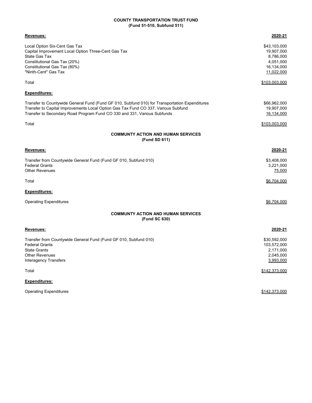# **(Fund 51-510, Subfund 511) COUNTY TRANSPORTATION TRUST FUND**

| <u>Revenues:</u>                                                                               | 2020-21       |
|------------------------------------------------------------------------------------------------|---------------|
| Local Option Six-Cent Gas Tax                                                                  | \$43,103,000  |
| Capital Improvement Local Option Three-Cent Gas Tax                                            | 19,907,000    |
| <b>State Gas Tax</b>                                                                           | 8,786,000     |
| Constitutional Gas Tax (20%)                                                                   | 4,051,000     |
| Constitutional Gas Tax (80%)                                                                   | 16,134,000    |
| "Ninth-Cent" Gas Tax                                                                           | 11,022,000    |
| Total                                                                                          | \$103,003,000 |
| Expenditures:                                                                                  |               |
| Transfer to Countywide General Fund (Fund GF 010, Subfund 010) for Transportation Expenditures | \$66,962,000  |
| Transfer to Capital Improvements Local Option Gas Tax Fund CO 337, Various Subfund             | 19,907,000    |
| Transfer to Secondary Road Program Fund CO 330 and 331, Various Subfunds                       | 16,134,000    |
| Total                                                                                          | \$103,003,000 |
| <b>COMMUNTY ACTION AND HUMAN SERVICES</b>                                                      |               |
| (Fund SD 611)                                                                                  |               |
| Revenues:                                                                                      | 2020-21       |
| Transfer from Countywide General Fund (Fund GF 010, Subfund 010)                               | \$3,408,000   |
| <b>Federal Grants</b>                                                                          | 3,221,000     |
| <b>Other Revenues</b>                                                                          | 75,000        |
| Total                                                                                          | \$6,704,000   |
| Expenditures:                                                                                  |               |
| <b>Operating Expenditures</b>                                                                  | \$6,704,000   |
| <b>COMMUNTY ACTION AND HUMAN SERVICES</b><br>(Fund SC 630)                                     |               |
| <u>Revenues:</u>                                                                               | 2020-21       |
| Transfer from Countywide General Fund (Fund GF 010, Subfund 010)                               | \$30,592,000  |
| <b>Federal Grants</b>                                                                          | 103,572,000   |
| <b>State Grants</b>                                                                            | 2,171,000     |
| <b>Other Revenues</b>                                                                          | 2,045,000     |
| <b>Interagency Transfers</b>                                                                   | 3,993,000     |
| Total                                                                                          | \$142,373,000 |
| <b>Expenditures:</b>                                                                           |               |

Operating Expenditures **\$142,373,000**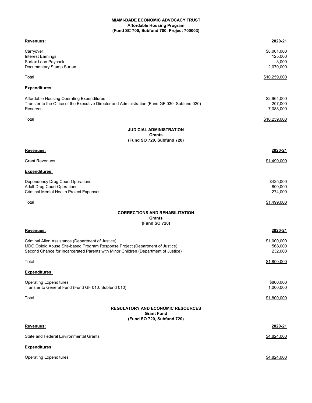#### **MIAMI-DADE ECONOMIC ADVOCACY TRUST Affordable Housing Program (Fund SC 700, Subfund 700, Project 700003)**

| Revenues:                                                                                      | 2020-21      |
|------------------------------------------------------------------------------------------------|--------------|
| Carryover                                                                                      | \$8,061,000  |
| Interest Earnings                                                                              | 125,000      |
| Surtax Loan Payback                                                                            | 3,000        |
| Documentary Stamp Surtax                                                                       | 2,070,000    |
| Total                                                                                          | \$10,259,000 |
| <u>Expenditures:</u>                                                                           |              |
|                                                                                                |              |
| Affordable Housing Operating Expenditures                                                      | \$2,964,000  |
| Transfer to the Office of the Executive Director and Administration (Fund GF 030, Subfund 020) | 207,000      |
| Reserves                                                                                       | 7,088,000    |
| Total                                                                                          | \$10,259,000 |
| <b>JUDICIAL ADMINISTRATION</b>                                                                 |              |
| <b>Grants</b><br>(Fund SO 720, Subfund 720)                                                    |              |
| Revenues:                                                                                      | 2020-21      |
|                                                                                                |              |
| <b>Grant Revenues</b>                                                                          | \$1,499,000  |
| <u>Expenditures:</u>                                                                           |              |
| Dependency Drug Court Operations                                                               | \$425,000    |
| <b>Adult Drug Court Operations</b>                                                             | 800,000      |
| Criminal Mental Health Project Expenses                                                        | 274,000      |
| Total                                                                                          | \$1,499,000  |
| <b>CORRECTIONS AND REHABILITATION</b>                                                          |              |
| Grants<br>(Fund SO 720)                                                                        |              |
| Revenues:                                                                                      | 2020-21      |
| Criminal Alien Assistance (Department of Justice)                                              | \$1,000,000  |
| MDC Opioid Abuse Site-based Program Response Project (Department of Justice)                   | 568,000      |
| Second Chance for Incarcerated Parents with Minor Children (Department of Justice)             | 232,000      |
| Total                                                                                          | \$1,800,000  |
| <u>Expenditures:</u>                                                                           |              |
|                                                                                                |              |
| <b>Operating Expenditures</b>                                                                  | \$800,000    |
| Transfer to General Fund (Fund GF 010, Subfund 010)                                            | 1,000,000    |
| Total                                                                                          | \$1,800,000  |
| <b>REGULATORY AND ECONOMIC RESOURCES</b>                                                       |              |
| <b>Grant Fund</b><br>(Fund SO 720, Subfund 720)                                                |              |
| <b>Revenues:</b>                                                                               | 2020-21      |
| State and Federal Environmental Grants                                                         | \$4,824,000  |
| <u>Expenditures:</u>                                                                           |              |
| <b>Operating Expenditures</b>                                                                  | \$4,824,000  |
|                                                                                                |              |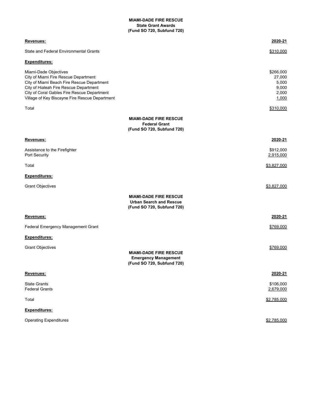#### **(Fund SO 720, Subfund 720) MIAMI-DADE FIRE RESCUE State Grant Awards**

| Revenues:                                                                                                                                                                                                                                              |                                                                                               | 2020-21                                                 |
|--------------------------------------------------------------------------------------------------------------------------------------------------------------------------------------------------------------------------------------------------------|-----------------------------------------------------------------------------------------------|---------------------------------------------------------|
| State and Federal Environmental Grants                                                                                                                                                                                                                 |                                                                                               | \$310,000                                               |
| <b>Expenditures:</b>                                                                                                                                                                                                                                   |                                                                                               |                                                         |
| Miami-Dade Objectives<br>City of Miami Fire Rescue Department<br>City of Miami Beach Fire Rescue Department<br>City of Hialeah Fire Rescue Department<br>City of Coral Gables Fire Rescue Department<br>Village of Key Biscayne Fire Rescue Department |                                                                                               | \$266,000<br>27,000<br>5,000<br>9,000<br>2,000<br>1,000 |
| Total                                                                                                                                                                                                                                                  |                                                                                               | \$310,000                                               |
|                                                                                                                                                                                                                                                        | <b>MIAMI-DADE FIRE RESCUE</b><br><b>Federal Grant</b><br>(Fund SO 720, Subfund 720)           |                                                         |
| Revenues:                                                                                                                                                                                                                                              |                                                                                               | 2020-21                                                 |
| Assistance to the Firefighter<br>Port Security                                                                                                                                                                                                         |                                                                                               | \$912,000<br>2,915,000                                  |
| Total                                                                                                                                                                                                                                                  |                                                                                               | \$3,827,000                                             |
| <b>Expenditures:</b>                                                                                                                                                                                                                                   |                                                                                               |                                                         |
| <b>Grant Objectives</b>                                                                                                                                                                                                                                |                                                                                               | \$3,827,000                                             |
|                                                                                                                                                                                                                                                        | <b>MIAMI-DADE FIRE RESCUE</b><br><b>Urban Search and Rescue</b><br>(Fund SO 720, Subfund 720) |                                                         |
| Revenues:                                                                                                                                                                                                                                              |                                                                                               | 2020-21                                                 |
| Federal Emergency Management Grant                                                                                                                                                                                                                     |                                                                                               | \$769,000                                               |
| <b>Expenditures:</b>                                                                                                                                                                                                                                   |                                                                                               |                                                         |
| <b>Grant Objectives</b>                                                                                                                                                                                                                                | <b>MIAMI-DADE FIRE RESCUE</b><br><b>Emergency Management</b><br>(Fund SO 720, Subfund 720)    | \$769,000                                               |
| Revenues:                                                                                                                                                                                                                                              |                                                                                               | 2020-21                                                 |
| <b>State Grants</b><br><b>Federal Grants</b>                                                                                                                                                                                                           |                                                                                               | \$106,000<br>2,679,000                                  |
| Total                                                                                                                                                                                                                                                  |                                                                                               | \$2,785,000                                             |
| Expenditures:                                                                                                                                                                                                                                          |                                                                                               |                                                         |
| <b>Operating Expenditures</b>                                                                                                                                                                                                                          |                                                                                               | \$2,785,000                                             |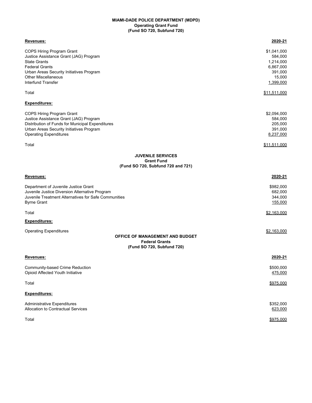#### **MIAMI-DADE POLICE DEPARTMENT (MDPD) Operating Grant Fund (Fund SO 720, Subfund 720)**

| Revenues:                                                                                                                                                                                                                  | 2020-21                                                                            |
|----------------------------------------------------------------------------------------------------------------------------------------------------------------------------------------------------------------------------|------------------------------------------------------------------------------------|
| COPS Hiring Program Grant<br>Justice Assistance Grant (JAG) Program<br><b>State Grants</b><br><b>Federal Grants</b><br>Urban Areas Security Initiatives Program<br><b>Other Miscellaneous</b><br><b>Interfund Transfer</b> | \$1,041,000<br>584,000<br>1,214,000<br>6,867,000<br>391,000<br>15,000<br>1,399,000 |
| Total                                                                                                                                                                                                                      | \$11,511,000                                                                       |
| <b>Expenditures:</b>                                                                                                                                                                                                       |                                                                                    |
| <b>COPS Hiring Program Grant</b><br>Justice Assistance Grant (JAG) Program<br>Distribution of Funds for Municipal Expenditures<br>Urban Areas Security Initiatives Program<br><b>Operating Expenditures</b>                | \$2,094,000<br>584,000<br>205,000<br>391,000<br>8,237,000                          |
| Total                                                                                                                                                                                                                      | \$11,511,000                                                                       |
| <b>JUVENILE SERVICES</b><br><b>Grant Fund</b><br>(Fund SO 720, Subfund 720 and 721)                                                                                                                                        |                                                                                    |
| Revenues:                                                                                                                                                                                                                  | 2020-21                                                                            |
| Department of Juvenile Justice Grant<br>Juvenile Justice Diversion Alternative Program<br>Juvenile Treatment Alternatives for Safe Communities<br><b>Byrne Grant</b>                                                       | \$982,000<br>682,000<br>344,000<br>155,000                                         |
| Total                                                                                                                                                                                                                      | \$2,163,000                                                                        |
| <b>Expenditures:</b>                                                                                                                                                                                                       |                                                                                    |
| <b>Operating Expenditures</b><br><b>OFFICE OF MANAGEMENT AND BUDGET</b><br><b>Federal Grants</b><br>(Fund SO 720, Subfund 720)                                                                                             | \$2,163,000                                                                        |
| Revenues:                                                                                                                                                                                                                  | 2020-21                                                                            |
| Community-based Crime Reduction<br>Opioid Affected Youth Initiative                                                                                                                                                        | \$500,000<br>475,000                                                               |
| Total                                                                                                                                                                                                                      | \$975,000                                                                          |
| Expenditures:                                                                                                                                                                                                              |                                                                                    |
| Administrative Expenditures<br>Allocation to Contractual Services                                                                                                                                                          | \$352,000<br>623,000                                                               |
| Total                                                                                                                                                                                                                      | \$975,000                                                                          |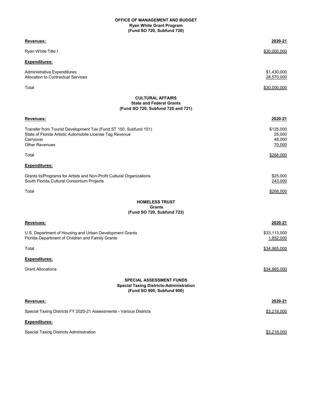## **(Fund SO 720, Subfund 720) Ryan White Grant Program OFFICE OF MANAGEMENT AND BUDGET**

| Revenues:                                                                                                                                                          | 2020-21                                 |
|--------------------------------------------------------------------------------------------------------------------------------------------------------------------|-----------------------------------------|
| Ryan White Title I                                                                                                                                                 | \$30,000,000                            |
| <b>Expenditures:</b>                                                                                                                                               |                                         |
| Administrative Expenditures<br>Allocation to Contractual Services                                                                                                  | \$1,430,000<br>28,570,000               |
| Total                                                                                                                                                              | \$30,000,000                            |
| <b>CULTURAL AFFAIRS</b><br><b>State and Federal Grants</b><br>(Fund SO 720, Subfund 720 and 721)                                                                   |                                         |
| Revenues:                                                                                                                                                          | 2020-21                                 |
| Transfer from Tourist Development Tax (Fund ST 150, Subfund 151)<br>State of Florida Artistic Automobile License Tag Revenue<br>Carryover<br><b>Other Revenues</b> | \$125,000<br>25,000<br>48,000<br>70,000 |
| Total                                                                                                                                                              | \$268,000                               |
| <b>Expenditures:</b>                                                                                                                                               |                                         |
| Grants to/Programs for Artists and Non-Profit Cultural Organizations<br>South Florida Cultural Consortium Projects                                                 | \$25,000<br>243,000                     |
| Total                                                                                                                                                              | \$268,000                               |
| <b>HOMELESS TRUST</b><br><b>Grants</b><br>(Fund SO 720, Subfund 723)                                                                                               |                                         |
| Revenues:                                                                                                                                                          | 2020-21                                 |
| U.S. Department of Housing and Urban Development Grants<br>Florida Department of Children and Family Grants                                                        | \$33,113,000<br>1,852,000               |
| Total                                                                                                                                                              | \$34,965,000                            |
| <b>Expenditures:</b>                                                                                                                                               |                                         |
| <b>Grant Allocations</b>                                                                                                                                           | \$34,965,000                            |
| <b>SPECIAL ASSESSMENT FUNDS</b><br><b>Special Taxing Districts-Administration</b><br>(Fund SO 900, Subfund 900)                                                    |                                         |
| Revenues:                                                                                                                                                          | 2020-21                                 |
| Special Taxing Districts FY 2020-21 Assessments - Various Districts                                                                                                | \$3,218,000                             |
| Expenditures:                                                                                                                                                      |                                         |
| Special Taxing Districts Administration                                                                                                                            | \$3,218,000                             |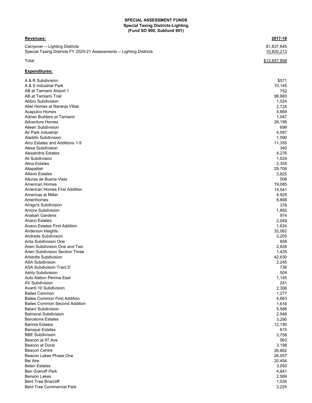## **Special Taxing Districts-Lighting (Fund SO 900, Subfund 901) SPECIAL ASSESSMENT FUNDS**

## **Revenues: 2017-18**

Carryover -- Lighting Districts<br>
Special Taxing Districts FY 2020-21 Assessments -- Lighting Districts<br>
Special Taxing Districts FY 2020-21 Assessments -- Lighting Districts Special Taxing Districts FY 2020-21 Assessments -- Lighting Districts

## **Expenditures:**

| A & R Subdivision                    | \$571  |
|--------------------------------------|--------|
| A & S Industrial Park                | 10,145 |
| AB at Tamiami Airport 1              | 752    |
| AB at Tamiami Trail                  | 98,983 |
| Abbro Subdivision                    | 1,024  |
| Abel Homes at Naranja Villas         | 2,725  |
| <b>Acapulco Homes</b>                | 4,669  |
| Adrian Builders at Tamiami           | 1,047  |
| <b>Adventure Homes</b>               | 26,198 |
|                                      |        |
| Aileen Subdivision                   | 699    |
| Air Park Industrial                  | 4,587  |
| <b>Aladdin Subdivision</b>           | 1,590  |
| Alco Estates and Additions 1-5       | 11,355 |
| Alexa Subdivision                    | 340    |
| Alexandria Estates                   | 4,276  |
| Ali Subdivision                      | 1,024  |
| <b>Alina Estates</b>                 | 2,355  |
| Allapattah                           | 29,706 |
| <b>Allison Estates</b>               | 3,825  |
| Alturas de Buena Vista               | 506    |
| <b>American Homes</b>                | 19,085 |
| American Homes First Addition        | 14,541 |
| Americas at Miller                   | 4,925  |
| Amerihomes                           | 8,898  |
| Amigo's Subdivision                  | 378    |
| Amore Subdivision                    |        |
|                                      | 1,882  |
| Anabah Gardens                       | 974    |
| <b>Anaco Estates</b>                 | 2,049  |
| <b>Anaco Estates First Addition</b>  | 1,624  |
| Anderson Heights                     | 32,062 |
| Andrade Subdivision                  | 3,205  |
| Anta Subdivision One                 | 858    |
| Arien Subdivision One and Two        | 2,828  |
| Arien Subdivision Section Three      | 1,425  |
| Aristotle Subdivision                | 42,630 |
| <b>ASA Subdivision</b>               | 2,245  |
| ASA Subdivision Tract D              | 736    |
| Ashly Subdivision                    | 504    |
| <b>Auto Nation Perrine East</b>      | 1,145  |
| <b>AV Subdivision</b>                | 241    |
| Avanti 10 Subdivision                | 2,306  |
| <b>Bailes Common</b>                 | 1,277  |
| <b>Bailes Common First Addition</b>  | 4,663  |
| <b>Bailes Common Second Addition</b> | 1,616  |
| <b>Balani Subdivision</b>            | 5,586  |
| <b>Balmoral Subdivision</b>          |        |
|                                      | 2,948  |
| <b>Barcelona Estates</b>             | 3,290  |
| <b>Barima Estates</b>                | 12,190 |
| <b>Baroque Estates</b>               | 615    |
| <b>BBE Subdivision</b>               | 3,758  |
| Beacon at 97 Ave                     | 563    |
| Beacon at Doral                      | 3,198  |
| <b>Beacon Centre</b>                 | 26,662 |
| Beacon Lakes Phase One               | 26,557 |
| <b>Bel Aire</b>                      | 20,454 |
| <b>Belen Estates</b>                 | 3,093  |
| <b>Ben Granoff Park</b>              | 4,841  |
| <b>Benson Lakes</b>                  | 2,569  |
| <b>Bent Tree Briarcliff</b>          | 1,035  |
| <b>Bent Tree Commercial Park</b>     | 3,225  |
|                                      |        |

## $\texttt{Total} \quad \textcolor{red}{\textbf{12.657,858}}$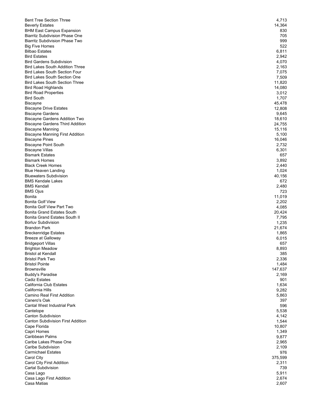| <b>Bent Tree Section Three</b>                                            | 4,713           |
|---------------------------------------------------------------------------|-----------------|
| <b>Beverly Estates</b>                                                    | 14,364          |
| <b>BHM East Campus Expansion</b>                                          | 830             |
| <b>Biarritz Subdivision Phase One</b>                                     | 705             |
| <b>Biarritz Subdivision Phase Two</b>                                     | 999             |
| <b>Big Five Homes</b>                                                     | 522             |
| <b>Bilbao Estates</b>                                                     | 6,811           |
| <b>Bird Estates</b>                                                       | 2,942           |
| <b>Bird Gardens Subdivision</b><br><b>Bird Lakes South Addition Three</b> | 4,070           |
| <b>Bird Lakes South Section Four</b>                                      | 2,163<br>7,075  |
| <b>Bird Lakes South Section One</b>                                       | 7,509           |
| <b>Bird Lakes South Section Three</b>                                     | 11,820          |
| <b>Bird Road Highlands</b>                                                | 14,080          |
| <b>Bird Road Properties</b>                                               | 3,012           |
| <b>Bird South</b>                                                         | 1,707           |
| Biscayne                                                                  | 45,478          |
| <b>Biscayne Drive Estates</b>                                             | 12,808          |
| <b>Biscayne Gardens</b>                                                   | 9,645           |
| <b>Biscayne Gardens Addition Two</b>                                      | 18,610          |
| <b>Biscayne Gardens Third Addition</b>                                    | 24,755          |
| <b>Biscayne Manning</b>                                                   | 15,116          |
| <b>Biscayne Manning First Addition</b>                                    | 5,100           |
| <b>Biscayne Pines</b>                                                     | 16,046          |
| <b>Biscayne Point South</b>                                               | 2,732           |
| <b>Biscayne Villas</b>                                                    | 6,301           |
| <b>Bismark Estates</b>                                                    | 657             |
| <b>Bismark Homes</b>                                                      | 3,892           |
| <b>Black Creek Homes</b>                                                  | 2,440           |
| <b>Blue Heaven Landing</b>                                                | 1,024           |
| <b>Bluewaters Subdivision</b>                                             | 40,156          |
| <b>BMS Kendale Lakes</b>                                                  | 672             |
| <b>BMS Kendall</b>                                                        | 2,480           |
| <b>BMS Ojus</b>                                                           | 723             |
| Bonita                                                                    | 11,019          |
| <b>Bonita Golf View</b>                                                   | 2,202           |
| <b>Bonita Golf View Part Two</b>                                          | 4,085           |
| <b>Bonita Grand Estates South</b>                                         | 20,424          |
| Bonita Grand Estates South II<br><b>Borluv Subdivision</b>                | 7,795<br>1,235  |
|                                                                           |                 |
| Brandon Park<br><b>Breckenridge Estates</b>                               | 21,674<br>1,865 |
| <b>Breeze at Galloway</b>                                                 | 6,015           |
| <b>Bridgeport Villas</b>                                                  | 657             |
| <b>Brighton Meadow</b>                                                    | 8,893           |
| <b>Bristol at Kendall</b>                                                 | 385             |
| <b>Bristol Park Two</b>                                                   | 2,336           |
| <b>Bristol Pointe</b>                                                     | 1,484           |
| <b>Brownsville</b>                                                        | 147,637         |
| <b>Buddy's Paradise</b>                                                   | 2,169           |
| <b>Cadiz Estates</b>                                                      | 901             |
| California Club Estates                                                   | 1,634           |
| California Hills                                                          | 9,282           |
| Camino Real First Addition                                                | 5,863           |
| Canero's Oak                                                              | 397             |
| Cantal West Industrial Park                                               | 596             |
| Cantelope                                                                 | 5,538           |
| <b>Canton Subdivision</b>                                                 | 4,142           |
| <b>Canton Subdivision First Addition</b>                                  | 1,544           |
| Cape Florida                                                              | 10,807          |
| Capri Homes                                                               | 1,349           |
| Caribbean Palms                                                           | 9,877           |
| Caribe Lakes Phase One                                                    | 2,965           |
| Caribe Subdivision                                                        | 2,109           |
| <b>Carmichael Estates</b>                                                 | 976             |
| Carol City                                                                | 375,599         |
| Carol City First Addition                                                 | 2,311           |
| Cartal Subdivision                                                        | 739             |
| Casa Lago                                                                 | 5,911           |
| Casa Lago First Addition                                                  | 2,674           |
| Casa Matias                                                               | 2,607           |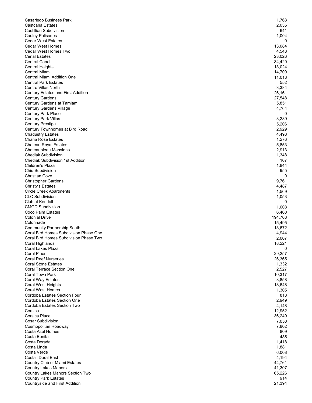| Casariego Business Park                                                   | 1,763           |
|---------------------------------------------------------------------------|-----------------|
| Castcana Estates                                                          | 2,035           |
| Castillian Subdivision                                                    | 641             |
| <b>Cauley Palisades</b>                                                   | 1,004           |
| <b>Cedar West Estates</b>                                                 | 0               |
| <b>Cedar West Homes</b>                                                   | 13,084          |
| Cedar West Homes Two                                                      | 4,548           |
| <b>Cenal Estates</b>                                                      | 23,026          |
| <b>Central Canal</b>                                                      | 34,420          |
| <b>Central Heights</b>                                                    | 13,024          |
| Central Miami<br>Central Miami Addition One                               | 14,700          |
|                                                                           | 11,018          |
| <b>Central Park Estates</b>                                               | 552             |
| <b>Centro Villas North</b>                                                | 3,384           |
| <b>Century Estates and First Addition</b><br><b>Century Gardens</b>       | 26,161          |
| Century Gardens at Tamiami                                                | 27,548<br>5,851 |
| <b>Century Gardens Village</b>                                            | 4,764           |
| Century Park Place                                                        | 0               |
| Century Park Villas                                                       | 3,289           |
| Century Prestige                                                          | 5,206           |
| Century Townhomes at Bird Road                                            | 2,929           |
| <b>Chadustry Estates</b>                                                  | 4,498           |
| <b>Chana Rose Estates</b>                                                 | 1,276           |
| Chateau Royal Estates                                                     | 5,853           |
| Chateaubleau Mansions                                                     | 2,913           |
| <b>Chediak Subdivision</b>                                                | 1,348           |
| <b>Chediak Subdivision 1st Addition</b>                                   | 167             |
| Children's Plaza                                                          | 1,844           |
| Chiu Subdivision                                                          | 955             |
| <b>Christian Cove</b>                                                     | 0               |
| <b>Christopher Gardens</b>                                                | 9,761           |
| <b>Christy's Estates</b>                                                  | 4,487           |
| <b>Circle Creek Apartments</b>                                            | 1,569           |
| <b>CLC Subdivision</b>                                                    | 1,053           |
|                                                                           |                 |
| Club at Kendall                                                           | 0               |
|                                                                           | 1,608           |
| <b>CMGD Subdivision</b><br>Coco Palm Estates                              | 6,460           |
| <b>Colonial Drive</b>                                                     | 194,768         |
| Colonnade                                                                 | 15,495          |
| <b>Community Partnership South</b>                                        | 13,672          |
| Coral Bird Homes Subdivision Phase One                                    | 4,944           |
| Coral Bird Homes Subdivision Phase Two                                    | 2,007           |
| Coral Highlands                                                           | 18,221          |
| Coral Lakes Plaza                                                         | 0               |
| <b>Coral Pines</b>                                                        | 29,257          |
| <b>Coral Reef Nurseries</b>                                               | 26,365          |
| <b>Coral Stone Estates</b>                                                | 1,332           |
| <b>Coral Terrace Section One</b>                                          | 2,527           |
| Coral Town Park                                                           | 10,317          |
| Coral Way Estates                                                         | 8,858           |
| <b>Coral West Heights</b>                                                 | 18,648          |
| <b>Coral West Homes</b>                                                   | 1,305           |
| Cordoba Estates Section Four                                              | 818             |
| Cordoba Estates Section One                                               | 2,949           |
|                                                                           | 4,148           |
|                                                                           | 12,952          |
| Cordoba Estates Section Two<br>Corsica<br>Corsica Place                   | 36,249          |
| <b>Cosar Subdivision</b>                                                  | 7,050<br>7,802  |
| Cosmopolitan Roadway<br>Costa Azul Homes                                  | 809             |
|                                                                           | 485             |
| Costa Bonita<br>Costa Dorada                                              | 1,418           |
| Costa Linda                                                               | 1,881           |
|                                                                           | 6,008           |
|                                                                           | 4,194           |
| Costa Verde<br><b>Costall Doral East</b><br>Country Club of Miami Estates | 44,761          |
| <b>Country Lakes Manors</b>                                               | 41,307          |
| Country Lakes Manors Section Two                                          | 65,226          |
| <b>Country Park Estates</b><br>Countryside and First Addition             | 914<br>21,394   |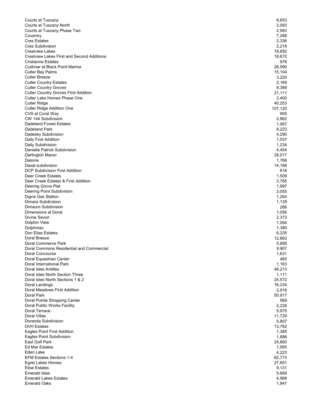| Courts at Tuscany                                       | 8,653            |
|---------------------------------------------------------|------------------|
| Courts at Tuscany North                                 | 2,093            |
| Courts at Tuscany Phase Two<br>Coventry                 | 2,993<br>7,288   |
| <b>Cres Estates</b>                                     | 2,336            |
| <b>Cres Subdivision</b>                                 | 2,218            |
| <b>Crestview Lakes</b>                                  | 18,692           |
| <b>Crestview Lakes First and Second Additions</b>       | 18,672           |
| <b>Cristianne Estates</b>                               | 978              |
| Cudimar at Black Point Marina<br>Cutler Bay Palms       | 28,590<br>15,104 |
| Cutler Breeze                                           | 3,220            |
| <b>Cutler Country Estates</b>                           | 2,169            |
| <b>Cutler Country Groves</b>                            | 9,389            |
| <b>Cutler Country Groves First Addition</b>             | 21,111           |
| Cutler Lake Homes Phase One                             | 2,400            |
| Cutler Ridge                                            | 40,253           |
| Cutler Ridge Addition One<br>CVS at Coral Way           | 107,120<br>905   |
| CW 144 Subdivision                                      | 2,862            |
| <b>Dadeland Forest Estates</b>                          | 1,067            |
| Dadeland Park                                           | 8,223            |
| Dadesky Subdivision                                     | 4,290            |
| Daily First Addition                                    | 1,037            |
| Daily Subdivision                                       | 1,234            |
| Danielle Patrick Subdivision<br>Darlington Manor        | 4,454<br>28,017  |
| Datorre                                                 | 1,768            |
| Daxal subdivision                                       | 14,188           |
| DCP Subdivision First Addition                          | 618              |
| Deer Creek Estates                                      | 1,509            |
| Deer Creek Estates & First Addition                     | 3,785            |
| Deering Grove Plat                                      | 1,997            |
| Deering Point Subdivision<br>Digna Gas Station          | 3,055<br>1,264   |
| Dimara Subdivision                                      | 1,139            |
| Dimauro Subdivision                                     | 266              |
| Dimensions at Doral                                     | 1,056            |
| Divine Savior                                           | 2,373            |
| Dolphin View                                            | 1,094            |
| Dolphmac<br>Don Elias Estates                           | 1,380            |
| Doral Breeze                                            | 6,235<br>12,663  |
| Doral Commerce Park                                     | 5,856            |
| Doral Commons Residential and Commercial                | 9,907            |
| Doral Concourse                                         | 1,631            |
| Doral Equestrian Center                                 | 465              |
| Doral International Park                                | 1,163            |
| Doral Isles Antilles<br>Doral Isles North Section Three | 48,213<br>1,111  |
| Doral Isles North Sections 1 & 2                        | 24,572           |
| Doral Landings                                          | 16,234           |
| Doral Meadows First Addition                            | 2,918            |
| Doral Park                                              | 50,917           |
| Doral Pointe Shopping Center                            | 569              |
| Doral Public Works Facility                             | 2,228            |
| Doral Terrace<br>Doral Villas                           | 5,975<br>11,729  |
| Doranda Subdivision                                     | 5,807            |
| <b>DVH Estates</b>                                      | 13,762           |
| Eagles Point First Addition                             | 1,385            |
| Eagles Point Subdivision                                | 1,888            |
| East Golf Park                                          | 24,860           |
| Ed Mar Estates                                          | 1,565            |
| Eden Lake<br><b>EFM Estates Sections 1-4</b>            | 4,223<br>62,773  |
| <b>Egret Lakes Homes</b>                                | 27,651           |
| <b>Elise Estates</b>                                    | 9,131            |
| <b>Emerald Isles</b>                                    | 5,669            |
| <b>Emerald Lakes Estates</b>                            | 4,968            |
| <b>Emerald Oaks</b>                                     | 1,947            |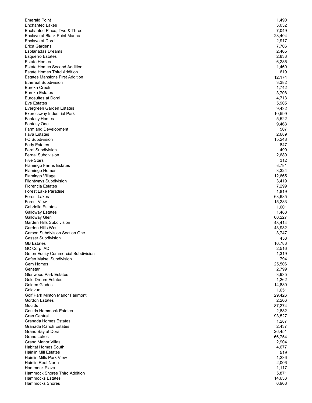| <b>Emerald Point</b>                                      | 1,490           |
|-----------------------------------------------------------|-----------------|
| <b>Enchanted Lakes</b>                                    | 3,032           |
| Enchanted Place, Two & Three                              | 7,049           |
| Enclave at Black Point Marina<br>Enclave at Doral         | 28,404<br>2,917 |
| Erica Gardens                                             | 7,706           |
| <b>Esplanadas Dreams</b>                                  | 2,405           |
| <b>Esquerro Estates</b>                                   | 2,833           |
| <b>Estate Homes</b>                                       | 6,285           |
| <b>Estate Homes Second Addition</b>                       | 1,460           |
| <b>Estate Homes Third Addition</b>                        | 619             |
| <b>Estates Mansions First Addition</b>                    | 12,174          |
| <b>Ethereal Subdivision</b>                               | 3,382           |
| Eureka Creek                                              | 1,742           |
| Eureka Estates                                            | 3,708           |
| <b>Eurosuites at Doral</b>                                | 4,713           |
| <b>Eve Estates</b>                                        | 5,905           |
| Evergreen Garden Estates<br>Expressway Industrial Park    | 9,432<br>10,599 |
| <b>Fantasy Homes</b>                                      | 5,522           |
| Fantasy One                                               | 9,463           |
| <b>Farmland Development</b>                               | 507             |
| <b>Fava Estates</b>                                       | 2,689           |
| <b>FC Subdivision</b>                                     | 15,248          |
| <b>Fedy Estates</b>                                       | 847             |
| <b>Ferel Subdivision</b>                                  | 499             |
| <b>Fernal Subdivision</b>                                 | 2,680           |
| <b>Five Stars</b>                                         | 312             |
| <b>Flamingo Farms Estates</b>                             | 8,781           |
| Flamingo Homes                                            | 3,324           |
| Flamingo Village                                          | 12,665          |
| <b>Flightways Subdivision</b><br><b>Florencia Estates</b> | 3,419<br>7,299  |
| <b>Forest Lake Paradise</b>                               | 1,819           |
| <b>Forest Lakes</b>                                       | 63,685          |
| <b>Forest View</b>                                        | 15,283          |
| Gabriella Estates                                         | 1,601           |
| <b>Galloway Estates</b>                                   | 1,488           |
| Galloway Glen                                             | 60,227          |
| Garden Hills Subdivision                                  | 43,414          |
| Garden Hills West                                         | 43,932          |
| <b>Garson Subdivision Section One</b>                     | 3,747           |
| <b>Gasser Subdivision</b>                                 | 458             |
| <b>GB Estates</b>                                         | 16,783          |
| <b>GC Corp IAD</b><br>Gefen Equity Commercial Subdivision | 2,516           |
| <b>Gefen Maisel Subdivision</b>                           | 1,319<br>794    |
| Gem Homes                                                 | 25,506          |
| Genstar                                                   | 2,799           |
| <b>Glenwood Park Estates</b>                              | 3,935           |
| <b>Gold Dream Estates</b>                                 | 1,262           |
| Golden Glades                                             | 14,880          |
| Goldvue                                                   | 1,651           |
| Golf Park Minton Manor Fairmont                           | 29,426          |
| <b>Gordon Estates</b>                                     | 2,206           |
| Goulds                                                    | 87,274          |
| <b>Goulds Hammock Estates</b>                             | 2,882           |
| <b>Gran Central</b><br><b>Granada Homes Estates</b>       | 93,527          |
| <b>Granada Ranch Estates</b>                              | 1,287<br>2,437  |
| Grand Bay at Doral                                        | 26,451          |
| <b>Grand Lakes</b>                                        | 66,754          |
| <b>Grand Manor Villas</b>                                 | 2,904           |
| <b>Habitat Homes South</b>                                | 4,677           |
| <b>Hainlin Mill Estates</b>                               | 519             |
| <b>Hainlin Mills Park View</b>                            | 1,236           |
| Hainlin Reef North                                        | 2,006           |
| Hammock Plaza                                             | 1,117           |
| Hammock Shores Third Addition                             | 5,871           |
| <b>Hammocks Estates</b>                                   | 14,633          |
| <b>Hammocks Shores</b>                                    | 6,968           |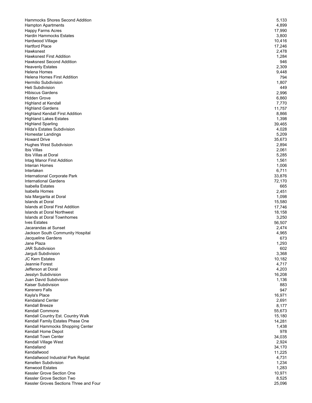| Hammocks Shores Second Addition                             | 5,133            |
|-------------------------------------------------------------|------------------|
| <b>Hampton Apartments</b>                                   | 4,899            |
| Happy Farms Acres                                           | 17,990           |
| <b>Hardin Hammocks Estates</b>                              | 3,800            |
| Hardwood Village                                            | 10,416           |
| Hartford Place                                              | 17,246           |
| Hawksnest                                                   | 2,478            |
| <b>Hawksnest First Addition</b>                             | 1,284<br>946     |
| <b>Hawksnest Second Addition</b><br><b>Heavenly Estates</b> | 2,309            |
| Helena Homes                                                | 9,448            |
| <b>Helena Homes First Addition</b>                          | 794              |
| Hermilio Subdivision                                        | 1,807            |
| Heti Subdivision                                            | 449              |
| <b>Hibiscus Gardens</b>                                     | 2,996            |
| <b>Hidden Grove</b>                                         | 6,860            |
| Highland at Kendall                                         | 7,770            |
| <b>Highland Gardens</b>                                     | 11,757           |
| <b>Highland Kendall First Addition</b>                      | 8,866            |
| <b>Highland Lakes Estates</b>                               | 1,398            |
| <b>Highland Sparling</b>                                    | 39,465           |
| <b>Hilda's Estates Subdivision</b>                          | 4,028            |
| Homestar Landings                                           | 5,209            |
| <b>Howard Drive</b>                                         | 35,673           |
| <b>Hughes West Subdivision</b>                              | 2,894            |
| Ibis Villas                                                 | 2,061            |
| Ibis Villas at Doral                                        | 5,285            |
| Intag Manor First Addition                                  | 1,561            |
| Interian Homes                                              | 1,006            |
| Interlaken                                                  | 6,711            |
| International Corporate Park                                | 33,876           |
| International Gardens                                       | 72,170           |
| <b>Isabella Estates</b>                                     | 665              |
| Isabella Homes                                              | 2,451            |
| Isla Margarita at Doral                                     | 1,098            |
| <b>Islands at Doral</b><br>Islands at Doral First Addition  | 15,580           |
| Islands at Doral Northwest                                  | 17,746<br>18,158 |
| Islands at Doral Townhomes                                  | 3,250            |
| <b>Ives Estates</b>                                         | 56,507           |
| Jacarandas at Sunset                                        | 2,474            |
| Jackson South Community Hospital                            | 4,965            |
| Jacqueline Gardens                                          | 673              |
| Jane Plaza                                                  | 1,293            |
| JAR Subdivision                                             | 602              |
| Jarguti Subdivision                                         | 3,368            |
| <b>JC Kern Estates</b>                                      | 10,182           |
| Jeannie Forest                                              | 4,717            |
| Jefferson at Doral                                          | 4,203            |
| Jesslyn Subdivision                                         | 16,208           |
| Juan David Subdivision                                      | 1,136            |
| Kaiser Subdivision                                          | 883              |
| Karenero Falls                                              | 947              |
| Kayla's Place                                               | 16,971           |
| <b>Kendaland Center</b>                                     | 2,691            |
| Kendall Breeze                                              | 8,177            |
| <b>Kendall Commons</b>                                      | 55,673           |
| Kendall Country Est. Country Walk                           | 15,180           |
| Kendall Family Estates Phase One                            | 14,281           |
| Kendall Hammocks Shopping Center                            | 1,438            |
| Kendall Home Depot                                          | 978              |
| Kendall Town Center<br>Kendall Village West                 | 34,035<br>2,924  |
| Kendalland                                                  | 34,170           |
| Kendallwood                                                 | 11,225           |
| Kendallwood Industrial Park Replat                          | 4,731            |
| Kenellen Subdivision                                        | 1,234            |
| <b>Kenwood Estates</b>                                      | 1,283            |
| Kessler Grove Section One                                   | 10,971           |
| Kessler Grove Section Two                                   | 8,525            |
| Kessler Groves Sections Three and Four                      | 25,096           |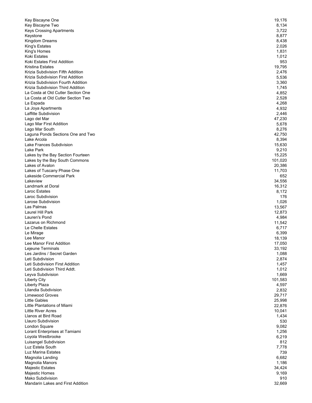| Key Biscayne One                                                       | 19,176           |
|------------------------------------------------------------------------|------------------|
| Key Biscayne Two                                                       | 8,134            |
| Keys Crossing Apartments                                               | 3,722            |
| Keystone                                                               | 8,877            |
| Kingdom Dreams                                                         | 8,438            |
| King's Estates                                                         | 2,026            |
| King's Homes                                                           | 1,831            |
| Koki Estates                                                           | 1,012            |
| Koki Estates First Addition                                            | 953              |
| Kristina Estates                                                       | 19,795           |
| Krizia Subdivision Fifth Addition<br>Krizia Subdivision First Addition | 2,476            |
| Krizia Subdivision Fourth Addition                                     | 5,536<br>3,360   |
| Krizia Subdivision Third Addition                                      | 1,745            |
| La Costa at Old Cutler Section One                                     | 4,852            |
| La Costa at Old Cutler Section Two                                     | 2,528            |
| La Espada                                                              | 4,268            |
| La Joya Apartments                                                     | 4,932            |
| Laffitte Subdivision                                                   | 2,446            |
| Lago del Mar                                                           | 47,230           |
| Lago Mar First Addition                                                | 5,678            |
| Lago Mar South                                                         | 8,276            |
| Laguna Ponds Sections One and Two                                      | 42,750           |
| Lake Arcola                                                            | 8,394            |
| Lake Frances Subdivision                                               | 15,630           |
| Lake Park                                                              | 9,210            |
| Lakes by the Bay Section Fourteen                                      | 15,225           |
| Lakes by the Bay South Commons                                         | 101,020          |
| Lakes of Avalon                                                        | 20,386           |
| Lakes of Tuscany Phase One                                             | 11,703           |
| Lakeside Commercial Park                                               | 652              |
| Lakeview                                                               | 34,556           |
| Landmark at Doral                                                      | 16,312           |
| Laroc Estates                                                          | 8,172            |
| Laroc Subdivision                                                      | 176              |
| Larose Subdivision<br>Las Palmas                                       | 1,026            |
| Laurel Hill Park                                                       | 13,567<br>12,873 |
| Lauren's Pond                                                          | 4,984            |
| Lazarus on Richmond                                                    | 11,542           |
| Le Chelle Estates                                                      | 6,717            |
| Le Mirage                                                              | 6,399            |
| Lee Manor                                                              | 18,139           |
| Lee Manor First Addition                                               | 17,050           |
| Lejeune Terminals                                                      | 33,192           |
| Les Jardins / Secret Garden                                            | 1,088            |
| Leti Subdivision                                                       | 2,874            |
| Leti Subdivision First Addition                                        | 1,457            |
| Leti Subdivision Third Addt.                                           | 1,012            |
| Leyva Subdivision                                                      | 1,669            |
| <b>Liberty City</b>                                                    | 101,583          |
| Liberty Plaza                                                          | 4,597            |
| Lilandia Subdivision                                                   | 2,832            |
| <b>Limewood Groves</b>                                                 | 29,717           |
| <b>Little Gables</b>                                                   | 25,998           |
| Little Plantations of Miami                                            | 22,876           |
| <b>Little River Acres</b>                                              | 10,041           |
| Llanos at Bird Road                                                    | 1,434            |
| Llauro Subdivision                                                     | 530              |
| London Square                                                          | 9,082            |
| Lorant Enterprises at Tamiami                                          | 1,256            |
| Loyola Westbrooke                                                      | 6,219            |
| Luisangel Subdivision<br>Luz Estela South                              | 812              |
| Luz Marina Estates                                                     | 7,778<br>739     |
| Magnolia Landing                                                       | 6,682            |
| Magnolia Manors                                                        | 1,186            |
| Majestic Estates                                                       | 34,424           |
| Majestic Homes                                                         | 9,169            |
| Mako Subdivision                                                       | 910              |
| Mandarin Lakes and First Addition                                      | 32,669           |
|                                                                        |                  |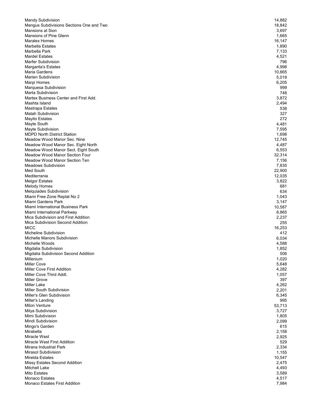| Mandy Subdivision                                                  | 14,882         |
|--------------------------------------------------------------------|----------------|
| Mangus Subdivisions Sections One and Two                           | 18,842         |
| Mansions at Sion                                                   | 3,697          |
| Mansions of Pine Glenn                                             | 1,665          |
| Maralex Homes                                                      | 16,147         |
| Marbella Estates                                                   | 1,890          |
| Marbella Park                                                      | 7,133          |
| <b>Mardel Estates</b>                                              | 4,521          |
| Marfer Subdivision                                                 | 796            |
| Margarita's Estates                                                | 4,998          |
| Maria Gardens                                                      | 10,665         |
| <b>Marien Subdivision</b>                                          | 5,019          |
| Marpi Homes                                                        | 6,205          |
| Marquesa Subdivision                                               | 999            |
| Marta Subdivision                                                  | 748            |
| Martex Business Center and First Add.                              | 3,872          |
| Mashta Island                                                      | 2,494          |
| Mastrapa Estates                                                   | 538            |
| Matah Subdivision                                                  | 327            |
| <b>Mayito Estates</b>                                              | 272            |
| Mayte South                                                        | 4,481          |
| Mayte Subdivision                                                  | 7,595          |
| <b>MDPD North District Station</b>                                 | 1,698          |
| Meadow Wood Manor Sec. Nine                                        | 12,745         |
| Meadow Wood Manor Sec. Eight North                                 | 4,487          |
| Meadow Wood Manor Sect. Eight South                                | 6,553          |
| Meadow Wood Manor Section Four                                     | 32,314         |
| Meadow Wood Manor Section Ten                                      | 7,156          |
| <b>Meadows Subdivision</b>                                         | 7,835          |
| Med South                                                          | 22,900         |
| Mediterrania                                                       | 12,035         |
| <b>Melgor Estates</b>                                              | 3,822          |
| <b>Melody Homes</b>                                                | 681            |
| Melquiades Subdivision                                             | 634            |
| Miami Free Zone Replat No 2                                        | 1,043          |
| Miami Gardens Park                                                 | 3,147          |
| Miami International Business Park                                  | 10,587         |
|                                                                    |                |
| Miami International Parkway<br>Mica Subdivision and First Addition | 8,865<br>2,237 |
| Mica Subdivision Second Addition                                   |                |
| MICC                                                               | 255            |
|                                                                    | 16,253         |
| Micheline Subdivision                                              | 412            |
| Michelle Manors Subdivision                                        | 6,034          |
| Michelle Woods                                                     | 4,588          |
| Migdalia Subdivision                                               | 1,852          |
| Migdalia Subdivision Second Addition                               | 506            |
| Millenium                                                          | 1,020          |
| Miller Cove                                                        | 5,648          |
| <b>Miller Cove First Addition</b>                                  | 4,282          |
| Miller Cove Third Addt.                                            | 1,057          |
| Miller Grove                                                       | 397            |
| Miller Lake                                                        | 4,262          |
| Miller South Subdivision                                           | 2,201          |
| Miller's Glen Subdivision                                          | 6,345          |
| Miller's Landing                                                   | 995            |
| Milon Venture                                                      | 53,713         |
| Milya Subdivision                                                  | 3,727          |
| Mimi Subdivision                                                   | 1,805          |
| Mindi Subdivision                                                  | 2,099          |
| Mingo's Garden                                                     | 615            |
| Mirabella                                                          | 2,158          |
| Miracle West                                                       | 2,925          |
| Miracle West First Addition                                        | 529            |
| Mirana Industrial Park                                             | 2,334          |
| Mirasol Subdivision                                                | 1,155          |
| Mirelda Estates                                                    | 10,547         |
| Missy Estates Second Addition                                      | 2,475          |
| Mitchell Lake                                                      | 4,493          |
| Mito Estates                                                       | 3,589          |
| Monaco Estates                                                     | 4,517          |
| Monaco Estates First Addition                                      | 7,984          |
|                                                                    |                |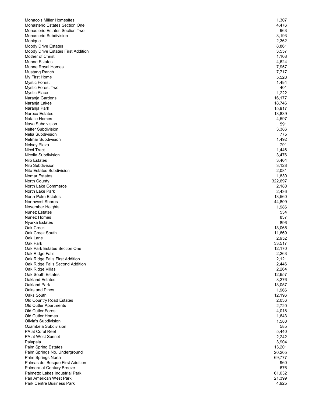| <b>Monaco's Miller Homesites</b>                                 | 1,307            |
|------------------------------------------------------------------|------------------|
| Monasterio Estates Section One                                   | 4,476            |
| <b>Monasterio Estates Section Two</b>                            | 963              |
| Monasterio Subdivision                                           | 3,193            |
| Monique                                                          | 2,362            |
| <b>Moody Drive Estates</b><br>Moody Drive Estates First Addition | 8,861<br>3,557   |
| Mother of Christ                                                 | 1,108            |
| <b>Munne Estates</b>                                             | 4,624            |
| Munne Royal Homes                                                | 7,957            |
| Mustang Ranch                                                    | 7,717            |
| My First Home                                                    | 5,520            |
| <b>Mystic Forest</b>                                             | 1,484            |
| Mystic Forest Two                                                | 401              |
| <b>Mystic Place</b>                                              | 1,222            |
| Naranja Gardens                                                  | 16,177           |
| Naranja Lakes                                                    | 18,746           |
| Naranja Park                                                     | 15,917           |
| Naroca Estates                                                   | 13,839           |
| <b>Natalie Homes</b><br>Nava Subdivision                         | 4,597            |
| <b>Nelfer Subdivision</b>                                        | 591              |
| <b>Nelia Subdivision</b>                                         | 3,386<br>775     |
| Nelmar Subdivision                                               | 1,492            |
| Nelsay Plaza                                                     | 791              |
| Nicoi Tract                                                      | 1,446            |
| Nicolle Subdivision                                              | 3,476            |
| <b>Nilo Estates</b>                                              | 3,464            |
| Nilo Subdivision                                                 | 3,128            |
| Nito Estates Subdivision                                         | 2,081            |
| <b>Nomar Estates</b>                                             | 1,830            |
| North County                                                     | 322,697          |
| North Lake Commerce                                              | 2,180            |
| North Lake Park                                                  | 2,436            |
| North Palm Estates                                               | 13,560           |
| Northwest Shores<br>November Heights                             | 44,809<br>1,986  |
| <b>Nunez Estates</b>                                             | 534              |
| <b>Nunez Homes</b>                                               | 837              |
| Nyurka Estates                                                   | 896              |
| Oak Creek                                                        | 13,065           |
| Oak Creek South                                                  | 11,669           |
| Oak Lane                                                         | 2,952            |
| Oak Park                                                         | 33,517           |
| Oak Park Estates Section One                                     | 12,170           |
| Oak Ridge Falls                                                  | 2,263            |
| Oak Ridge Falls First Addition                                   | 2,121            |
| Oak Ridge Falls Second Addition                                  | 2,446            |
| Oak Ridge Villas                                                 | 2,264            |
| Oak South Estates<br>Oakland Estates                             | 12,657           |
| Oakland Park                                                     | 8,276<br>13,057  |
| Oaks and Pines                                                   | 1,966            |
| Oaks South                                                       | 12,196           |
| Old Country Road Estates                                         | 2,036            |
| Old Cutler Apartments                                            | 2,720            |
| Old Cutler Forest                                                | 4,018            |
| Old Cutler Homes                                                 | 1,643            |
| Olivia's Subdivision                                             | 1,580            |
| Ozambela Subdivision                                             | 585              |
| PA at Coral Reef                                                 | 5,440            |
| PA at West Sunset                                                | 2,242            |
| Palapala                                                         | 3,904            |
| Palm Spring Estates                                              | 13,201           |
| Palm Springs No. Underground<br>Palm Springs North               | 20,205<br>69,777 |
| Palmas del Bosque First Addition                                 | 960              |
| Palmera at Century Breeze                                        | 676              |
| Palmetto Lakes Industrial Park                                   | 61,032           |
| Pan American West Park                                           | 21,399           |
| Park Centre Business Park                                        | 4,925            |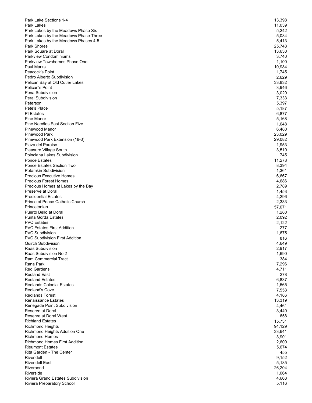| Park Lake Sections 1-4                                        | 13,398 |
|---------------------------------------------------------------|--------|
| Park Lakes                                                    | 11,039 |
| Park Lakes by the Meadows Phase Six                           | 5,242  |
| Park Lakes by the Meadows Phase Three                         | 5,084  |
| Park Lakes by the Meadows Phases 4-5                          | 5,413  |
| Park Shores                                                   | 25,748 |
| Park Square at Doral                                          | 13,630 |
| <b>Parkview Condominiums</b>                                  | 3,740  |
| Parkview Townhomes Phase One                                  | 1,100  |
| <b>Paul Marks</b>                                             | 10,984 |
| Peacock's Point                                               | 1,745  |
| Pedro Alberto Subdivision                                     | 2,629  |
| Pelican Bay at Old Cutler Lakes                               | 33,832 |
| Pelican's Point                                               | 3,946  |
| Pena Subdivision                                              | 3,020  |
| Peral Subdivision                                             | 7,333  |
| Peterson                                                      | 5,397  |
| Pete's Place                                                  | 5,187  |
| <b>PI</b> Estates                                             | 6,877  |
| Pine Manor                                                    | 5,168  |
| <b>Pine Needles East Section Five</b>                         | 1,648  |
| Pinewood Manor                                                | 6,480  |
| <b>Pinewood Park</b>                                          | 23,029 |
| Pinewood Park Extension (18-3)                                | 29,082 |
| Plaza del Paraiso                                             | 1,953  |
| Pleasure Village South                                        | 3,510  |
| Poinciana Lakes Subdivision                                   | 745    |
| <b>Ponce Estates</b>                                          | 11,278 |
| Ponce Estates Section Two                                     | 8,394  |
| Potamkin Subdivision                                          | 1,361  |
| <b>Precious Executive Homes</b>                               | 6,667  |
| <b>Precious Forest Homes</b>                                  | 4,686  |
| Precious Homes at Lakes by the Bay                            | 2,789  |
| Preserve at Doral                                             | 1,453  |
| <b>Presidential Estates</b>                                   | 4,296  |
| Prince of Peace Catholic Church                               | 2,333  |
| Princetonian                                                  | 57,071 |
| Puerto Bello at Doral                                         | 1,280  |
| <b>Punta Gorda Estates</b>                                    | 2,092  |
| <b>PVC Estates</b>                                            | 2,122  |
| <b>PVC Estates First Addition</b>                             | 277    |
| <b>PVC Subdivision</b>                                        | 1,675  |
| <b>PVC Subdivision First Addition</b>                         | 816    |
| <b>Quirch Subdivision</b>                                     | 4,649  |
| Raas Subdivision                                              | 2,917  |
| Raas Subdivision No 2                                         | 1,690  |
| <b>Ram Commercial Tract</b>                                   | 384    |
| Rana Park                                                     | 7,296  |
| <b>Red Gardens</b>                                            | 4,711  |
| <b>Redland East</b>                                           | 278    |
| <b>Redland Estates</b>                                        | 6,837  |
| <b>Redlands Colonial Estates</b>                              | 1,565  |
| <b>Redland's Cove</b>                                         | 7,553  |
| <b>Redlands Forest</b>                                        | 4,186  |
| <b>Renaissance Estates</b>                                    | 13,319 |
| Renegade Point Subdivision                                    | 4,461  |
| Reserve at Doral                                              | 3,440  |
| Reserve at Doral West                                         | 658    |
| <b>Richland Estates</b>                                       | 15,731 |
| <b>Richmond Heights</b>                                       | 94,129 |
|                                                               |        |
| Richmond Heights Addition One                                 | 33,641 |
| <b>Richmond Homes</b><br><b>Richmond Homes First Addition</b> | 3,901  |
|                                                               | 2,600  |
| <b>Rieumont Estates</b>                                       | 5,674  |
| Rita Garden - The Center                                      | 455    |
| Rivendell                                                     | 9,152  |
| <b>Rivendell East</b>                                         | 5,185  |
| Riverbend                                                     | 26,204 |
| <b>Riverside</b>                                              | 1,064  |
| <b>Riviera Grand Estates Subdivision</b>                      | 4,668  |
| Riviera Preparatory School                                    | 5,116  |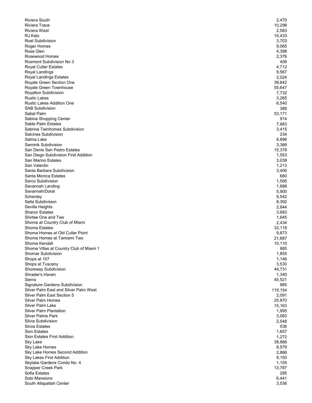| Riviera South                                                 | 2,470          |
|---------------------------------------------------------------|----------------|
| <b>Riviera Trace</b>                                          | 10,298         |
| <b>Riviera West</b>                                           | 2,583          |
| RJ Katz                                                       | 10,433         |
| <b>Roel Subdivision</b><br>Roger Homes                        | 3,703<br>9,065 |
| Rose Glen                                                     | 4,398          |
| Rosewood Homes                                                | 2,376          |
| <b>Rosmont Subdivision No 3</b>                               | 406            |
| <b>Royal Cutler Estates</b>                                   | 4,712          |
| Royal Landings                                                | 9,567          |
| Royal Landings Estates                                        | 2,024          |
| Royale Green Section One                                      | 39,842         |
| Royale Green Townhouse                                        | 55,647         |
| Royalton Subdivision                                          | 7,732          |
| <b>Rustic Lakes</b>                                           | 3,265          |
| <b>Rustic Lakes Addition One</b><br><b>SAB Subdivision</b>    | 6,540          |
| Sabal Palm                                                    | 388<br>53,171  |
| Sabina Shopping Center                                        | 914            |
| Sable Palm Estates                                            | 7,883          |
| Sabrina Twinhomes Subdivision                                 | 3,415          |
| <b>Salcines Subdivision</b>                                   | 234            |
| Salma Lake                                                    | 8,896          |
| Saminik Subdivision                                           | 3,366          |
| San Denis San Pedro Estates                                   | 15,378         |
| San Diego Subdivision First Addition                          | 1,553          |
| San Marino Estates                                            | 3,038          |
| San Valentin                                                  | 1,213          |
| Santa Barbara Subdivision                                     | 3,406          |
| Santa Monica Estates<br>Sarco Subdivision                     | 680<br>1,595   |
| Savannah Landing                                              | 1,688          |
| Savannah/Doral                                                | 5,900          |
| Schenley                                                      | 9,542          |
| Sella Subdivision                                             | 8,392          |
| Sevilla Heights                                               | 2,844          |
| <b>Sharon Estates</b>                                         | 3,683          |
| Shirtee One and Two                                           | 1,645          |
| Shoma at Country Club of Miami                                | 2,434          |
| Shoma Estates                                                 | 32,118         |
| Shoma Homes at Old Cutler Point                               | 9,873          |
| Shoma Homes at Tamiami Two                                    | 21,687         |
| Shoma Kendall                                                 | 10,110         |
| Shoma Villas at Country Club of Miami 1<br>Shomar Subdivision | 885<br>1,855   |
| Shops at 107                                                  | 1,146          |
| Shops at Tuscany                                              | 3,530          |
| Shoreway Subdivision                                          | 44,731         |
| Shrader's Haven                                               | 1,340          |
| Sierra                                                        | 45,521         |
| Signature Gardens Subdivision                                 | 885            |
| Silver Palm East and Silver Palm West                         | 119,154        |
| Silver Palm East Section 5                                    | 2,091          |
| <b>Silver Palm Homes</b>                                      | 25,870         |
| Silver Palm Lake                                              | 15,163         |
| <b>Silver Palm Plantation</b>                                 | 1,995          |
| <b>Silver Palms Park</b><br>Silvia Subdivision                | 3,083          |
| <b>Sinos Estates</b>                                          | 2,548<br>536   |
| <b>Sion Estates</b>                                           | 1,657          |
| Sion Estates First Addition                                   | 1,272          |
| Sky Lake                                                      | 38,866         |
| Sky Lake Homes                                                | 8,579          |
| Sky Lake Homes Second Addition                                | 2,866          |
| <b>Sky Lakes First Addition</b>                               | 9,150          |
| Skylake Gardens Condo No. 4                                   | 1,155          |
| Snapper Creek Park                                            | 13,787         |
| Sofia Estates                                                 | 295            |
| Soto Mansions                                                 | 6,441          |
| South Allapattah Center                                       | 3,536          |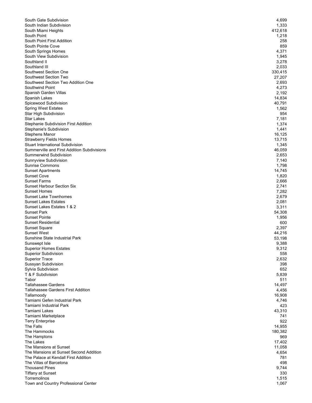| South Gate Subdivision                                      | 4,699          |
|-------------------------------------------------------------|----------------|
| South Indian Subdivision                                    | 1,333          |
| South Miami Heights                                         | 412,618        |
| South Point                                                 | 1,218          |
| South Point First Addition                                  | 258            |
| South Pointe Cove                                           | 859            |
| South Springs Homes<br>South View Subdivision               | 4,371          |
| Southland II                                                | 1,945<br>3,278 |
| Southland III                                               | 2,033          |
| Southwest Section One                                       | 330,415        |
| Southwest Section Two                                       | 27,207         |
| Southwest Section Two Addition One                          | 2,693          |
| Southwind Point                                             | 4,273          |
| Spanish Garden Villas                                       | 2,192          |
| Spanish Lakes                                               | 14,834         |
| Spicewood Subdivision                                       | 40,791         |
| <b>Spring West Estates</b>                                  | 1,562          |
| Star High Subdivision                                       | 954            |
| <b>Star Lakes</b>                                           | 7,181          |
| Stephanie Subdivision First Addition                        | 1,374          |
| Stephanie's Subdivision                                     | 1,441          |
| Stephens Manor                                              | 16,125         |
| <b>Strawberry Fields Homes</b>                              | 13,715         |
| <b>Stuart International Subdivision</b>                     | 1,345          |
| Summerville and First Addition Subdivisions                 | 46,059         |
| Summerwind Subdivision                                      | 2,653          |
| Sunnyview Subdivision                                       | 7,140          |
| <b>Sunrise Commons</b>                                      | 1,798          |
| <b>Sunset Apartments</b>                                    | 14,745         |
| <b>Sunset Cove</b>                                          | 1,820          |
| <b>Sunset Farms</b>                                         | 2,666          |
| <b>Sunset Harbour Section Six</b>                           | 2,741          |
| <b>Sunset Homes</b>                                         | 7,282          |
| <b>Sunset Lake Townhomes</b><br><b>Sunset Lakes Estates</b> | 2,679          |
| Sunset Lakes Estates 1 & 2                                  | 2,081<br>3,311 |
| <b>Sunset Park</b>                                          | 54,308         |
| <b>Sunset Pointe</b>                                        | 1,956          |
| <b>Sunset Residential</b>                                   | 600            |
| <b>Sunset Square</b>                                        | 2,397          |
| <b>Sunset West</b>                                          | 44,216         |
| Sunshine State Industrial Park                              | 53,198         |
| Sunswept Isle                                               | 9,388          |
| <b>Superior Homes Estates</b>                               | 9,312          |
| <b>Superior Subdivision</b>                                 | 558            |
| <b>Superior Trace</b>                                       | 2,632          |
| Sussyan Subdivision                                         | 398            |
| Sylvia Subdivision                                          | 652            |
| T & F Subdivision                                           | 5,839          |
| Tabor                                                       | 511            |
| <b>Tallahassee Gardens</b>                                  | 14,497         |
| <b>Tallahassee Gardens First Addition</b>                   | 4,456          |
| Tallamoody                                                  | 16,908         |
| Tamiami Gefen Industrial Park                               | 4,746          |
| Tamiami Industrial Park                                     | 423            |
| Tamiami Lakes                                               | 43,310         |
| Tamiami Marketplace                                         | 741            |
| <b>Terry Enterprise</b>                                     | 922            |
| The Falls                                                   | 14,955         |
| The Hammocks                                                | 180,382        |
| The Hamptons                                                | 969            |
| The Lakes<br>The Mansions at Sunset                         | 17,402         |
| The Mansions at Sunset Second Addition                      | 11,058         |
| The Palace at Kendall First Addition                        | 4,654          |
| The Villas of Barcelona                                     | 781<br>498     |
| <b>Thousand Pines</b>                                       | 9,744          |
| <b>Tiffany at Sunset</b>                                    | 330            |
| Torremolinos                                                | 1,515          |
| Town and Country Professional Center                        | 1,067          |
|                                                             |                |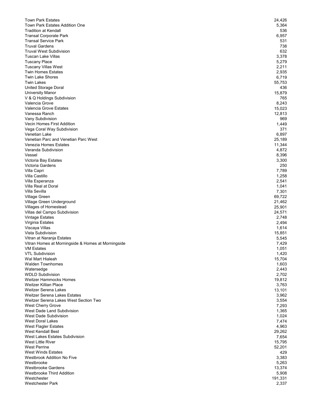| <b>Town Park Estates</b>                           | 24,426           |
|----------------------------------------------------|------------------|
| <b>Town Park Estates Addition One</b>              | 5,364            |
| <b>Tradition at Kendall</b>                        | 536              |
| <b>Transal Corporate Park</b>                      | 6,957            |
| <b>Transal Service Park</b>                        | 531              |
| <b>Truval Gardens</b>                              | 738              |
| <b>Truval West Subdivision</b>                     | 632              |
| Tuscan Lake Villas                                 | 3,378            |
| <b>Tuscany Place</b>                               | 5,279            |
| <b>Tuscany Villas West</b>                         | 2,211            |
| <b>Twin Homes Estates</b>                          | 2,935            |
| <b>Twin Lake Shores</b>                            | 6,719            |
| <b>Twin Lakes</b>                                  | 55,753           |
| United Storage Doral                               | 436              |
| <b>University Manor</b>                            | 15,879           |
| V & Q Holdings Subdivision<br>Valencia Grove       | 765<br>8,243     |
| Valencia Grove Estates                             |                  |
| Vanessa Ranch                                      | 15,023<br>12,813 |
| Vany Subdivision                                   | 969              |
| Vecin Homes First Addition                         | 1,449            |
| Vega Coral Way Subdivision                         | 371              |
| Venetian Lake                                      | 6,897            |
| Venetian Parc and Venetian Parc West               | 25,189           |
| Venezia Homes Estates                              | 11,344           |
| Veranda Subdivision                                | 4,872            |
| Vessel                                             | 8,396            |
| Victoria Bay Estates                               | 3,300            |
| <b>Victoria Gardens</b>                            | 250              |
| Villa Capri                                        | 7,789            |
| Villa Castillo                                     | 1,258            |
| Villa Esperanza                                    | 2,541            |
| Villa Real at Doral                                | 1,041            |
| Villa Sevilla                                      | 7,301            |
| Village Green                                      | 69,722           |
| Village Green Underground                          | 21,462           |
| Villages of Homestead                              | 25,901           |
| Villas del Campo Subdivision                       | 24,571           |
| <b>Vintage Estates</b>                             | 2,748            |
| Virginia Estates                                   | 2,494            |
| Viscaya Villas                                     | 1,614            |
| Vista Subdivision                                  | 15,851           |
| Vitran at Naranja Estates                          | 5,545            |
| Vitran Homes at Morningside & Homes at Morningside | 7,429            |
| <b>VM Estates</b>                                  | 1,051            |
| <b>VTL Subdivision</b>                             | 1,420            |
| Wal Mart Hialeah                                   | 15,704           |
| <b>Walden Townhomes</b>                            | 1,603            |
| Watersedge                                         | 2,443            |
| <b>WDLD Subdivision</b>                            | 2,702            |
| <b>Weitzer Hammocks Homes</b>                      | 19,812           |
| <b>Weitzer Killian Place</b>                       | 3,763            |
| <b>Weitzer Serena Lakes</b>                        | 13,101           |
| <b>Weitzer Serena Lakes Estates</b>                | 3,962            |
| Weitzer Serena Lakes West Section Two              | 3,554            |
| West Cherry Grove                                  | 7,293            |
| West Dade Land Subdivision                         | 1,365            |
| <b>West Dade Subdivision</b>                       | 1,024            |
| <b>West Doral Lakes</b>                            | 7,474            |
| West Flagler Estates                               | 4,963            |
| West Kendall Best                                  | 29,262           |
| West Lakes Estates Subdivision                     | 7,654            |
| West Little River                                  | 15,795           |
| <b>West Perrine</b>                                | 52,201           |
| <b>West Winds Estates</b>                          | 429              |
| <b>Westbrook Addition No Five</b>                  | 3,383            |
| Westbrooke                                         | 5,263            |
| <b>Westbrooke Gardens</b>                          | 13,374           |
| <b>Westbrooke Third Addition</b>                   | 5,908            |
| Westchester                                        | 191,331          |
| Westchester Park                                   | 2,337            |
|                                                    |                  |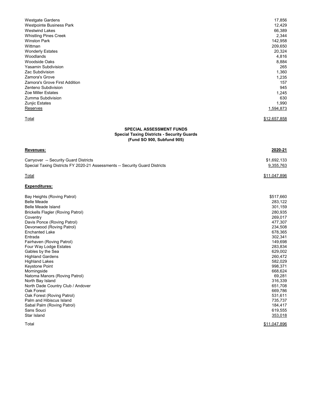| <b>Westgate Gardens</b><br><b>Westpointe Business Park</b><br><b>Westwind Lakes</b><br><b>Whistling Pines Creek</b><br><b>Winston Park</b><br>Wittman<br><b>Wonderly Estates</b><br>Woodlands<br><b>Woodside Oaks</b><br><b>Yasamin Subdivision</b><br>Zac Subdivision<br>Zamora's Grove<br>Zamora's Grove First Addition<br>Zenteno Subdivision<br>Zoe Miller Estates<br>Zumma Subdivision<br>Zunjic Estates<br>Reserves                                                                                                                                                                                                            | 17,856<br>12,429<br>66,389<br>2,344<br>142,958<br>209,650<br>20,324<br>4,816<br>8,884<br>265<br>1,360<br>1,235<br>157<br>945<br>1,245<br>630<br>1,990<br>1,594,873                                                                                                               |
|--------------------------------------------------------------------------------------------------------------------------------------------------------------------------------------------------------------------------------------------------------------------------------------------------------------------------------------------------------------------------------------------------------------------------------------------------------------------------------------------------------------------------------------------------------------------------------------------------------------------------------------|----------------------------------------------------------------------------------------------------------------------------------------------------------------------------------------------------------------------------------------------------------------------------------|
| Total                                                                                                                                                                                                                                                                                                                                                                                                                                                                                                                                                                                                                                | <u>\$12,657,858</u>                                                                                                                                                                                                                                                              |
| <b>SPECIAL ASSESSMENT FUNDS</b><br><b>Special Taxing Districts - Security Guards</b><br>(Fund SO 900, Subfund 905)                                                                                                                                                                                                                                                                                                                                                                                                                                                                                                                   |                                                                                                                                                                                                                                                                                  |
| <u>Revenues:</u>                                                                                                                                                                                                                                                                                                                                                                                                                                                                                                                                                                                                                     | 2020-21                                                                                                                                                                                                                                                                          |
| Carryover -- Security Guard Districts<br>Special Taxing Districts FY 2020-21 Assessments -- Security Guard Districts                                                                                                                                                                                                                                                                                                                                                                                                                                                                                                                 | \$1,692,133<br>9,355,763                                                                                                                                                                                                                                                         |
| <b>Total</b>                                                                                                                                                                                                                                                                                                                                                                                                                                                                                                                                                                                                                         | <u>\$11,047,896</u>                                                                                                                                                                                                                                                              |
| <b>Expenditures:</b>                                                                                                                                                                                                                                                                                                                                                                                                                                                                                                                                                                                                                 |                                                                                                                                                                                                                                                                                  |
| Bay Heights (Roving Patrol)<br><b>Belle Meade</b><br><b>Belle Meade Island</b><br><b>Brickells Flagler (Roving Patrol)</b><br>Coventry<br>Davis Ponce (Roving Patrol)<br>Devonwood (Roving Patrol)<br><b>Enchanted Lake</b><br>Entrada<br>Fairhaven (Roving Patrol)<br>Four Way Lodge Estates<br>Gables by the Sea<br><b>Highland Gardens</b><br><b>Highland Lakes</b><br>Keystone Point<br>Morningside<br>Natoma Manors (Roving Patrol)<br>North Bay Island<br>North Dade Country Club / Andover<br>Oak Forest<br>Oak Forest (Roving Patrol)<br>Palm and Hibiscus Island<br>Sabal Palm (Roving Patrol)<br>Sans Souci<br>Star Island | \$517,660<br>283,122<br>301,159<br>280,935<br>269,017<br>477,307<br>234,508<br>678,365<br>302,341<br>149,698<br>283,834<br>629,002<br>260,472<br>582,029<br>998,371<br>668,624<br>69,281<br>316,339<br>651,708<br>669,786<br>531,611<br>735,737<br>184,417<br>619,555<br>353,018 |
| Total                                                                                                                                                                                                                                                                                                                                                                                                                                                                                                                                                                                                                                | \$11,047,896                                                                                                                                                                                                                                                                     |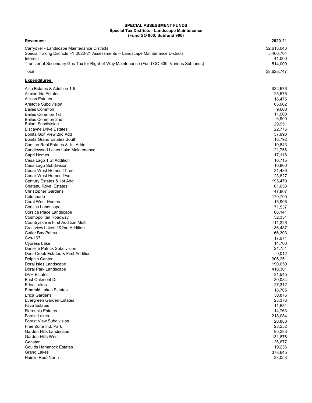## **SPECIAL ASSESSMENT FUNDS Special Tax Districts - Landscape Maintenance (Fund SO 900, Subfund 906)**

## **Revenues: 2020-21**

| Carryover - Landscape Maintenance Districts                                                | \$2.613.043 |
|--------------------------------------------------------------------------------------------|-------------|
| Special Taxing Districts FY 2020-21 Assessments -- Landscape Maintenance Districts         | 5.460.704   |
| Interest                                                                                   | 41.000      |
| Transfer of Secondary Gas Tax for Right-of-Way Maintenance (Fund CO 330, Various Subfunds) | 514,000     |
| Total                                                                                      | \$8,628,747 |

## **Expenditures:**

| Alco Estates & Addition 1-5         | \$32,676 |
|-------------------------------------|----------|
| Alexandria Estates                  | 25,575   |
| <b>Allison Estates</b>              | 18,475   |
| Aristotle Subdivision               | 65,962   |
| <b>Bailes Common</b>                | 9,600    |
| <b>Bailes Common 1st</b>            | 11,900   |
| <b>Bailes Common 2nd</b>            | 6,900    |
| <b>Balani Subdivision</b>           | 29,951   |
| <b>Biscayne Drive Estates</b>       | 22,776   |
| Bonita Golf View 2nd Add            | 37,990   |
| <b>Bonita Grand Estates South</b>   | 18,792   |
| Camino Real Estates & 1st Addn      | 10,843   |
| Candlewood Lakes Lake Maintenance   | 21,758   |
| Capri Homes                         | 17,118   |
| Casa Lago 1 St Addition             | 16,715   |
| Casa Lago Subdivision               | 10,800   |
| Cedar West Homes Three              | 31,486   |
| Cedar West Homes Two                | 23,827   |
| Century Estates & 1st Add           | 195,479  |
| Chateau Royal Estates               | 61,053   |
| <b>Christopher Gardens</b>          | 47,607   |
| Colonnade                           | 170,705  |
| <b>Coral West Homes</b>             | 15,905   |
| Corsica Landscape                   | 71,537   |
| Corsica Place Landscape             | 66,141   |
| Cosmopolitan Roadway                | 32,351   |
| Countryside & First Addition Multi  | 111,226  |
| Crestview Lakes 1&2nd Addition      | 36,437   |
| <b>Cutler Bay Palms</b>             | 66,303   |
| <b>Cvs-167</b>                      | 17,971   |
| Cypress Lake                        | 14,700   |
| Danielle Patrick Subdivision        | 21,751   |
| Deer Creek Estates & First Addition | 9,012    |
| Dolphin Center                      | 906,251  |
| Doral Isles Landscape               | 190,050  |
| Doral Park Landscape                | 410,301  |
| <b>DVH Estates</b>                  | 31,545   |
| East Oakmont Dr                     | 30,084   |
| Eden Lakes                          | 27,312   |
| <b>Emerald Lakes Estates</b>        | 18,705   |
| Erica Gardens                       | 30,876   |
| Evergreen Garden Estates            | 23,376   |
| Fava Estates                        | 11,531   |
| <b>Florencia Estates</b>            | 14,763   |
| <b>Forest Lakes</b>                 | 218,084  |
| <b>Forest View Subdivision</b>      | 20,888   |
| Free Zone Ind. Park                 | 28,252   |
| Garden Hills Landscape              | 95,233   |
| Garden Hills West                   | 131,876  |
| Genstar                             | 26,677   |
| <b>Goulds Hammock Estates</b>       | 19,236   |
| <b>Grand Lakes</b>                  | 378,645  |
| Hainlin Reef North                  | 23,053   |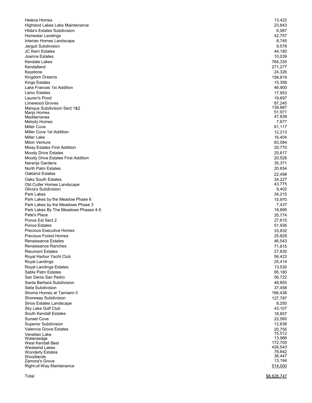| Helena Homes                                 | 13,422            |
|----------------------------------------------|-------------------|
| <b>Highland Lakes Lake Maintenance</b>       | 23,843            |
| Hilda's Estates Subdivision                  | 6,087             |
| Homestar Landings                            | 42,757            |
| Interian Homes Landscape                     | 8,745             |
| Jarguti Subdivision                          | 9,578             |
| JC Kern Estates                              | 44,180            |
| Joanna Estates                               | 10,039            |
| Kendale Lakes                                | 764,335           |
| Kendalland                                   | 271,277           |
| Keystone                                     | 24,326            |
| Kingdom Dreams                               | 158,819           |
| <b>Kings Estates</b>                         | 15,358            |
| Lake Frances 1st Addition                    | 46,900            |
| Laroc Estates<br>Lauren's Pond               | 17,953            |
| Limewood Groves                              | 19,697            |
| <b>Mangus Subdivision Sect 1&amp;2</b>       | 87,245<br>139,887 |
| Marpi Homes                                  | 51,971            |
| Mediterranea                                 | 47,839            |
| <b>Melody Homes</b>                          | 7,677             |
| Miller Cove                                  | 61,117            |
| Miller Cove 1st Addition                     | 12,213            |
| Miller Lake                                  | 16,404            |
| <b>Milon Venture</b>                         | 83,084            |
| <b>Missy Estates First Addition</b>          | 20,770            |
| Moody Drive Estates                          | 25,617            |
| Moody Drive Estates First Addition           | 20,528            |
| Naranja Gardens                              | 35,371            |
| North Palm Estates                           | 20,654            |
| <b>Oakland Estates</b>                       | 22,498            |
| <b>Oaks South Estates</b>                    | 34,227            |
| Old Cutler Homes Landscape                   | 43,775            |
| Olivia's Subdivision                         | 9,402             |
| Park Lakes                                   | 34,215            |
| Park Lakes by the Meadow Phase 6             | 15,970            |
| Park Lakes by the Meadows Phase 3            | 7,437             |
| Park Lakes By The Meadows Phases 4-5         | 18,895            |
| Pete's Place                                 | 35,774            |
| Ponce Est Sect 2                             | 27,615            |
| <b>Ponce Estates</b>                         | 51,936            |
| <b>Precious Executive Homes</b>              | 33,832            |
| <b>Precious Forest Homes</b>                 | 25,829            |
| Renaissance Estates                          | 46,543            |
| Renaissance Ranches                          | 71,815            |
| <b>Rieumont Estates</b>                      | 27,830            |
| Royal Harbor Yacht Club                      | 56,423            |
| Royal Landings                               | 25,414            |
| Royal Landings Estates<br>Sable Palm Estates | 13,530            |
| San Denis San Pedro                          | 95,180            |
| Santa Barbara Subdivision                    | 56,722            |
| Sella Subdivision                            | 48,855<br>37,458  |
| Shoma Homes at Tamiami II                    | 166,436           |
| Shoreway Subdivision                         | 127,787           |
| Sinos Estates Landscape                      | 8,250             |
| Sky Lake Golf Club                           | 43,107            |
| South Kendall Estates                        | 18,857            |
| <b>Sunset Cove</b>                           | 22,560            |
| <b>Superior Subdivision</b>                  | 12,838            |
| Valencia Grove Estates                       | 20,755            |
| Venetian Lake                                | 15,512            |
| Watersedge                                   | 13,986            |
| West Kendall Best                            | 172,705           |
| <b>Westwind Lakes</b>                        | 426,543           |
| <b>Wonderly Estates</b>                      | 78,842            |
| Woodlands                                    | 36,447<br>13,194  |
| Zamora's Grove<br>Right-of-Way Maintenance   | 514,000           |
|                                              |                   |
| Total                                        | \$8,628,747       |
|                                              |                   |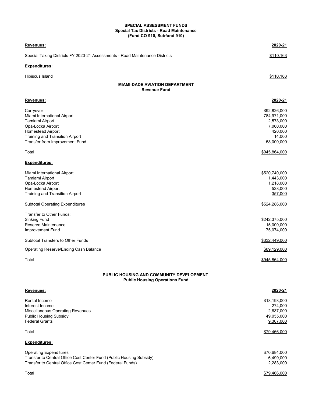## **SPECIAL ASSESSMENT FUNDS Special Tax Districts - Road Maintenance (Fund CO 910, Subfund 910)**

| Revenues:                                                                         | 2020-21              |
|-----------------------------------------------------------------------------------|----------------------|
| Special Taxing Districts FY 2020-21 Assessments - Road Maintenance Districts      | \$110,163            |
| <b>Expenditures:</b>                                                              |                      |
| Hibiscus Island                                                                   | \$110,163            |
| <b>MIAMI-DADE AVIATION DEPARTMENT</b><br><b>Revenue Fund</b>                      |                      |
| Revenues:                                                                         | 2020-21              |
| Carryover                                                                         | \$92,826,000         |
| Miami International Airport                                                       | 784,971,000          |
| Tamiami Airport                                                                   | 2,573,000            |
| Opa-Locka Airport<br><b>Homestead Airport</b>                                     | 7,060,000<br>420,000 |
| <b>Training and Transition Airport</b>                                            | 14,000               |
| Transfer from Improvement Fund                                                    | 58,000,000           |
| Total                                                                             | \$945,864,000        |
| Expenditures:                                                                     |                      |
| Miami International Airport                                                       | \$520,740,000        |
| Tamiami Airport                                                                   | 1,443,000            |
| Opa-Locka Airport                                                                 | 1,218,000            |
| <b>Homestead Airport</b>                                                          | 528,000              |
| Training and Transition Airport                                                   | 357,000              |
| <b>Subtotal Operating Expenditures</b>                                            | \$524,286,000        |
| Transfer to Other Funds:                                                          |                      |
| Sinking Fund                                                                      | \$242,375,000        |
| Reserve Maintenance                                                               | 15,000,000           |
| Improvement Fund                                                                  | 75,074,000           |
| Subtotal Transfers to Other Funds                                                 | \$332,449,000        |
| Operating Reserve/Ending Cash Balance                                             | \$89,129,000         |
| Total                                                                             | \$945,864,000        |
| PUBLIC HOUSING AND COMMUNITY DEVELOPMENT<br><b>Public Housing Operations Fund</b> |                      |
| Revenues:                                                                         | 2020-21              |
| Rental Income                                                                     | \$18,193,000         |
| Interest Income                                                                   | 274,000              |
| Miscellaneous Operating Revenues                                                  | 2,637,000            |
| <b>Public Housing Subsidy</b>                                                     | 49,055,000           |
| <b>Federal Grants</b>                                                             | 9,307,000            |
| Total                                                                             | \$79,466,000         |
| Expenditures:                                                                     |                      |
| <b>Operating Expenditures</b>                                                     | \$70,684,000         |
| Transfer to Central Office Cost Center Fund (Public Housing Subsidy)              | 6,499,000            |
| Transfer to Central Office Cost Center Fund (Federal Funds)                       | 2,283,000            |
| Total                                                                             | \$79,466,000         |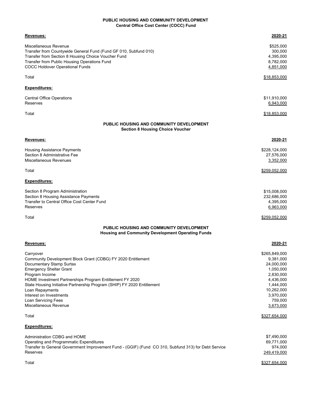## **Central Office Cost Center (COCC) Fund PUBLIC HOUSING AND COMMUNITY DEVELOPMENT**

| <u>Revenues:</u>                                                                                                                                                                                                                                                                                                                                                                               | 2020-21                                                                                                                                         |
|------------------------------------------------------------------------------------------------------------------------------------------------------------------------------------------------------------------------------------------------------------------------------------------------------------------------------------------------------------------------------------------------|-------------------------------------------------------------------------------------------------------------------------------------------------|
| Miscellaneous Revenue<br>Transfer from Countywide General Fund (Fund GF 010, Subfund 010)<br>Transfer from Section 8 Housing Choice Voucher Fund<br>Transfer from Public Housing Operations Fund<br><b>COCC Holdover Operational Funds</b>                                                                                                                                                     | \$525,000<br>300,000<br>4,395,000<br>8,782,000<br>4,851,000                                                                                     |
| Total                                                                                                                                                                                                                                                                                                                                                                                          | \$18,853,000                                                                                                                                    |
| <u> Expenditures:</u>                                                                                                                                                                                                                                                                                                                                                                          |                                                                                                                                                 |
| Central Office Operations<br>Reserves                                                                                                                                                                                                                                                                                                                                                          | \$11,910,000<br>6,943,000                                                                                                                       |
| Total                                                                                                                                                                                                                                                                                                                                                                                          | <u>\$18,853,000</u>                                                                                                                             |
| <b>PUBLIC HOUSING AND COMMUNITY DEVELOPMENT</b><br><b>Section 8 Housing Choice Voucher</b>                                                                                                                                                                                                                                                                                                     |                                                                                                                                                 |
| Revenues:                                                                                                                                                                                                                                                                                                                                                                                      | 2020-21                                                                                                                                         |
| Housing Assistance Payments<br>Section 8 Administrative Fee<br>Miscellaneous Revenues                                                                                                                                                                                                                                                                                                          | \$228,124,000<br>27,576,000<br>3,352,000                                                                                                        |
| Total                                                                                                                                                                                                                                                                                                                                                                                          | \$259,052,000                                                                                                                                   |
| Expenditures:                                                                                                                                                                                                                                                                                                                                                                                  |                                                                                                                                                 |
| Section 8 Program Administration<br>Section 8 Housing Assistance Payments<br>Transfer to Central Office Cost Center Fund<br>Reserves                                                                                                                                                                                                                                                           | \$15,008,000<br>232,686,000<br>4,395,000<br>6,963,000                                                                                           |
| Total                                                                                                                                                                                                                                                                                                                                                                                          | <u>\$259,052,000</u>                                                                                                                            |
| PUBLIC HOUSING AND COMMUNITY DEVELOPMENT<br><b>Housing and Community Development Operating Funds</b>                                                                                                                                                                                                                                                                                           |                                                                                                                                                 |
|                                                                                                                                                                                                                                                                                                                                                                                                | 2020-21                                                                                                                                         |
| <u>Revenues:</u>                                                                                                                                                                                                                                                                                                                                                                               |                                                                                                                                                 |
| Carryover<br>Community Development Block Grant (CDBG) FY 2020 Entitlement<br>Documentary Stamp Surtax<br><b>Emergency Shelter Grant</b><br>Program Income<br>HOME Investment Partnerships Program Entitlement FY 2020<br>State Housing Initiative Partnership Program (SHIP) FY 2020 Entitlement<br>Loan Repayments<br>Interest on Investments<br>Loan Servicing Fees<br>Miscellaneous Revenue | \$265,849,000<br>9,381,000<br>24,000,000<br>1,050,000<br>2,830,000<br>4,436,000<br>1,444,000<br>10,262,000<br>3,970,000<br>759,000<br>3,673,000 |
| Total                                                                                                                                                                                                                                                                                                                                                                                          | \$327,654,000                                                                                                                                   |
| <u>Expenditures:</u>                                                                                                                                                                                                                                                                                                                                                                           |                                                                                                                                                 |
| Administration CDBG and HOME<br>Operating and Programmatic Expenditures<br>Transfer to General Government Improvement Fund - (GGIF) (Fund CO 310, Subfund 313) for Debt Service<br>Reserves                                                                                                                                                                                                    | \$7,490,000<br>69,771,000<br>974,000<br>249,419,000                                                                                             |
| Total                                                                                                                                                                                                                                                                                                                                                                                          | \$327,654,000                                                                                                                                   |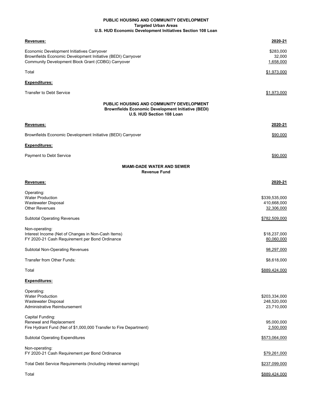## **U.S. HUD Economic Development Initiatives Section 108 Loan PUBLIC HOUSING AND COMMUNITY DEVELOPMENT Targeted Urban Areas**

| Revenues:                                                                                                                                                        | 2020-21                                    |
|------------------------------------------------------------------------------------------------------------------------------------------------------------------|--------------------------------------------|
| Economic Development Initiatives Carryover<br>Brownfields Economic Development Initiative (BEDI) Carryover<br>Community Development Block Grant (CDBG) Carryover | \$283,000<br>32,000<br>1,658,000           |
| Total                                                                                                                                                            | \$1,973,000                                |
| <b>Expenditures:</b>                                                                                                                                             |                                            |
| <b>Transfer to Debt Service</b>                                                                                                                                  | \$1,973,000                                |
| PUBLIC HOUSING AND COMMUNITY DEVELOPMENT<br><b>Brownfields Economic Development Initiative (BEDI)</b><br>U.S. HUD Section 108 Loan                               |                                            |
| Revenues:                                                                                                                                                        | 2020-21                                    |
| Brownfields Economic Development Initiative (BEDI) Carryover                                                                                                     | \$90,000                                   |
| <b>Expenditures:</b>                                                                                                                                             |                                            |
| Payment to Debt Service                                                                                                                                          | \$90,000                                   |
| <b>MIAMI-DADE WATER AND SEWER</b><br><b>Revenue Fund</b>                                                                                                         |                                            |
| Revenues:                                                                                                                                                        | 2020-21                                    |
| Operating:<br><b>Water Production</b><br><b>Wastewater Disposal</b><br><b>Other Revenues</b>                                                                     | \$339,535,000<br>410,668,000<br>32,306,000 |
| <b>Subtotal Operating Revenues</b>                                                                                                                               | \$782,509,000                              |
| Non-operating:<br>Interest Income (Net of Changes in Non-Cash Items)<br>FY 2020-21 Cash Requirement per Bond Ordinance                                           | \$18,237,000<br>80,060,000                 |
| <b>Subtotal Non-Operating Revenues</b>                                                                                                                           | 98,297,000                                 |
| Transfer from Other Funds:                                                                                                                                       | \$8,618,000                                |
| Total                                                                                                                                                            | \$889,424,000                              |
| <b>Expenditures:</b>                                                                                                                                             |                                            |
| Operating:<br><b>Water Production</b><br>Wastewater Disposal<br>Administrative Reimbursement                                                                     | \$203,334,000<br>248,520,000<br>23,710,000 |
| Capital Funding:<br>Renewal and Replacement<br>Fire Hydrant Fund (Net of \$1,000,000 Transfer to Fire Department)                                                | 95,000,000<br>2,500,000                    |
| <b>Subtotal Operating Expenditures</b>                                                                                                                           | \$573,064,000                              |
| Non-operating:<br>FY 2020-21 Cash Requirement per Bond Ordinance                                                                                                 | \$79,261,000                               |
| Total Debt Service Requirements (Including interest earnings)                                                                                                    | \$237,099,000                              |
| Total                                                                                                                                                            | \$889,424,000                              |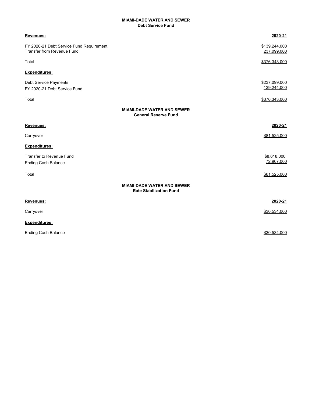## **MIAMI-DADE WATER AND SEWER Debt Service Fund**

| Revenues:                                                                     | 2020-21                                                             |
|-------------------------------------------------------------------------------|---------------------------------------------------------------------|
| FY 2020-21 Debt Service Fund Requirement<br><b>Transfer from Revenue Fund</b> | \$139,244,000<br>237,099,000                                        |
| Total                                                                         | \$376,343,000                                                       |
| Expenditures:                                                                 |                                                                     |
| Debt Service Payments                                                         | \$237,099,000                                                       |
| FY 2020-21 Debt Service Fund                                                  | 139,244,000                                                         |
| Total                                                                         | \$376,343,000                                                       |
|                                                                               | <b>MIAMI-DADE WATER AND SEWER</b><br><b>General Reserve Fund</b>    |
| Revenues:                                                                     | 2020-21                                                             |
| Carryover                                                                     | \$81,525,000                                                        |
| Expenditures:                                                                 |                                                                     |
| <b>Transfer to Revenue Fund</b>                                               | \$8,618,000                                                         |
| <b>Ending Cash Balance</b>                                                    | 72,907,000                                                          |
| Total                                                                         | \$81,525,000                                                        |
|                                                                               | <b>MIAMI-DADE WATER AND SEWER</b><br><b>Rate Stabilization Fund</b> |
| <b>Revenues:</b>                                                              | 2020-21                                                             |
| Carryover                                                                     | \$30.534.000                                                        |
| Expenditures:                                                                 |                                                                     |
| <b>Ending Cash Balance</b>                                                    | \$30,534,000                                                        |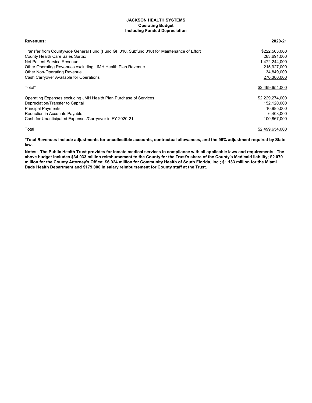## **JACKSON HEALTH SYSTEMS Operating Budget Including Funded Depreciation**

| Revenues:                                                                                  | 2020-21         |
|--------------------------------------------------------------------------------------------|-----------------|
| Transfer from Countywide General Fund (Fund GF 010, Subfund 010) for Maintenance of Effort | \$222,563,000   |
| County Health Care Sales Surtax                                                            | 283,691,000     |
| Net Patient Service Revenue                                                                | 1,472,244,000   |
| Other Operating Revenues excluding JMH Health Plan Revenue                                 | 215,927,000     |
| Other Non-Operating Revenue                                                                | 34,849,000      |
| Cash Carryover Available for Operations                                                    | 270,380,000     |
| Total*                                                                                     | \$2,499,654,000 |
| Operating Expenses excluding JMH Health Plan Purchase of Services                          | \$2,229,274,000 |
| Depreciation/Transfer to Capital                                                           | 152,120,000     |
| <b>Principal Payments</b>                                                                  | 10,985,000      |
| <b>Reduction in Accounts Payable</b>                                                       | 6,408,000       |
| Cash for Unanticipated Expenses/Carryover in FY 2020-21                                    | 100,867,000     |
| Total                                                                                      | \$2,499,654,000 |

**\*Total Revenues include adjustments for uncollectible accounts, contractual allowances, and the 95% adjustment required by State law.**

**Notes: The Public Health Trust provides for inmate medical services in compliance with all applicable laws and requirements. The above budget includes \$34.033 million reimbursement to the County for the Trust's share of the County's Medicaid liability; \$2.070 million for the County Attorney's Office; \$6.924 million for Community Health of South Florida, Inc.; \$1.133 million for the Miami Dade Health Department and \$179,000 in salary reimbursement for County staff at the Trust.**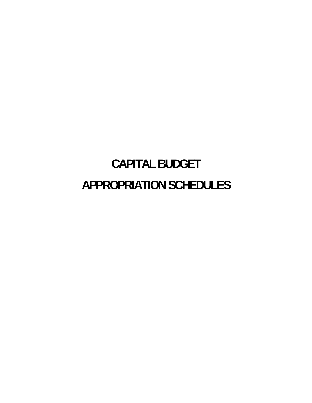# **CAPITAL BUDGET APPROPRIATION SCHEDULES**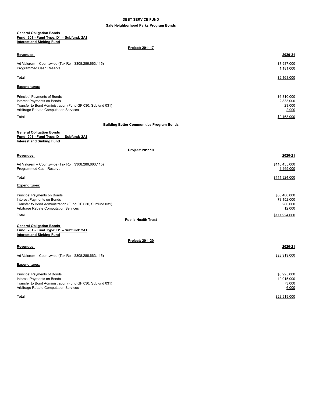## **DEBT SERVICE FUND**

## **Safe Neighborhood Parks Program Bonds**

#### **General Obligation Bonds Fund: 201 - Fund Type: D1 – Subfund: 2A1 Interest and Sinking Fund**

**Project: 201117**

| Revenues:                                                                                                                                                               | 2020-21                                         |
|-------------------------------------------------------------------------------------------------------------------------------------------------------------------------|-------------------------------------------------|
| Ad Valorem - Countywide (Tax Roll: \$308,286,663,115)<br>Programmed Cash Reserve                                                                                        | \$7,987,000<br>1,181,000                        |
| Total                                                                                                                                                                   | \$9,168,000                                     |
| <b>Expenditures:</b>                                                                                                                                                    |                                                 |
| <b>Principal Payments of Bonds</b><br>Interest Payments on Bonds<br>Transfer to Bond Administration (Fund GF 030, Subfund 031)<br>Arbitrage Rebate Computation Services | \$6,310,000<br>2,833,000<br>23,000<br>2,000     |
| Total                                                                                                                                                                   | \$9.168.000                                     |
| <b>Building Better Communities Program Bonds</b>                                                                                                                        |                                                 |
| <b>General Obligation Bonds</b><br>Fund: 201 - Fund Type: D1 - Subfund: 2A1<br><b>Interest and Sinking Fund</b>                                                         |                                                 |
| Project: 201119                                                                                                                                                         |                                                 |
| Revenues:                                                                                                                                                               | 2020-21                                         |
| Ad Valorem - Countywide (Tax Roll: \$308,286,663,115)<br>Programmed Cash Reserve                                                                                        | \$110,455,000<br>1,469,000                      |
| Total                                                                                                                                                                   | \$111,924,000                                   |
| Expenditures:                                                                                                                                                           |                                                 |
| Principal Payments on Bonds<br>Interest Payments on Bonds<br>Transfer to Bond Administration (Fund GF 030, Subfund 031)<br>Arbitrage Rebate Computation Services        | \$38,480,000<br>73,152,000<br>280,000<br>12,000 |
| Total<br><b>Public Health Trust</b>                                                                                                                                     | \$111.924.000                                   |
| <b>General Obligation Bonds</b><br>Fund: 201 - Fund Type: D1 - Subfund: 2A1<br><b>Interest and Sinking Fund</b>                                                         |                                                 |
| Project: 201120                                                                                                                                                         |                                                 |
| Revenues:                                                                                                                                                               | 2020-21                                         |
| Ad Valorem - Countywide (Tax Roll: \$308,286,663,115)                                                                                                                   | \$28,919,000                                    |
| <b>Expenditures:</b>                                                                                                                                                    |                                                 |
| <b>Principal Payments of Bonds</b><br>Interest Payments on Bonds<br>Transfer to Bond Administration (Fund GF 030, Subfund 031)<br>Arbitrage Rebate Computation Services | \$8,925,000<br>19,915,000<br>73,000<br>6,000    |

Total \$28,919,000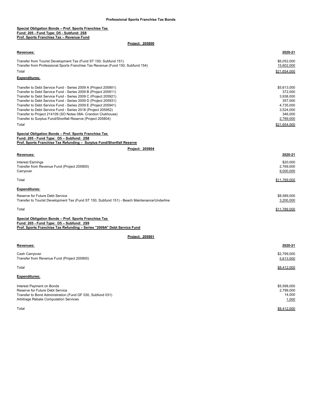#### **Special Obligation Bonds – Prof. Sports Franchise Tax Fund: 205 - Fund Type: D5 - Subfund: 2S8 Prof. Sports Franchise Tax – Revenue Fund**

| Revenues:                                                                                                                        | 2020-21                  |
|----------------------------------------------------------------------------------------------------------------------------------|--------------------------|
| Transfer from Tourist Development Tax (Fund ST 150; Subfund 151)                                                                 | \$6,052,000              |
| Transfer from Professional Sports Franchise Tax Revenue (Fund 150, Subfund 154)                                                  | 15,602,000               |
| Total                                                                                                                            | \$21,654,000             |
| <b>Expenditures:</b>                                                                                                             |                          |
| Transfer to Debt Service Fund - Series 2009 A (Project 205901)                                                                   | \$5,613,000              |
| Transfer to Debt Service Fund - Series 2009 B (Project 205911)                                                                   | 372,000                  |
| Transfer to Debt Service Fund - Series 2009 C (Project 205921)<br>Transfer to Debt Service Fund - Series 2009 D (Project 205931) | 3,938,000<br>357,000     |
| Transfer to Debt Service Fund - Series 2009 E (Project 205941)                                                                   | 4,735,000                |
| Transfer to Debt Service Fund - Series 2018 (Project 205952)                                                                     | 3,524,000                |
| Transfer to Project 214109 (SO Notes 08A- Crandon Clubhouse)<br>Transfer to Surplus Fund/Shortfall Reserve (Project 205804)      | 346,000<br>2,769,000     |
| Total                                                                                                                            | \$21,654,000             |
|                                                                                                                                  |                          |
| Special Obligation Bonds - Prof. Sports Franchise Tax                                                                            |                          |
| Fund: 205 - Fund Type: D5 - Subfund: 2S8<br>Prof. Sports Franchise Tax Refunding - Surplus Fund/Shortfall Reserve                |                          |
| Project: 205804                                                                                                                  |                          |
| Revenues:                                                                                                                        | 2020-21                  |
| <b>Interest Earnings</b>                                                                                                         | \$20,000                 |
| Transfer from Revenue Fund (Project 205800)                                                                                      | 2,769,000                |
| Carryover                                                                                                                        | 9,000,000                |
| Total                                                                                                                            | \$11,789,000             |
| <b>Expenditures:</b>                                                                                                             |                          |
| Reserve for Future Debt Service                                                                                                  | \$8,589,000              |
| Transfer to Tourist Development Tax (Fund ST 150, Subfund 151) - Beach Maintenance/Underline                                     | 3,200,000                |
| Total                                                                                                                            | \$11,789,000             |
|                                                                                                                                  |                          |
| Special Obligation Bonds - Prof. Sports Franchise Tax<br>Fund: 205 - Fund Type: D5 - Subfund: 2S9                                |                          |
| Prof. Sports Franchise Tax Refunding - Series "2009A" Debt Service Fund                                                          |                          |
| Project: 205901                                                                                                                  |                          |
| Revenues:                                                                                                                        | 2020-21                  |
|                                                                                                                                  |                          |
| Cash Carryover<br>Transfer from Revenue Fund (Project 205800)                                                                    | \$2,799,000<br>5,613,000 |
|                                                                                                                                  |                          |
| Total                                                                                                                            | \$8.412.000              |
| <b>Expenditures:</b>                                                                                                             |                          |
| Interest Payment on Bonds                                                                                                        | \$5,598,000              |
| Reserve for Future Debt Service                                                                                                  | 2,799,000                |
| Transfer to Bond Administration (Fund GF 030, Subfund 031)                                                                       | 14,000                   |
| Arbitrage Rebate Computation Services                                                                                            | 1,000                    |
| Total                                                                                                                            | \$8,412,000              |
|                                                                                                                                  |                          |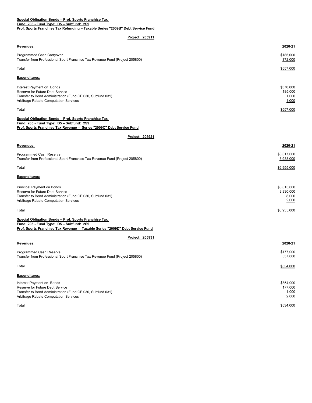## **Fund: 205 - Fund Type: D5 – Subfund: 2S9 Special Obligation Bonds – Prof. Sports Franchise Tax**

**Prof. Sports Franchise Tax Refunding – Taxable Series "2009B" Debt Service Fund**

| Revenues:                                                                                                                                                                          | 2020-21                                    |
|------------------------------------------------------------------------------------------------------------------------------------------------------------------------------------|--------------------------------------------|
| Programmed Cash Carryover<br>Transfer from Professional Sport Franchise Tax Revenue Fund (Project 205800)                                                                          | \$185,000<br>372,000                       |
| Total                                                                                                                                                                              | \$557,000                                  |
| Expenditures:                                                                                                                                                                      |                                            |
| Interest Payment on Bonds<br>Reserve for Future Debt Service<br>Transfer to Bond Administration (Fund GF 030, Subfund 031)<br>Arbitrage Rebate Computation Services                | \$370,000<br>185,000<br>1,000<br>1,000     |
| Total                                                                                                                                                                              | \$557,000                                  |
| Special Obligation Bonds - Prof. Sports Franchise Tax<br>Fund: 205 - Fund Type: D5 - Subfund: 2S9<br>Prof. Sports Franchise Tax Revenue - Series "2009C" Debt Service Fund         |                                            |
| Project: 205921                                                                                                                                                                    |                                            |
| Revenues:                                                                                                                                                                          | 2020-21                                    |
| Programmed Cash Reserve<br>Transfer from Professional Sport Franchise Tax Revenue Fund (Project 205800)                                                                            | \$3,017,000<br>3,938,000                   |
| Total                                                                                                                                                                              | \$6,955,000                                |
| Expenditures:                                                                                                                                                                      |                                            |
| Principal Payment on Bonds<br>Reserve for Future Debt Service<br>Transfer to Bond Administration (Fund GF 030, Subfund 031)<br>Arbitrage Rebate Computation Services               | \$3,015,000<br>3,930,000<br>8,000<br>2,000 |
| Total                                                                                                                                                                              | \$6,955,000                                |
| Special Obligation Bonds - Prof. Sports Franchise Tax<br>Fund: 205 - Fund Type: D5 - Subfund: 2S9<br>Prof. Sports Franchise Tax Revenue - Taxable Series "2009D" Debt Service Fund |                                            |
| Project: 205931                                                                                                                                                                    |                                            |
| Revenues:                                                                                                                                                                          | 2020-21                                    |
| Programmed Cash Reserve<br>Transfer from Professional Sport Franchise Tax Revenue Fund (Project 205800)                                                                            | \$177,000<br>357,000                       |
| Total                                                                                                                                                                              | \$534,000                                  |
| Expenditures:                                                                                                                                                                      |                                            |
| Interest Payment on Bonds<br>Reserve for Future Debt Service<br>Transfer to Bond Administration (Fund GF 030, Subfund 031)<br>Arbitrage Rebate Computation Services                | \$354,000<br>177,000<br>1,000<br>2,000     |
| Total                                                                                                                                                                              | \$534.000                                  |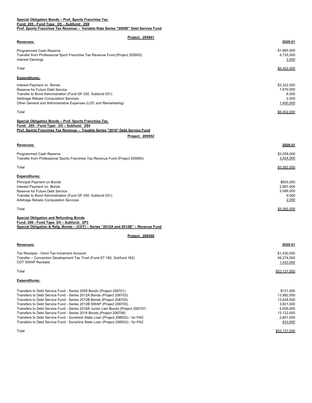### **Special Obligation Bonds – Prof. Sports Franchise Tax Fund: 205 - Fund Type: D5 – Subfund: 2S9 Prof. Sports Franchise Tax Revenue – Variable Rate Series "2009E" Debt Service Fund**

| Project: 205941<br>Revenues:                                                       | 2020-21                |
|------------------------------------------------------------------------------------|------------------------|
|                                                                                    |                        |
| Programmed Cash Reserve                                                            | \$1,665,000            |
| Transfer from Professional Sport Franchise Tax Revenue Fund (Project 205800)       | 4,735,000              |
| <b>Interest Earnings</b>                                                           | 2,000                  |
| Total                                                                              | \$6,402,000            |
| <b>Expenditures:</b>                                                               |                        |
| Interest Payment on Bonds                                                          | \$3,322,000            |
| Reserve for Future Debt Service                                                    | 1,670,000              |
| Transfer to Bond Administration (Fund GF 030, Subfund 031)                         | 8,000                  |
| Arbitrage Rebate Computation Services                                              | 2,000                  |
| Other General and Administrative Expenses (LOC and Remarketing)                    | 1,400,000              |
| Total                                                                              | \$6,402,000            |
| Special Obligation Bonds - Prof. Sports Franchise Tax                              |                        |
| Fund: 205 - Fund Type: D5 - Subfund: 2S4                                           |                        |
| Prof. Sports Franchise Tax Revenue - Taxable Series "2018" Debt Service Fund       |                        |
| Project: 205952                                                                    |                        |
| Revenues:                                                                          | 2020-21                |
| Programmed Cash Reserve                                                            | \$2,058,000            |
| Transfer from Professional Sports Franchise Tax Revenue Fund (Project 205800)      | 3,524,000              |
| Total                                                                              | \$5,582,000            |
|                                                                                    |                        |
| <b>Expenditures:</b>                                                               |                        |
| Principal Payment on Bonds                                                         | \$605,000              |
| Interest Payment on Bonds<br>Reserve for Future Debt Service                       | 2,897,000<br>2,069,000 |
| Transfer to Bond Administration (Fund GF 030, Subfund 031)                         | 9,000                  |
| Arbitrage Rebate Computation Services                                              | 2,000                  |
| Total                                                                              | \$5,582,000            |
| <b>Special Obligation and Refunding Bonds</b>                                      |                        |
| Fund: 206 - Fund Type: D5 - Subfund: 2P3                                           |                        |
| Special Obligation & Refg. Bonds - (CDT) - Series "2012A and 2012B" - Revenue Fund |                        |
| Project: 206300                                                                    |                        |
|                                                                                    | 2020-21                |
| Revenues:                                                                          |                        |
| Tax Receipts - Omni Tax Increment Account                                          | \$1,430,000            |
| Transfer – Convention Development Tax Trust (Fund ST 160, Subfund 162)             | 49,274,000             |
| <b>CDT SWAP Receipts</b>                                                           | 1,433,000              |
| Total                                                                              | \$52,137,000           |
|                                                                                    |                        |
| <b>Expenditures:</b>                                                               |                        |
| Transfers to Debt Service Fund - Series 2009 Bonds (Project 206701)                | \$131000               |

| Transfers to Debt Service Fund - Series 2009 Bonds (Project 206701)              | \$131,000  |
|----------------------------------------------------------------------------------|------------|
| Transfers to Debt Service Fund - Series 2012A Bonds (Project 206703)             | 13,992,000 |
| Transfers to Debt Service Fund - Series 2012B Bonds (Project 206705)             | 13,428,000 |
| Transfers to Debt Service Fund - Series 2012B SWAP (Project 206705)              | 3.821.000  |
| Transfers to Debt Service Fund - Series 2016A Junior Lien Bonds (Project 206707) | 4.009.000  |
| Transfers to Debt Service Fund - Series 2016 Bonds (Project 206708)              | 13,122,000 |
| Transfers to Debt Service Fund - Sunshine State Loan (Project 298502) - for PAC  | 2.801.000  |
| Transfers to Debt Service Fund - Sunshine State Loan (Proiect 298503) - for PAC  | 833,000    |
|                                                                                  |            |

Total \$52,137,000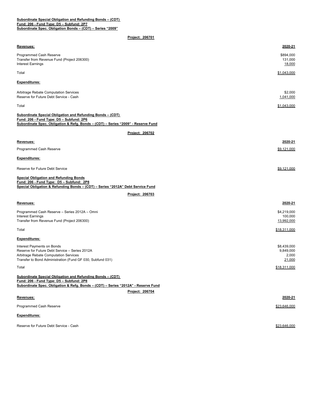#### **Subordinate Special Obligation and Refunding Bonds – (CDT) Fund: 206 - Fund Type: D5 – Subfund: 2P7 Subordinate Spec. Obligation Bonds – (CDT) – Series "2009"**

| Revenues:                                                                                                                                                                                    | 2020-21                                            |
|----------------------------------------------------------------------------------------------------------------------------------------------------------------------------------------------|----------------------------------------------------|
| Programmed Cash Reserve<br>Transfer from Revenue Fund (Project 206300)<br><b>Interest Earnings</b>                                                                                           | \$894,000<br>131,000<br>18,000                     |
| Total                                                                                                                                                                                        | \$1,043,000                                        |
| <b>Expenditures:</b>                                                                                                                                                                         |                                                    |
| Arbitrage Rebate Computation Services<br>Reserve for Future Debt Service - Cash                                                                                                              | \$2,000<br>1,041,000                               |
| Total                                                                                                                                                                                        | \$1,043,000                                        |
| <b>Subordinate Special Obligation and Refunding Bonds - (CDT)</b>                                                                                                                            |                                                    |
| Fund: 206 - Fund Type: D5 - Subfund: 2P6<br>Subordinate Spec. Obligation & Refg. Bonds - (CDT) - Series "2009" - Reserve Fund                                                                |                                                    |
| Project: 206702                                                                                                                                                                              |                                                    |
| Revenues:                                                                                                                                                                                    | 2020-21                                            |
| Programmed Cash Reserve                                                                                                                                                                      | \$9,121,000                                        |
| <b>Expenditures:</b>                                                                                                                                                                         |                                                    |
| Reserve for Future Debt Service                                                                                                                                                              | \$9,121,000                                        |
| <b>Special Obligation and Refunding Bonds</b><br>Fund: 206 - Fund Type: D5 - Subfund: 2P8<br>Special Obligation & Refunding Bonds - (CDT) - Series "2012A" Debt Service Fund                 |                                                    |
| Project: 206703                                                                                                                                                                              |                                                    |
| Revenues:                                                                                                                                                                                    | 2020-21                                            |
|                                                                                                                                                                                              |                                                    |
| Programmed Cash Reserve - Series 2012A - Omni<br><b>Interest Earnings</b>                                                                                                                    | \$4,219,000<br>100,000                             |
| Transfer from Revenue Fund (Project 206300)                                                                                                                                                  | 13,992,000                                         |
| Total                                                                                                                                                                                        | \$18,311,000                                       |
| <b>Expenditures:</b>                                                                                                                                                                         |                                                    |
| Interest Payments on Bonds<br>Reserve for Future Debt Service - Series 2012A<br>Arbitrage Rebate Computation Services<br>Transfer to Bond Administration (Fund GF 030, Subfund 031)          | \$8,439,000<br>9,849,000<br>2,000<br><u>21,000</u> |
| Total                                                                                                                                                                                        | \$18,311,000                                       |
| Subordinate Special Obligation and Refunding Bonds - (CDT)<br>Fund: 206 - Fund Type: D5 - Subfund: 2P8<br>Subordinate Spec. Obligation & Refg. Bonds - (CDT) - Series "2012A" - Reserve Fund |                                                    |
| Project: 206704                                                                                                                                                                              |                                                    |
| Revenues:                                                                                                                                                                                    | 2020-21                                            |
| Programmed Cash Reserve                                                                                                                                                                      | \$23,646,000                                       |
| <b>Expenditures:</b>                                                                                                                                                                         |                                                    |
| Reserve for Future Debt Service - Cash                                                                                                                                                       | \$23,646,000                                       |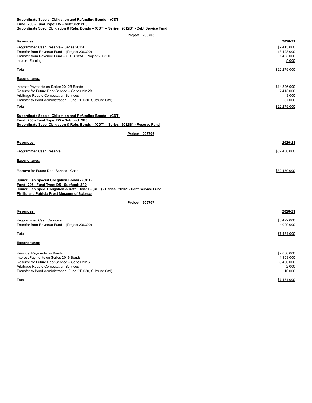| Subordinate Special Obligation and Refunding Bonds - (CDT)                              |
|-----------------------------------------------------------------------------------------|
| Fund: 206 - Fund Tvpe: D5 – Subfund: 2P8                                                |
| Subordinate Spec. Obligation & Refg. Bonds – (CDT) – Series "2012B" - Debt Service Fund |

| Revenues:                                                                              | 2020-21      |
|----------------------------------------------------------------------------------------|--------------|
| Programmed Cash Reserve - Series 2012B                                                 | \$7,413,000  |
| Transfer from Revenue Fund - (Project 206300)                                          | 13,428,000   |
| Transfer from Revenue Fund - CDT SWAP (Project 206300)                                 | 1,433,000    |
| <b>Interest Earnings</b>                                                               | 5,000        |
| Total                                                                                  | \$22.279.000 |
| <b>Expenditures:</b>                                                                   |              |
| Interest Payments on Series 2012B Bonds                                                | \$14,826,000 |
| Reserve for Future Debt Service - Series 2012B                                         | 7,413,000    |
| Arbitrage Rebate Computation Services                                                  | 3,000        |
| Transfer to Bond Administration (Fund GF 030, Subfund 031)                             | 37,000       |
| Total                                                                                  | \$22,279,000 |
| <b>Subordinate Special Obligation and Refunding Bonds - (CDT)</b>                      |              |
| Fund: 206 - Fund Type: D5 - Subfund: 2P8                                               |              |
| Subordinate Spec. Obligation & Refg. Bonds - (CDT) - Series "2012B" - Reserve Fund     |              |
| Project: 206706                                                                        |              |
| Revenues:                                                                              | 2020-21      |
| <b>Programmed Cash Reserve</b>                                                         | \$32,430,000 |
| <b>Expenditures:</b>                                                                   |              |
| Reserve for Future Debt Service - Cash                                                 | \$32,430,000 |
| Junior Lien Special Obligation Bonds - (CDT)                                           |              |
| Fund: 206 - Fund Type: D5 - Subfund: 2P9                                               |              |
| Junior Lien Spec. Obligation & Refd. Bonds - (CDT) - Series "2016" - Debt Service Fund |              |
| Phillip and Patricia Frost Museum of Science                                           |              |
| Project: 206707                                                                        |              |
| Revenues:                                                                              | 2020-21      |
| Programmed Cash Carryover                                                              | \$3,422,000  |
| Transfer from Revenue Fund - (Project 206300)                                          | 4,009,000    |
|                                                                                        |              |
| Total                                                                                  | \$7,431,000  |
| <b>Expenditures:</b>                                                                   |              |
| Principal Payments on Bonds                                                            | \$2,850,000  |
| Interest Payments on Series 2016 Bonds                                                 | 1,103,000    |
| Reserve for Future Debt Service - Series 2016                                          | 3,466,000    |
| <b>Arbitrage Rebate Computation Services</b>                                           | 2,000        |
| Transfer to Bond Administration (Fund GF 030, Subfund 031)                             | 10,000       |
| Total                                                                                  | \$7,431,000  |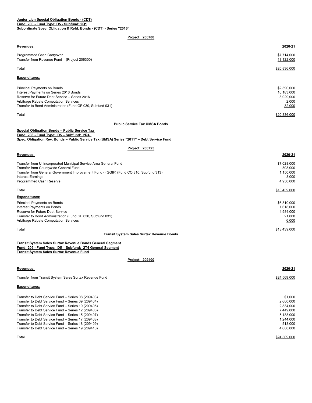#### **Junior Lien Special Obligation Bonds - (CDT) Fund: 206 - Fund Type: D5 - Subfund: 2Q1 Subordinate Spec. Obligation & Refd. Bonds - (CDT) - Series "2016"**

## **Project: 206708**

| Revenues:                                                                                                   | 2020-21         |
|-------------------------------------------------------------------------------------------------------------|-----------------|
| Programmed Cash Carryover                                                                                   | \$7,714,000     |
| Transfer from Revenue Fund - (Project 206300)                                                               | 13,122,000      |
| Total                                                                                                       | \$20,836,000    |
| <b>Expenditures:</b>                                                                                        |                 |
| <b>Principal Payments on Bonds</b>                                                                          | \$2,590,000     |
| Interest Payments on Series 2016 Bonds                                                                      | 10,183,000      |
| Reserve for Future Debt Service - Series 2016                                                               | 8,029,000       |
| <b>Arbitrage Rebate Computation Services</b>                                                                | 2,000           |
| Transfer to Bond Administration (Fund GF 030, Subfund 031)                                                  | 32,000          |
| Total                                                                                                       | \$20,836,000    |
| <b>Public Service Tax UMSA Bonds</b>                                                                        |                 |
| Special Obligation Bonds - Public Service Tax<br>Fund: 208 - Fund Type: D5 - Subfund: 2R4                   |                 |
| Spec. Obligation Rev. Bonds - Public Service Tax (UMSA) Series "2011" - Debt Service Fund                   |                 |
| Project: 208725                                                                                             |                 |
| Revenues:                                                                                                   | 2020-21         |
| Transfer from Unincorporated Municipal Service Area General Fund                                            | \$7,028,000     |
| Transfer from Countywide General Fund                                                                       | 308,000         |
| Transfer from General Government Improvement Fund - (GGIF) (Fund CO 310, Subfund 313)                       | 1,150,000       |
| <b>Interest Earnings</b>                                                                                    | 3,000           |
| Programmed Cash Reserve                                                                                     | 4.950.000       |
| Total                                                                                                       | \$13,439,000    |
| <b>Expenditures:</b>                                                                                        |                 |
| Principal Payments on Bonds                                                                                 | \$6,810,000     |
| Interest Payments on Bonds                                                                                  | 1,618,000       |
| Reserve for Future Debt Service                                                                             | 4,984,000       |
| Transfer to Bond Administration (Fund GF 030, Subfund 031)<br>Arbitrage Rebate Computation Services         | 21,000<br>6,000 |
|                                                                                                             |                 |
| Total                                                                                                       | \$13,439,000    |
| <b>Transit System Sales Surtax Revenue Bonds</b>                                                            |                 |
| Transit System Sales Surtax Revenue Bonds General Segment                                                   |                 |
| Fund: 209 - Fund Type: D5 - Subfund: 2T4 General Segment<br><b>Transit System Sales Surtax Revenue Fund</b> |                 |
|                                                                                                             |                 |
| Project: 209400                                                                                             |                 |
| Revenues:                                                                                                   | 2020-21         |
| Transfer from Transit System Sales Surtax Revenue Fund                                                      | \$24,569,000    |
|                                                                                                             |                 |
| <b>Expenditures:</b>                                                                                        |                 |
| Transfer to Debt Service Fund - Series 08 (209403)                                                          | \$1.000         |

| The fight to bobt convice that contect to record the fight of the set of the set of the set of the set of the s | $v \cdot v \cdot v$ |
|-----------------------------------------------------------------------------------------------------------------|---------------------|
| Transfer to Debt Service Fund – Series 09 (209404)                                                              | 2,660,000           |
| Transfer to Debt Service Fund - Series 10 (209405)                                                              | 2,834,000           |
| Transfer to Debt Service Fund - Series 12 (209406)                                                              | 7,449,000           |
| Transfer to Debt Service Fund – Series 15 (209407)                                                              | 5,188,000           |
| Transfer to Debt Service Fund – Series 17 (209408)                                                              | 1,244,000           |
| Transfer to Debt Service Fund – Series 18 (209409)                                                              | 513.000             |
| Transfer to Debt Service Fund – Series 19 (209410)                                                              | 4,680,000           |
|                                                                                                                 |                     |

Total \$24,569,000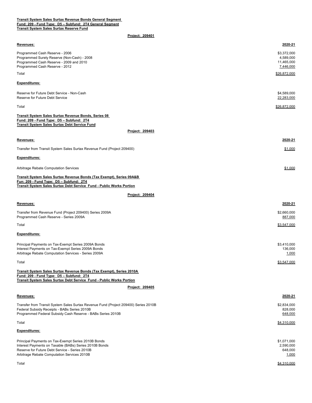| Transit System Sales Surtax Revenue Bonds General Segment |  |  |
|-----------------------------------------------------------|--|--|
| Fund: 209 - Fund Type: D5 - Subfund: 2T4 General Segment  |  |  |
| <b>Transit System Sales Surtax Reserve Fund</b>           |  |  |

| Revenues:                                                                                                                                                                               | 2020-21                         |
|-----------------------------------------------------------------------------------------------------------------------------------------------------------------------------------------|---------------------------------|
| Programmed Cash Reserve - 2006<br>Programmed Surety Reserve (Non-Cash) - 2008                                                                                                           | \$3,372,000<br>4,589,000        |
| Programmed Cash Reserve - 2009 and 2010<br>Programmed Cash Reserve - 2012                                                                                                               | 11,465,000<br>7,446,000         |
| Total                                                                                                                                                                                   | \$26.872.000                    |
| <b>Expenditures:</b>                                                                                                                                                                    |                                 |
| Reserve for Future Debt Service - Non-Cash<br>Reserve for Future Debt Service                                                                                                           | \$4,589,000<br>22,283,000       |
| Total                                                                                                                                                                                   | \$26,872,000                    |
| Transit System Sales Surtax Revenue Bonds, Series 08<br>Fund: 209 - Fund Type: D5 - Subfund: 2T4<br>Transit System Sales Surtax Debt Service Fund                                       |                                 |
| Project: 209403                                                                                                                                                                         |                                 |
| <u>Revenues:</u>                                                                                                                                                                        | 2020-21                         |
| Transfer from Transit System Sales Surtax Revenue Fund (Project 209400)                                                                                                                 | \$1,000                         |
| Expenditures:                                                                                                                                                                           |                                 |
| <b>Arbitrage Rebate Computation Services</b>                                                                                                                                            | \$1,000                         |
| Transit System Sales Surtax Revenue Bonds (Tax Exempt), Series 09A&B<br>Fun: 209 - Fund Type: D5 - Subfund: 2T4<br>Transit System Sales Surtax Debt Service Fund - Public Works Portion |                                 |
| <b>Project: 209404</b>                                                                                                                                                                  |                                 |
| Revenues:                                                                                                                                                                               | 2020-21                         |
| Transfer from Revenue Fund (Project 209400) Series 2009A<br>Programmed Cash Reserve - Series 2009A                                                                                      | \$2,660,000<br>887,000          |
| Total                                                                                                                                                                                   | \$3,547,000                     |
| Expenditures:                                                                                                                                                                           |                                 |
| Principal Payments on Tax-Exempt Series 2009A Bonds<br>Interest Payments on Tax-Exempt Series 2009A Bonds<br>Arbitrage Rebate Computation Services - Series 2009A                       | \$3,410,000<br>136,000<br>1,000 |
| Total                                                                                                                                                                                   | \$3,547,000                     |
| Transit System Sales Surtax Revenue Bonds (Tax Exempt), Series 2010A<br>Fund: 209 - Fund Type: D5 - Subfund: 2T4                                                                        |                                 |
| <b>Transit System Sales Surtax Debt Service Fund - Public Works Portion</b><br>Project: 209405                                                                                          |                                 |
| Revenues:                                                                                                                                                                               | 2020-21                         |
| Transfer from Transit System Sales Surtax Revenue Fund (Project 209400) Series 2010B                                                                                                    | \$2,834,000                     |
| Federal Subsidy Receipts - BABs Series 2010B<br>Programmed Federal Subsidy Cash Reserve - BABs Series 2010B                                                                             | 828,000<br>648,000              |
| Total                                                                                                                                                                                   | \$4,310,000                     |
| Expenditures:                                                                                                                                                                           |                                 |
| Principal Payments on Tax-Exempt Series 2010B Bonds                                                                                                                                     | \$1,071,000                     |
| Interest Payments on Taxable (BABs) Series 2010B Bonds<br>Reserve for Future Debt Service - Series 2010B<br>Arbitrage Rebate Computation Services 2010B                                 | 2,590,000<br>648,000<br>1,000   |
| Total                                                                                                                                                                                   | \$4,310,000                     |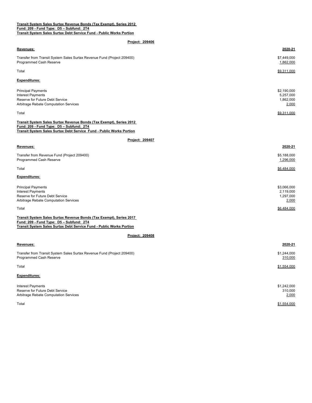#### **Transit System Sales Surtax Revenue Bonds (Tax Exempt), Series 2012 Fund: 209 - Fund Type: D5 – Subfund: 2T4 Transit System Sales Surtax Debt Service Fund - Public Works Portion**

| Project: 209406                                                                                                                                                                                |                                                |
|------------------------------------------------------------------------------------------------------------------------------------------------------------------------------------------------|------------------------------------------------|
| Revenues:                                                                                                                                                                                      | 2020-21                                        |
| Transfer from Transit System Sales Surtax Revenue Fund (Project 209400)<br>Programmed Cash Reserve                                                                                             | \$7,449,000<br>1,862,000                       |
| Total                                                                                                                                                                                          | \$9,311,000                                    |
| <b>Expenditures:</b>                                                                                                                                                                           |                                                |
| <b>Principal Payments</b><br><b>Interest Payments</b><br>Reserve for Future Debt Service<br>Arbitrage Rebate Computation Services                                                              | \$2,190,000<br>5,257,000<br>1,862,000<br>2,000 |
| Total                                                                                                                                                                                          | \$9,311,000                                    |
| Transit System Sales Surtax Revenue Bonds (Tax Exempt), Series 2012<br>Fund: 209 - Fund Type: D5 - Subfund: 2T4<br><b>Transit System Sales Surtax Debt Service Fund - Public Works Portion</b> |                                                |
| Project: 209407                                                                                                                                                                                |                                                |
| Revenues:                                                                                                                                                                                      | 2020-21                                        |
| Transfer from Revenue Fund (Project 209400)<br>Programmed Cash Reserve                                                                                                                         | \$5,188,000<br>1,296,000                       |
| Total                                                                                                                                                                                          | \$6,484,000                                    |
| <b>Expenditures:</b>                                                                                                                                                                           |                                                |
| <b>Principal Payments</b><br><b>Interest Payments</b><br>Reserve for Future Debt Service<br>Arbitrage Rebate Computation Services                                                              | \$3,066,000<br>2,119,000<br>1,297,000<br>2,000 |
| Total                                                                                                                                                                                          | \$6,484,000                                    |
| Transit System Sales Surtax Revenue Bonds (Tax Exempt), Series 2017<br>Fund: 209 - Fund Type: D5 - Subfund: 2T4<br>Transit System Sales Surtax Debt Service Fund - Public Works Portion        |                                                |
| Project: 209408                                                                                                                                                                                |                                                |
| Revenues:                                                                                                                                                                                      | 2020-21                                        |
| Transfer from Transit System Sales Surtax Revenue Fund (Project 209400)<br>Programmed Cash Reserve                                                                                             | \$1,244,000<br>310,000                         |
| Total                                                                                                                                                                                          | \$1,554,000                                    |
| <b>Expenditures:</b>                                                                                                                                                                           |                                                |
| <b>Interest Payments</b><br>Reserve for Future Debt Service<br>Arbitrage Rebate Computation Services                                                                                           | \$1,242,000<br>310,000<br>2,000                |

 $\verb|Total|$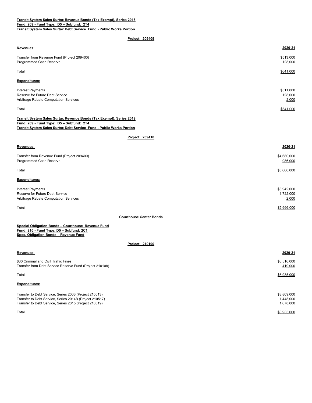## **Transit System Sales Surtax Revenue Bonds (Tax Exempt), Series 2018 Fund: 209 - Fund Type: D5 – Subfund: 2T4 Transit System Sales Surtax Debt Service Fund - Public Works Portion**

**Project: 209409**

| Revenues:                                                                                                                                                                                      | 2020-21                           |
|------------------------------------------------------------------------------------------------------------------------------------------------------------------------------------------------|-----------------------------------|
| Transfer from Revenue Fund (Project 209400)<br>Programmed Cash Reserve                                                                                                                         | \$513,000<br>128,000              |
| Total                                                                                                                                                                                          | \$641,000                         |
| <b>Expenditures:</b>                                                                                                                                                                           |                                   |
| <b>Interest Payments</b><br>Reserve for Future Debt Service<br>Arbitrage Rebate Computation Services                                                                                           | \$511,000<br>128,000<br>2,000     |
| Total                                                                                                                                                                                          | \$641,000                         |
| Transit System Sales Surtax Revenue Bonds (Tax Exempt), Series 2019<br>Fund: 209 - Fund Type: D5 - Subfund: 2T4<br><b>Transit System Sales Surtax Debt Service Fund - Public Works Portion</b> |                                   |
| Project: 209410                                                                                                                                                                                |                                   |
| Revenues:                                                                                                                                                                                      | 2020-21                           |
| Transfer from Revenue Fund (Project 209400)<br>Programmed Cash Reserve                                                                                                                         | \$4,680,000<br>986,000            |
| Total                                                                                                                                                                                          | \$5,666,000                       |
| <b>Expenditures:</b>                                                                                                                                                                           |                                   |
| <b>Interest Payments</b><br>Reserve for Future Debt Service<br>Arbitrage Rebate Computation Services                                                                                           | \$3,942,000<br>1,722,000<br>2,000 |
| Total                                                                                                                                                                                          | \$5,666,000                       |
| <b>Courthouse Center Bonds</b>                                                                                                                                                                 |                                   |
| Special Obligation Bonds - Courthouse Revenue Fund<br>Fund: 210 - Fund Type: D5 - Subfund: 2C1<br>Spec. Obligation Bonds - Revenue Fund                                                        |                                   |
| Project: 210100                                                                                                                                                                                |                                   |
| Revenues:                                                                                                                                                                                      | 2020-21                           |
| \$30 Criminal and Civil Traffic Fines<br>Transfer from Debt Service Reserve Fund (Project 210108)                                                                                              | \$6,516,000<br>419,000            |
| Total                                                                                                                                                                                          | \$6,935,000                       |

## **Expenditures:**

| Transfer to Debt Service, Series 2003 (Project 210513)  | \$3,809,000 |
|---------------------------------------------------------|-------------|
| Transfer to Debt Service, Series 2014B (Project 210517) | 1.448.000   |
| Transfer to Debt Service, Series 2015 (Project 210519)  | 1,678,000   |
| Total                                                   | \$6.935.000 |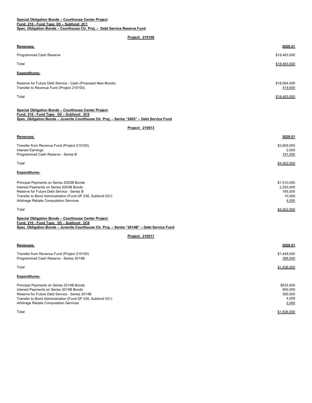| <u>Revenues:</u>                                                                                                                                                                                                                             | 2020-21                                                |
|----------------------------------------------------------------------------------------------------------------------------------------------------------------------------------------------------------------------------------------------|--------------------------------------------------------|
| Programmed Cash Reserve                                                                                                                                                                                                                      | \$18,483,000                                           |
| Total                                                                                                                                                                                                                                        | \$18,483,000                                           |
| Expenditures:                                                                                                                                                                                                                                |                                                        |
| Reserve for Future Debt Service - Cash (Proposed New Bonds)<br>Transfer to Revenue Fund (Project 210100)                                                                                                                                     | \$18,064,000<br>419,000                                |
| Total                                                                                                                                                                                                                                        | \$18,483,000                                           |
| <b>Special Obligation Bonds - Courthouse Center Project</b><br>Fund: 210 - Fund Type: D5 - Subfund: 2C5<br>Spec. Obligation Bonds - Juvenile Courthouse Ctr. Proj. - Series "2003" - Debt Service Fund                                       |                                                        |
| Project: 210513                                                                                                                                                                                                                              |                                                        |
| Revenues:                                                                                                                                                                                                                                    | 2020-21                                                |
| Transfer from Revenue Fund (Project 210100)<br><b>Interest Earnings</b><br>Programmed Cash Reserve - Series B                                                                                                                                | \$3,809,000<br>2,000<br>191,000                        |
| Total                                                                                                                                                                                                                                        | \$4,002,000                                            |
| <b>Expenditures:</b>                                                                                                                                                                                                                         |                                                        |
| Principal Payments on Series 2003B Bonds<br>Interest Payments on Series 2003B Bonds<br>Reserve for Future Debt Service - Series B<br>Transfer to Bond Administration (Fund GF 030, Subfund 031)<br>Arbitrage Rebate Computation Services     | \$1,510,000<br>2,293,000<br>185,000<br>10,000<br>4,000 |
| Total                                                                                                                                                                                                                                        | \$4,002,000                                            |
| <b>Special Obligation Bonds - Courthouse Center Project</b><br>Fund: 210 - Fund Type: D5 - Subfund: 2C6<br>Spec. Obligation Bonds - Juvenile Courthouse Ctr. Proj. - Series "2014B" - Debt Service Fund                                      |                                                        |
| Project: 210517                                                                                                                                                                                                                              |                                                        |
| Revenues:                                                                                                                                                                                                                                    | 2020-21                                                |
| Transfer from Revenue Fund (Project 210100)<br>Programmed Cash Reserve - Series 2014B                                                                                                                                                        | \$1,448,000<br>388,000                                 |
| Total                                                                                                                                                                                                                                        | \$1,836,000                                            |
| <b>Expenditures:</b>                                                                                                                                                                                                                         |                                                        |
| Principal Payments on Series 2014B Bonds<br>Interest Payments on Series 2014B Bonds<br>Reserve for Future Debt Service - Series 2014B<br>Transfer to Bond Administration (Fund GF 030, Subfund 031)<br>Arbitrage Rebate Computation Services | \$535,000<br>900,000<br>395,000<br>4,000<br>2,000      |
| Total                                                                                                                                                                                                                                        | \$1,836,000                                            |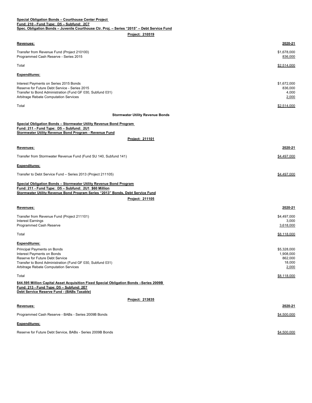| Special Obligation Bonds - Courthouse Center Project                                                                                                                                                                        |                                                        |
|-----------------------------------------------------------------------------------------------------------------------------------------------------------------------------------------------------------------------------|--------------------------------------------------------|
| Fund: 210 - Fund Type: D5 - Subfund: 2C7<br>Spec. Obligation Bonds - Juvenile Courthouse Ctr. Proj. - Series "2015" - Debt Service Fund                                                                                     |                                                        |
| Project: 210519                                                                                                                                                                                                             |                                                        |
|                                                                                                                                                                                                                             |                                                        |
| <u>Revenues:</u>                                                                                                                                                                                                            | 2020-21                                                |
| Transfer from Revenue Fund (Project 210100)<br>Programmed Cash Reserve - Series 2015                                                                                                                                        | \$1,678,000<br>836,000                                 |
| Total                                                                                                                                                                                                                       | \$2,514,000                                            |
| Expenditures:                                                                                                                                                                                                               |                                                        |
| Interest Payments on Series 2015 Bonds<br>Reserve for Future Debt Service - Series 2015<br>Transfer to Bond Administration (Fund GF 030, Subfund 031)<br>Arbitrage Rebate Computation Services                              | \$1,672,000<br>836,000<br>4,000<br>2,000               |
| Total                                                                                                                                                                                                                       | \$2,514,000                                            |
| <b>Stormwater Utility Revenue Bonds</b>                                                                                                                                                                                     |                                                        |
| Special Obligation Bonds - Stormwater Utility Revenue Bond Program<br>Fund: 211 - Fund Type: D5 - Subfund: 2U1<br>Stormwater Utility Revenue Bond Program - Revenue Fund                                                    |                                                        |
| Project: 211101                                                                                                                                                                                                             |                                                        |
| Revenues:                                                                                                                                                                                                                   | 2020-21                                                |
| Transfer from Stormwater Revenue Fund (Fund SU 140, Subfund 141)                                                                                                                                                            | \$4,497,000                                            |
| Expenditures:                                                                                                                                                                                                               |                                                        |
| Transfer to Debt Service Fund - Series 2013 (Project 211105)                                                                                                                                                                | \$4,497,000                                            |
| Special Obligation Bonds - Stormwater Utility Revenue Bond Program<br>Fund: 211 - Fund Type: D5 - Subfund: 2U1 \$60 Million                                                                                                 |                                                        |
| Stormwater Utility Revenue Bond Program Series "2013" Bonds, Debt Service Fund                                                                                                                                              |                                                        |
| Project: 211105                                                                                                                                                                                                             |                                                        |
| <u>Revenues:</u>                                                                                                                                                                                                            | 2020-21                                                |
| Transfer from Revenue Fund (Project 211101)<br><b>Interest Earnings</b><br>Programmed Cash Reserve                                                                                                                          | \$4,497,000<br>3,000<br>3,618,000                      |
|                                                                                                                                                                                                                             |                                                        |
| Total                                                                                                                                                                                                                       | \$8,118,000                                            |
| <b>Expenditures:</b><br>Principal Payments on Bonds<br>Interest Payments on Bonds<br>Reserve for Future Debt Service<br>Transfer to Bond Administration (Fund GF 030, Subfund 031)<br>Arbitrage Rebate Computation Services | \$5,328,000<br>1,908,000<br>862,000<br>18,000<br>2,000 |
| Total                                                                                                                                                                                                                       | \$8,118,000                                            |
| \$44.595 Million Capital Asset Acquisition Fixed Special Obligation Bonds -Series 2009B<br>Fund: 213 - Fund Type: D5 - Subfund: 2E7<br>Debt Service Reserve Fund - (BABs Taxable)                                           |                                                        |
| Project: 213835                                                                                                                                                                                                             |                                                        |
| Revenues:                                                                                                                                                                                                                   | 2020-21                                                |
| Programmed Cash Reserve - BABs - Series 2009B Bonds                                                                                                                                                                         | \$4,500,000                                            |
|                                                                                                                                                                                                                             |                                                        |
| Expenditures:                                                                                                                                                                                                               |                                                        |
| Reserve for Future Debt Service, BABs - Series 2009B Bonds                                                                                                                                                                  | \$4,500,000                                            |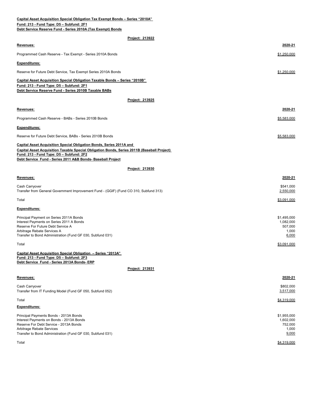| Capital Asset Acquisition Special Obligation Tax Exempt Bonds - Series "2010A"                                                                 |                        |
|------------------------------------------------------------------------------------------------------------------------------------------------|------------------------|
| Fund: 213 - Fund Type: D5 - Subfund: 2F1<br>Debt Service Reserve Fund - Series 2010A (Tax Exempt) Bonds                                        |                        |
|                                                                                                                                                |                        |
| <u>Project: 213922</u>                                                                                                                         |                        |
| Revenues:                                                                                                                                      | 2020-21                |
| Programmed Cash Reserve - Tax Exempt - Series 2010A Bonds                                                                                      | \$1,250,000            |
| <b>Expenditures:</b>                                                                                                                           |                        |
| Reserve for Future Debt Service, Tax Exempt Series 2010A Bonds                                                                                 | \$1,250,000            |
| <b>Capital Asset Acquisition Special Obligation Taxable Bonds - Series "2010B"</b>                                                             |                        |
| Fund: 213 - Fund Type: D5 - Subfund: 2F1<br>Debt Service Reserve Fund - Series 2010B Taxable BABs                                              |                        |
| Project: 213925                                                                                                                                |                        |
| Revenues:                                                                                                                                      | 2020-21                |
|                                                                                                                                                |                        |
| Programmed Cash Reserve - BABs - Series 2010B Bonds                                                                                            | \$5,583,000            |
| Expenditures:                                                                                                                                  |                        |
| Reserve for Future Debt Service, BABs - Series 2010B Bonds                                                                                     | \$5,583,000            |
| <b>Capital Asset Acquisition Special Obligation Bonds, Series 2011A and</b>                                                                    |                        |
| <b>Capital Asset Acquisition Taxable Special Obligation Bonds, Series 2011B (Baseball Project)</b><br>Fund: 213 - Fund Type: D5 - Subfund: 2F2 |                        |
| Debt Service Fund - Series 2011 A&B Bonds- Baseball Project                                                                                    |                        |
| Project: 213930                                                                                                                                |                        |
| Revenues:                                                                                                                                      | 2020-21                |
|                                                                                                                                                |                        |
| Cash Carryover<br>Transfer from General Government Improvement Fund - (GGIF) (Fund CO 310, Subfund 313)                                        | \$541,000<br>2,550,000 |
| Total                                                                                                                                          | \$3.091.000            |
| <b>Expenditures:</b>                                                                                                                           |                        |
| Principal Payment on Series 2011A Bonds                                                                                                        | \$1,495,000            |
| Interest Payments on Series 2011 A Bonds<br>Reserve For Future Debt Service A                                                                  | 1,082,000<br>507,000   |
| Arbitrage Rebate Services A                                                                                                                    | 1,000                  |
| Transfer to Bond Administration (Fund GF 030, Subfund 031)                                                                                     | 6,000                  |
| Total                                                                                                                                          | \$3,091,000            |
| Capital Asset Acquisition Special Obligation - Series "2013A"<br>Fund: 213 - Fund Type: D5 - Subfund: 2F3                                      |                        |
| Debt Service Fund - Series 2013A Bonds- ERP                                                                                                    |                        |
| Project: 213931                                                                                                                                |                        |
| Revenues:                                                                                                                                      | 2020-21                |
| Cash Carryover                                                                                                                                 | \$802,000              |
| Transfer from IT Funding Model (Fund GF 050, Subfund 052)                                                                                      | 3,517,000              |
| Total                                                                                                                                          | \$4,319,000            |
| Expenditures:                                                                                                                                  |                        |
| Principal Payments Bonds - 2013A Bonds                                                                                                         | \$1,955,000            |
| Interest Payments on Bonds - 2013A Bonds<br>Reserve For Debt Service - 2013A Bonds                                                             | 1,602,000<br>752,000   |
| Arbitrage Rebate Services                                                                                                                      | 1,000                  |
| Transfer to Bond Administration (Fund GF 030, Subfund 031)                                                                                     | 9,000                  |
| Total                                                                                                                                          | \$4,319,000            |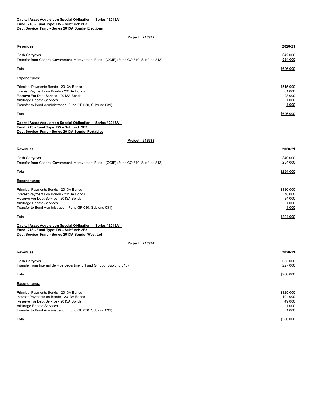## **Project: 213932**

| Revenues:                                                                                                                                                                                                               | 2020-21                                          |
|-------------------------------------------------------------------------------------------------------------------------------------------------------------------------------------------------------------------------|--------------------------------------------------|
| Cash Carryover<br>Transfer from General Government Improvement Fund - (GGIF) (Fund CO 310, Subfund 313)                                                                                                                 | \$42,000<br>584,000                              |
| Total                                                                                                                                                                                                                   | \$626,000                                        |
| <b>Expenditures:</b>                                                                                                                                                                                                    |                                                  |
| Principal Payments Bonds - 2013A Bonds<br>Interest Payments on Bonds - 2013A Bonds<br>Reserve For Debt Service - 2013A Bonds<br>Arbitrage Rebate Services<br>Transfer to Bond Administration (Fund GF 030, Subfund 031) | \$515,000<br>81,000<br>28,000<br>1,000<br>1,000  |
| Total                                                                                                                                                                                                                   | \$626,000                                        |
| Capital Asset Acquisition Special Obligation - Series "2013A"<br>Fund: 213 - Fund Type: D5 - Subfund: 2F3<br>Debt Service Fund - Series 2013A Bonds- Portables                                                          |                                                  |
| Project: 213933                                                                                                                                                                                                         |                                                  |
| Revenues:                                                                                                                                                                                                               | 2020-21                                          |
| Cash Carryover<br>Transfer from General Government Improvement Fund - (GGIF) (Fund CO 310, Subfund 313)                                                                                                                 | \$40,000<br>254,000                              |
| Total                                                                                                                                                                                                                   | \$294,000                                        |
| <b>Expenditures:</b>                                                                                                                                                                                                    |                                                  |
| Principal Payments Bonds - 2013A Bonds<br>Interest Payments on Bonds - 2013A Bonds<br>Reserve For Debt Service - 2013A Bonds<br>Arbitrage Rebate Services<br>Transfer to Bond Administration (Fund GF 030, Subfund 031) | \$180,000<br>78,000<br>34,000<br>1,000<br>1,000  |
| Total                                                                                                                                                                                                                   | \$294,000                                        |
| Capital Asset Acquisition Special Obligation - Series "2013A"<br>Fund: 213 - Fund Type: D5 - Subfund: 2F3<br>Debt Service Fund - Series 2013A Bonds- West Lot                                                           |                                                  |
| Project: 213934                                                                                                                                                                                                         |                                                  |
| Revenues:                                                                                                                                                                                                               | 2020-21                                          |
| Cash Carryover<br>Transfer from Internal Service Department (Fund GF 050, Subfund 010)                                                                                                                                  | \$53,000<br>227,000                              |
| Total                                                                                                                                                                                                                   | \$280,000                                        |
| <b>Expenditures:</b>                                                                                                                                                                                                    |                                                  |
| Principal Payments Bonds - 2013A Bonds<br>Interest Payments on Bonds - 2013A Bonds<br>Reserve For Debt Service - 2013A Bonds<br>Arbitrage Rebate Services<br>Transfer to Bond Administration (Fund GF 030, Subfund 031) | \$125,000<br>104,000<br>49,000<br>1,000<br>1,000 |

 $\,$ Total $\,$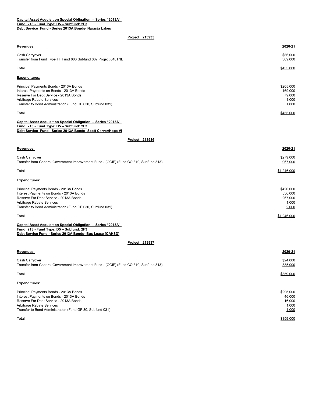| Revenues:                                                                                                                                                                                                               | 2020-21                                           |
|-------------------------------------------------------------------------------------------------------------------------------------------------------------------------------------------------------------------------|---------------------------------------------------|
| Cash Carryover<br>Transfer from Fund Type TF Fund 600 Subfund 607 Project 640TNL                                                                                                                                        | \$86,000<br>369,000                               |
| Total                                                                                                                                                                                                                   | \$455,000                                         |
| <b>Expenditures:</b>                                                                                                                                                                                                    |                                                   |
| Principal Payments Bonds - 2013A Bonds<br>Interest Payments on Bonds - 2013A Bonds<br>Reserve For Debt Service - 2013A Bonds<br>Arbitrage Rebate Services<br>Transfer to Bond Administration (Fund GF 030, Subfund 031) | \$205,000<br>169,000<br>79,000<br>1,000<br>1,000  |
| Total                                                                                                                                                                                                                   | \$455,000                                         |
| Capital Asset Acquisition Special Obligation - Series "2013A"<br>Fund: 213 - Fund Type: D5 - Subfund: 2F3<br>Debt Service Fund - Series 2013A Bonds- Scott Carver/Hope VI                                               |                                                   |
| Project: 213936                                                                                                                                                                                                         |                                                   |
| Revenues:                                                                                                                                                                                                               | 2020-21                                           |
| Cash Carryover<br>Transfer from General Government Improvement Fund - (GGIF) (Fund CO 310, Subfund 313)                                                                                                                 | \$279,000<br>967,000                              |
| Total                                                                                                                                                                                                                   | \$1,246,000                                       |
| <b>Expenditures:</b>                                                                                                                                                                                                    |                                                   |
| Principal Payments Bonds - 2013A Bonds<br>Interest Payments on Bonds - 2013A Bonds<br>Reserve For Debt Service - 2013A Bonds<br>Arbitrage Rebate Services<br>Transfer to Bond Administration (Fund GF 030, Subfund 031) | \$420,000<br>556,000<br>267,000<br>1,000<br>2,000 |
| Total                                                                                                                                                                                                                   | \$1,246,000                                       |
| Capital Asset Acquisition Special Obligation - Series "2013A"<br>Fund: 213 - Fund Type: D5 - Subfund: 2F3<br>Debt Service Fund - Series 2013A Bonds- Bus Lease (CAHSD)                                                  |                                                   |
| Project: 213937                                                                                                                                                                                                         |                                                   |
| Revenues:                                                                                                                                                                                                               | 2020-21                                           |
| Cash Carryover<br>Transfer from General Government Improvement Fund - (GGIF) (Fund CO 310, Subfund 313)                                                                                                                 | \$24,000<br>335,000                               |
| Total                                                                                                                                                                                                                   | \$359,000                                         |
| <b>Expenditures:</b>                                                                                                                                                                                                    |                                                   |
| $D_{\text{min}}$ and $D_{\text{min}}$ and $D_{\text{min}}$ and $D_{\text{min}}$ and $D_{\text{min}}$ and $D_{\text{min}}$                                                                                               | 0.00500                                           |

| Principal Payments Bonds - 2013A Bonds                    | \$295,000 |
|-----------------------------------------------------------|-----------|
| Interest Payments on Bonds - 2013A Bonds                  | 46.000    |
| Reserve For Debt Service - 2013A Bonds                    | 16.000    |
| Arbitrage Rebate Services                                 | 1.000     |
| Transfer to Bond Administration (Fund GF 30, Subfund 031) | 1,000     |
| Total                                                     |           |
|                                                           | \$359,000 |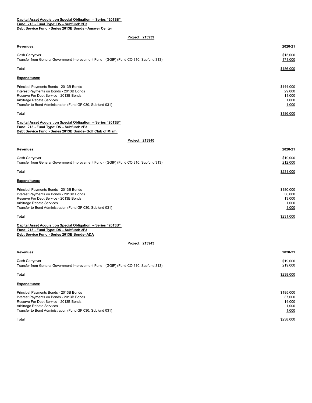## **Fund: 213 - Fund Type: D5 – Subfund: 2F3 Debt Service Fund - Series 2013B Bonds - Answer Center Capital Asset Acquisition Special Obligation – Series "2013B"**

# **Project: 213939**

| Revenues:                                                                                                                                                                                                               | 2020-21                                         |
|-------------------------------------------------------------------------------------------------------------------------------------------------------------------------------------------------------------------------|-------------------------------------------------|
| Cash Carryover<br>Transfer from General Government Improvement Fund - (GGIF) (Fund CO 310, Subfund 313)                                                                                                                 | \$15,000<br>171,000                             |
| Total                                                                                                                                                                                                                   | \$186,000                                       |
| <b>Expenditures:</b>                                                                                                                                                                                                    |                                                 |
| Principal Payments Bonds - 2013B Bonds<br>Interest Payments on Bonds - 2013B Bonds<br>Reserve For Debt Service - 2013B Bonds<br>Arbitrage Rebate Services<br>Transfer to Bond Administration (Fund GF 030, Subfund 031) | \$144,000<br>29,000<br>11,000<br>1,000<br>1,000 |
| Total                                                                                                                                                                                                                   | \$186,000                                       |
| Capital Asset Acquisition Special Obligation - Series "2013B"<br>Fund: 213 - Fund Type: D5 - Subfund: 2F3<br>Debt Service Fund - Series 2013B Bonds- Golf Club of Miami                                                 |                                                 |
| Project: 213940                                                                                                                                                                                                         |                                                 |
| Revenues:                                                                                                                                                                                                               | 2020-21                                         |
| Cash Carryover<br>Transfer from General Government Improvement Fund - (GGIF) (Fund CO 310, Subfund 313)                                                                                                                 | \$19,000<br>212,000                             |
| Total                                                                                                                                                                                                                   | \$231,000                                       |
| Expenditures:                                                                                                                                                                                                           |                                                 |
| Principal Payments Bonds - 2013B Bonds<br>Interest Payments on Bonds - 2013B Bonds<br>Reserve For Debt Service - 2013B Bonds<br>Arbitrage Rebate Services<br>Transfer to Bond Administration (Fund GF 030, Subfund 031) | \$180,000<br>36,000<br>13,000<br>1,000<br>1,000 |
| Total                                                                                                                                                                                                                   | \$231,000                                       |
| Capital Asset Acquisition Special Obligation - Series "2013B"<br>Fund: 213 - Fund Type: D5 - Subfund: 2F3<br>Debt Service Fund - Series 2013B Bonds- ADA                                                                |                                                 |
| Project: 213943                                                                                                                                                                                                         |                                                 |
| Revenues:                                                                                                                                                                                                               | 2020-21                                         |
| Cash Carryover<br>Transfer from General Government Improvement Fund - (GGIF) (Fund CO 310, Subfund 313)                                                                                                                 | \$19,000<br>219,000                             |
| Total                                                                                                                                                                                                                   | \$238,000                                       |
| <b>Expenditures:</b>                                                                                                                                                                                                    |                                                 |
| Principal Payments Bonds - 2013B Bonds<br>Interest Payments on Bonds - 2013B Bonds<br>Reserve For Debt Service - 2013B Bonds<br>Arbitrage Rebate Services<br>Transfer to Bond Administration (Fund GF 030, Subfund 031) | \$185,000<br>37,000<br>14,000<br>1,000<br>1,000 |

Total \$238,000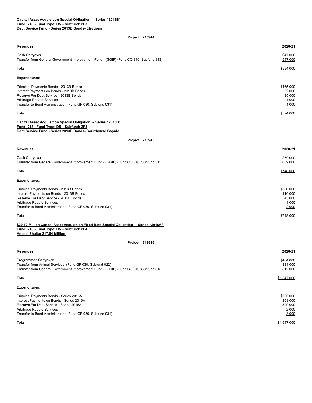| Revenues:                                                                                                                                                                                                                  | 2020-21                                           |
|----------------------------------------------------------------------------------------------------------------------------------------------------------------------------------------------------------------------------|---------------------------------------------------|
| Cash Carryover<br>Transfer from General Government Improvement Fund - (GGIF) (Fund CO 310, Subfund 313)                                                                                                                    | \$47,000<br>547,000                               |
| Total                                                                                                                                                                                                                      | \$594,000                                         |
| <b>Expenditures:</b>                                                                                                                                                                                                       |                                                   |
| Principal Payments Bonds - 2013B Bonds<br>Interest Payments on Bonds - 2013B Bonds<br>Reserve For Debt Service - 2013B Bonds<br>Arbitrage Rebate Services<br>Transfer to Bond Administration (Fund GF 030, Subfund 031)    | \$465,000<br>92,000<br>35,000<br>1,000<br>1,000   |
| Total                                                                                                                                                                                                                      | \$594,000                                         |
| Capital Asset Acquisition Special Obligation - Series "2013B"<br>Fund: 213 - Fund Type: D5 - Subfund: 2F3<br>Debt Service Fund - Series 2013B Bonds- Courthouse Façade                                                     |                                                   |
| Project: 213945                                                                                                                                                                                                            |                                                   |
| Revenues:                                                                                                                                                                                                                  | 2020-21                                           |
| Cash Carryover<br>Transfer from General Government Improvement Fund - (GGIF) (Fund CO 310, Subfund 313)                                                                                                                    | \$59,000<br>689,000                               |
| Total                                                                                                                                                                                                                      | \$748.000                                         |
| <b>Expenditures:</b>                                                                                                                                                                                                       |                                                   |
| Principal Payments Bonds - 2013B Bonds<br>Interest Payments on Bonds - 2013B Bonds<br>Reserve For Debt Service - 2013B Bonds<br>Arbitrage Rebate Services<br>Transfer to Bond Administration (Fund GF 030, Subfund 031)    | \$586,000<br>116,000<br>43,000<br>1,000<br>2,000  |
| Total                                                                                                                                                                                                                      | \$748,000                                         |
| \$29.72 Million Capital Asset Acquisition Fixed Rate Special Obligation - Series "2016A"<br>Fund: 213 - Fund Type: D5 - Subfund: 2F4<br>Animal Shelter \$17.54 Million                                                     |                                                   |
| Project: 213946                                                                                                                                                                                                            |                                                   |
| Revenues:                                                                                                                                                                                                                  | 2020-21                                           |
| Programmed Carryover<br>Transfer from Animal Services (Fund GF 030, Subfund 022)<br>Transfer from General Government Improvement Fund - (GGIF) (Fund CO 310, Subfund 313)                                                  | \$404,000<br>331,000<br>812,000                   |
| Total                                                                                                                                                                                                                      | \$1,547,000                                       |
| <b>Expenditures:</b>                                                                                                                                                                                                       |                                                   |
| Principal Payments Bonds - Series 2016A<br>Interest Payments on Bonds - Series 2016A<br>Reserve For Debt Service - Series 2016A<br>Arbitrage Rebate Services<br>Transfer to Bond Administration (Fund GF 030, Subfund 031) | \$335,000<br>808,000<br>399,000<br>2,000<br>3,000 |
| Total                                                                                                                                                                                                                      | \$1,547,000                                       |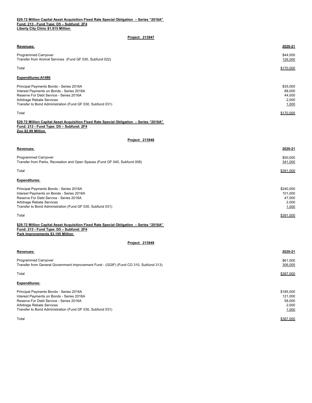## **\$29.72 Million Capital Asset Acquisition Fixed Rate Special Obligation – Series "2016A" Fund: 213 - Fund Type: D5 – Subfund: 2F4**

**Liberty City Clinic \$1.915 Million** 

| Revenues:                                                                                                                                                                                                                  | 2020-21                                          |
|----------------------------------------------------------------------------------------------------------------------------------------------------------------------------------------------------------------------------|--------------------------------------------------|
| Programmed Carryover<br>Transfer from Animal Services (Fund GF 030, Subfund 022)                                                                                                                                           | \$44,000<br>126,000                              |
| Total                                                                                                                                                                                                                      | \$170,000                                        |
| Expenditures: A1486                                                                                                                                                                                                        |                                                  |
| Principal Payments Bonds - Series 2016A<br>Interest Payments on Bonds - Series 2016A<br>Reserve For Debt Service - Series 2016A<br>Arbitrage Rebate Services<br>Transfer to Bond Administration (Fund GF 030, Subfund 031) | \$35,000<br>88,000<br>44,000<br>2,000<br>1,000   |
| Total                                                                                                                                                                                                                      | \$170,000                                        |
| \$29.72 Million Capital Asset Acquisition Fixed Rate Special Obligation - Series "2016A"<br>Fund: 213 - Fund Type: D5 - Subfund: 2F4<br>Zoo \$2.99 Million                                                                 |                                                  |
| <b>Project: 213948</b>                                                                                                                                                                                                     |                                                  |
| Revenues:                                                                                                                                                                                                                  | 2020-21                                          |
| <b>Programmed Carryover</b><br>Transfer from Parks, Recreation and Open Spaces (Fund GF 040, Subfund 008)                                                                                                                  | \$50,000<br>341,000                              |
| Total                                                                                                                                                                                                                      | \$391,000                                        |
| <b>Expenditures:</b>                                                                                                                                                                                                       |                                                  |
| Principal Payments Bonds - Series 2016A<br>Interest Payments on Bonds - Series 2016A<br>Reserve For Debt Service - Series 2016A<br>Arbitrage Rebate Services<br>Transfer to Bond Administration (Fund GF 030, Subfund 031) | \$240,000<br>101,000<br>47,000<br>2,000<br>1,000 |
| Total                                                                                                                                                                                                                      | \$391,000                                        |
| \$29.72 Million Capital Asset Acquisition Fixed Rate Special Obligation - Series "2016A"<br>Fund: 213 - Fund Type: D5 - Subfund: 2F4<br>Park Improvements \$3.195 Million                                                  |                                                  |
| Project: 213949                                                                                                                                                                                                            |                                                  |
| Revenues:                                                                                                                                                                                                                  | 2020-21                                          |
| <b>Programmed Carryover</b><br>Transfer from General Government Improvement Fund - (GGIF) (Fund CO 310, Subfund 313)                                                                                                       | \$61,000<br>306,000                              |
| Total                                                                                                                                                                                                                      | \$367,000                                        |
| <b>Expenditures:</b>                                                                                                                                                                                                       |                                                  |
| Principal Payments Bonds - Series 2016A<br>Interest Payments on Bonds - Series 2016A<br>Reserve For Debt Service - Series 2016A<br>Arbitrage Rebate Services<br>Transfer to Bond Administration (Fund GF 030, Subfund 031) | \$185,000<br>121,000<br>58,000<br>2,000<br>1,000 |
| Total                                                                                                                                                                                                                      | \$367,000                                        |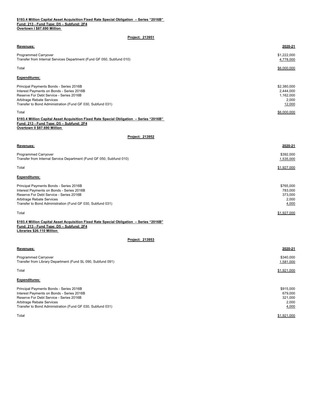| Revenues:                                                                                                                                                                                                                  | 2020-21                                                  |
|----------------------------------------------------------------------------------------------------------------------------------------------------------------------------------------------------------------------------|----------------------------------------------------------|
| <b>Programmed Carryover</b><br>Transfer from Internal Services Department (Fund GF 050, Subfund 010)                                                                                                                       | \$1,222,000<br>4,778,000                                 |
| Total                                                                                                                                                                                                                      | \$6,000,000                                              |
| <b>Expenditures:</b>                                                                                                                                                                                                       |                                                          |
| Principal Payments Bonds - Series 2016B<br>Interest Payments on Bonds - Series 2016B<br>Reserve For Debt Service - Series 2016B<br>Arbitrage Rebate Services<br>Transfer to Bond Administration (Fund GF 030, Subfund 031) | \$2,380,000<br>2,444,000<br>1,162,000<br>2,000<br>12,000 |
| Total                                                                                                                                                                                                                      | \$6,000,000                                              |
| \$193.4 Million Capital Asset Acquisition Fixed Rate Special Obligation - Series "2016B"<br>Fund: 213 - Fund Type: D5 - Subfund: 2F4<br>Overtown II \$87.690 Million                                                       |                                                          |
| <b>Project: 213952</b>                                                                                                                                                                                                     |                                                          |
| Revenues:                                                                                                                                                                                                                  | 2020-21                                                  |
| <b>Programmed Carryover</b><br>Transfer from Internal Service Department (Fund GF 050, Subfund 010)                                                                                                                        | \$392,000<br>1,535,000                                   |
| Total                                                                                                                                                                                                                      | \$1,927,000                                              |
| <b>Expenditures:</b>                                                                                                                                                                                                       |                                                          |
| Principal Payments Bonds - Series 2016B<br>Interest Payments on Bonds - Series 2016B<br>Reserve For Debt Service - Series 2016B<br>Arbitrage Rebate Services<br>Transfer to Bond Administration (Fund GF 030, Subfund 031) | \$765,000<br>783,000<br>373,000<br>2,000<br>4,000        |
| Total                                                                                                                                                                                                                      | \$1,927,000                                              |
| \$193.4 Million Capital Asset Acquisition Fixed Rate Special Obligation - Series "2016B"<br>Fund: 213 - Fund Type: D5 - Subfund: 2F4<br>Libraries \$26.110 Million                                                         |                                                          |
| Project: 213953                                                                                                                                                                                                            |                                                          |
| Revenues:                                                                                                                                                                                                                  | 2020-21                                                  |
| <b>Programmed Carryover</b><br>Transfer from Library Department (Fund SL 090, Subfund 091)                                                                                                                                 | \$340,000<br>1,581,000                                   |
| Total                                                                                                                                                                                                                      | \$1.921.000                                              |
| <b>Expenditures:</b>                                                                                                                                                                                                       |                                                          |
| Principal Payments Bonds - Series 2016B<br>Interest Payments on Bonds - Series 2016B<br>Reserve For Debt Service - Series 2016B<br>Arbitrage Rebate Services<br>Transfer to Bond Administration (Fund GF 030, Subfund 031) | \$915,000<br>679,000<br>321,000<br>2,000<br>4,000        |
| Total                                                                                                                                                                                                                      | \$1,921,000                                              |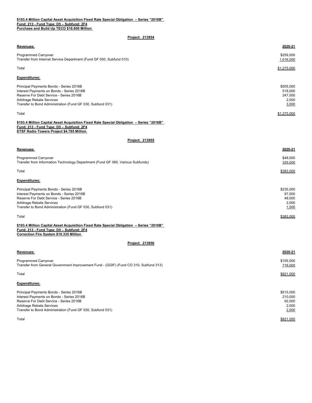| Revenues:                                                                                                                                                                                                                  | 2020-21                                           |
|----------------------------------------------------------------------------------------------------------------------------------------------------------------------------------------------------------------------------|---------------------------------------------------|
| <b>Programmed Carryover</b><br>Transfer from Internal Service Department (Fund GF 050, Subfund 010)                                                                                                                        | \$259,000<br>1,016,000                            |
| Total                                                                                                                                                                                                                      | \$1,275,000                                       |
| <b>Expenditures:</b>                                                                                                                                                                                                       |                                                   |
| Principal Payments Bonds - Series 2016B<br>Interest Payments on Bonds - Series 2016B<br>Reserve For Debt Service - Series 2016B<br>Arbitrage Rebate Services<br>Transfer to Bond Administration (Fund GF 030, Subfund 031) | \$505,000<br>518,000<br>247,000<br>2,000<br>3,000 |
| Total                                                                                                                                                                                                                      | \$1,275,000                                       |
| \$193.4 Million Capital Asset Acquisition Fixed Rate Special Obligation - Series "2016B"<br>Fund: 213 - Fund Type: D5 - Subfund: 2F4<br>ETSF Radio Towers Project \$4.785 Million<br>Project: 213955                       |                                                   |
| Revenues:                                                                                                                                                                                                                  | 2020-21                                           |
| <b>Programmed Carryover</b><br>Transfer from Information Technology Department (Fund GF 060, Various Subfunds)                                                                                                             | \$48,000<br>335,000                               |
| Total                                                                                                                                                                                                                      | \$383,000                                         |
| <b>Expenditures:</b>                                                                                                                                                                                                       |                                                   |
| Principal Payments Bonds - Series 2016B<br>Interest Payments on Bonds - Series 2016B<br>Reserve For Debt Service - Series 2016B<br>Arbitrage Rebate Services<br>Transfer to Bond Administration (Fund GF 030, Subfund 031) | \$235,000<br>97,000<br>48,000<br>2,000<br>1,000   |
| Total                                                                                                                                                                                                                      | \$383,000                                         |
| \$193.4 Million Capital Asset Acquisition Fixed Rate Special Obligation – Series "2016B"<br>Fund: 213 - Fund Type: D5 - Subfund: 2F4<br><b>Correction Fire System \$10.335 Million</b>                                     |                                                   |
| Project: 213956                                                                                                                                                                                                            |                                                   |
| Revenues:                                                                                                                                                                                                                  | 2020-21                                           |
| <b>Programmed Carryover</b><br>Transfer from General Government Improvement Fund - (GGIF) (Fund CO 310, Subfund 313)                                                                                                       | \$105,000<br>716,000                              |
| Total                                                                                                                                                                                                                      | \$821,000                                         |
| <b>Expenditures:</b>                                                                                                                                                                                                       |                                                   |
| Principal Payments Bonds - Series 2016B<br>Interest Payments on Bonds - Series 2016B<br>Reserve For Debt Service - Series 2016B<br>Arbitrage Rebate Services<br>Transfer to Bond Administration (Fund GF 030, Subfund 031) | \$515,000<br>210,000<br>92,000<br>2,000<br>2,000  |
| Total                                                                                                                                                                                                                      | \$821,000                                         |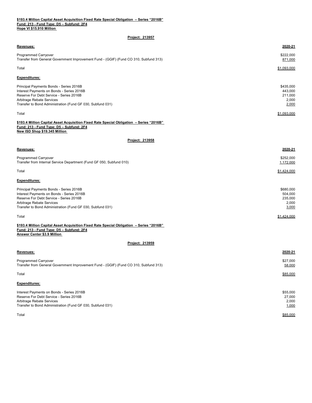| \$193.4 Million Capital Asset Acquisition Fixed Rate Special Obligation – Series "2016B" |  |
|------------------------------------------------------------------------------------------|--|
| Fund: 213 - Fund Type: D5 - Subfund: 2F4                                                 |  |
| Hope VI \$15,910 Million                                                                 |  |

|  |  | <b>Project: 213957</b> |  |
|--|--|------------------------|--|
|--|--|------------------------|--|

| Programmed Carryover<br>\$222,000<br>Transfer from General Government Improvement Fund - (GGIF) (Fund CO 310, Subfund 313)<br>871,000<br>Total<br>\$1,093,000<br><b>Expenditures:</b><br>\$435,000<br>Principal Payments Bonds - Series 2016B<br>Interest Payments on Bonds - Series 2016B<br>443,000<br>Reserve For Debt Service - Series 2016B<br>211,000<br>Arbitrage Rebate Services<br>2,000<br>2,000<br>\$1,093,000<br>Total<br>\$193.4 Million Capital Asset Acquisition Fixed Rate Special Obligation - Series "2016B"<br>Fund: 213 - Fund Type: D5 - Subfund: 2F4<br>New ISD Shop \$19.345 Million<br>Project: 213958<br>2020-21<br>Revenues:<br><b>Programmed Carryover</b><br>\$252,000<br>Transfer from Internal Service Department (Fund GF 050, Subfund 010)<br>1,172,000<br>\$1,424,000<br>Total<br><b>Expenditures:</b><br>\$680,000<br>Principal Payments Bonds - Series 2016B<br>Interest Payments on Bonds - Series 2016B<br>504,000<br>Reserve For Debt Service - Series 2016B<br>235,000<br>Arbitrage Rebate Services<br>2,000<br>Transfer to Bond Administration (Fund GF 030, Subfund 031)<br>3,000<br>Total<br>\$1,424,000<br>\$193.4 Million Capital Asset Acquisition Fixed Rate Special Obligation - Series "2016B"<br>Fund: 213 - Fund Type: D5 - Subfund: 2F4<br><b>Answer Center \$3.9 Million</b><br>Project: 213959<br>Revenues:<br>2020-21<br>Programmed Carryover<br>\$27,000<br>Transfer from General Government Improvement Fund - (GGIF) (Fund CO 310, Subfund 313)<br>58,000<br>Total<br>\$85,000<br><b>Expenditures:</b><br>Interest Payments on Bonds - Series 2016B<br>\$55,000<br>Reserve For Debt Service - Series 2016B<br>27,000<br>Arbitrage Rebate Services<br>2,000<br>Transfer to Bond Administration (Fund GF 030, Subfund 031)<br>1,000<br>\$85,000<br>Total | Revenues:                                                  | 2020-21 |
|-----------------------------------------------------------------------------------------------------------------------------------------------------------------------------------------------------------------------------------------------------------------------------------------------------------------------------------------------------------------------------------------------------------------------------------------------------------------------------------------------------------------------------------------------------------------------------------------------------------------------------------------------------------------------------------------------------------------------------------------------------------------------------------------------------------------------------------------------------------------------------------------------------------------------------------------------------------------------------------------------------------------------------------------------------------------------------------------------------------------------------------------------------------------------------------------------------------------------------------------------------------------------------------------------------------------------------------------------------------------------------------------------------------------------------------------------------------------------------------------------------------------------------------------------------------------------------------------------------------------------------------------------------------------------------------------------------------------------------------------------------------------------------------------------------------------|------------------------------------------------------------|---------|
|                                                                                                                                                                                                                                                                                                                                                                                                                                                                                                                                                                                                                                                                                                                                                                                                                                                                                                                                                                                                                                                                                                                                                                                                                                                                                                                                                                                                                                                                                                                                                                                                                                                                                                                                                                                                                 |                                                            |         |
|                                                                                                                                                                                                                                                                                                                                                                                                                                                                                                                                                                                                                                                                                                                                                                                                                                                                                                                                                                                                                                                                                                                                                                                                                                                                                                                                                                                                                                                                                                                                                                                                                                                                                                                                                                                                                 |                                                            |         |
|                                                                                                                                                                                                                                                                                                                                                                                                                                                                                                                                                                                                                                                                                                                                                                                                                                                                                                                                                                                                                                                                                                                                                                                                                                                                                                                                                                                                                                                                                                                                                                                                                                                                                                                                                                                                                 |                                                            |         |
|                                                                                                                                                                                                                                                                                                                                                                                                                                                                                                                                                                                                                                                                                                                                                                                                                                                                                                                                                                                                                                                                                                                                                                                                                                                                                                                                                                                                                                                                                                                                                                                                                                                                                                                                                                                                                 |                                                            |         |
|                                                                                                                                                                                                                                                                                                                                                                                                                                                                                                                                                                                                                                                                                                                                                                                                                                                                                                                                                                                                                                                                                                                                                                                                                                                                                                                                                                                                                                                                                                                                                                                                                                                                                                                                                                                                                 |                                                            |         |
|                                                                                                                                                                                                                                                                                                                                                                                                                                                                                                                                                                                                                                                                                                                                                                                                                                                                                                                                                                                                                                                                                                                                                                                                                                                                                                                                                                                                                                                                                                                                                                                                                                                                                                                                                                                                                 |                                                            |         |
|                                                                                                                                                                                                                                                                                                                                                                                                                                                                                                                                                                                                                                                                                                                                                                                                                                                                                                                                                                                                                                                                                                                                                                                                                                                                                                                                                                                                                                                                                                                                                                                                                                                                                                                                                                                                                 |                                                            |         |
|                                                                                                                                                                                                                                                                                                                                                                                                                                                                                                                                                                                                                                                                                                                                                                                                                                                                                                                                                                                                                                                                                                                                                                                                                                                                                                                                                                                                                                                                                                                                                                                                                                                                                                                                                                                                                 | Transfer to Bond Administration (Fund GF 030, Subfund 031) |         |
|                                                                                                                                                                                                                                                                                                                                                                                                                                                                                                                                                                                                                                                                                                                                                                                                                                                                                                                                                                                                                                                                                                                                                                                                                                                                                                                                                                                                                                                                                                                                                                                                                                                                                                                                                                                                                 |                                                            |         |
|                                                                                                                                                                                                                                                                                                                                                                                                                                                                                                                                                                                                                                                                                                                                                                                                                                                                                                                                                                                                                                                                                                                                                                                                                                                                                                                                                                                                                                                                                                                                                                                                                                                                                                                                                                                                                 |                                                            |         |
|                                                                                                                                                                                                                                                                                                                                                                                                                                                                                                                                                                                                                                                                                                                                                                                                                                                                                                                                                                                                                                                                                                                                                                                                                                                                                                                                                                                                                                                                                                                                                                                                                                                                                                                                                                                                                 |                                                            |         |
|                                                                                                                                                                                                                                                                                                                                                                                                                                                                                                                                                                                                                                                                                                                                                                                                                                                                                                                                                                                                                                                                                                                                                                                                                                                                                                                                                                                                                                                                                                                                                                                                                                                                                                                                                                                                                 |                                                            |         |
|                                                                                                                                                                                                                                                                                                                                                                                                                                                                                                                                                                                                                                                                                                                                                                                                                                                                                                                                                                                                                                                                                                                                                                                                                                                                                                                                                                                                                                                                                                                                                                                                                                                                                                                                                                                                                 |                                                            |         |
|                                                                                                                                                                                                                                                                                                                                                                                                                                                                                                                                                                                                                                                                                                                                                                                                                                                                                                                                                                                                                                                                                                                                                                                                                                                                                                                                                                                                                                                                                                                                                                                                                                                                                                                                                                                                                 |                                                            |         |
|                                                                                                                                                                                                                                                                                                                                                                                                                                                                                                                                                                                                                                                                                                                                                                                                                                                                                                                                                                                                                                                                                                                                                                                                                                                                                                                                                                                                                                                                                                                                                                                                                                                                                                                                                                                                                 |                                                            |         |
|                                                                                                                                                                                                                                                                                                                                                                                                                                                                                                                                                                                                                                                                                                                                                                                                                                                                                                                                                                                                                                                                                                                                                                                                                                                                                                                                                                                                                                                                                                                                                                                                                                                                                                                                                                                                                 |                                                            |         |
|                                                                                                                                                                                                                                                                                                                                                                                                                                                                                                                                                                                                                                                                                                                                                                                                                                                                                                                                                                                                                                                                                                                                                                                                                                                                                                                                                                                                                                                                                                                                                                                                                                                                                                                                                                                                                 |                                                            |         |
|                                                                                                                                                                                                                                                                                                                                                                                                                                                                                                                                                                                                                                                                                                                                                                                                                                                                                                                                                                                                                                                                                                                                                                                                                                                                                                                                                                                                                                                                                                                                                                                                                                                                                                                                                                                                                 |                                                            |         |
|                                                                                                                                                                                                                                                                                                                                                                                                                                                                                                                                                                                                                                                                                                                                                                                                                                                                                                                                                                                                                                                                                                                                                                                                                                                                                                                                                                                                                                                                                                                                                                                                                                                                                                                                                                                                                 |                                                            |         |
|                                                                                                                                                                                                                                                                                                                                                                                                                                                                                                                                                                                                                                                                                                                                                                                                                                                                                                                                                                                                                                                                                                                                                                                                                                                                                                                                                                                                                                                                                                                                                                                                                                                                                                                                                                                                                 |                                                            |         |
|                                                                                                                                                                                                                                                                                                                                                                                                                                                                                                                                                                                                                                                                                                                                                                                                                                                                                                                                                                                                                                                                                                                                                                                                                                                                                                                                                                                                                                                                                                                                                                                                                                                                                                                                                                                                                 |                                                            |         |
|                                                                                                                                                                                                                                                                                                                                                                                                                                                                                                                                                                                                                                                                                                                                                                                                                                                                                                                                                                                                                                                                                                                                                                                                                                                                                                                                                                                                                                                                                                                                                                                                                                                                                                                                                                                                                 |                                                            |         |
|                                                                                                                                                                                                                                                                                                                                                                                                                                                                                                                                                                                                                                                                                                                                                                                                                                                                                                                                                                                                                                                                                                                                                                                                                                                                                                                                                                                                                                                                                                                                                                                                                                                                                                                                                                                                                 |                                                            |         |
|                                                                                                                                                                                                                                                                                                                                                                                                                                                                                                                                                                                                                                                                                                                                                                                                                                                                                                                                                                                                                                                                                                                                                                                                                                                                                                                                                                                                                                                                                                                                                                                                                                                                                                                                                                                                                 |                                                            |         |
|                                                                                                                                                                                                                                                                                                                                                                                                                                                                                                                                                                                                                                                                                                                                                                                                                                                                                                                                                                                                                                                                                                                                                                                                                                                                                                                                                                                                                                                                                                                                                                                                                                                                                                                                                                                                                 |                                                            |         |
|                                                                                                                                                                                                                                                                                                                                                                                                                                                                                                                                                                                                                                                                                                                                                                                                                                                                                                                                                                                                                                                                                                                                                                                                                                                                                                                                                                                                                                                                                                                                                                                                                                                                                                                                                                                                                 |                                                            |         |
|                                                                                                                                                                                                                                                                                                                                                                                                                                                                                                                                                                                                                                                                                                                                                                                                                                                                                                                                                                                                                                                                                                                                                                                                                                                                                                                                                                                                                                                                                                                                                                                                                                                                                                                                                                                                                 |                                                            |         |
|                                                                                                                                                                                                                                                                                                                                                                                                                                                                                                                                                                                                                                                                                                                                                                                                                                                                                                                                                                                                                                                                                                                                                                                                                                                                                                                                                                                                                                                                                                                                                                                                                                                                                                                                                                                                                 |                                                            |         |
|                                                                                                                                                                                                                                                                                                                                                                                                                                                                                                                                                                                                                                                                                                                                                                                                                                                                                                                                                                                                                                                                                                                                                                                                                                                                                                                                                                                                                                                                                                                                                                                                                                                                                                                                                                                                                 |                                                            |         |
|                                                                                                                                                                                                                                                                                                                                                                                                                                                                                                                                                                                                                                                                                                                                                                                                                                                                                                                                                                                                                                                                                                                                                                                                                                                                                                                                                                                                                                                                                                                                                                                                                                                                                                                                                                                                                 |                                                            |         |
|                                                                                                                                                                                                                                                                                                                                                                                                                                                                                                                                                                                                                                                                                                                                                                                                                                                                                                                                                                                                                                                                                                                                                                                                                                                                                                                                                                                                                                                                                                                                                                                                                                                                                                                                                                                                                 |                                                            |         |
|                                                                                                                                                                                                                                                                                                                                                                                                                                                                                                                                                                                                                                                                                                                                                                                                                                                                                                                                                                                                                                                                                                                                                                                                                                                                                                                                                                                                                                                                                                                                                                                                                                                                                                                                                                                                                 |                                                            |         |
|                                                                                                                                                                                                                                                                                                                                                                                                                                                                                                                                                                                                                                                                                                                                                                                                                                                                                                                                                                                                                                                                                                                                                                                                                                                                                                                                                                                                                                                                                                                                                                                                                                                                                                                                                                                                                 |                                                            |         |
|                                                                                                                                                                                                                                                                                                                                                                                                                                                                                                                                                                                                                                                                                                                                                                                                                                                                                                                                                                                                                                                                                                                                                                                                                                                                                                                                                                                                                                                                                                                                                                                                                                                                                                                                                                                                                 |                                                            |         |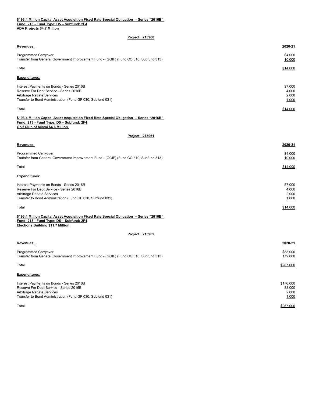| \$193.4 Million Capital Asset Acquisition Fixed Rate Special Obligation - Series "2016B" |  |
|------------------------------------------------------------------------------------------|--|
| Fund: 213 - Fund Type: D5 - Subfund: 2F4                                                 |  |
| <b>ADA Projects \$4.7 Million</b>                                                        |  |

| Project: 213960                                                                                                                                                                  |                                    |
|----------------------------------------------------------------------------------------------------------------------------------------------------------------------------------|------------------------------------|
| Revenues:                                                                                                                                                                        | 2020-21                            |
| Programmed Carryover<br>Transfer from General Government Improvement Fund - (GGIF) (Fund CO 310, Subfund 313)                                                                    | \$4,000<br>10,000                  |
| Total                                                                                                                                                                            | \$14,000                           |
| <b>Expenditures:</b>                                                                                                                                                             |                                    |
| Interest Payments on Bonds - Series 2016B<br>Reserve For Debt Service - Series 2016B<br>Arbitrage Rebate Services<br>Transfer to Bond Administration (Fund GF 030, Subfund 031)  | \$7,000<br>4,000<br>2,000<br>1,000 |
| Total                                                                                                                                                                            | \$14,000                           |
| \$193.4 Million Capital Asset Acquisition Fixed Rate Special Obligation - Series "2016B"<br>Fund: 213 - Fund Type: D5 - Subfund: 2F4<br>Golf Club of Miami \$4.6 Million         |                                    |
| Project: 213961                                                                                                                                                                  |                                    |
| Revenues:                                                                                                                                                                        | 2020-21                            |
| <b>Programmed Carryover</b><br>Transfer from General Government Improvement Fund - (GGIF) (Fund CO 310, Subfund 313)                                                             | \$4,000<br>10,000                  |
| Total                                                                                                                                                                            | \$14,000                           |
| <b>Expenditures:</b>                                                                                                                                                             |                                    |
| Interest Payments on Bonds - Series 2016B<br>Reserve For Debt Service - Series 2016B<br>Arbitrage Rebate Services<br>Transfer to Bond Administration (Fund GF 030, Subfund 031)  | \$7,000<br>4,000<br>2,000<br>1,000 |
| Total                                                                                                                                                                            | \$14,000                           |
| \$193.4 Million Capital Asset Acquisition Fixed Rate Special Obligation - Series "2016B"<br>Fund: 213 - Fund Type: D5 - Subfund: 2F4<br><b>Elections Building \$11.7 Million</b> |                                    |
| Project: 213962                                                                                                                                                                  |                                    |
| Revenues:                                                                                                                                                                        | 2020-21                            |
| <b>Programmed Carryover</b><br>Transfer from General Government Improvement Fund - (GGIF) (Fund CO 310, Subfund 313)                                                             | \$88,000<br>179,000                |

**Expenditures:**

Interest Payments on Bonds - Series 2016B \$176,000 Reserve For Debt Service - Series 2016B 88,000 Arbitrage Rebate Services **2000**<br>
Transfer to Bond Administration (Fund GF 030, Subfund 031)<br>
2,000<br>
2,000<br>
2,000<br>
2,000<br>
2,000 Transfer to Bond Administration (Fund GF 030, Subfund 031)  $\,$ Total $\,$ 

 $\,$ Total $\,$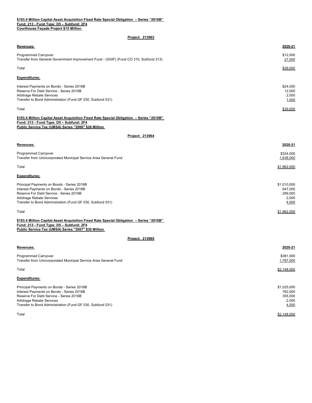# **\$193.4 Million Capital Asset Acquisition Fixed Rate Special Obligation – Series "2016B" Fund: 213 - Fund Type: D5 – Subfund: 2F4**

**Courthouse Façade Project \$15 Million** 

# **Project: 213963**

| Revenues:                                                                                                                                                                                                                     | 2020-21                                             |
|-------------------------------------------------------------------------------------------------------------------------------------------------------------------------------------------------------------------------------|-----------------------------------------------------|
| Programmed Carryover<br>Transfer from General Government Improvement Fund - (GGIF) (Fund CO 310, Subfund 313)                                                                                                                 | \$12,000<br>27,000                                  |
| Total                                                                                                                                                                                                                         | <u>\$39,000</u>                                     |
| <b>Expenditures:</b>                                                                                                                                                                                                          |                                                     |
| Interest Payments on Bonds - Series 2016B<br>Reserve For Debt Service - Series 2016B<br>Arbitrage Rebate Services<br>Transfer to Bond Administration (Fund GF 030, Subfund 031)                                               | \$24,000<br>12,000<br>2,000<br>1,000                |
| Total                                                                                                                                                                                                                         | \$39,000                                            |
| \$193.4 Million Capital Asset Acquisition Fixed Rate Special Obligation - Series "2016B"<br>Fund: 213 - Fund Type: D5 - Subfund: 2F4<br>Public Service Tax (UMSA) Series "2006" \$28 Million                                  |                                                     |
| Project: 213964                                                                                                                                                                                                               |                                                     |
| Revenues:                                                                                                                                                                                                                     | 2020-21                                             |
| Programmed Carryover<br>Transfer from Unincorporated Municipal Service Area General Fund                                                                                                                                      | \$324,000<br>1,638,000                              |
| Total                                                                                                                                                                                                                         | \$1,962,000                                         |
| <b>Expenditures:</b>                                                                                                                                                                                                          |                                                     |
| Principal Payments on Bonds - Series 2016B<br>Interest Payments on Bonds - Series 2016B<br>Reserve For Debt Service - Series 2016B<br>Arbitrage Rebate Services<br>Transfer to Bond Administration (Fund GF 030, Subfund 031) | \$1,010,000<br>647,000<br>299,000<br>2,000<br>4,000 |
| Total                                                                                                                                                                                                                         | \$1,962,000                                         |
| \$193.4 Million Capital Asset Acquisition Fixed Rate Special Obligation - Series "2016B"<br>Fund: 213 - Fund Type: D5 - Subfund: 2F4<br>Public Service Tax (UMSA) Series "2007" \$30 Million                                  |                                                     |
| Project: 213965                                                                                                                                                                                                               |                                                     |
| Revenues:                                                                                                                                                                                                                     | 2020-21                                             |
| Programmed Carryover<br>Transfer from Unincorporated Municipal Service Area General Fund                                                                                                                                      | \$381,000<br>1,767,000                              |
| Total                                                                                                                                                                                                                         | \$2,148,000                                         |
| <b>Expenditures:</b>                                                                                                                                                                                                          |                                                     |
| Principal Payments on Bonds - Series 2016B<br>Interest Payments on Bonds - Series 2016B<br>Reserve For Debt Service - Series 2016B<br>Arbitrage Rebate Services<br>Transfer to Bond Administration (Fund GF 030, Subfund 031) | \$1,025,000<br>762,000<br>355,000<br>2,000<br>4,000 |

 $\verb|Total|$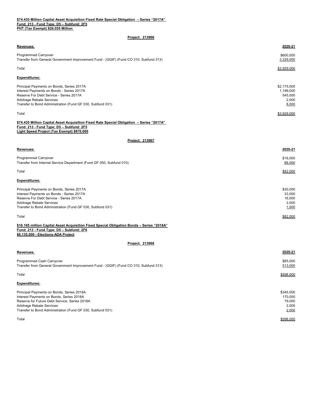## **\$74.435 Million Capital Asset Acquisition Fixed Rate Special Obligation – Series "2017A" Fund: 213 - Fund Type: D5 – Subfund: 2F5 PHT (Tax Exempt) \$26.055 Million**

| <b>Project: 213966</b> |  |  |
|------------------------|--|--|
|                        |  |  |

| Revenues:                                                                                                                                                                                                                         | 2020-21                                               |
|-----------------------------------------------------------------------------------------------------------------------------------------------------------------------------------------------------------------------------------|-------------------------------------------------------|
| Programmed Carryover<br>Transfer from General Government Improvement Fund - (GGIF) (Fund CO 310, Subfund 313)                                                                                                                     | \$600,000<br>3,329,000                                |
| Total                                                                                                                                                                                                                             | \$3,929,000                                           |
| <b>Expenditures:</b>                                                                                                                                                                                                              |                                                       |
| Principal Payments on Bonds, Series 2017A<br>Interest Payments on Bonds - Series 2017A<br>Reserve For Debt Service - Series 2017A<br>Arbitrage Rebate Services<br>Transfer to Bond Administration (Fund GF 030, Subfund 031)      | \$2,175,000<br>1,199,000<br>545,000<br>2,000<br>8,000 |
| Total                                                                                                                                                                                                                             | \$3,929,000                                           |
| \$74.435 Million Capital Asset Acquisition Fixed Rate Special Obligation - Series "2017A"<br>Fund: 213 - Fund Type: D5 - Subfund: 2F5<br>Light Speed Project (Tax Exempt) \$870,000                                               |                                                       |
| Project: 213967                                                                                                                                                                                                                   |                                                       |
| Revenues:                                                                                                                                                                                                                         | 2020-21                                               |
| Programmed Carryover<br>Transfer from Internal Service Department (Fund GF 050, Subfund 010)                                                                                                                                      | \$16,000<br>66,000                                    |
| Total                                                                                                                                                                                                                             | \$82,000                                              |
| <b>Expenditures:</b>                                                                                                                                                                                                              |                                                       |
| Principal Payments on Bonds, Series 2017A<br>Interest Payments on Bonds - Series 2017A<br>Reserve For Debt Service - Series 2017A<br>Arbitrage Rebate Services<br>Transfer to Bond Administration (Fund GF 030, Subfund 031)      | \$30,000<br>33,000<br>16,000<br>2,000<br>1,000        |
| Total                                                                                                                                                                                                                             | \$82,000                                              |
| \$16.185 million Capital Asset Acquisition Fixed Special Obligation Bonds - Series "2018A"<br>Fund: 213 - Fund Type: D5 - Subfund: 2F6<br>\$6,135,000 - Elections-ADA Project                                                     |                                                       |
| Project: 213968                                                                                                                                                                                                                   |                                                       |
| Revenues:                                                                                                                                                                                                                         | 2020-21                                               |
| Programmed Cash Carryover<br>Transfer from General Government Improvement Fund - (GGIF) (Fund CO 310, Subfund 313)                                                                                                                | \$85,000<br>513,000                                   |
| Total                                                                                                                                                                                                                             | \$598,000                                             |
| <b>Expenditures:</b>                                                                                                                                                                                                              |                                                       |
| Principal Payments on Bonds, Series 2018A<br>Interest Payments on Bonds, Series 2018A<br>Reserve for Future Debt Service, Series 2018A<br>Arbitrage Rebate Services<br>Transfer to Bond Administration (Fund GF 030, Subfund 031) | \$345,000<br>170,000<br>79,000<br>2,000<br>2,000      |
| Total                                                                                                                                                                                                                             | \$598,000                                             |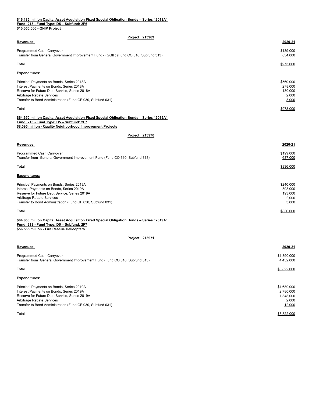#### **Fund: 213 - Fund Type: D5 – Subfund: 2F6 \$10,050,000 - QNIP Project \$16.185 million Capital Asset Acquisition Fixed Special Obligation Bonds – Series "2018A"**

| Project: 213969                                                                                                                                                                                                                   |                                                          |
|-----------------------------------------------------------------------------------------------------------------------------------------------------------------------------------------------------------------------------------|----------------------------------------------------------|
| Revenues:                                                                                                                                                                                                                         | 2020-21                                                  |
| Programmed Cash Carryover<br>Transfer from General Government Improvement Fund - (GGIF) (Fund CO 310, Subfund 313)                                                                                                                | \$139,000<br>834,000                                     |
| Total                                                                                                                                                                                                                             | \$973,000                                                |
| Expenditures:                                                                                                                                                                                                                     |                                                          |
| Principal Payments on Bonds, Series 2018A<br>Interest Payments on Bonds, Series 2018A<br>Reserve for Future Debt Service, Series 2018A<br>Arbitrage Rebate Services<br>Transfer to Bond Administration (Fund GF 030, Subfund 031) | \$560,000<br>278,000<br>130,000<br>2,000<br>3,000        |
| Total                                                                                                                                                                                                                             | \$973,000                                                |
| <u> 1919A" \$64.650 million Capital Asset Acquisition Fixed Special Obligation Bonds – Series "2019A</u><br>Fund: 213 - Fund Type: D5 – Subfund: 2F7                                                                              |                                                          |
| \$8.095 million - Quality Neighborhood Improvement Projects                                                                                                                                                                       |                                                          |
| Project: 213970                                                                                                                                                                                                                   |                                                          |
| <u>Revenues:</u>                                                                                                                                                                                                                  | 2020-21                                                  |
| Programmed Cash Carryover<br>Transfer from General Government Improvement Fund (Fund CO 310, Subfund 313)                                                                                                                         | \$199,000<br>637,000                                     |
| Total                                                                                                                                                                                                                             | \$836,000                                                |
| Expenditures:                                                                                                                                                                                                                     |                                                          |
| Principal Payments on Bonds, Series 2019A<br>Interest Payments on Bonds, Series 2019A<br>Reserve for Future Debt Service, Series 2019A<br>Arbitrage Rebate Services<br>Transfer to Bond Administration (Fund GF 030, Subfund 031) | \$240,000<br>398,000<br>193,000<br>2,000<br>3,000        |
| Total                                                                                                                                                                                                                             | <u>\$836,000</u>                                         |
| <u> 1919A" \$64.650 million Capital Asset Acquisition Fixed Special Obligation Bonds – Series "2019A</u><br><u> Fund: 213 - Fund Type: D5 – Subfund: 2F7</u><br>\$56.555 million - Fire Rescue Helicopters                        |                                                          |
| Project: 213971                                                                                                                                                                                                                   |                                                          |
| Revenues:                                                                                                                                                                                                                         | 2020-21                                                  |
| Programmed Cash Carryover<br>Transfer from General Government Improvement Fund (Fund CO 310, Subfund 313)                                                                                                                         | \$1,390,000<br>4,432,000                                 |
| Total                                                                                                                                                                                                                             | \$5,822,000                                              |
| <b>Expenditures:</b>                                                                                                                                                                                                              |                                                          |
| Principal Payments on Bonds, Series 2019A<br>Interest Payments on Bonds, Series 2019A<br>Reserve for Future Debt Service, Series 2019A<br>Arbitrage Rebate Services<br>Transfer to Bond Administration (Fund GF 030, Subfund 031) | \$1,680,000<br>2,780,000<br>1,348,000<br>2,000<br>12,000 |
| Total                                                                                                                                                                                                                             | \$5,822,000                                              |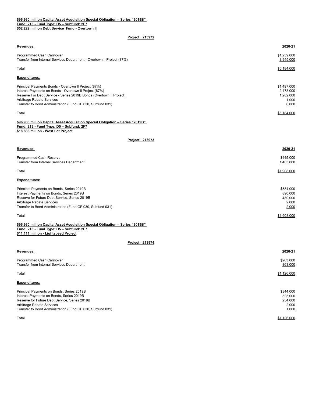**\$96.930 million Capital Asset Acquisition Special Obligation – Series "2019B" Fund: 213 - Fund Type: D5 – Subfund: 2F7 \$52.222 million Debt Service Fund - Overtown II**

| Revenues:                                                                                                                                                                                                                                                                        | 2020-21                                                 |
|----------------------------------------------------------------------------------------------------------------------------------------------------------------------------------------------------------------------------------------------------------------------------------|---------------------------------------------------------|
| Programmed Cash Carryover<br>Transfer from Internal Services Department - Overtown II Project (87%)                                                                                                                                                                              | \$1,239,000<br>3,945,000                                |
| Total                                                                                                                                                                                                                                                                            | \$5,184,000                                             |
| Expenditures:                                                                                                                                                                                                                                                                    |                                                         |
| Principal Payments Bonds - Overtown II Project (87%)<br>Interest Payments on Bonds - Overtown II Project (87%)<br>Reserve For Debt Service - Series 2019B Bonds (Overtown II Project)<br>Arbitrage Rebate Services<br>Transfer to Bond Administration (Fund GF 030, Subfund 031) | \$1,497,000<br>2,478,000<br>1,202,000<br>1,000<br>6,000 |
| Total                                                                                                                                                                                                                                                                            | \$5,184,000                                             |
| \$96.930 million Capital Asset Acquisition Special Obligation - Series "2019B"<br>Fund: 213 - Fund Type: D5 - Subfund: 2F7<br>\$18.836 million - West Lot Project                                                                                                                |                                                         |
| Project: 213973                                                                                                                                                                                                                                                                  |                                                         |
| Revenues:                                                                                                                                                                                                                                                                        | 2020-21                                                 |
| Programmed Cash Reserve<br>Transfer from Internal Services Department                                                                                                                                                                                                            | \$445,000<br>1,463,000                                  |
| Total                                                                                                                                                                                                                                                                            | \$1,908,000                                             |
| Expenditures:                                                                                                                                                                                                                                                                    |                                                         |
| Principal Payments on Bonds, Series 2019B<br>Interest Payments on Bonds, Series 2019B<br>Reserve for Future Debt Service, Series 2019B<br>Arbitrage Rebate Services<br>Transfer to Bond Administration (Fund GF 030, Subfund 031)                                                | \$584,000<br>890,000<br>430,000<br>2,000<br>2,000       |
| Total                                                                                                                                                                                                                                                                            | \$1,908,000                                             |
| \$96.930 million Capital Asset Acquisition Special Obligation - Series "2019B"<br>Fund: 213 - Fund Type: D5 - Subfund: 2F7<br>\$11.111 million - Lightspeed Project                                                                                                              |                                                         |
| Project: 213974                                                                                                                                                                                                                                                                  |                                                         |
| Revenues:                                                                                                                                                                                                                                                                        | 2020-21                                                 |
| Programmed Cash Carryover<br>Transfer from Internal Services Department                                                                                                                                                                                                          | \$263,000<br>863,000                                    |
| Total                                                                                                                                                                                                                                                                            | \$1,126,000                                             |
| <b>Expenditures:</b>                                                                                                                                                                                                                                                             |                                                         |
| Principal Payments on Bonds, Series 2019B<br>Interest Payments on Bonds, Series 2019B<br>Reserve for Future Debt Service, Series 2019B<br>Arbitrage Rebate Services<br>Transfer to Bond Administration (Fund GF 030, Subfund 031)                                                | \$344,000<br>525,000<br>254,000<br>2,000<br>1,000       |
| Total                                                                                                                                                                                                                                                                            | \$1,126,000                                             |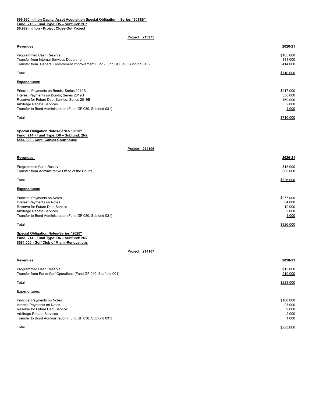## **\$96.930 million Capital Asset Acquisition Special Obligation – Series "2019B" Fund: 213 - Fund Type: D5 – Subfund: 2F7 \$6.989 million - Project Close-Out Project**

## **Project: 213975**

| Revenues:                                                                                                                                                                                                                         | 2020-21                                           |
|-----------------------------------------------------------------------------------------------------------------------------------------------------------------------------------------------------------------------------------|---------------------------------------------------|
| Programmed Cash Reserve<br>Transfer from Internal Services Department<br>Transfer from General Government Improvement Fund (Fund CO 310, Subfund 313)                                                                             | \$165,000<br>131,000<br>414,000                   |
| Total                                                                                                                                                                                                                             | \$710,000                                         |
| <b>Expenditures:</b>                                                                                                                                                                                                              |                                                   |
| Principal Payments on Bonds, Series 2019B<br>Interest Payments on Bonds, Series 2019B<br>Reserve for Future Debt Service, Series 2019B<br>Arbitrage Rebate Services<br>Transfer to Bond Administration (Fund GF 030, Subfund 031) | \$217,000<br>330,000<br>160,000<br>2,000<br>1,000 |
| Total                                                                                                                                                                                                                             | \$710,000                                         |
| <b>Special Obligation Notes-Series "2020"</b><br>Fund: 214 - Fund Type: D6 - Subfund: 2N2<br>\$854,000 - Coral Gables Courthouse                                                                                                  |                                                   |
| Project: 214106                                                                                                                                                                                                                   |                                                   |
| Revenues:                                                                                                                                                                                                                         | 2020-21                                           |
| Programmed Cash Reserve<br>Transfer from Administrative Office of the Courts                                                                                                                                                      | \$18,000<br>308,000                               |
| Total                                                                                                                                                                                                                             | \$326,000                                         |
| <b>Expenditures:</b>                                                                                                                                                                                                              |                                                   |
| Principal Payments on Notes<br>Interest Payments on Notes<br>Reserve for Future Debt Service<br>Arbitrage Rebate Services<br>Transfer to Bond Administration (Fund GF 030, Subfund 031)                                           | \$277,000<br>34,000<br>12,000<br>2,000<br>1,000   |
| Total                                                                                                                                                                                                                             | \$326,000                                         |
| <b>Special Obligation Notes-Series "2020"</b><br>Fund: 214 - Fund Type: D6 - Subfund: 2N2<br>\$581,000 - Golf Club of Miami-Renovations                                                                                           |                                                   |
| Project: 214107                                                                                                                                                                                                                   |                                                   |
| Revenues:                                                                                                                                                                                                                         | 2020-21                                           |

Programmed Cash Reserve \$13,000 Transfer from Parks Golf Operations (Fund GF 040, Subfund 001) 210,000

Total \$223,000

# **Expenditures:**

| Principal Payments on Notes                                | \$188,000 |
|------------------------------------------------------------|-----------|
| Interest Payments on Notes                                 | 23.000    |
| Reserve for Future Debt Service                            | 9.000     |
| Arbitrage Rebate Services                                  | 2,000     |
| Transfer to Bond Administration (Fund GF 030, Subfund 031) | 1,000     |
|                                                            |           |
| Total                                                      | \$223,000 |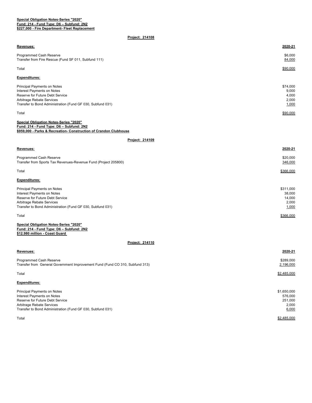## **\$227,000 - Fire Department- Fleet Replacement Special Obligation Notes-Series "2020" Fund: 214 - Fund Type: D6 – Subfund: 2N2**

| Revenues:                                                                                                                                                                               | 2020-21                                         |
|-----------------------------------------------------------------------------------------------------------------------------------------------------------------------------------------|-------------------------------------------------|
| Programmed Cash Reserve<br>Transfer from Fire Rescue (Fund SF 011, Subfund 111)                                                                                                         | \$6,000<br>84,000                               |
| Total                                                                                                                                                                                   | \$90,000                                        |
| <b>Expenditures:</b>                                                                                                                                                                    |                                                 |
| Principal Payments on Notes<br>Interest Payments on Notes<br>Reserve for Future Debt Service<br>Arbitrage Rebate Services<br>Transfer to Bond Administration (Fund GF 030, Subfund 031) | \$74,000<br>9,000<br>4,000<br>2,000<br>1,000    |
| Total                                                                                                                                                                                   | \$90,000                                        |
| Special Obligation Notes-Series "2020"<br>Fund: 214 - Fund Type: D6 - Subfund: 2N2<br>\$959,000 - Parks & Recreation- Construction of Crandon Clubhouse                                 |                                                 |
| Project: 214109                                                                                                                                                                         |                                                 |
| Revenues:                                                                                                                                                                               | 2020-21                                         |
| Programmed Cash Reserve<br>Transfer from Sports Tax Revenues-Revenue Fund (Project 205800)                                                                                              | \$20,000<br>346,000                             |
| Total                                                                                                                                                                                   | \$366,000                                       |
| <b>Expenditures:</b>                                                                                                                                                                    |                                                 |
| Principal Payments on Notes<br>Interest Payments on Notes<br>Reserve for Future Debt Service<br>Arbitrage Rebate Services<br>Transfer to Bond Administration (Fund GF 030, Subfund 031) | \$311,000<br>38,000<br>14,000<br>2,000<br>1,000 |
| Total                                                                                                                                                                                   | \$366,000                                       |
| Special Obligation Notes-Series "2020"<br>Fund: 214 - Fund Type: D6 - Subfund: 2N2<br>\$12.980 million - Coast Guard                                                                    |                                                 |
| Project: 214110                                                                                                                                                                         |                                                 |
| Revenues:                                                                                                                                                                               | 2020-21                                         |
| Programmed Cash Reserve<br>Transfer from General Government Improvement Fund (Fund CO 310, Subfund 313)                                                                                 | \$289,000<br>2,196,000                          |
| Total                                                                                                                                                                                   | \$2,485,000                                     |
| <b>Expenditures:</b>                                                                                                                                                                    |                                                 |

| Principal Payments on Notes                                | \$1,650,000 |
|------------------------------------------------------------|-------------|
| Interest Payments on Notes                                 | 576,000     |
| Reserve for Future Debt Service                            | 251,000     |
| Arbitrage Rebate Services                                  | 2.000       |
| Transfer to Bond Administration (Fund GF 030, Subfund 031) | 6,000       |
| Total                                                      | \$2,485,000 |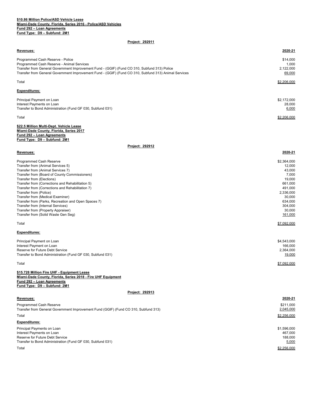## **Miami-Dade County, Florida, Series 2016 - Police/ASD Vehicles Fund 292 – Loan Agreements Fund Type: D9 – Subfund: 2M1 \$10.86 Million Police/ASD Vehicle Lease**

| Revenues:                                                                                             | 2020-21          |
|-------------------------------------------------------------------------------------------------------|------------------|
| Programmed Cash Reserve - Police                                                                      | \$14,000         |
| Programmed Cash Reserve - Animal Services                                                             | 1,000            |
| Transfer from General Government Improvement Fund - (GGIF) (Fund CO 310, Subfund 313) Police          | 2,122,000        |
| Transfer from General Government Improvement Fund - (GGIF) (Fund CO 310, Subfund 313) Animal Services | 69,000           |
| Total                                                                                                 | \$2,206,000      |
| Expenditures:                                                                                         |                  |
| Principal Payment on Loan                                                                             | \$2,172,000      |
| Interest Payments on Loan                                                                             | 28,000           |
| Transfer to Bond Administration (Fund GF 030, Subfund 031)                                            | 6,000            |
| Total                                                                                                 | \$2,206,000      |
| <u> \$22.5 Million Multi-Dept. Vehicle Lease</u>                                                      |                  |
| Miami-Dade County, Florida, Series 2017                                                               |                  |
| <u> Fund 292 – Loan Agreements</u><br><u> Fund Type: D9 – Subfund: 2M1</u>                            |                  |
| Project: 292912                                                                                       |                  |
| Revenues:                                                                                             | 2020-21          |
|                                                                                                       |                  |
| Programmed Cash Reserve                                                                               | \$2,364,000      |
| Transfer from (Animal Services 5)                                                                     | 12,000           |
| Transfer from (Animal Services 7)<br>Transfer from (Board of County Commissioners)                    | 43,000<br>7,000  |
| Transfer from (Elections)                                                                             | 19,000           |
| Transfer from (Corrections and Rehabilitation 5)                                                      | 661,000          |
| Transfer from (Corrections and Rehabilitation 7)                                                      | 491,000          |
| Transfer from (Police)                                                                                | 2,336,000        |
| Transfer from (Medical Examiner)                                                                      | 30,000           |
| Transfer from (Parks, Recreation and Open Spaces 7)                                                   | 634,000          |
| Transfer from (Internal Services)                                                                     | 304,000          |
| Transfer from (Property Appraiser)                                                                    | 30,000           |
| Transfer from (Solid Waste Gen Seg)                                                                   | 161,000          |
| Total                                                                                                 | \$7,092,000      |
| <b>Expenditures:</b>                                                                                  |                  |
| Principal Payment on Loan                                                                             | \$4,543,000      |
| Interest Payment on Loan                                                                              | 166,000          |
| Reserve for Future Debt Service                                                                       | 2.364.000        |
| Transfer to Bond Administration (Fund GF 030, Subfund 031)                                            | 19,000           |
| Total                                                                                                 | \$7.092.000      |
| <u> \$15.728 Million Fire UHF - Equipment Lease</u>                                                   |                  |
| Miami-Dade County, Florida, Series 2018 - Fire UHF Equipment<br>Fund 292 - Loan Agreements            |                  |
| Fund Type: D9 - Subfund: 2M1                                                                          |                  |
| Project: 292913                                                                                       |                  |
| <u>Revenues:</u>                                                                                      | 2020-21          |
| Programmed Cash Reserve                                                                               | \$211,000        |
| Transfer from General Government Improvement Fund (GGIF) (Fund CO 310, Subfund 313)                   | 2,045,000        |
| Total                                                                                                 | \$2,256,000      |
| Expenditures:                                                                                         |                  |
| Principal Payments on Loan                                                                            | \$1,596,000      |
| Interest Payments on Loan                                                                             | 467,000          |
| Reserve for Future Debt Service<br>Transfer to Bond Administration (Fund GF 030, Subfund 031)         | 188,000<br>5,000 |
|                                                                                                       |                  |
| Total                                                                                                 | \$2,256,000      |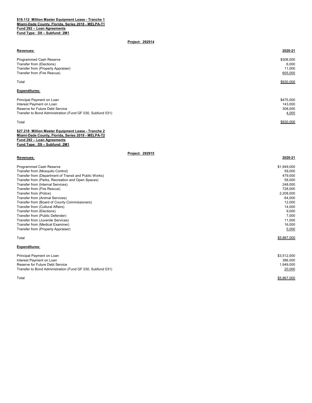#### **\$18.112 Million Master Equipment Lease - Tranche 1 Miami-Dade County, Florida, Series 2018 - MELPA-T1 Fund 292 – Loan Agreements Fund Type: D9 – Subfund: 2M1**

# **Project: 292914**

| Revenues:                                                  | 2020-21   |
|------------------------------------------------------------|-----------|
| <b>Programmed Cash Reserve</b>                             | \$308,000 |
| Transfer from (Elections)                                  | 6,000     |
| Transfer from (Property Appraiser)                         | 11,000    |
| Transfer from (Fire Rescue)                                | 605,000   |
| Total                                                      | \$930,000 |
| <b>Expenditures:</b>                                       |           |
| Principal Payment on Loan                                  | \$475,000 |
| Interest Payment on Loan                                   | 143,000   |
| Reserve for Future Debt Service                            | 308,000   |
| Transfer to Bond Administration (Fund GF 030, Subfund 031) | 4,000     |
| Total                                                      | \$930,000 |

| \$27.218 Million Master Equipment Lease - Tranche 2 |
|-----------------------------------------------------|
| Miami-Dade County, Florida, Series 2019 - MELPA-T2  |
| Fund 292 - Loan Agreements                          |
| Fund Type: D9 - Subfund: 2M1                        |

| Revenues:                                              | 2020-21     |
|--------------------------------------------------------|-------------|
| Programmed Cash Reserve                                | \$1,949,000 |
| Transfer from (Mosquito Control)                       | 59,000      |
| Transfer from (Department of Transit and Public Works) | 479,000     |
| Transfer from (Parks, Recreation and Open Spaces)      | 58,000      |
| Transfer from (Internal Services)                      | 248,000     |
| Transfer from (Fire Rescue)                            | 728,000     |
| Transfer from (Police)                                 | 2,208,000   |
| Transfer from (Animal Services)                        | 64,000      |
| Transfer from (Board of County Commissioners)          | 12,000      |
| Transfer from (Cultural Affairs)                       | 14,000      |
| Transfer from (Elections)                              | 9,000       |
| Transfer from (Public Defender)                        | 7,000       |
| Transfer from (Juvenile Services)                      | 11,000      |
| Transfer from (Medical Examiner)                       | 16,000      |
| Transfer from (Property Appraiser)                     | 5,000       |
| Total                                                  | \$5,867,000 |
| <b>Expenditures:</b>                                   |             |
| Principal Payment on Loan                              | \$3,512,000 |
| Interest Payment on Loan                               | 386,000     |

| Reserve for Future Debt Service                            | -------<br>1.949.000 |
|------------------------------------------------------------|----------------------|
| Transfer to Bond Administration (Fund GF 030, Subfund 031) | 20,000               |
| Total                                                      | \$5.867.000          |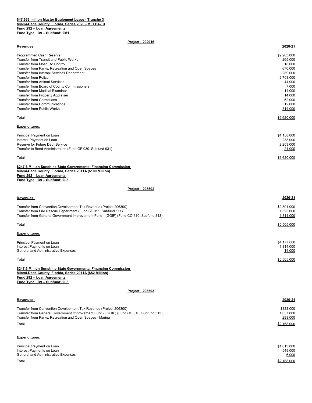## **\$47.663 million Master Equipment Lease - Tranche 3 Miami-Dade County, Florida, Series 2020 - MELPA-T3 Fund 292 – Loan Agreements Fund Type: D9 – Subfund: 2M1**

# **Project: 292916**

| Revenues:                                                  | 2020-21     |
|------------------------------------------------------------|-------------|
|                                                            |             |
| Programmed Cash Reserve                                    | \$2,203,000 |
| <b>Transfer from Transit and Public Works</b>              | 265,000     |
| <b>Transfer from Mosquito Control</b>                      | 18,000      |
| Transfer from Parks, Recreation and Open Spaces            | 670,000     |
| Transfer from Internal Services Department                 | 289,000     |
| <b>Transfer from Police</b>                                | 2,708,000   |
| <b>Transfer from Animal Services</b>                       | 44,000      |
| Transfer from Board of County Commissioners                | 7,000       |
| Transfer from Medical Examiner                             | 14,000      |
| <b>Transfer from Property Appraiser</b>                    | 14,000      |
| <b>Transfer from Corrections</b>                           | 62,000      |
| <b>Transfer from Communications</b>                        | 12,000      |
| <b>Transfer from Public Works</b>                          | 314,000     |
| Total                                                      | \$6,620,000 |
|                                                            |             |
| <b>Expenditures:</b>                                       |             |
| Principal Payment on Loan                                  | \$4,158,000 |
| Interest Payment on Loan                                   | 238,000     |
| Reserve for Future Debt Service                            |             |
|                                                            | 2,203,000   |
| Transfer to Bond Administration (Fund GF 030, Subfund 031) | 21,000      |

Total \$6,620,000

| \$247.6 Million Sunshine State Governmental Financing Commission |
|------------------------------------------------------------------|
| Miami-Dade County, Florida, Series 2011A (\$100 Million)         |
| Fund 292 - Loan Agreements                                       |
| Fund Type: D9 - Subfund: 2L8                                     |

# **Project: 298502**

| Revenues:                                                                                                                                                                                                                     | 2020-21                               |
|-------------------------------------------------------------------------------------------------------------------------------------------------------------------------------------------------------------------------------|---------------------------------------|
| Transfer from Convention Development Tax Revenue (Project 206300)<br>Transfer from Fire Rescue Department (Fund SF 011, Subfund 111)<br>Transfer from General Government Improvement Fund - (GGIF) (Fund CO 310, Subfund 313) | \$2,801,000<br>1,393,000<br>1,311,000 |
| Total                                                                                                                                                                                                                         | \$5,505,000                           |
| <b>Expenditures:</b>                                                                                                                                                                                                          |                                       |
| Principal Payment on Loan<br>Interest Payments on Loan<br>General and Administrative Expenses                                                                                                                                 | \$4,177,000<br>1,314,000<br>14,000    |
| Total                                                                                                                                                                                                                         | \$5,505,000                           |
| \$247.6 Million Sunshine State Governmental Financing Commission<br>Miami-Dade County, Florida, Series 2011A (\$52 Million)<br>Fund 292 - Loan Agreements<br>Fund Type: D9 - Subfund: 2L8                                     |                                       |
| Project: 298503                                                                                                                                                                                                               |                                       |
| Revenues:                                                                                                                                                                                                                     | 2020-21                               |
| Transfer from Convention Development Tax Revenue (Project 206300)<br>Transfer from General Government Improvement Fund - (GGIF) (Fund CO 310, Subfund 313)<br>Transfer from Parks, Recreation and Open Spaces - Marina        | \$833,000<br>1,037,000<br>298,000     |
| Total                                                                                                                                                                                                                         | \$2,168,000                           |

# **Expenditures:**

| Principal Payment on Loan<br>Interest Payments on Loan | \$1,613,000<br>549,000 |
|--------------------------------------------------------|------------------------|
| General and Administrative Expenses                    | 6,000                  |
| Total                                                  | \$2,168,000            |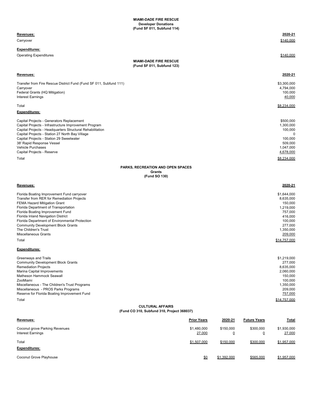**MIAMI-DADE FIRE RESCUE (Fund SF 011, Subfund 114) Developer Donations**

| Revenues:                                                                                          | <b>Prior Years</b> | 2020-21 | <b>Future Years</b> | <b>Total</b>             |
|----------------------------------------------------------------------------------------------------|--------------------|---------|---------------------|--------------------------|
|                                                                                                    |                    |         |                     |                          |
| (Fund CO 310, Subfund 310, Project 368037)                                                         |                    |         |                     |                          |
| <b>CULTURAL AFFAIRS</b>                                                                            |                    |         |                     |                          |
| Total                                                                                              |                    |         |                     | \$14,757,000             |
| Miscellaneous - PROS Parks Programs<br>Reserve for Florida Boating Improvement Fund                |                    |         |                     | 209,000<br>757,000       |
| Miscellaneous - The Children's Trust Programs                                                      |                    |         |                     | 1,350,000                |
| ZooMiami                                                                                           |                    |         |                     | 100,000                  |
| Marina Capital Improvements<br>Matheson Hammock Seawall                                            |                    |         |                     | 2,060,000<br>150,000     |
| <b>Remediation Projects</b>                                                                        |                    |         |                     | 8,635,000                |
| <b>Community Development Block Grants</b>                                                          |                    |         |                     | 277,000                  |
| Greenways and Trails                                                                               |                    |         |                     | \$1,219,000              |
| <b>Expenditures:</b>                                                                               |                    |         |                     |                          |
| Total                                                                                              |                    |         |                     | \$14,757,000             |
|                                                                                                    |                    |         |                     |                          |
| The Children's Trust<br><b>Miscellaneous Grants</b>                                                |                    |         |                     | 1,350,000<br>209,000     |
| <b>Community Development Block Grants</b>                                                          |                    |         |                     | 277,000                  |
| Florida Department of Environmental Protection                                                     |                    |         |                     | 100,000                  |
| Florida Boating Improvement Fund<br>Florida Inland Navigation District                             |                    |         |                     | 757,000<br>416,000       |
| Florida Department of Transportation                                                               |                    |         |                     | 1,219,000                |
| FEMA Hazard Mitigation Grant                                                                       |                    |         |                     | 150,000                  |
| Florida Boating Improvement Fund carryover<br>Transfer from RER for Remediation Projects           |                    |         |                     | \$1,644,000<br>8,635,000 |
|                                                                                                    |                    |         |                     |                          |
| Revenues:                                                                                          |                    |         |                     | 2020-21                  |
| (Fund SO 130)                                                                                      |                    |         |                     |                          |
| Grants                                                                                             |                    |         |                     |                          |
| PARKS, RECREATION AND OPEN SPACES                                                                  |                    |         |                     |                          |
| Total                                                                                              |                    |         |                     | \$8,234,000              |
| Capital Projects - Reserve                                                                         |                    |         |                     | 4,678,000                |
| Vehicle Purchases                                                                                  |                    |         |                     | 1,047,000                |
| Capital Projects - Station 29 Sweetwater<br>38' Rapid Response Vessel                              |                    |         |                     | 100,000<br>509,000       |
| Capital Projects - Station 27 North Bay Village                                                    |                    |         |                     | 0                        |
| Capital Projects - Headquarters Structural Rehabilitation                                          |                    |         |                     | 100,000                  |
| Capital Projects - Generators Replacement<br>Capital Projects - Infrastructure Improvement Program |                    |         |                     | \$500,000<br>1,300,000   |
|                                                                                                    |                    |         |                     |                          |
| Expenditures:                                                                                      |                    |         |                     |                          |
| Total                                                                                              |                    |         |                     | \$8,234,000              |
| <b>Interest Earnings</b>                                                                           |                    |         |                     | 40,000                   |
| Federal Grants (HQ Mitigation)                                                                     |                    |         |                     | 100,000                  |
| Carryover                                                                                          |                    |         |                     | 4,794,000                |
| Transfer from Fire Rescue District Fund (Fund SF 011, Subfund 111)                                 |                    |         |                     | \$3,300,000              |
| Revenues:                                                                                          |                    |         |                     | 2020-21                  |
|                                                                                                    |                    |         |                     |                          |
| <b>MIAMI-DADE FIRE RESCUE</b><br>(Fund SF 011, Subfund 123)                                        |                    |         |                     |                          |
| <b>Operating Expenditures</b>                                                                      |                    |         |                     | \$140,000                |
| <b>Expenditures:</b>                                                                               |                    |         |                     |                          |
|                                                                                                    |                    |         |                     |                          |
| Carryover                                                                                          |                    |         |                     | \$140,000                |
| Revenues:                                                                                          |                    |         |                     | 2020-21                  |
| unu or vii, ouwiunu 117                                                                            |                    |         |                     |                          |

| Coconut grove Parking Revenues<br>Interest Earnings | \$1,480,000<br>27,000 | \$150,000   | \$300,000<br><u>0</u> | \$1,930,000<br>27,000 |
|-----------------------------------------------------|-----------------------|-------------|-----------------------|-----------------------|
| Total<br><b>Expenditures:</b>                       | \$1,507,000           | \$150,000   | \$300,000             | \$1.957.000           |
| Coconut Grove Playhouse                             | \$0                   | \$1,392,000 | \$565,000             | \$1,957,000           |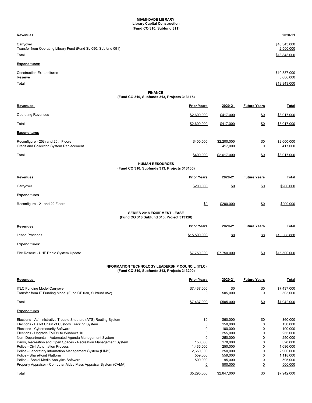**MIAMI-DADE LIBRARY Library Capital Construction (Fund CO 310, Subfund 311)**

## **Revenues: 2020-21**

Carryover \$16,343,000 Transfer from Operating Library Fund (Fund SL 090, Subfund 091) 2,500,000 2 and the state of the state of the state of the state of the state of the state of the state of the state of the state of the state of the state of Total \$18,843,000

# **Expenditures:**

| <b>Construction Expenditures</b> | \$10,837,000 |
|----------------------------------|--------------|
| Reserve                          | 8,006,000    |
| Total                            | \$18,843,000 |

## **FINANCE (Fund CO 310, Subfunds 313, Projects 313115)**

| Revenues:                                                                       | <b>Prior Years</b>    | 2020-21                | <b>Future Years</b> | <b>Total</b>           |
|---------------------------------------------------------------------------------|-----------------------|------------------------|---------------------|------------------------|
| <b>Operating Revenues</b>                                                       | \$2,600,000           | \$417,000              | \$0                 | \$3,017,000            |
| Total                                                                           | \$2,600,000           | \$417,000              | \$0                 | \$3,017,000            |
| <b>Expenditures</b>                                                             |                       |                        |                     |                        |
| Reconfigure - 25th and 26th Floors<br>Credit and Collection System Replacement  | \$400,000<br><u>0</u> | \$2,200,000<br>417,000 | \$0<br><u>0</u>     | \$2,600,000<br>417,000 |
| Total                                                                           | \$400,000             | \$2,617,000            | \$0                 | \$3.017.000            |
| <b>HUMAN RESOURCES</b><br>(Fund CO 310, Subfunds 313, Projects 313100)          |                       |                        |                     |                        |
| Revenues:                                                                       | <b>Prior Years</b>    | 2020-21                | <b>Future Years</b> | Total                  |
| Carryover                                                                       | \$200,000             | \$0                    | \$0                 | \$200,000              |
| <b>Expenditures</b>                                                             |                       |                        |                     |                        |
| Reconfigure - 21 and 22 Floors                                                  | \$0                   | \$200,000              | \$0                 | \$200,000              |
| <b>SERIES 2018 EQUIPMENT LEASE</b><br>(Fund CO 310 Subfund 313, Project 313120) |                       |                        |                     |                        |
| Revenues:                                                                       | <b>Prior Years</b>    | 2020-21                | <b>Future Years</b> | <b>Total</b>           |
| Lease Proceeds                                                                  | \$15,500,000          | $\underline{\$0}$      | $\underline{\$0}$   | \$15,500,000           |
| <b>Expenditures:</b>                                                            |                       |                        |                     |                        |
| Fire Rescue - UHF Radio System Update                                           | \$7,750,000           | \$7,750,000            | \$0                 | \$15,500,000           |

# **INFORMATION TECHNOLOGY LEADERSHIP COUNCIL (ITLC) (Fund CO 310, Subfunds 313, Projects 313200)**

| Revenues:                                                        | <b>Prior Years</b> | 2020-21     | <b>Future Years</b> | Total       |
|------------------------------------------------------------------|--------------------|-------------|---------------------|-------------|
| <b>ITLC Funding Model Carryover</b>                              | \$7,437,000        | \$0         | \$0                 | \$7,437,000 |
| Transfer from IT Funding Model (Fund GF 030, Subfund 052)        | <u>0</u>           | 505,000     | $\overline{0}$      | 505,000     |
| Total                                                            | \$7,437,000        | \$505,000   | $\underline{\$0}$   | \$7,942,000 |
| <b>Expenditures</b>                                              |                    |             |                     |             |
| Elections - Administrative Trouble Shooters (ATS) Routing System | \$0                | \$60,000    | \$0                 | \$60,000    |
| Elections - Ballot Chain of Custody Tracking System              |                    | 150,000     | 0                   | 150,000     |
| Elections - Cybersecurity Software                               |                    | 100,000     | 0                   | 100,000     |
| Elections - Upgrade EVIDS to Windows 10                          |                    | 255,000     | 0                   | 255,000     |
| Non- Departmental - Automated Agenda Management System           |                    | 250,000     | 0                   | 250,000     |
| Parks, Recreation and Open Spaces - Recreation Management System | 150,000            | 178,000     | 0                   | 328,000     |
| Police - Civil Automation Process                                | 1,436,000          | 250,000     | 0                   | 1,686,000   |
| Police - Laboratory Information Management System (LIMS)         | 2,650,000          | 250,000     | $\Omega$            | 2,900,000   |
| Police - SharePoint Platform                                     | 559,000            | 559,000     | 0                   | 1,118,000   |
| Police - Social Media Analytics Software                         | 500,000            | 95,000      | 0                   | 595,000     |
| Property Appraiser - Computer Aided Mass Appraisal System (CAMA) | $\overline{0}$     | 500,000     | $\overline{0}$      | 500,000     |
| Total                                                            | \$5,295,000        | \$2,647,000 | \$0                 | \$7,942,000 |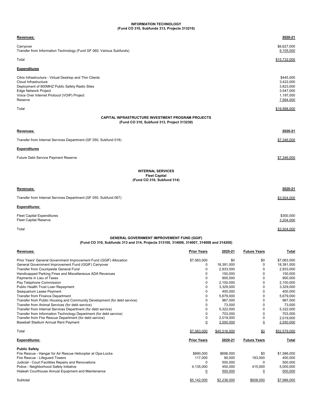# **INFORMATION TECHNOLOGY (Fund CO 310, Subfunds 313, Projects 313210)**

| Revenues:                                                                                                                                                                                                                                                                                                                      |                                                               |                                                                                |                                                                 | 2020-21                                                                                |
|--------------------------------------------------------------------------------------------------------------------------------------------------------------------------------------------------------------------------------------------------------------------------------------------------------------------------------|---------------------------------------------------------------|--------------------------------------------------------------------------------|-----------------------------------------------------------------|----------------------------------------------------------------------------------------|
| Carryover<br>Transfer from Information Technology (Fund GF 060, Various Subfunds)                                                                                                                                                                                                                                              |                                                               |                                                                                |                                                                 | \$6,627,000<br>9,105,000                                                               |
| Total                                                                                                                                                                                                                                                                                                                          |                                                               |                                                                                |                                                                 | \$15,732,000                                                                           |
| <b>Expenditures</b>                                                                                                                                                                                                                                                                                                            |                                                               |                                                                                |                                                                 |                                                                                        |
| Citrix Infrastructure - Virtual Desktop and Thin Clients<br>Cloud Infrastructure<br>Deployment of 800MHZ Public Safety Radio Sites<br><b>Edge Network Project</b><br>Voice Over Internet Protocol (VOIP) Project<br>Reserve                                                                                                    |                                                               |                                                                                |                                                                 | \$445,000<br>3,422,000<br>3,823,000<br>3,547,000<br>1,197,000<br>7,564,000             |
| Total                                                                                                                                                                                                                                                                                                                          |                                                               |                                                                                |                                                                 | \$19,998,000                                                                           |
| CAPITAL INFRASTRUCTURE INVESTMENT PROGRAM PROJECTS<br>(Fund CO 310, Subfund 313, Project 313230)                                                                                                                                                                                                                               |                                                               |                                                                                |                                                                 |                                                                                        |
| Revenues:                                                                                                                                                                                                                                                                                                                      |                                                               |                                                                                |                                                                 | 2020-21                                                                                |
| Transfer from Internal Services Department (GF 050, Subfund 018)                                                                                                                                                                                                                                                               |                                                               |                                                                                |                                                                 | \$7,346,000                                                                            |
| <b>Expenditures</b>                                                                                                                                                                                                                                                                                                            |                                                               |                                                                                |                                                                 |                                                                                        |
| Future Debt Service Payment Reserve                                                                                                                                                                                                                                                                                            |                                                               |                                                                                |                                                                 | \$7,346,000                                                                            |
| <b>INTERNAL SERVICES</b><br><b>Fleet Capital</b><br>(Fund CO 310, Subfund 314)                                                                                                                                                                                                                                                 |                                                               |                                                                                |                                                                 |                                                                                        |
| Revenues:                                                                                                                                                                                                                                                                                                                      |                                                               |                                                                                |                                                                 | 2020-21                                                                                |
| Transfer from Internal Services Department (GF 050, Subfund 067)                                                                                                                                                                                                                                                               |                                                               |                                                                                |                                                                 | \$3,504.000                                                                            |
| Expenditures:                                                                                                                                                                                                                                                                                                                  |                                                               |                                                                                |                                                                 |                                                                                        |
| <b>Fleet Capital Expenditures</b><br><b>Fleet Capital Reserve</b>                                                                                                                                                                                                                                                              |                                                               |                                                                                |                                                                 | \$300,000<br>3,204,000                                                                 |
| Total                                                                                                                                                                                                                                                                                                                          |                                                               |                                                                                |                                                                 | \$3,504,000                                                                            |
| <b>GENERAL GOVERNMENT IMPROVEMENT FUND (GGIF)</b><br>(Fund CO 310, Subfunds 313 and 314, Projects 313100, 314006, 314007, 314008 and 314200)                                                                                                                                                                                   |                                                               |                                                                                |                                                                 |                                                                                        |
| Revenues:                                                                                                                                                                                                                                                                                                                      | <b>Prior Years</b>                                            | 2020-21                                                                        | <b>Future Years</b>                                             | Total                                                                                  |
| Prior Years' General Government Improvement Fund (GGIF) Allocation<br>General Government Improvement Fund (GGIF) Carryover<br>Transfer from Countywide General Fund<br>Handicapped Parking Fines and Miscellaneous ADA Revenues<br>Payments in Lieu of Taxes<br>Pay Telephone Commission<br>Public Health Trust Loan Repayment | \$7,063,000<br>$\mathbf 0$<br>0<br>$\mathbf 0$<br>0<br>0<br>0 | \$0<br>18,391,000<br>2,933,000<br>150,000<br>900,000<br>2,100,000<br>3,329,000 | \$0<br>$\mathbf 0$<br>0<br>$\mathbf 0$<br>0<br>$\mathbf 0$<br>0 | \$7,063,000<br>18,391,000<br>2,933,000<br>150,000<br>900,000<br>2,100,000<br>3,329,000 |
| Seaquarium Lease Payment<br><b>Transfer from Finance Department</b>                                                                                                                                                                                                                                                            | 0<br>0                                                        | 400,000<br>5,679,000                                                           | 0<br>0                                                          | 400,000<br>5,679,000                                                                   |

| <b>Expenditures:</b>                                                      | <b>Prior Years</b> | 2020-21      | <b>Future Years</b> | Total        |
|---------------------------------------------------------------------------|--------------------|--------------|---------------------|--------------|
| Total                                                                     | \$7,063,000        | \$45,516,000 | \$0                 | \$52,579,000 |
| Baseball Stadium Annual Rent Payment                                      |                    | 2,550,000    |                     | 2,550,000    |
| Transfer from Fire Rescue Department (for debt service)                   |                    | 2.019.000    |                     | 2.019.000    |
| Transfer from Information Technology Department (for debt service)        |                    | 703.000      |                     | 703.000      |
| Transfer from Internal Services Department (for debt service)             |                    | 5.322.000    |                     | 5.322.000    |
| Transfer from Animal Services (for debt service)                          |                    | 73,000       |                     | 73,000       |
| Transfer from Public Housing and Community Development (for debt service) |                    | 967.000      |                     | 967.000      |

| <b>Public Safety</b>                                        |             |             |           |             |
|-------------------------------------------------------------|-------------|-------------|-----------|-------------|
| Fire Rescue - Hangar for Air Rescue Helicopter at Opa-Locka | \$890,000   | \$696,000   | \$0       | \$1,586,000 |
| Fire Rescue - Lifeguard Towers                              | 117.000     | 90.000      | 193.000   | 400.000     |
| Judicial - Court Facilities Repairs and Renovations         |             | 500.000     | 0         | 500.000     |
| Police - Neighborhood Safety Initiative                     | 4.135.000   | 450.000     | 415.000   | 5.000.000   |
| Hialeah Courthouse Annual Equipment and Maintenance         |             | 500,000     | <u>0</u>  | 500,000     |
| Subtotal                                                    | \$5,142,000 | \$2,236,000 | \$608,000 | \$7,986,000 |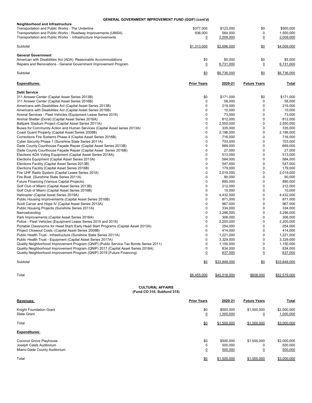# **GENERAL GOVERNMENT IMPROVEMENT FUND (GGIF) (cont'd)**

| Neighborhood and Infrastructure                                  |             |             |     |             |
|------------------------------------------------------------------|-------------|-------------|-----|-------------|
| Transportation and Public Works - The Underline                  | \$377,000   | \$123,000   | \$0 | \$500,000   |
| Transportation and Public Works - Roadway Improvements (UMSA)    | 936.000     | 564.000     | 0   | 1.500.000   |
| Transportation and Public Works - Infrastructure Improvements    | 0           | 2,009,000   |     | 2,009,000   |
| Subtotal                                                         | \$1,313,000 | \$2,696,000 | \$0 | \$4,009,000 |
| <b>General Government</b>                                        |             |             |     |             |
| American with Disabilities Act (ADA) Reasonable Accommodations   | \$0         | \$5,000     | \$0 | \$5,000     |
| Repairs and Renovations - General Government Improvement Program |             | 6,731,000   |     | 6,731,000   |
| Subtotal                                                         | \$0         | \$6.736,000 | \$0 | \$6,736,000 |

| <b>Expenditures:</b>                                                                   | <b>Prior Years</b> | 2020-21      | <b>Future Years</b> | <b>Total</b> |
|----------------------------------------------------------------------------------------|--------------------|--------------|---------------------|--------------|
| <b>Debt Service</b>                                                                    |                    |              |                     |              |
| 311 Answer Center (Capital Asset Series 2013B)                                         | \$0                | \$171,000    | \$0                 | \$171,000    |
| 311 Answer Center (Capital Asset Series 2016B)                                         | 0                  | 58.000       | 0                   | 58.000       |
| Americans with Disabilities Act (Capital Asset Series 2013B)                           | 0                  | 219,000      | $\mathbf 0$         | 219,000      |
| Americans with Disabilities Act (Capital Asset Series 2016B)                           | 0                  | 10,000       | $\mathbf 0$         | 10,000       |
| Animal Services - Fleet Vehicles (Equipment Lease Series 2016)                         | 0                  | 73,000       | $\mathbf 0$         | 73,000       |
| Animal Shelter (Doral) (Capital Asset Series 2016A)                                    | $\Omega$           | 812,000      | $\Omega$            | 812,000      |
| Ballpark Stadium Project (Capital Asset Series 2011A)                                  | 0                  | 2,550,000    | 0                   | 2,550,000    |
| Buses for Community Action and Human Services (Capital Asset series 2013A)             | $\mathbf 0$        | 335,000      | $\mathbf 0$         | 335,000      |
| Coast Guard Property (Capital Asset Series 2008B)                                      | $\mathbf 0$        | 2,196,000    | $\mathbf 0$         | 2,196,000    |
| Corrections Fire Systems Phase 4 (Capital Asset Series 2016B)                          | $\mathbf 0$        | 716,000      | $\mathbf 0$         | 716,000      |
| Cyber Security Phase 1 (Sunshine State Series 2011A)                                   | $\mathbf 0$        | 703,000      | $\Omega$            | 703,000      |
| Dade County Courthouse Façade Repair (Capital Asset Series 2013B)                      | $\mathbf 0$        | 689,000      | $\mathbf 0$         | 689,000      |
| Dade County Courthouse Façade Repair (Capital Asset Series 2016B)                      | $\mathbf 0$        | 27,000       | $\mathbf 0$         | 27,000       |
| Elections ADA Voting Equipment (Capital Asset Series 2018A)                            | 0                  | 513,000      | $\mathbf 0$         | 513,000      |
| Elections Equipment (Capital Asset Series 2013A)                                       | 0                  | 584,000      | $\mathbf 0$         | 584,000      |
| Elections Facility (Capital Asset Series 2013B)                                        | 0                  | 547,000      | $\mathbf 0$         | 547,000      |
| Elections Facility (Capital Asset Series 2016B)                                        | $\Omega$           | 179,000      | $\Omega$            | 179,000      |
| Fire UHF Radio System (Capital Lease Series 2018)                                      | 0                  | 2,019,000    | 0                   | 2,019,000    |
| Fire Boat (Sunshine State Series 2011A)                                                | $\mathbf 0$        | 90,000       | $\mathbf 0$         | 90,000       |
| Future Financing (Various Capital Projects)                                            | $\mathbf 0$        | 890.000      | $\mathbf 0$         | 890.000      |
| Golf Club of Miami (Capital Asset Series 2013B)                                        | $\mathbf 0$        | 212,000      | $\Omega$            | 212,000      |
| Golf Club of Miami (Capital Asset Series 2016B)                                        | $\mathbf 0$        | 10,000       | $\mathbf 0$         | 10.000       |
| Helicopter (Capital Asset Series 2019A)                                                | 0                  | 4,432,000    | 0                   | 4,432,000    |
| Public Housing Improvements (Capital Asset Series 2016B)                               | $\mathbf 0$        | 871,000      | $\mathbf 0$         | 871,000      |
| Scott Carver and Hope IV (Capital Asset Series 2013A)                                  | $\mathbf 0$        | 967,000      | $\mathbf 0$         | 967,000      |
| Public Housing Projects (Sunshine Series 2011A)                                        | $\mathbf 0$        | 334,000      | $\mathbf 0$         | 334,000      |
| Narrowbanding                                                                          | 0                  | 3,296,000    | $\mathbf 0$         | 3,296,000    |
| Park Improvements (Capital Asset Series 2016A)                                         | $\mathbf 0$        | 306,000      | $\Omega$            | 306,000      |
| Police - Fleet Vehicles (Equipment Lease Series 2015 and 2016)                         | 0                  | 2,200,000    | $\mathbf 0$         | 2,200,000    |
| Portable Classrooms for Head Start/ Early Head Start Programs (Capital Asset 2013A)    | $\mathbf 0$        | 254.000      | $\mathbf 0$         | 254.000      |
| Project Closeout Costs (Capital Asset Series 2009B)                                    | 0                  | 414.000      | $\mathbf 0$         | 414.000      |
| Public Health Trust - Infrastructure (Sunshine State Series 2011A)                     | 0                  | 1,221,000    | $\mathbf 0$         | 1,221,000    |
| Public Health Trust - Equipment (Capital Asset Series 2017A)                           | 0                  | 3,329,000    | $\mathbf 0$         | 3,329,000    |
| Quality Neighborhood Improvement Program (QNIP) (Public Service Tax Bonds Series 2011) | $\mathbf 0$        | 1,150,000    | $\mathbf 0$         | 1,150,000    |
| Quality Neighborhood Improvement Program (QNIP) 2017 (Capital Asset Series 2018A)      | $\mathbf 0$        | 834,000      | $\mathbf 0$         | 834,000      |
| Quality Neighborhood Improvement Program (QNIP) 2019 (Future Financing)                | 0                  | 637,000      | $\overline{0}$      | 637,000      |
| Subtotal                                                                               | \$0                | \$33,848,000 | \$0                 | \$33,848,000 |
|                                                                                        |                    |              |                     |              |

| Total | \$6,455,000 | EAC OOC<br>\$45<br>516.00 | \$608.000 | $- - - - - -$<br>. |
|-------|-------------|---------------------------|-----------|--------------------|
|       |             |                           |           |                    |

#### **CULTURAL AFFAIRS (Fund CO 310, Subfund 315)**

| Revenues:                                                                          | <b>Prior Years</b>         | 2020-21                         | <b>Future Years</b>           | <b>Total</b>                      |
|------------------------------------------------------------------------------------|----------------------------|---------------------------------|-------------------------------|-----------------------------------|
| Knight Foundation Grant<br><b>State Grant</b>                                      | \$0<br>$\overline{0}$      | \$500,000<br>1,000,000          | \$1,500,000<br><u>0</u>       | \$2,000,000<br>1,000,000          |
| Total                                                                              | \$0                        | \$1,500,000                     | \$1,500,000                   | \$3,000,000                       |
| <b>Expenditures:</b>                                                               |                            |                                 |                               |                                   |
| Coconut Grove Playhouse<br>Joseph Caleb Auditorium<br>Miami-Dade County Auditorium | \$0<br>0<br>$\overline{0}$ | \$500,000<br>500,000<br>500,000 | \$1,500,000<br>$\overline{0}$ | \$2,000,000<br>500,000<br>500,000 |
| Total                                                                              | \$0                        | \$1,500,000                     | \$1,500,000                   | \$3,000,000                       |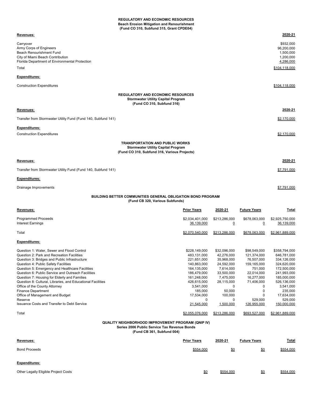## **REGULATORY AND ECONOMIC RESOURCES Beach Erosion Mitigation and Renourishment (Fund CO 310, Subfund 315, Grant CPDE04)**

| Revenues:                                                                                                                                              | 2020-21                                                        |
|--------------------------------------------------------------------------------------------------------------------------------------------------------|----------------------------------------------------------------|
| Carryover<br>Army Corps of Engineers<br>Beach Renourishment Fund<br>City of Miami Beach Contribution<br>Florida Department of Environmental Protection | \$932,000<br>96,200,000<br>1,500,000<br>1,200,000<br>4,286,000 |
| Total                                                                                                                                                  | \$104,118,000                                                  |
| <b>Expenditures:</b>                                                                                                                                   |                                                                |
| <b>Construction Expenditures</b>                                                                                                                       | \$104.118.000                                                  |
| <b>REGULATORY AND ECONOMIC RESOURCES</b><br><b>Stormwater Utility Capital Program</b><br>(Fund CO 310, Subfund 316)                                    |                                                                |
| Revenues:                                                                                                                                              | 2020-21                                                        |
| Transfer from Stormwater Utility Fund (Fund 140, Subfund 141)                                                                                          | \$2,170,000                                                    |
| <b>Expenditures:</b>                                                                                                                                   |                                                                |
| <b>Construction Expenditures</b>                                                                                                                       | \$2,170,000                                                    |
| <b>TRANSPORTATION AND PUBLIC WORKS</b><br><b>Stormwater Utility Capital Program</b><br>(Fund CO 310, Subfund 316, Various Projects)                    |                                                                |
| Revenues:                                                                                                                                              | 2020-21                                                        |
| Transfer from Stormwater Utility Fund (Fund 140, Subfund 141)                                                                                          | \$7,791,000                                                    |
| <b>Expenditures:</b>                                                                                                                                   |                                                                |
| Drainage Improvements                                                                                                                                  | \$7,791,000                                                    |

# **BUILDING BETTER COMMUNITIES GENERAL OBLIGATION BOND PROGRAM (Fund CB 320, Various Subfunds)**

| Revenues:                                                   | <b>Prior Years</b>            | 2020-21                         | <b>Future Years</b>             | Total                         |
|-------------------------------------------------------------|-------------------------------|---------------------------------|---------------------------------|-------------------------------|
| <b>Programmed Proceeds</b><br>Interest Earnings             | \$2,034,401,000<br>36,139,000 | \$213,286,000<br>$\overline{0}$ | \$678,063,000<br>$\overline{0}$ | \$2,925,750,000<br>36,139,000 |
| Total                                                       | \$2,070,540,000               | \$213,286,000                   | \$678,063,000                   | \$2,961,889,000               |
| <b>Expenditures:</b>                                        |                               |                                 |                                 |                               |
| Question 1: Water, Sewer and Flood Control                  | \$228,149,000                 | \$32,096,000                    | \$98,549,000                    | \$358,794,000                 |
| Question 2: Park and Recreation Facilities                  | 483,131,000                   | 42,276,000                      | 121,374,000                     | 646,781,000                   |
| Question 3: Bridges and Public Infrastructure               | 221,651,000                   | 35,968,000                      | 76,507,000                      | 334,126,000                   |
| Question 4: Public Safety Facilities                        | 140,863,000                   | 24,592,000                      | 159,165,000                     | 324,620,000                   |
| Question 5: Emergency and Healthcare Facilities             | 164,135,000                   | 7,614,000                       | 751,000                         | 172,500,000                   |
| Question 6: Public Service and Outreach Facilities          | 186,479,000                   | 33,500,000                      | 22,014,000                      | 241,993,000                   |
| Question 7: Housing for Elderly and Families                | 161,248,000                   | 7,475,000                       | 16,277,000                      | 185,000,000                   |
| Question 8: Cultural, Libraries, and Educational Facilities | 426,615,000                   | 28,115,000                      | 71,406,000                      | 526,136,000                   |
| Office of the County Attorney                               | 3,541,000                     | $\Omega$                        | $\Omega$                        | 3,541,000                     |
| <b>Finance Department</b>                                   | 185,000                       | 50,000                          | 0                               | 235,000                       |
| Office of Management and Budget                             | 17,534,000                    | 100,000                         | $\Omega$                        | 17,634,000                    |
| Reserve                                                     |                               | 0                               | 529,000                         | 529,000                       |
| Issuance Costs and Transfer to Debt Service                 | 21,545,000                    | 1,500,000                       | 126,955,000                     | 150,000,000                   |
| Total                                                       | \$2,055,076,000               | \$213,286,000                   | \$693,527,000                   | \$2,961,889,000               |

## **QUALITY NEIGHBORHOOD IMPROVEMENT PROGRAM (QNIP IV) Series 2006 Public Service Tax Revenue Bonds**

**(Fund CB 361, Subfund 004)**

| Revenues:                            | <b>Prior Years</b> | 2020-21   | <b>Future Years</b> | <b>Total</b> |
|--------------------------------------|--------------------|-----------|---------------------|--------------|
| <b>Bond Proceeds</b>                 | \$554,000          | \$0       | \$0                 | \$554,000    |
| <b>Expenditures:</b>                 |                    |           |                     |              |
| Other Legally Eligible Project Costs | \$0                | \$554.000 | \$0                 | \$554,000    |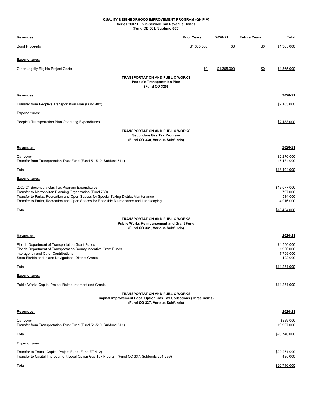## **QUALITY NEIGHBORHOOD IMPROVEMENT PROGRAM (QNIP V) Series 2007 Public Service Tax Revenue Bonds (Fund CB 361, Subfund 005)**

| <u>Revenues:</u>                                                                                                                                                                                                                                                                               | <b>Prior Years</b> | 2020-21     | <b>Future Years</b> | Total                                            |
|------------------------------------------------------------------------------------------------------------------------------------------------------------------------------------------------------------------------------------------------------------------------------------------------|--------------------|-------------|---------------------|--------------------------------------------------|
| <b>Bond Proceeds</b>                                                                                                                                                                                                                                                                           | \$1,365,000        | <u>\$0</u>  | \$0                 | \$1,365,000                                      |
| Expenditures:                                                                                                                                                                                                                                                                                  |                    |             |                     |                                                  |
| Other Legally Eligible Project Costs                                                                                                                                                                                                                                                           | \$0                | \$1,365,000 | \$0                 | \$1,365,000                                      |
| <b>TRANSPORTATION AND PUBLIC WORKS</b><br><b>People's Transportation Plan</b><br>(Fund CO 325)                                                                                                                                                                                                 |                    |             |                     |                                                  |
| Revenues:                                                                                                                                                                                                                                                                                      |                    |             |                     | 2020-21                                          |
| Transfer from People's Transportation Plan (Fund 402)                                                                                                                                                                                                                                          |                    |             |                     | \$2,183,000                                      |
| Expenditures:                                                                                                                                                                                                                                                                                  |                    |             |                     |                                                  |
| People's Transportation Plan Operating Expenditures                                                                                                                                                                                                                                            |                    |             |                     | \$2,183,000                                      |
| <b>TRANSPORTATION AND PUBLIC WORKS</b><br><b>Secondary Gas Tax Program</b><br>(Fund CO 330, Various Subfunds)                                                                                                                                                                                  |                    |             |                     |                                                  |
| Revenues:                                                                                                                                                                                                                                                                                      |                    |             |                     | 2020-21                                          |
| Carryover<br>Transfer from Transportation Trust Fund (Fund 51-510, Subfund 511)                                                                                                                                                                                                                |                    |             |                     | \$2,270,000<br>16,134,000                        |
| Total                                                                                                                                                                                                                                                                                          |                    |             |                     | \$18,404,000                                     |
| <b>Expenditures:</b>                                                                                                                                                                                                                                                                           |                    |             |                     |                                                  |
| 2020-21 Secondary Gas Tax Program Expenditures<br>Transfer to Metropolitan Planning Organization (Fund 730)<br>Transfer to Parks, Recreation and Open Spaces for Special Taxing District Maintenance<br>Transfer to Parks, Recreation and Open Spaces for Roadside Maintenance and Landscaping |                    |             |                     | \$13,077,000<br>797,000<br>514,000<br>4,016,000  |
| Total                                                                                                                                                                                                                                                                                          |                    |             |                     | \$18,404,000                                     |
| <b>TRANSPORTATION AND PUBLIC WORKS</b><br><b>Public Works Reimbursement and Grant Fund</b><br>(Fund CO 331, Various Subfunds)                                                                                                                                                                  |                    |             |                     |                                                  |
| Revenues:                                                                                                                                                                                                                                                                                      |                    |             |                     | 2020-21                                          |
| Florida Department of Transportation Grant Funds<br>Florida Department of Transportation County Incentive Grant Funds<br>Interagency and Other Contributions<br>State Florida and Inland Navigational District Grants                                                                          |                    |             |                     | \$1,500,000<br>1,900,000<br>7,709,000<br>122,000 |
| Total                                                                                                                                                                                                                                                                                          |                    |             |                     | \$11,231,000                                     |
| <u>Expenditures:</u>                                                                                                                                                                                                                                                                           |                    |             |                     |                                                  |
| Public Works Capital Project Reimbursement and Grants                                                                                                                                                                                                                                          |                    |             |                     | \$11,231,000                                     |
| <b>TRANSPORTATION AND PUBLIC WORKS</b><br><b>Capital Improvement Local Option Gas Tax Collections (Three Cents)</b><br>(Fund CO 337, Various Subfunds)                                                                                                                                         |                    |             |                     |                                                  |
| <u>Revenues:</u>                                                                                                                                                                                                                                                                               |                    |             |                     | 2020-21                                          |
| Carryover<br>Transfer from Transportation Trust Fund (Fund 51-510, Subfund 511)                                                                                                                                                                                                                |                    |             |                     | \$839,000<br>19,907,000                          |
| Total                                                                                                                                                                                                                                                                                          |                    |             |                     | \$20,746,000                                     |
| Expenditures:                                                                                                                                                                                                                                                                                  |                    |             |                     |                                                  |
| Transfer to Transit Capital Project Fund (Fund ET 412)<br>Transfer to Capital Improvement Local Option Gas Tax Program (Fund CO 337, Subfunds 201-299)                                                                                                                                         |                    |             |                     | \$20,261,000<br>485,000                          |
| Total                                                                                                                                                                                                                                                                                          |                    |             |                     | \$20,746,000                                     |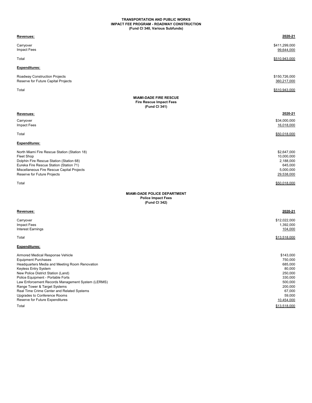## **TRANSPORTATION AND PUBLIC WORKS IMPACT FEE PROGRAM - ROADWAY CONSTRUCTION (Fund CI 340, Various Subfunds)**

| Revenues:                                                                                                                                                                                                                                                                                                                                                                                                                          | 2020-21                                                                                                                                 |
|------------------------------------------------------------------------------------------------------------------------------------------------------------------------------------------------------------------------------------------------------------------------------------------------------------------------------------------------------------------------------------------------------------------------------------|-----------------------------------------------------------------------------------------------------------------------------------------|
| Carryover<br>Impact Fees                                                                                                                                                                                                                                                                                                                                                                                                           | \$411,299,000<br>99,644,000                                                                                                             |
| Total                                                                                                                                                                                                                                                                                                                                                                                                                              | \$510,943,000                                                                                                                           |
| <b>Expenditures:</b>                                                                                                                                                                                                                                                                                                                                                                                                               |                                                                                                                                         |
| Roadway Construction Projects<br>Reserve for Future Capital Projects                                                                                                                                                                                                                                                                                                                                                               | \$150,726,000<br>360,217,000                                                                                                            |
| Total                                                                                                                                                                                                                                                                                                                                                                                                                              | \$510,943,000                                                                                                                           |
| <b>MIAMI-DADE FIRE RESCUE</b><br><b>Fire Rescue Impact Fees</b><br>(Fund CI 341)                                                                                                                                                                                                                                                                                                                                                   |                                                                                                                                         |
| Revenues:                                                                                                                                                                                                                                                                                                                                                                                                                          | 2020-21                                                                                                                                 |
| Carryover<br>Impact Fees                                                                                                                                                                                                                                                                                                                                                                                                           | \$34,000,000<br>16,018,000                                                                                                              |
| Total                                                                                                                                                                                                                                                                                                                                                                                                                              | \$50,018,000                                                                                                                            |
| <b>Expenditures:</b>                                                                                                                                                                                                                                                                                                                                                                                                               |                                                                                                                                         |
| North Miami Fire Rescue Station (Station 18)<br><b>Fleet Shop</b><br>Dolphin Fire Rescue Station (Station 68)<br>Eureka Fire Rescue Station (Station 71)<br>Miscellaneous Fire Rescue Capital Projects<br>Reserve for Future Projects                                                                                                                                                                                              | \$2,647,000<br>10,000,000<br>2,188,000<br>645,000<br>5,000,000<br>29,538,000                                                            |
| Total                                                                                                                                                                                                                                                                                                                                                                                                                              | \$50,018,000                                                                                                                            |
| <b>MIAMI-DADE POLICE DEPARTMENT</b><br><b>Police Impact Fees</b><br>(Fund CI 342)                                                                                                                                                                                                                                                                                                                                                  |                                                                                                                                         |
| <u>Revenues:</u>                                                                                                                                                                                                                                                                                                                                                                                                                   | 2020-21                                                                                                                                 |
| Carryover<br>Impact Fees<br><b>Interest Earnings</b>                                                                                                                                                                                                                                                                                                                                                                               | \$12,022,000<br>1,392,000<br>104,000                                                                                                    |
| Total                                                                                                                                                                                                                                                                                                                                                                                                                              | \$13,518,000                                                                                                                            |
| <b>Expenditures:</b>                                                                                                                                                                                                                                                                                                                                                                                                               |                                                                                                                                         |
| Armored Medical Response Vehicle<br><b>Equipment Purchases</b><br>Headquarters Media and Meeting Room Renovation<br>Keyless Entry System<br>New Police District Station (Land)<br>Police Equipment - Portable Forts<br>Law Enforcement Records Management System (LERMS)<br>Range Tower & Target Systems<br>Real Time Crime Center and Related Systems<br>Upgrades to Conference Rooms<br>Reserve for Future Expenditures<br>Total | \$143,000<br>750,000<br>685,000<br>80,000<br>250,000<br>330,000<br>500,000<br>200,000<br>67,000<br>59,000<br>10,454,000<br>\$13,518,000 |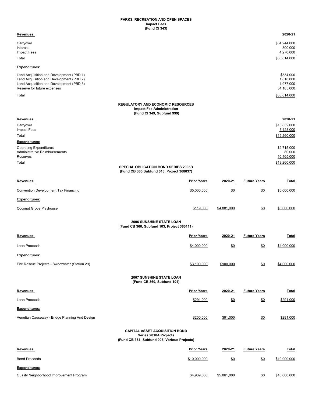## **PARKS, RECREATION AND OPEN SPACES Impact Fees (Fund CI 343)**

| Revenues:                                                                            |                                                                        |             |                     | 2020-21                   |
|--------------------------------------------------------------------------------------|------------------------------------------------------------------------|-------------|---------------------|---------------------------|
| Carryover                                                                            |                                                                        |             |                     | \$34,244,000              |
| Interest                                                                             |                                                                        |             |                     | 300,000                   |
| <b>Impact Fees</b><br>Total                                                          |                                                                        |             |                     | 4,270,000<br>\$38,814,000 |
|                                                                                      |                                                                        |             |                     |                           |
| <b>Expenditures:</b>                                                                 |                                                                        |             |                     |                           |
| Land Acquisition and Development (PBD 1)<br>Land Acquisition and Development (PBD 2) |                                                                        |             |                     | \$834,000<br>1,818,000    |
| Land Acquisition and Development (PBD 3)                                             |                                                                        |             |                     | 1,977,000                 |
| Reserve for future expenses                                                          |                                                                        |             |                     | 34,185,000                |
| Total                                                                                |                                                                        |             |                     | \$38,814,000              |
|                                                                                      | <b>REGULATORY AND ECONOMIC RESOURCES</b>                               |             |                     |                           |
|                                                                                      | <b>Impact Fee Administration</b><br>(Fund CI 349, Subfund 999)         |             |                     |                           |
| Revenues:                                                                            |                                                                        |             |                     | 2020-21                   |
| Carryover                                                                            |                                                                        |             |                     | \$15,832,000              |
| <b>Impact Fees</b><br>Total                                                          |                                                                        |             |                     | 3,428,000<br>\$19,260,000 |
| <b>Expenditures:</b>                                                                 |                                                                        |             |                     |                           |
| <b>Operating Expenditures</b>                                                        |                                                                        |             |                     | \$2,715,000               |
| <b>Administrative Reimbursements</b>                                                 |                                                                        |             |                     | 80,000                    |
| <b>Reserves</b>                                                                      |                                                                        |             |                     | 16,465,000                |
| Total                                                                                | <b>SPECIAL OBLIGATION BOND SERIES 2005B</b>                            |             |                     | \$19,260,000              |
|                                                                                      | (Fund CB 360 Subfund 013, Project 368037)                              |             |                     |                           |
| Revenues:                                                                            | <b>Prior Years</b>                                                     | 2020-21     | <b>Future Years</b> | Total                     |
| Convention Development Tax Financing                                                 | \$5,000,000                                                            | <u>\$0</u>  | \$0                 | \$5,000,000               |
| <b>Expenditures:</b>                                                                 |                                                                        |             |                     |                           |
| Coconut Grove Playhouse                                                              | \$119,000                                                              | \$4,881,000 | \$0                 | \$5,000,000               |
|                                                                                      |                                                                        |             |                     |                           |
|                                                                                      | 2006 SUNSHINE STATE LOAN<br>(Fund CB 360, Subfund 103, Project 360111) |             |                     |                           |
| Revenues:                                                                            | <b>Prior Years</b>                                                     | 2020-21     | <b>Future Years</b> | Total                     |
| Loan Proceeds                                                                        | \$4,000,000                                                            | <u>\$0</u>  | \$0                 | \$4,000,000               |
| <b>Expenditures:</b>                                                                 |                                                                        |             |                     |                           |
| Fire Rescue Projects - Sweetwater (Station 29)                                       | \$3,100,000                                                            | \$900,000   | $\underline{\$0}$   | \$4,000,000               |
|                                                                                      |                                                                        |             |                     |                           |
|                                                                                      | 2007 SUNSHINE STATE LOAN<br>(Fund CB 360, Subfund 104)                 |             |                     |                           |
| Revenues:                                                                            | <b>Prior Years</b>                                                     | 2020-21     | <b>Future Years</b> | <u>Total</u>              |
| Loan Proceeds                                                                        | \$291,000                                                              | \$0         | $\underline{\$0}$   | \$291,000                 |
| <b>Expenditures:</b>                                                                 |                                                                        |             |                     |                           |
| Venetian Causeway - Bridge Planning And Design                                       | \$200,000                                                              | \$91,000    | \$0                 | \$291,000                 |
|                                                                                      | <b>CAPITAL ASSET ACQUISITION BOND</b>                                  |             |                     |                           |
|                                                                                      | Series 2018A Projects<br>(Fund CB 361, Subfund 007, Various Projects)  |             |                     |                           |
| Revenues:                                                                            | <b>Prior Years</b>                                                     | 2020-21     | <b>Future Years</b> | <b>Total</b>              |
| <b>Bond Proceeds</b>                                                                 | \$10,000,000                                                           | \$0         | \$0                 | \$10,000,000              |
| <b>Expenditures:</b>                                                                 |                                                                        |             |                     |                           |
|                                                                                      |                                                                        |             |                     |                           |
| Quality Neighborhood Improvement Program                                             | \$4,939,000                                                            | \$5,061,000 | \$0                 | \$10,000,000              |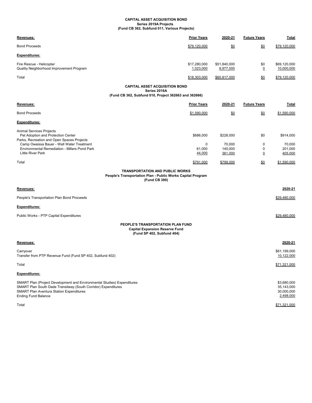## **CAPITAL ASSET ACQUISITION BOND Series 2019A Projects (Fund CB 362, Subfund 011, Various Projects)**

| Revenues:                                                                                                                                                                                                                  | <b>Prior Years</b>        | 2020-21                   | <b>Future Years</b>   | Total                                                |
|----------------------------------------------------------------------------------------------------------------------------------------------------------------------------------------------------------------------------|---------------------------|---------------------------|-----------------------|------------------------------------------------------|
| <b>Bond Proceeds</b>                                                                                                                                                                                                       | \$79,120,000              | \$0                       | \$0                   | \$79,120,000                                         |
| Expenditures:                                                                                                                                                                                                              |                           |                           |                       |                                                      |
| Fire Rescue - Helicopter<br>Quality Neighborhood Improvement Program                                                                                                                                                       | \$17,280,000<br>1,023,000 | \$51,840,000<br>8,977,000 | \$0<br>$\overline{0}$ | \$69,120,000<br>10,000,000                           |
| Total                                                                                                                                                                                                                      | \$18,303,000              | \$60,817,000              | \$0                   | \$79,120,000                                         |
| <b>CAPITAL ASSET ACQUISITION BOND</b>                                                                                                                                                                                      |                           |                           |                       |                                                      |
| Series 2016A<br>(Fund CB 362, Subfund 010, Project 362663 and 362666)                                                                                                                                                      |                           |                           |                       |                                                      |
| Revenues:                                                                                                                                                                                                                  | <b>Prior Years</b>        | 2020-21                   | <b>Future Years</b>   | Total                                                |
| <b>Bond Proceeds</b>                                                                                                                                                                                                       | \$1,590,000               | \$0                       | \$0                   | \$1,590,000                                          |
| <b>Expenditures:</b>                                                                                                                                                                                                       |                           |                           |                       |                                                      |
| <b>Animal Services Projects</b><br>Pet Adoption and Protection Center<br>Parks, Recreation and Open Spaces Projects                                                                                                        | \$686,000                 | \$228,000                 | \$0                   | \$914,000                                            |
| Camp Owaissa Bauer - Well Water Treatment<br><b>Environmental Remediation - Millers Pond Park</b>                                                                                                                          | 0<br>61,000               | 70,000<br>140,000         | 0<br>0                | 70,000<br>201,000                                    |
| <b>Little River Park</b>                                                                                                                                                                                                   | 44,000                    | 361,000                   | 0                     | 405,000                                              |
| Total                                                                                                                                                                                                                      | \$791,000                 | \$799,000                 | \$0                   | \$1,590,000                                          |
| <b>TRANSPORTATION AND PUBLIC WORKS</b><br>People's Transportation Plan - Public Works Capital Program<br>(Fund CB 390)                                                                                                     |                           |                           |                       |                                                      |
| Revenues:                                                                                                                                                                                                                  |                           |                           |                       | 2020-21                                              |
| People's Transportation Plan Bond Proceeds                                                                                                                                                                                 |                           |                           |                       | \$29,480,000                                         |
| <b>Expenditures:</b>                                                                                                                                                                                                       |                           |                           |                       |                                                      |
| Public Works - PTP Capital Expenditures                                                                                                                                                                                    |                           |                           |                       | \$29,480,000                                         |
| PEOPLE'S TRANSPORTATION PLAN FUND<br><b>Capital Expansion Reserve Fund</b><br>(Fund SP 402, Subfund 404)                                                                                                                   |                           |                           |                       |                                                      |
| Revenues:                                                                                                                                                                                                                  |                           |                           |                       | 2020-21                                              |
| Carryover<br>Transfer from PTP Revenue Fund (Fund SP 402, Subfund 402)                                                                                                                                                     |                           |                           |                       | \$61,199,000<br>10,122,000                           |
| Total                                                                                                                                                                                                                      |                           |                           |                       | \$71,321,000                                         |
| <b>Expenditures:</b>                                                                                                                                                                                                       |                           |                           |                       |                                                      |
| SMART Plan (Project Development and Environmental Studies) Expenditures<br>SMART Plan South Dade Transitway (South Corridor) Expenditures<br><b>SMART Plan Aventura Station Expenditures</b><br><b>Ending Fund Balance</b> |                           |                           |                       | \$3,680,000<br>35,143,000<br>30,000,000<br>2,498,000 |
| Total                                                                                                                                                                                                                      |                           |                           |                       | \$71,321,000                                         |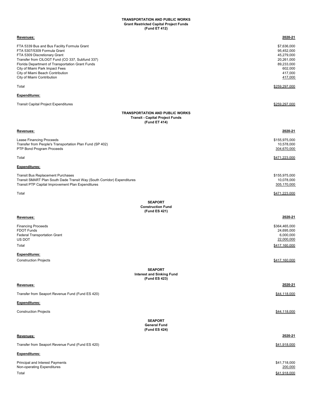## **TRANSPORTATION AND PUBLIC WORKS Grant Restricted Capital Project Funds (Fund ET 412)**

| Revenues:                                                                                                                                                                                                                                                                                                             | 2020-21                                                                                              |
|-----------------------------------------------------------------------------------------------------------------------------------------------------------------------------------------------------------------------------------------------------------------------------------------------------------------------|------------------------------------------------------------------------------------------------------|
| FTA 5339 Bus and Bus Facility Formula Grant<br>FTA 5307/5309 Formula Grant<br>FTA 5309 Discretionary Grant<br>Transfer from CILOGT Fund (CO 337, Subfund 337)<br>Florida Department of Transportation Grant Funds<br>City of Miami Park Impact Fees<br>City of Miami Beach Contribution<br>City of Miami Contribution | \$7,636,000<br>95,452,000<br>45,279,000<br>20,261,000<br>89,233,000<br>602,000<br>417,000<br>417,000 |
| Total                                                                                                                                                                                                                                                                                                                 | \$259,297,000                                                                                        |
| <b>Expenditures:</b>                                                                                                                                                                                                                                                                                                  |                                                                                                      |
| <b>Transit Capital Project Expenditures</b>                                                                                                                                                                                                                                                                           | \$259,297,000                                                                                        |
| <b>TRANSPORTATION AND PUBLIC WORKS</b><br><b>Transit - Capital Project Funds</b><br>(Fund ET 414)                                                                                                                                                                                                                     |                                                                                                      |
| Revenues:                                                                                                                                                                                                                                                                                                             | 2020-21                                                                                              |
| Lease Financing Proceeds<br>Transfer from People's Transportation Plan Fund (SP 402)<br>PTP Bond Program Proceeds                                                                                                                                                                                                     | \$155,975,000<br>10,578,000<br>304,670,000                                                           |
| Total                                                                                                                                                                                                                                                                                                                 | \$471,223,000                                                                                        |
| <b>Expenditures:</b>                                                                                                                                                                                                                                                                                                  |                                                                                                      |
| <b>Transit Bus Replacement Purchases</b><br>Transit SMART Plan South Dade Transit Way (South Corridor) Expenditures<br>Transit PTP Capital Improvement Plan Expenditures                                                                                                                                              | \$155,975,000<br>10,078,000<br>305,170,000                                                           |
| Total                                                                                                                                                                                                                                                                                                                 | \$471,223,000                                                                                        |
| <b>SEAPORT</b><br><b>Construction Fund</b><br>(Fund ES 421)                                                                                                                                                                                                                                                           |                                                                                                      |
| Revenues:                                                                                                                                                                                                                                                                                                             | 2020-21                                                                                              |
| <b>Financing Proceeds</b><br><b>FDOT Funds</b><br><b>Federal Transportation Grant</b><br>US DOT<br>Total                                                                                                                                                                                                              | \$364,465,000<br>24,695,000<br>6,000,000<br>22,000,000<br>\$417,160,000                              |
| <b>Expenditures:</b>                                                                                                                                                                                                                                                                                                  |                                                                                                      |
| <b>Construction Projects</b>                                                                                                                                                                                                                                                                                          | \$417,160,000                                                                                        |
| <b>SEAPORT</b><br><b>Interest and Sinking Fund</b><br>(Fund ES 423)                                                                                                                                                                                                                                                   |                                                                                                      |
| Revenues:                                                                                                                                                                                                                                                                                                             | 2020-21                                                                                              |
| Transfer from Seaport Revenue Fund (Fund ES 420)                                                                                                                                                                                                                                                                      | \$44,118,000                                                                                         |
| <b>Expenditures:</b>                                                                                                                                                                                                                                                                                                  |                                                                                                      |
| <b>Construction Projects</b>                                                                                                                                                                                                                                                                                          | \$44,118,000                                                                                         |
| <b>SEAPORT</b><br><b>General Fund</b><br>(Fund ES 424)                                                                                                                                                                                                                                                                |                                                                                                      |
| Revenues:                                                                                                                                                                                                                                                                                                             | 2020-21                                                                                              |
| Transfer from Seaport Revenue Fund (Fund ES 420)                                                                                                                                                                                                                                                                      | \$41,918,000                                                                                         |
| <b>Expenditures:</b>                                                                                                                                                                                                                                                                                                  |                                                                                                      |
| Principal and Interest Payments<br>Non-operating Expenditures<br>Total                                                                                                                                                                                                                                                | \$41,718,000<br>200,000<br>\$41,918,000                                                              |
|                                                                                                                                                                                                                                                                                                                       |                                                                                                      |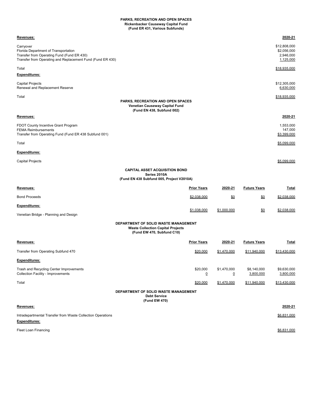## **PARKS, RECREATION AND OPEN SPACES Rickenbacker Causeway Capital Fund (Fund ER 431, Various Subfunds)**

| <u>Revenues:</u>                                                                                                                                              |                                                                                                                |                            |                         |                          | 2020-21                                               |
|---------------------------------------------------------------------------------------------------------------------------------------------------------------|----------------------------------------------------------------------------------------------------------------|----------------------------|-------------------------|--------------------------|-------------------------------------------------------|
| Carryover<br>Florida Department of Transportation<br>Transfer from Operating Fund (Fund ER 430)<br>Transfer from Operating and Replacement Fund (Fund ER 430) |                                                                                                                |                            |                         |                          | \$12,808,000<br>\$2,056,000<br>2,946,000<br>1,125,000 |
| Total                                                                                                                                                         |                                                                                                                |                            |                         |                          | \$18.935.000                                          |
| Expenditures:                                                                                                                                                 |                                                                                                                |                            |                         |                          |                                                       |
| Capital Projects<br>Renewal and Replacement Reserve                                                                                                           |                                                                                                                |                            |                         |                          | \$12,305,000<br>6,630,000                             |
| Total                                                                                                                                                         | PARKS, RECREATION AND OPEN SPACES<br>Venetian Causeway Capital Fund<br>(Fund EN 438, Subfund 002)              |                            |                         |                          | \$18,935,000                                          |
| <u>Revenues:</u>                                                                                                                                              |                                                                                                                |                            |                         |                          | 2020-21                                               |
| FDOT County Incentive Grant Program<br><b>FEMA Reimbursements</b><br>Transfer from Operating Fund (Fund ER 438 Subfund 001)                                   |                                                                                                                |                            |                         |                          | 1,553,000<br>147,000<br>\$3,399,000                   |
| Total                                                                                                                                                         |                                                                                                                |                            |                         |                          | \$5,099,000                                           |
| Expenditures:                                                                                                                                                 |                                                                                                                |                            |                         |                          |                                                       |
| Capital Projects                                                                                                                                              |                                                                                                                |                            |                         |                          | \$5,099,000                                           |
|                                                                                                                                                               | <b>CAPITAL ASSET ACQUISITION BOND</b><br>Series 2010A<br>(Fund EN 438 Subfund 005, Project V2010A)             |                            |                         |                          |                                                       |
| Revenues:                                                                                                                                                     |                                                                                                                | <b>Prior Years</b>         | 2020-21                 | <b>Future Years</b>      | <b>Total</b>                                          |
| <b>Bond Proceeds</b>                                                                                                                                          |                                                                                                                | \$2,038,000                | \$0                     | <u>\$0</u>               | \$2.038.000                                           |
| Expenditures:                                                                                                                                                 |                                                                                                                |                            |                         |                          |                                                       |
| Venetian Bridge - Planning and Design                                                                                                                         |                                                                                                                | \$1,038,000                | \$1,000,000             | <u>\$0</u>               | \$2,038,000                                           |
|                                                                                                                                                               | DEPARTMENT OF SOLID WASTE MANAGEMENT<br><b>Waste Collection Capital Projects</b><br>(Fund EW 470, Subfund C10) |                            |                         |                          |                                                       |
| Revenues:                                                                                                                                                     |                                                                                                                | <b>Prior Years</b>         | 2020-21                 | <b>Future Years</b>      | <u>Total</u>                                          |
| Transfer from Operating Subfund 470                                                                                                                           |                                                                                                                | \$20,000                   | \$1,470,000             | \$11,940,000             | \$13,430,000                                          |
| Expenditures:                                                                                                                                                 |                                                                                                                |                            |                         |                          |                                                       |
| Trash and Recycling Center Improvements<br><b>Collection Facility - Improvements</b>                                                                          |                                                                                                                | \$20,000<br>$\overline{0}$ | \$1,470,000<br><u>0</u> | \$8,140,000<br>3,800,000 | \$9,630,000<br>3,800,000                              |
| Total                                                                                                                                                         |                                                                                                                | \$20,000                   | \$1,470,000             | \$11,940,000             | \$13,430,000                                          |
|                                                                                                                                                               | DEPARTMENT OF SOLID WASTE MANAGEMENT<br><b>Debt Service</b><br>(Fund EW 470)                                   |                            |                         |                          |                                                       |
| Revenues:                                                                                                                                                     |                                                                                                                |                            |                         |                          | 2020-21                                               |
| Intradepartmental Transfer from Waste Collection Operations<br><b>Expenditures:</b>                                                                           |                                                                                                                |                            |                         |                          | \$6,831,000                                           |

Fleet Loan Financing \$6,831,000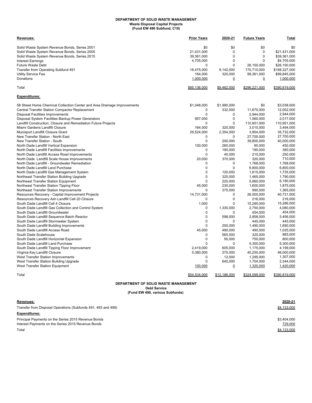## **DEPARTMENT OF SOLID WASTE MANAGEMENT Waste Disposal Capital Projects (Fund EW 490 Subfund, C10)**

| <u>Revenues:</u>                                                         | <b>Prior Years</b> | 2020-21        | <b>Future Years</b> | Total         |
|--------------------------------------------------------------------------|--------------------|----------------|---------------------|---------------|
| Solid Waste System Revenue Bonds, Series 2001                            | \$0                | \$0            | \$0                 | \$0           |
| Solid Waste System Revenue Bonds, Series 2005                            | 21,431,000         | 0              | $\mathbf 0$         | \$21,431,000  |
| Solid Waste System Revenue Bonds, Series 2015                            | 39,361,000         | $\mathbf 0$    | $\mathbf 0$         | \$39,361,000  |
| <b>Interest Earnings</b>                                                 | 4,705,000          | $\mathbf{0}$   | $\Omega$            | \$4,705,000   |
| Future Waste Debt                                                        | 0                  | $\Omega$       | 26,150,000          | \$26,150,000  |
| Transfer from Operating Subfund 491                                      | 18,475,000         | 9,142,000      | 170,710,000         | \$198,327,000 |
| Utility Service Fee                                                      | 164,000            | 320,000        | 99,361,000          | \$99,845,000  |
| Donations                                                                | 1,000,000          | $\overline{0}$ | $\overline{0}$      | 1,000,000     |
| Total                                                                    | \$85,136,000       | \$9,462,000    | \$296,221,000       | \$390,819,000 |
| <b>Expenditures:</b>                                                     |                    |                |                     |               |
| 58 Street Home Chemical Collection Center and Area Drainage Improvements | \$1,048,000        | \$1,990,000    | \$0                 | \$3,038,000   |
| Central Transfer Station Compactor Replacement                           | 0                  | 332,000        | 11,670,000          | 12,002,000    |
| Disposal Facilities Improvements                                         | $\mathbf 0$        | $\mathbf 0$    | 2,944,000           | 2,944,000     |
| Disposal System Facilities Backup Power Generators                       | 957,000            | $\mathbf 0$    | 1,060,000           | 2,017,000     |
| Landfill Construction, Closure and Remediation Future Projects           | 0                  | 0              | 110,951,000         | 110,951,000   |
| Miami Gardens Landfill Closure                                           | 164,000            | 320,000        | 3,010,000           | 3,494,000     |
| Munisport Landfill Closure Grant                                         | 29,524,000         | 2,354,000      | 3,854,000           | 35,732,000    |
| New Transfer Station - North East                                        | 0                  | 0              | 27,700,000          | 27,700,000    |
| New Transfer Station - South                                             | $\mathbf 0$        | 200,000        | 39,800,000          | 40,000,000    |
| North Dade Landfill Vertical Expansion                                   | 100,000            | 260,000        | 90,000              | 450,000       |
| North Dade Landfill Facilities Improvements                              | 0                  | 190,000        | 190,000             | 380,000       |
| North Dade Landfill Access Road Improvements                             | $\mathbf 0$        | 40,000         | 210,000             | 250,000       |
| North Dade Landfill Scale House Improvements                             | 20,000             | 370,000        | 320,000             | 710,000       |
| North Dade Landfill - Groundwater Remediation                            | 0                  | 0              | 1,768,000           | 1,768,000     |
| North Dade Landfill Land Purchase                                        | $\mathbf 0$        | $\mathbf 0$    | 6,800,000           | 6,800,000     |
| North Dade Landfill Gas Management System                                | $\Omega$           | 120,000        | 1,615,000           | 1,735,000     |
| Northeast Transfer Station Building Upgrade                              | $\mathbf 0$        | 325,000        | 1,465,000           | 1,790,000     |
| Northeast Transfer Station Equipment                                     | $\Omega$           | 220,000        | 5,960,000           | 6,180,000     |
| Northeast Transfer Station Tipping Floor                                 | 45,000             | 230,000        | 1,600,000           | 1,875,000     |
| Northeast Transfer Station Improvements                                  | $\mathbf 0$        | 375,000        | 990,000             | 1,365,000     |
| Resources Recovery - Capital Improvement Projects                        | 14,731,000         | 0              | 26,000,000          | 40,731,000    |
| Resources Recovery Ash Landfill Cell 20 Closure                          | $\Omega$           | $\pmb{0}$      | 216,000             | 216,000       |
| South Dade Landfill Cell 4 Closure                                       | 1,000              | $\mathbf 0$    | 15,285,000          | 15,286,000    |
| South Dade Landfill Gas Collection and Control System                    | 0                  | 1,330,000      | 2,750,000           | 4,080,000     |
| South Dade Landfill Groundwater                                          | $\mathbf 0$        | $\mathbf 0$    | 454,000             | 454,000       |
| South Dade Landfill Sequence Batch Reactor                               | $\mathbf 0$        | 598,000        | 2,858,000           | 3,456,000     |
| South Dade Landfill Stormwater System                                    | $\mathbf 0$        | 0              | 445,000             | 445,000       |
| South Dade Landfill Building Improvements                                | $\Omega$           | 200,000        | 1,490,000           | 1,690,000     |
| South Dade Landfill Access Road                                          | 45.000             | 490,000        | 490,000             | 1,025,000     |
| South Dade Scalehouse                                                    | 0                  | 565,000        | 320,000             | 885,000       |
| South Dade Landfill Horizontal Expansion                                 | $\mathbf 0$        | 50,000         | 750,000             | 800,000       |
| South Dade Landfill Land Purchase                                        | $\Omega$           | 0              | 5,300,000           | 5,300,000     |
| South Dade Landfill Tipping Floor Improvement                            | 2,419,000          | 605,000        | 1,175,000           | 4,199,000     |
| Virginia Key Landfill Closure                                            | 5,380,000          | 370,000        | 40,250,000          | 46,000,000    |
| West Transfer Station Improvements                                       | 0                  | 12,000         | 1,295,000           | 1,307,000     |
| West Transfer Station Building Upgrade                                   | $\mathbf 0$        | 640,000        | 1,704,000           | 2,344,000     |
| West Transfer Station Equipment                                          | 100,000            | <u>0</u>       | 1,320,000           | 1,420,000     |
| Total                                                                    | \$54,534,000       | \$12,186,000   | \$324,099,000       | \$390,819,000 |

**(Fund EW 490, various Subfunds) DEPARTMENT OF SOLID WASTE MANAGEMENT Debt Service**

## **Revenues: 2020-21**

Transfer from Disposal Operations (Subfunds 491, 493 and 499) **\$4,133,000 \$4,133,000** 

**Expenditures:**

Principal Payments on the Series 2015 Revenue Bonds<br>
Interest Payments on the Series 2015 Revenue Bonds **\$3,404,000**<br>
<u>729,000</u> Therest Payments on the Series 2015 Revenue Bonds Interest Payments on the Series 2015 Revenue Bonds  $\texttt{Total}$  to the set of the set of the set of the set of the set of the set of the set of the set of the set of the set of the set of the set of the set of the set of the set of the set of the set of the set of the set of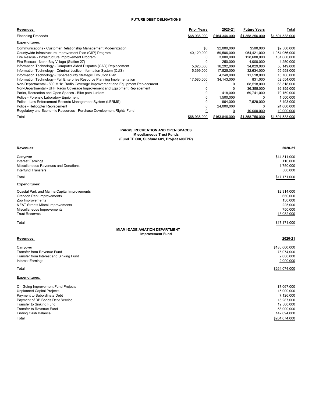# **FUTURE DEBT OBLIGATIONS**

| Revenues:                                                                       | <b>Prior Years</b> | 2020-21       | <b>Future Years</b> | Total           |
|---------------------------------------------------------------------------------|--------------------|---------------|---------------------|-----------------|
| <b>Financing Proceeds</b>                                                       | \$68,936,000       | \$164,346,000 | \$1,358,256,000     | \$1,591,538,000 |
| <b>Expenditures:</b>                                                            |                    |               |                     |                 |
| Communications - Customer Relationship Management Modernization                 | \$0                | \$2,000,000   | \$500,000           | \$2,500,000     |
| Countywide Infrastructure Improvement Plan (CIIP) Program                       | 40,129,000         | 59,506,000    | 954.421.000         | 1,054,056,000   |
| Fire Rescue - Infrastructure Improvement Program                                |                    | 3,000,000     | 128,680,000         | 131,680,000     |
| Fire Rescue - North Bay Village (Station 27)                                    |                    | 250,000       | 4,000,000           | 4,250,000       |
| Information Technology - Computer Aided Dispatch (CAD) Replacement              | 5.828.000          | 16.292.000    | 34.029.000          | 56,149,000      |
| Information Technology - Criminal Justice Information System (CJIS)             | 5,399,000          | 17,525,000    | 32,634,000          | 55,558,000      |
| Information Technology - Cybersecurity Strategic Evolution Plan                 | 0                  | 4,248,000     | 11,518,000          | 15,766,000      |
| Information Technology - Full Enterprise Resource Planning Implementation       | 17,580,000         | 34,143,000    | 831.000             | 52,554,000      |
| Non-Departmental - 800 MHz Radio Coverage Improvement and Equipment Replacement |                    |               | 68.518.000          | 68,518,000      |
| Non-Departmental - UHF Radio Coverage Improvement and Equipment Replacement     |                    |               | 36,355,000          | 36,355,000      |
| Parks, Recreation and Open Spaces - Bike path Ludlam                            |                    | 418,000       | 69.741.000          | 70,159,000      |
| Police - Forensic Laboratory Equipment                                          |                    | 1,500,000     | 0                   | 1,500,000       |
| Police - Law Enforcement Records Management System (LERMS)                      |                    | 964.000       | 7.529.000           | 8,493,000       |
| Police - Helicopter Replacement                                                 |                    | 24,000,000    | $\Omega$            | 24,000,000      |
| Regulatory and Economic Resources - Purchase Development Rights Fund            | 0                  |               | 10,000,000          | 10,000,000      |
| Total                                                                           | \$68,936,000       | \$163,846,000 | \$1,358,756,000     | \$1,591,538,000 |

# **PARKS, RECREATION AND OPEN SPACES Miscellaneous Trust Funds (Fund TF 600, Subfund 601, Project 608TPR)**

| Revenues:                                                                                                                                                                                                                                 | 2020-21                                                                                                          |
|-------------------------------------------------------------------------------------------------------------------------------------------------------------------------------------------------------------------------------------------|------------------------------------------------------------------------------------------------------------------|
| Carryover<br><b>Interest Earnings</b><br>Miscellaneous Revenues and Donations<br><b>Interfund Transfers</b>                                                                                                                               | \$14,811,000<br>110,000<br>1,750,000<br>500,000                                                                  |
| Total                                                                                                                                                                                                                                     | \$17,171,000                                                                                                     |
| <b>Expenditures:</b>                                                                                                                                                                                                                      |                                                                                                                  |
| Coastal Park and Marina Capital Improvements<br><b>Crandon Park Improvements</b><br>Zoo Improvements<br><b>NEAT Streets Miami Improvements</b><br>Miscellaneous Improvements<br><b>Trust Reserves</b>                                     | \$2,314,000<br>650,000<br>150,000<br>225,000<br>750,000<br>13,082,000                                            |
| Total                                                                                                                                                                                                                                     | \$17,171,000                                                                                                     |
| <b>MIAMI-DADE AVIATION DEPARTMENT</b><br><b>Improvement Fund</b><br>Revenues:                                                                                                                                                             | 2020-21                                                                                                          |
| Carryover<br>Transfer from Revenue Fund<br>Transfer from Interest and Sinking Fund<br><b>Interest Earnings</b>                                                                                                                            | \$185,000,000<br>75,074,000<br>2,000,000<br>2,000,000                                                            |
| Total                                                                                                                                                                                                                                     | \$264.074.000                                                                                                    |
| <b>Expenditures:</b>                                                                                                                                                                                                                      |                                                                                                                  |
| On-Going Improvement Fund Projects<br><b>Unplanned Capital Projects</b><br>Payment to Subordinate Debt<br>Payment of DB Bonds Debt Service<br>Transfer to Sinking Fund<br>Transfer to Revenue Fund<br><b>Ending Cash Balance</b><br>Total | \$7,067,000<br>15,000,000<br>7,126,000<br>15,287,000<br>19,500,000<br>58,000,000<br>142,094,000<br>\$264,074,000 |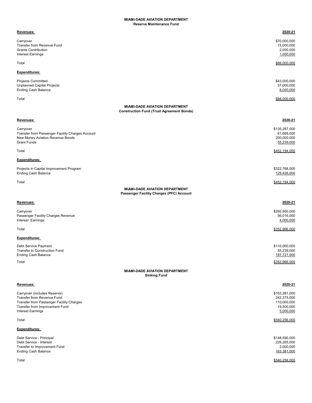| Revenues:                                                                                                                                                            | 2020-21                                                                |
|----------------------------------------------------------------------------------------------------------------------------------------------------------------------|------------------------------------------------------------------------|
| Carryover<br>Transfer from Revenue Fund<br><b>Grants Contribution</b><br><b>Interest Earnings</b>                                                                    | \$70,000,000<br>15,000,000<br>2,000,000<br>1,000,000                   |
| Total                                                                                                                                                                | \$88,000,000                                                           |
| <b>Expenditures:</b>                                                                                                                                                 |                                                                        |
| <b>Projects Committed</b><br><b>Unplanned Capital Projects</b><br><b>Ending Cash Balance</b>                                                                         | \$43,000,000<br>37,000,000<br>8,000,000                                |
| Total                                                                                                                                                                | \$88,000,000                                                           |
| <b>MIAMI-DADE AVIATION DEPARTMENT</b><br><b>Construction Fund (Trust Agreement Bonds)</b>                                                                            |                                                                        |
| Revenues:                                                                                                                                                            | 2020-21                                                                |
| Carryover<br>Transfer from Passenger Facility Charges Account<br>New Money Aviation Revenue Bonds<br><b>Grant Funds</b>                                              | \$135,287,000<br>61,668,000<br>200,000,000<br>55,239,000               |
| Total                                                                                                                                                                | \$452,194,000                                                          |
| <b>Expenditures:</b>                                                                                                                                                 |                                                                        |
| Projects in Capital Improvement Program<br><b>Ending Cash Balance</b>                                                                                                | \$322,768,000<br>129,426,000                                           |
| Total                                                                                                                                                                | \$452,194,000                                                          |
| MIAMI-DADE AVIATION DEPARTMENT<br>Passenger Facility Charges (PFC) Account                                                                                           |                                                                        |
| Revenues:                                                                                                                                                            | 2020-21                                                                |
| Carryover<br>Passenger Facility Charges Revenue<br>Interest Earnings                                                                                                 | \$292,950,000<br>56,016,000<br>4,000,000                               |
| Total                                                                                                                                                                | \$352,966,000                                                          |
| <b>Expenditures:</b>                                                                                                                                                 |                                                                        |
| Debt Service Payment<br>Transfer to Construction Fund<br><b>Ending Cash Balance</b>                                                                                  | \$110,000,000<br>55,239,000<br>187,727,000                             |
| Total                                                                                                                                                                | \$352,966,000                                                          |
| <b>MIAMI-DADE AVIATION DEPARTMENT</b><br><b>Sinking Fund</b>                                                                                                         |                                                                        |
| Revenues:                                                                                                                                                            | 2020-21                                                                |
| Carryover (includes Reserve)<br>Transfer from Revenue Fund<br>Transfer from Passenger Facility Charges<br>Transfer from Improvement Fund<br><b>Interest Earnings</b> | \$163,381,000<br>242,375,000<br>110,000,000<br>19,500,000<br>5,000,000 |
| Total                                                                                                                                                                | \$540.256.000                                                          |
| Expenditures:                                                                                                                                                        |                                                                        |
| Debt Service - Principal<br>Debt Service - Interest<br>Transfer to Improvement Fund<br><b>Ending Cash Balance</b>                                                    | \$148,590,000<br>226,285,000<br>2,000,000<br>163,381,000               |

Total \$540,256,000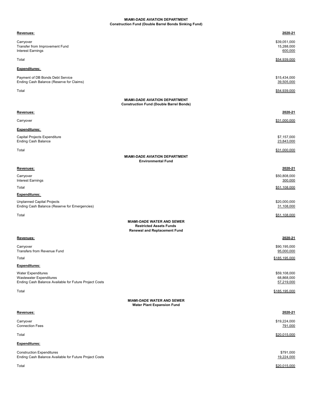## **MIAMI-DADE AVIATION DEPARTMENT Construction Fund (Double Barrel Bonds Sinking Fund)**

| <u>Revenues:</u>                                                                                                      | 2020-21                                  |
|-----------------------------------------------------------------------------------------------------------------------|------------------------------------------|
| Carryover<br>Transfer from Improvement Fund<br>Interest Earnings                                                      | \$39,051,000<br>15,288,000<br>600,000    |
| Total                                                                                                                 | \$54,939,000                             |
| Expenditures:                                                                                                         |                                          |
| Payment of DB Bonds Debt Service<br>Ending Cash Balance (Reserve for Claims)                                          | \$15,434,000<br>39,505,000               |
| Total                                                                                                                 | \$54,939,000                             |
| <b>MIAMI-DADE AVIATION DEPARTMENT</b><br><b>Construction Fund (Double Barrel Bonds)</b>                               |                                          |
| <u>Revenues:</u>                                                                                                      | 2020-21                                  |
| Carryover                                                                                                             | \$31,000,000                             |
| <b>Expenditures:</b>                                                                                                  |                                          |
| Capital Projects Expenditure<br><b>Ending Cash Balance</b>                                                            | \$7,157,000<br>23,843,000                |
| Total<br><b>MIAMI-DADE AVIATION DEPARTMENT</b><br><b>Environmental Fund</b>                                           | \$31,000,000                             |
| <u>Revenues:</u>                                                                                                      | 2020-21                                  |
| Carryover<br>Interest Earnings                                                                                        | \$50,808,000<br>300,000                  |
| Total                                                                                                                 | \$51,108,000                             |
| Expenditures:<br>Unplanned Capital Projects<br>Ending Cash Balance (Reserve for Emergencies)                          | \$20,000,000<br>31,108,000               |
| Total                                                                                                                 | \$51,108,000                             |
| <b>MIAMI-DADE WATER AND SEWER</b><br><b>Restricted Assets Funds</b><br><b>Renewal and Replacement Fund</b>            |                                          |
| Revenues:                                                                                                             | 2020-21                                  |
| Carryover<br>Transfers from Revenue Fund                                                                              | \$90,195,000<br>95,000,000               |
| Total                                                                                                                 | \$185,195,000                            |
| Expenditures:                                                                                                         |                                          |
| <b>Water Expenditures</b><br><b>Wastewater Expenditures</b><br>Ending Cash Balance Available for Future Project Costs | \$59,108,000<br>68,868,000<br>57,219,000 |
| Total                                                                                                                 | \$185,195,000                            |
| <b>MIAMI-DADE WATER AND SEWER</b><br><b>Water Plant Expansion Fund</b>                                                |                                          |
| <u>Revenues:</u>                                                                                                      | 2020-21                                  |
| Carryover<br><b>Connection Fees</b>                                                                                   | \$19,224,000<br><u>791,000</u>           |
| Total                                                                                                                 | \$20,015,000                             |
| Expenditures:                                                                                                         |                                          |
| <b>Construction Expenditures</b><br>Ending Cash Balance Available for Future Project Costs                            | \$791,000<br>19,224,000                  |
| Total                                                                                                                 | \$20,015,000                             |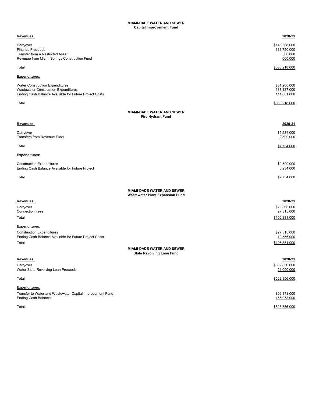#### **MIAMI-DADE WATER AND SEWER Capital Improvement Fund**

| <u>Revenues:</u>                                                            | 2020-21       |
|-----------------------------------------------------------------------------|---------------|
| Carryover                                                                   | \$145,368,000 |
| <b>Finance Proceeds</b>                                                     | 383,750,000   |
| Transfer from a Restricted Asset                                            | 500,000       |
| Revenue from Miami Springs Construction Fund                                | 600,000       |
| Total                                                                       | \$530,218,000 |
| Expenditures:                                                               |               |
| <b>Water Construction Expenditures</b>                                      | \$81,200,000  |
| Wastewater Construction Expenditures                                        | 337, 137, 000 |
| Ending Cash Balance Available for Future Project Costs                      | 111,881,000   |
| Total                                                                       | \$530,218,000 |
| MIAMI-DADE WATER AND SEWER                                                  |               |
| <b>Fire Hydrant Fund</b>                                                    |               |
| <u>Revenues:</u>                                                            | 2020-21       |
| Carryover                                                                   | \$5,234,000   |
| Transfers from Revenue Fund                                                 | 2,500,000     |
| Total                                                                       | \$7,734,000   |
|                                                                             |               |
| Expenditures:                                                               |               |
| <b>Construction Expenditures</b>                                            | \$2,500,000   |
| Ending Cash Balance Available for Future Project                            | 5,234,000     |
| Total                                                                       | \$7,734,000   |
|                                                                             |               |
| <b>MIAMI-DADE WATER AND SEWER</b><br><b>Wastewater Plant Expansion Fund</b> |               |
| Revenues:                                                                   | 2020-21       |
| Carryover                                                                   | \$79,566,000  |
| <b>Connection Fees</b>                                                      | 27,315,000    |
| Total                                                                       | \$106,881,000 |
| Expenditures:                                                               |               |
| <b>Construction Expenditures</b>                                            | \$27,315,000  |
| Ending Cash Balance Available for Future Project Costs                      | 79,566,000    |
| Total                                                                       | \$106,881,000 |
| <b>MIAMI-DADE WATER AND SEWER</b><br><b>State Revolving Loan Fund</b>       |               |
| <u>Revenues:</u>                                                            | 2020-21       |
| Carryover                                                                   | \$502,856,000 |
| Water State Revolving Loan Proceeds                                         | 21,000,000    |
| Total                                                                       | \$523,856,000 |
| <u>Expenditures:</u>                                                        |               |
| Transfer to Water and Wastewater Capital Improvement Fund                   | \$66,878,000  |
| <b>Ending Cash Balance</b>                                                  | 456,978,000   |
| Total                                                                       | \$523,856,000 |